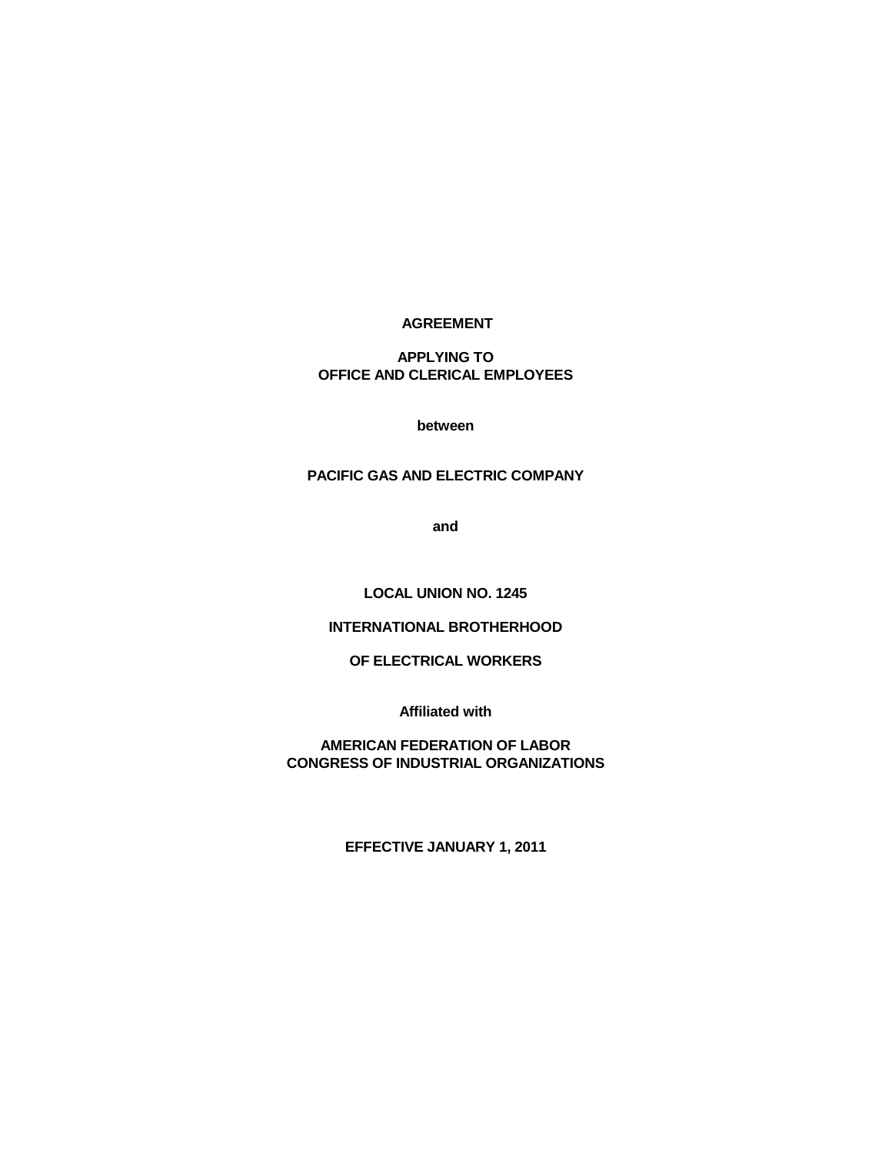# **AGREEMENT**

**APPLYING TO OFFICE AND CLERICAL EMPLOYEES**

**between**

# **PACIFIC GAS AND ELECTRIC COMPANY**

**and**

**LOCAL UNION NO. 1245**

# **INTERNATIONAL BROTHERHOOD**

# **OF ELECTRICAL WORKERS**

**Affiliated with**

**AMERICAN FEDERATION OF LABOR CONGRESS OF INDUSTRIAL ORGANIZATIONS** 

**EFFECTIVE JANUARY 1, 2011**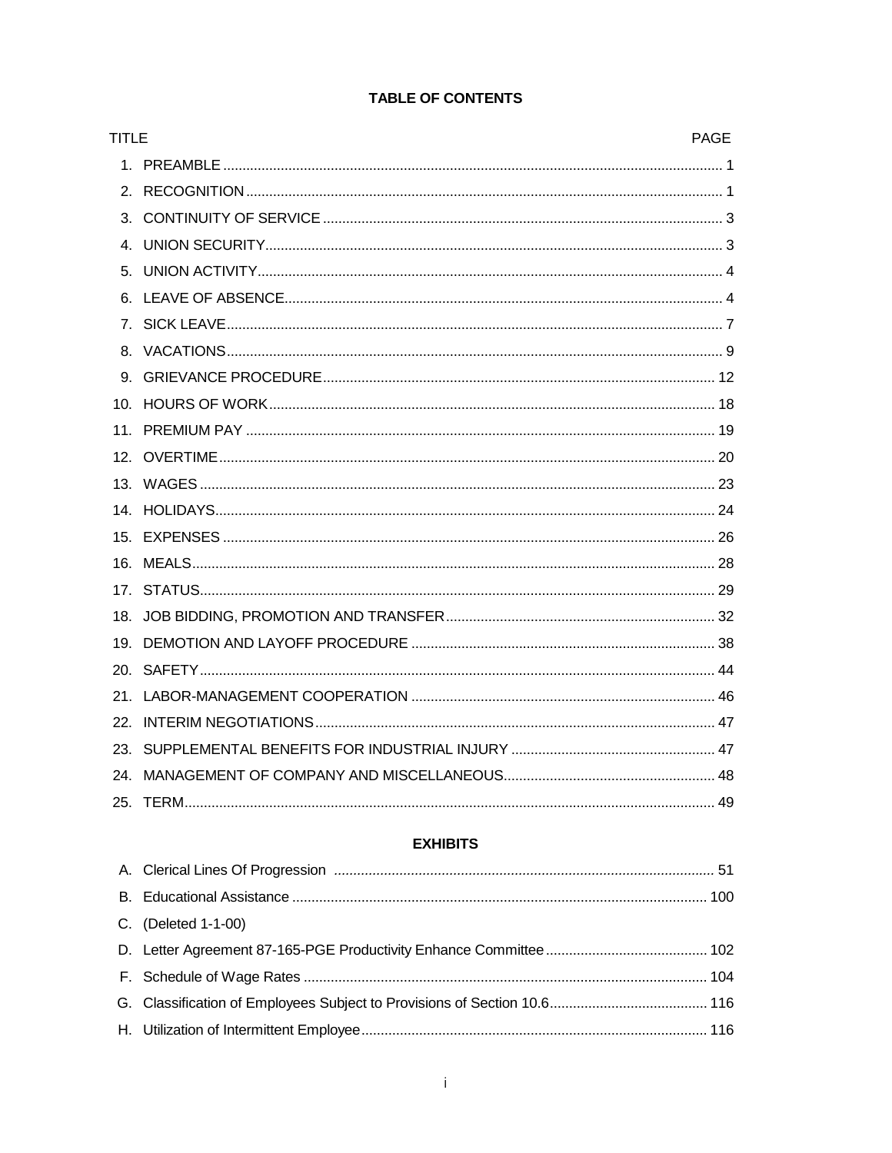| <b>TITLE</b> | <b>PAGE</b> |  |
|--------------|-------------|--|
|              |             |  |
|              |             |  |
|              |             |  |
|              |             |  |
|              |             |  |
|              |             |  |
|              |             |  |
|              |             |  |
|              |             |  |
|              |             |  |
|              |             |  |
|              |             |  |
|              |             |  |
|              |             |  |
|              |             |  |
|              |             |  |
|              |             |  |
|              |             |  |
|              |             |  |
|              |             |  |
|              |             |  |
|              |             |  |
|              |             |  |
|              |             |  |
|              |             |  |

# **TABLE OF CONTENTS**

# **EXHIBITS**

| C. (Deleted 1-1-00) |  |
|---------------------|--|
|                     |  |
|                     |  |
|                     |  |
|                     |  |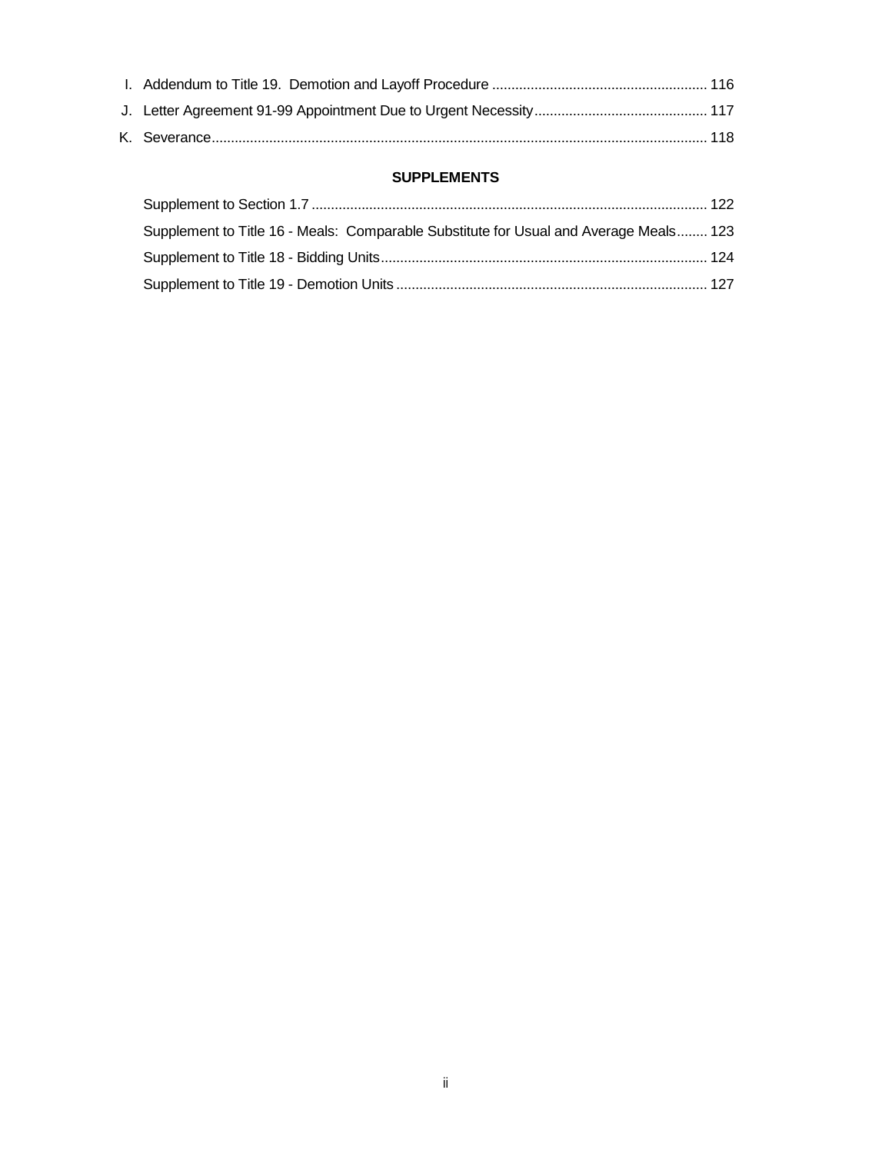# **SUPPLEMENTS**

| Supplement to Title 16 - Meals: Comparable Substitute for Usual and Average Meals 123 |  |
|---------------------------------------------------------------------------------------|--|
|                                                                                       |  |
|                                                                                       |  |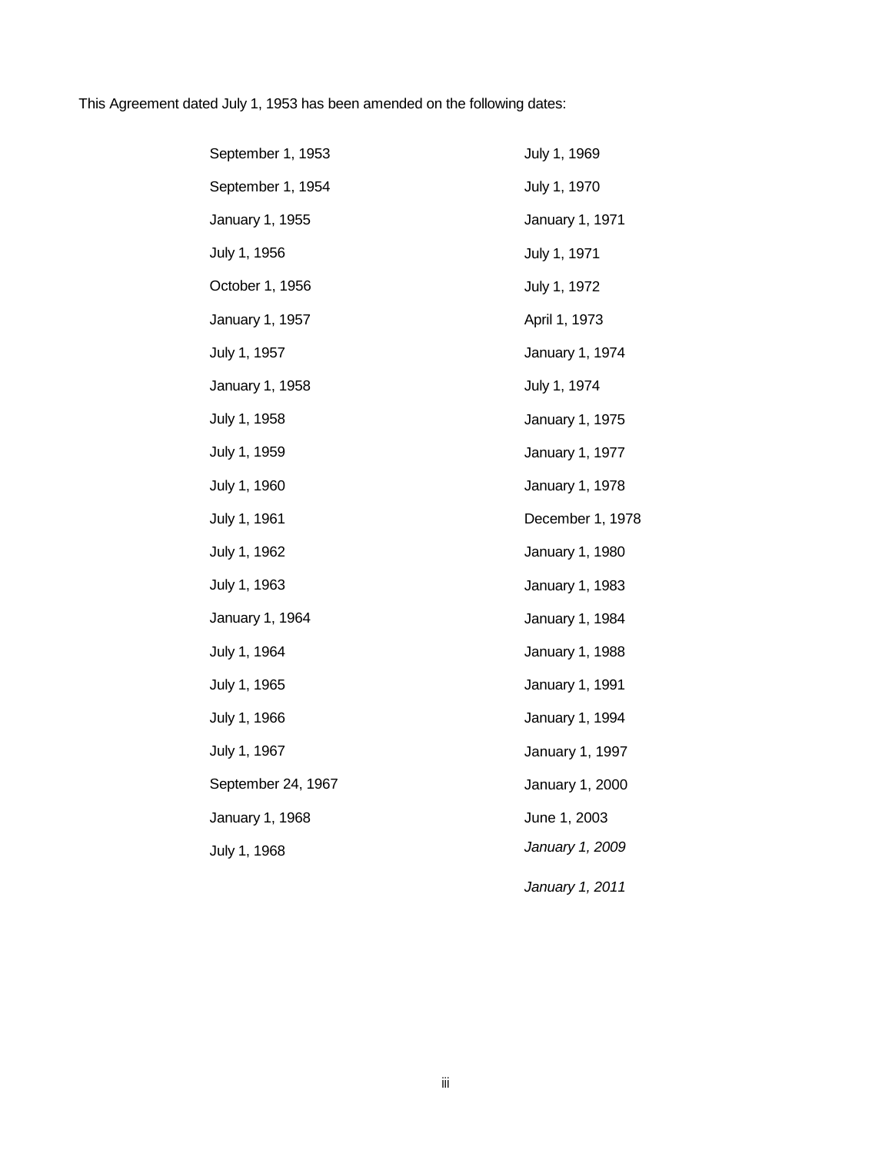This Agreement dated July 1, 1953 has been amended on the following dates:

| September 1, 1953  | July 1, 1969     |
|--------------------|------------------|
| September 1, 1954  | July 1, 1970     |
| January 1, 1955    | January 1, 1971  |
| July 1, 1956       | July 1, 1971     |
| October 1, 1956    | July 1, 1972     |
| January 1, 1957    | April 1, 1973    |
| July 1, 1957       | January 1, 1974  |
| January 1, 1958    | July 1, 1974     |
| July 1, 1958       | January 1, 1975  |
| July 1, 1959       | January 1, 1977  |
| July 1, 1960       | January 1, 1978  |
| July 1, 1961       | December 1, 1978 |
| July 1, 1962       | January 1, 1980  |
| July 1, 1963       | January 1, 1983  |
| January 1, 1964    | January 1, 1984  |
| July 1, 1964       | January 1, 1988  |
| July 1, 1965       | January 1, 1991  |
| July 1, 1966       | January 1, 1994  |
| July 1, 1967       | January 1, 1997  |
| September 24, 1967 | January 1, 2000  |
| January 1, 1968    | June 1, 2003     |
| July 1, 1968       | January 1, 2009  |
|                    | January 1, 2011  |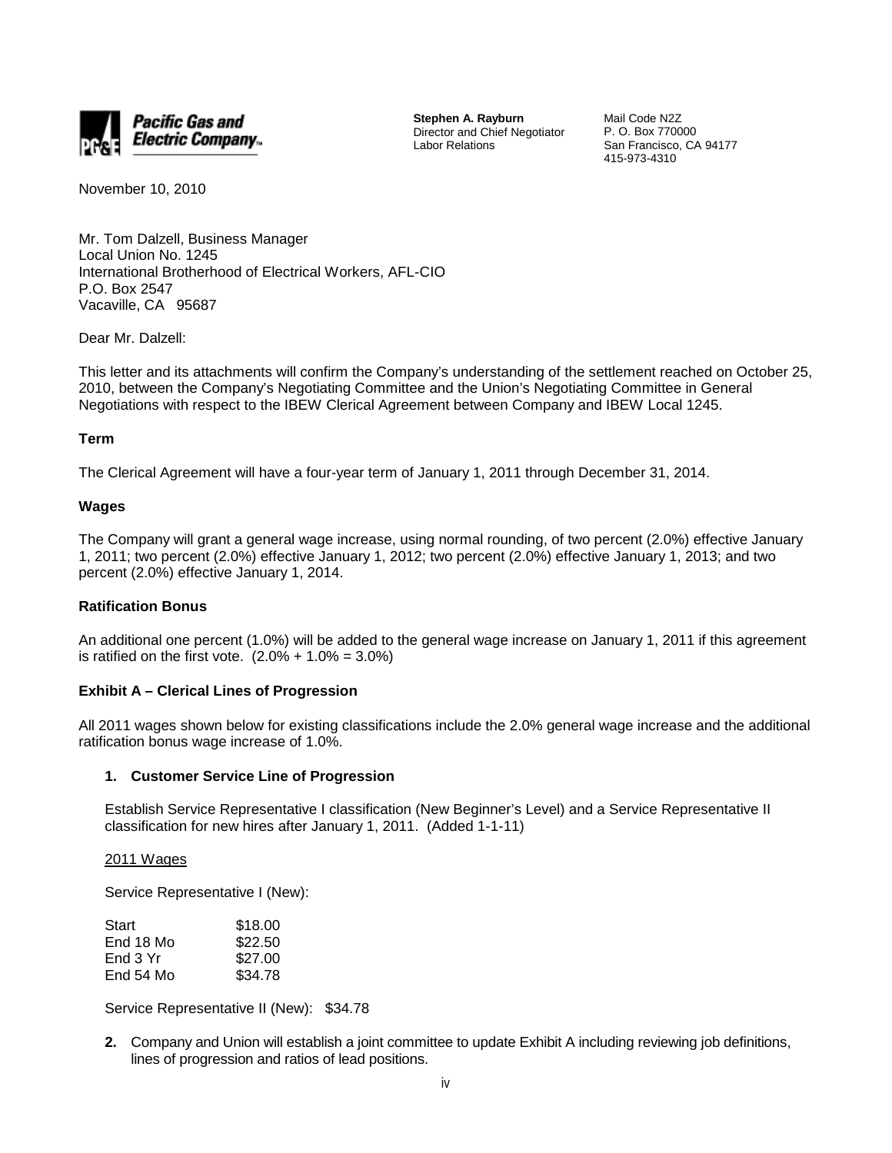

**Stephen A. Rayburn** Director and Chief Negotiator Labor Relations

Mail Code N2Z P. O. Box 770000 San Francisco, CA 94177 415-973-4310

November 10, 2010

Mr. Tom Dalzell, Business Manager Local Union No. 1245 International Brotherhood of Electrical Workers, AFL-CIO P.O. Box 2547 Vacaville, CA 95687

Dear Mr. Dalzell:

This letter and its attachments will confirm the Company's understanding of the settlement reached on October 25, 2010, between the Company's Negotiating Committee and the Union's Negotiating Committee in General Negotiations with respect to the IBEW Clerical Agreement between Company and IBEW Local 1245.

# **Term**

The Clerical Agreement will have a four-year term of January 1, 2011 through December 31, 2014.

# **Wages**

The Company will grant a general wage increase, using normal rounding, of two percent (2.0%) effective January 1, 2011; two percent (2.0%) effective January 1, 2012; two percent (2.0%) effective January 1, 2013; and two percent (2.0%) effective January 1, 2014.

# **Ratification Bonus**

An additional one percent (1.0%) will be added to the general wage increase on January 1, 2011 if this agreement is ratified on the first vote.  $(2.0\% + 1.0\% = 3.0\%)$ 

# **Exhibit A – Clerical Lines of Progression**

All 2011 wages shown below for existing classifications include the 2.0% general wage increase and the additional ratification bonus wage increase of 1.0%.

### **1. Customer Service Line of Progression**

Establish Service Representative I classification (New Beginner's Level) and a Service Representative II classification for new hires after January 1, 2011. (Added 1-1-11)

2011 Wages

Service Representative I (New):

| Start     | \$18.00 |
|-----------|---------|
| End 18 Mo | \$22.50 |
| End 3 Yr  | \$27.00 |
| End 54 Mo | \$34.78 |

Service Representative II (New): \$34.78

**2.** Company and Union will establish a joint committee to update Exhibit A including reviewing job definitions, lines of progression and ratios of lead positions.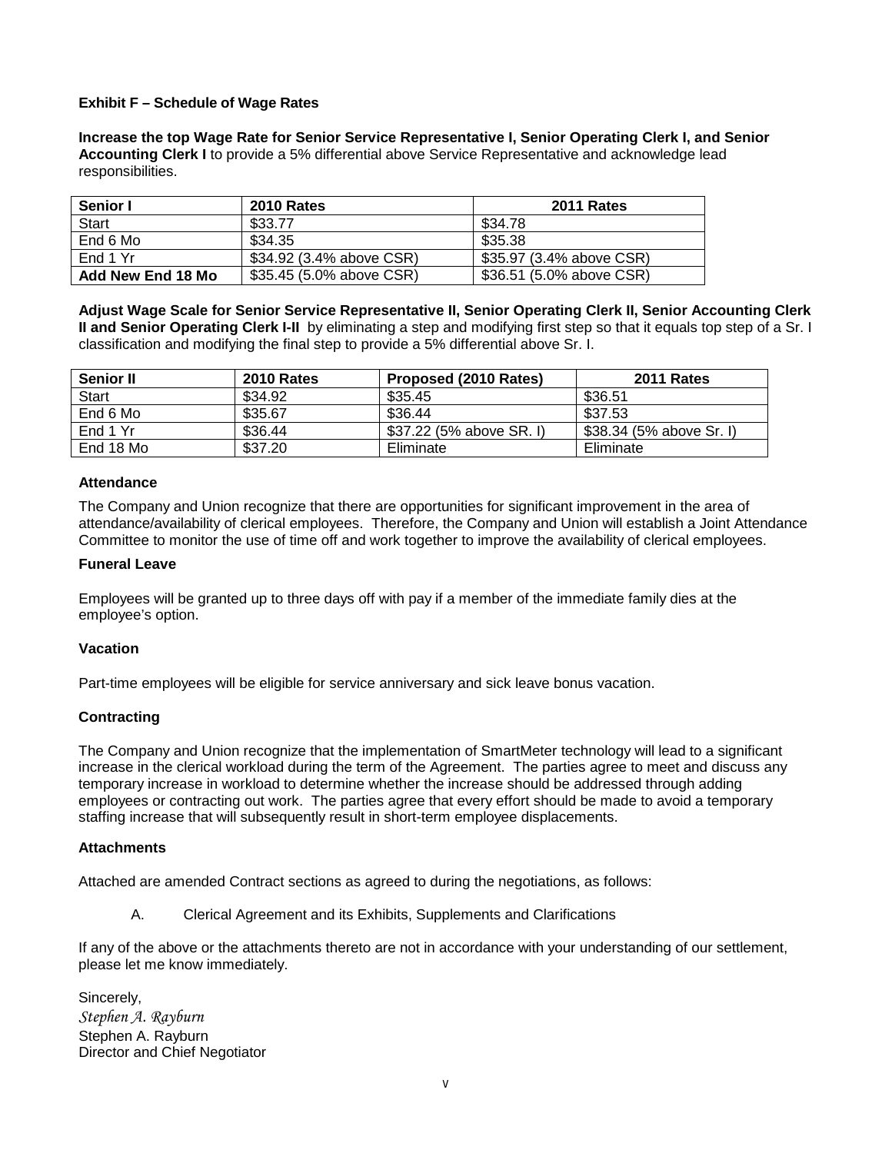# **Exhibit F – Schedule of Wage Rates**

**Increase the top Wage Rate for Senior Service Representative I, Senior Operating Clerk I, and Senior Accounting Clerk I** to provide a 5% differential above Service Representative and acknowledge lead responsibilities.

| <b>Senior I</b>   | <b>2010 Rates</b>        | <b>2011 Rates</b>        |
|-------------------|--------------------------|--------------------------|
| Start             | \$33.77                  | \$34.78                  |
| End 6 Mo          | \$34.35                  | \$35.38                  |
| End 1 Yr          | \$34.92 (3.4% above CSR) | \$35.97 (3.4% above CSR) |
| Add New End 18 Mo | \$35.45 (5.0% above CSR) | \$36.51 (5.0% above CSR) |

**Adjust Wage Scale for Senior Service Representative II, Senior Operating Clerk II, Senior Accounting Clerk II and Senior Operating Clerk I-II** by eliminating a step and modifying first step so that it equals top step of a Sr. I classification and modifying the final step to provide a 5% differential above Sr. I.

| <b>Senior II</b> | <b>2010 Rates</b> | Proposed (2010 Rates)    | <b>2011 Rates</b>        |
|------------------|-------------------|--------------------------|--------------------------|
| <b>Start</b>     | \$34.92           | \$35.45                  | \$36.51                  |
| End 6 Mo         | \$35.67           | \$36.44                  | \$37.53                  |
| End 1 Yr         | \$36.44           | \$37.22 (5% above SR. I) | \$38.34 (5% above Sr. I) |
| End 18 Mo        | \$37.20           | Eliminate                | Eliminate                |

# **Attendance**

The Company and Union recognize that there are opportunities for significant improvement in the area of attendance/availability of clerical employees. Therefore, the Company and Union will establish a Joint Attendance Committee to monitor the use of time off and work together to improve the availability of clerical employees.

# **Funeral Leave**

Employees will be granted up to three days off with pay if a member of the immediate family dies at the employee's option.

# **Vacation**

Part-time employees will be eligible for service anniversary and sick leave bonus vacation.

# **Contracting**

The Company and Union recognize that the implementation of SmartMeter technology will lead to a significant increase in the clerical workload during the term of the Agreement. The parties agree to meet and discuss any temporary increase in workload to determine whether the increase should be addressed through adding employees or contracting out work. The parties agree that every effort should be made to avoid a temporary staffing increase that will subsequently result in short-term employee displacements.

# **Attachments**

Attached are amended Contract sections as agreed to during the negotiations, as follows:

A. Clerical Agreement and its Exhibits, Supplements and Clarifications

If any of the above or the attachments thereto are not in accordance with your understanding of our settlement, please let me know immediately.

Sincerely, *Stephen A. Rayburn* Stephen A. Rayburn Director and Chief Negotiator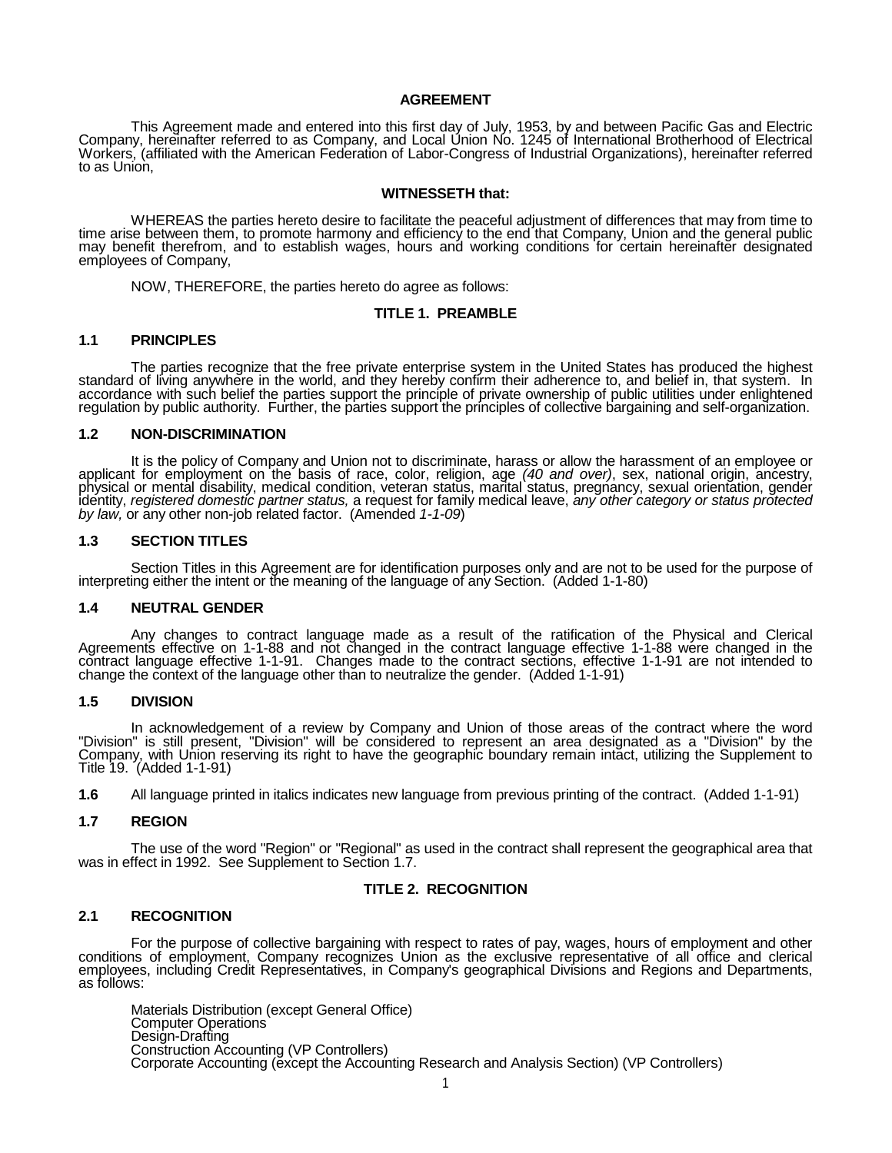#### **AGREEMENT**

This Agreement made and entered into this first day of July, 1953, by and between Pacific Gas and Electric<br>Company, hereinafter referred to as Company, and Local Union No. 1245 of International Brotherhood of Electrical<br>Wo

#### **WITNESSETH that:**

WHEREAS the parties hereto desire to facilitate the peaceful adjustment of differences that may from time to time arise between them, to promote harmony and efficiency to the end that Company, Union and the general public may benefit therefrom, and to establish wages, hours and working conditions for certain hereinafter designated<br>employees of Company,

NOW, THEREFORE, the parties hereto do agree as follows:

#### **TITLE 1. PREAMBLE**

#### **1.1 PRINCIPLES**

The parties recognize that the free private enterprise system in the United States has produced the highest standard of living anywhere in the world, and they hereby confirm their adherence to, and belief in, that system. regulation by public authority. Further, the parties support the principles of collective bargaining and self-organization.

#### **1.2 NON-DISCRIMINATION**

It is the policy of Company and Union not to discriminate, harass or allow the harassment of an employee or<br>applicant for employment on the basis of race, color, religion, age (40 and over), sex, national origin, ancestry, identity, *registered domestic partner status,* a request for family medical leave, *any other category or status protected by law,* or any other non-job related factor. (Amended *1-1-09*)

#### **1.3 SECTION TITLES**

Section Titles in this Agreement are for identification purposes only and are not to be used for the purpose of interpreting either the intent or the meaning of the language of any Section. (Added 1-1-80)

#### **1.4 NEUTRAL GENDER**

Any changes to contract language made as a result of the ratification of the Physical and Clerical<br>Agreements effective on 1-1-88 and not changed in the contract language effective 1-1-88 were changed in the contract language effective 1-1-91. Changes made to the contract sections, effective 1-1-91 are not intended to<br>change the context of the language other than to neutralize the gender. (Added 1-1-91)

#### **1.5 DIVISION**

In acknowledgement of a review by Company and Union of those areas of the contract where the word<br>"Division" is still present, "Division" will be considered to represent an area designated as a "Division" by the<br>Company, w Title 19. (Added 1-1-91)

**1.6** All language printed in italics indicates new language from previous printing of the contract. (Added 1-1-91)

#### **1.7 REGION**

The use of the word "Region" or "Regional" as used in the contract shall represent the geographical area that was in effect in 1992. See Supplement to Section 1.7.

#### **TITLE 2. RECOGNITION**

#### **2.1 RECOGNITION**

For the purpose of collective bargaining with respect to rates of pay, wages, hours of employment and other conditions of employment, Company recognizes Union as the exclusive representative of all office and clerical employees, including Credit Representatives, in Company's geographical Divisions and Regions and Departments,<br>as follows:

Materials Distribution (except General Office) Computer Operations<br>Design-Drafting Construction Accounting (VP Controllers) Corporate Accounting (except the Accounting Research and Analysis Section) (VP Controllers)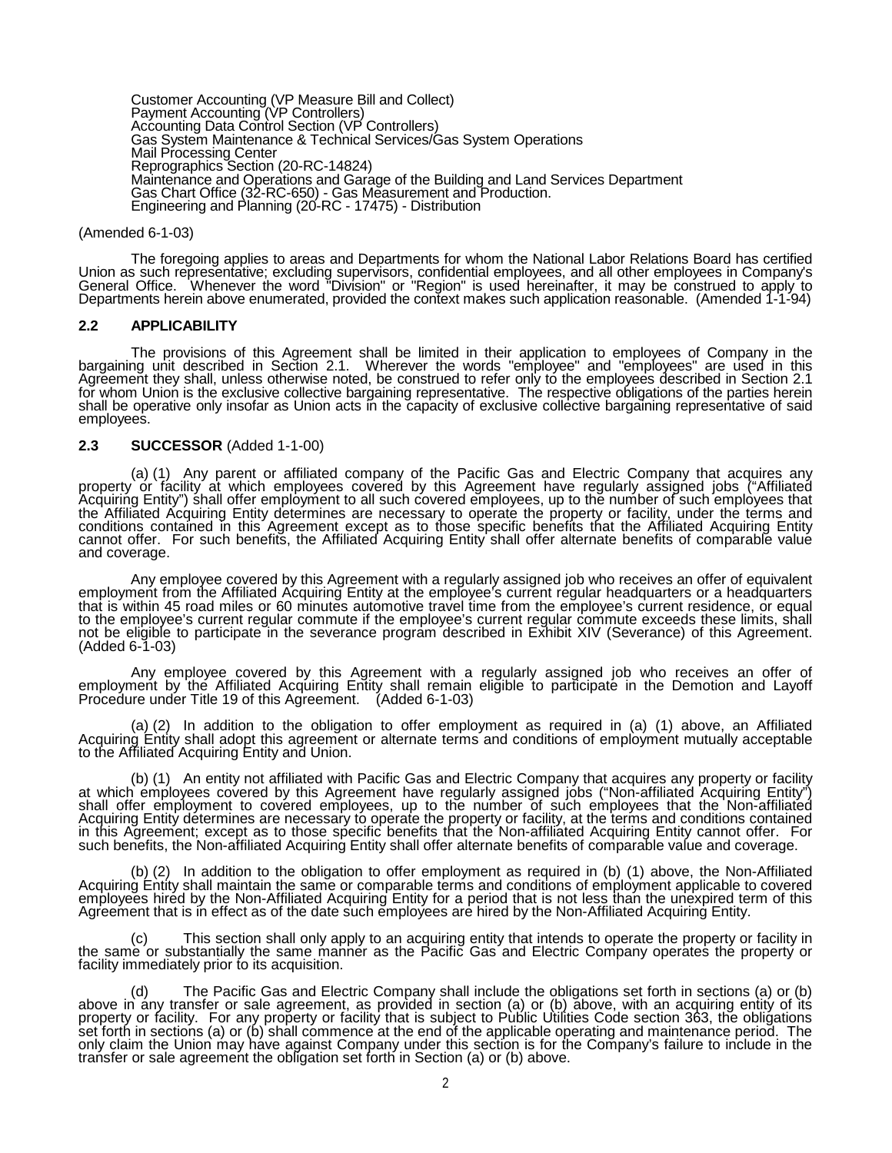Customer Accounting (VP Measure Bill and Collect) Payment Accounting (VP Controllers) Accounting Data Control Section (VP Controllers) Gas System Maintenance & Technical Services/Gas System Operations<br>Mail Processing Center Reprographics Section (20-RC-14824)<br>Maintenance and Operations and Garage of the Building and Land Services Department Gas Chart Office (32-RC-650) - Gas Measurement and Production. Engineering and Planning (20-RC - 17475) - Distribution

#### (Amended 6-1-03)

The foregoing applies to areas and Departments for whom the National Labor Relations Board has certified<br>Union as such representative; excluding supervisors, confidential employees, and all other employees in Company's<br>Gen Departments herein above enumerated, provided the context makes such application reasonable. (Amended 1-1-94)

### **2.2 APPLICABILITY**

The provisions of this Agreement shall be limited in their application to employees of Company in the bargaining unit described in Section 2.1. Wherever the words "employee" and "employees" are used in this Agreement they shall, unless otherwise noted, be construed to refer only to the employees described in Section 2.1<br>for whom Union is the exclusive collective bargaining representative. The respective obligations of the pa shall be operative only insofar as Union acts in the capacity of exclusive collective bargaining representative of said<br>employees.

#### **2.3 SUCCESSOR** (Added 1-1-00)

(a) (1) Any parent or affiliated company of the Pacific Gas and Electric Company that acquires any property or facility at which employees covered by this Agreement have regularly assigned jobs ("Affiliated Acquiring Entit the Affiliated Acquiring Entity determines are necessary to operate the property or facility, under the terms and conditions contained in this Agreement except as to those specific benefits that the Affiliated Acquiring Entity cannot offer. For such benefits, the Affiliated Acquiring Entity shall offer alternate benefits of comparable value and coverage.

Any employee covered by this Agreement with a regularly assigned job who receives an offer of equivalent employment from the Affiliated Acquiring Entity at the employee's current regular headquarters or a headquarters that that is within 45 road miles or 60 minutes automotive travel time from the employee's current residence, or equal<br>to the employee's current regular commute if the employee's current regular commute exceeds these limits, sh not be eligible to participate in the severance program described in Exhibit XIV (Severance) of this Agreement.<br>(Added 6-1-03)

Any employee covered by this Agreement with a regularly assigned job who receives an offer of employment by the Affiliated Acquiring Entity shall remain eligible to participate in the Demotion and Layoff Procedure under Ti

(a) (2) In addition to the obligation to offer employment as required in (a) (1) above, an Affiliated Acquiring Entity shall adopt this agreement or alternate terms and conditions of employment mutually acceptable to the A

(b) (1) An entity not affiliated with Pacific Gas and Electric Company that acquires any property or facility<br>("at which employees covered by this Agreement have regularly assigned jobs ("Non-affiliated Acquiring Entity<br>|s Acquiring Entity determines are necessary to operate the property or facility, at the terms and conditions contained in this Agreement; except as to those specific benefits that the Non-affiliated Acquiring Entity cannot offer. For<br>such benefits, the Non-affiliated Acquiring Entity shall offer alternate benefits of comparable value and

(b) (2) In addition to the obligation to offer employment as required in (b) (1) above, the Non-Affiliated Acquiring Entity shall maintain the same or comparable terms and conditions of employment applicable to covered<br>employees hired by the Non-Affiliated Acquiring Entity for a period that is not less than the unexpired term o Agreement that is in effect as of the date such employees are hired by the Non-Affiliated Acquiring Entity.

(c) This section shall only apply to an acquiring entity that intends to operate the property or facility in the same or substantially the same manner as the Pacific Gas and Electric Company operates the property or facility immediately prior to its acquisition.

(d) The Pacific Gas and Electric Company shall include the obligations set forth in sections (a) or (b) above in any transfer or sale agreement, as provided in section (a) or (b) above, with an acquiring entity of its property or facility. For any property or facility that is subject to Public Utilities Code section 363, the obligations set forth in sections (a) or (b) shall commence at the end of the applicable operating and maintenance period. The only claim the Union may have against Company under this section is for the Company's failure to include in the transfer or sale agreement the obligation set forth in Section (a) or (b) above.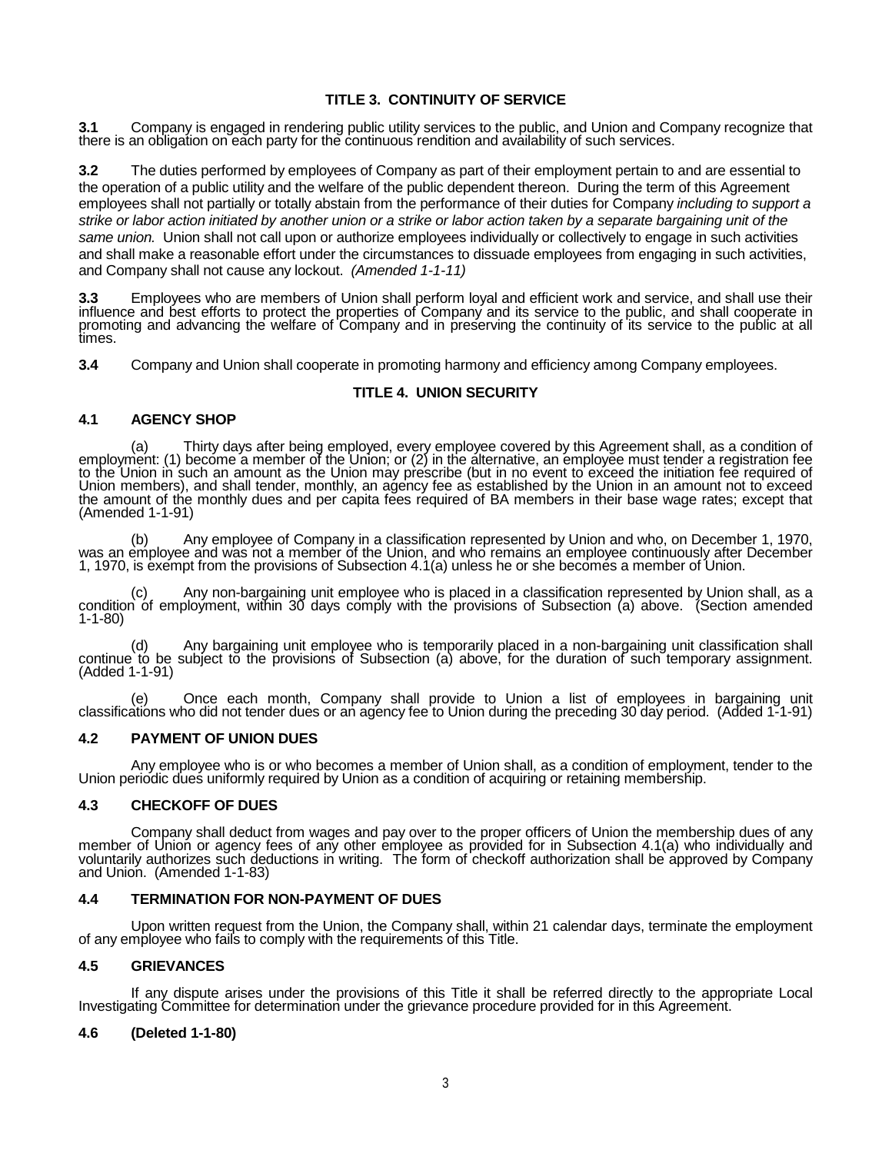# **TITLE 3. CONTINUITY OF SERVICE**

**3.1** Company is engaged in rendering public utility services to the public, and Union and Company recognize that there is an obligation on each party for the continuous rendition and availability of such services.

**3.2** The duties performed by employees of Company as part of their employment pertain to and are essential to the operation of a public utility and the welfare of the public dependent thereon. During the term of this Agreement employees shall not partially or totally abstain from the performance of their duties for Company *including to support a strike or labor action initiated by another union or a strike or labor action taken by a separate bargaining unit of the same union.* Union shall not call upon or authorize employees individually or collectively to engage in such activities and shall make a reasonable effort under the circumstances to dissuade employees from engaging in such activities, and Company shall not cause any lockout. *(Amended 1-1-11)*

3.3 Employees who are members of Union shall perform loyal and efficient work and service, and shall use their<br>influence and best efforts to protect the properties of Company and its service to the public, and shall cooper times.

**3.4** Company and Union shall cooperate in promoting harmony and efficiency among Company employees.

# **TITLE 4. UNION SECURITY**

# **4.1 AGENCY SHOP**

(a) Thirty days after being employed, every employee covered by this Agreement shall, as a condition of employment: (1) become a member of the Union; or (2) in the alternative, an employee must tender a registration fee to Union members), and shall tender, monthly, an agency fee as established by the Union in an amount not to exceed the amount of the monthly dues and per capita fees required of BA members in their base wage rates; except that<br>(Amended 1-1-91)

(b) Any employee of Company in a classification represented by Union and who, on December 1, 1970, was an employee and was not a member of the Union, and who remains an employee continuously after December 1, 1970, is exem

(c) Any non-bargaining unit employee who is placed in a classification represented by Union shall, as a condition of employment, within 30 days comply with the provisions of Subsection (a) above. (Section amended 1-1-80)

(d) Any bargaining unit employee who is temporarily placed in a non-bargaining unit classification shall continue to be subject to the provisions of Subsection (a) above, for the duration of such temporary assignment. (Add

(e) Once each month, Company shall provide to Union a list of employees in bargaining unit classifications who did not tender dues or an agency fee to Union during the preceding 30 day period. (Added 1-1-91)

## **4.2 PAYMENT OF UNION DUES**

Any employee who is or who becomes a member of Union shall, as a condition of employment, tender to the Union periodic dues uniformly required by Union as a condition of acquiring or retaining membership.

### **4.3 CHECKOFF OF DUES**

Company shall deduct from wages and pay over to the proper officers of Union the membership dues of any<br>member of Union or agency fees of any other employee as provided for in Subsection 4.1(a) who individually and<br>volunta and Union. (Amended 1-1-83)

## **4.4 TERMINATION FOR NON-PAYMENT OF DUES**

Upon written request from the Union, the Company shall, within 21 calendar days, terminate the employment of any employee who fails to comply with the requirements of this Title.

# **4.5 GRIEVANCES**

If any dispute arises under the provisions of this Title it shall be referred directly to the appropriate Local Investigating Committee for determination under the grievance procedure provided for in this Agreement.

### **4.6 (Deleted 1-1-80)**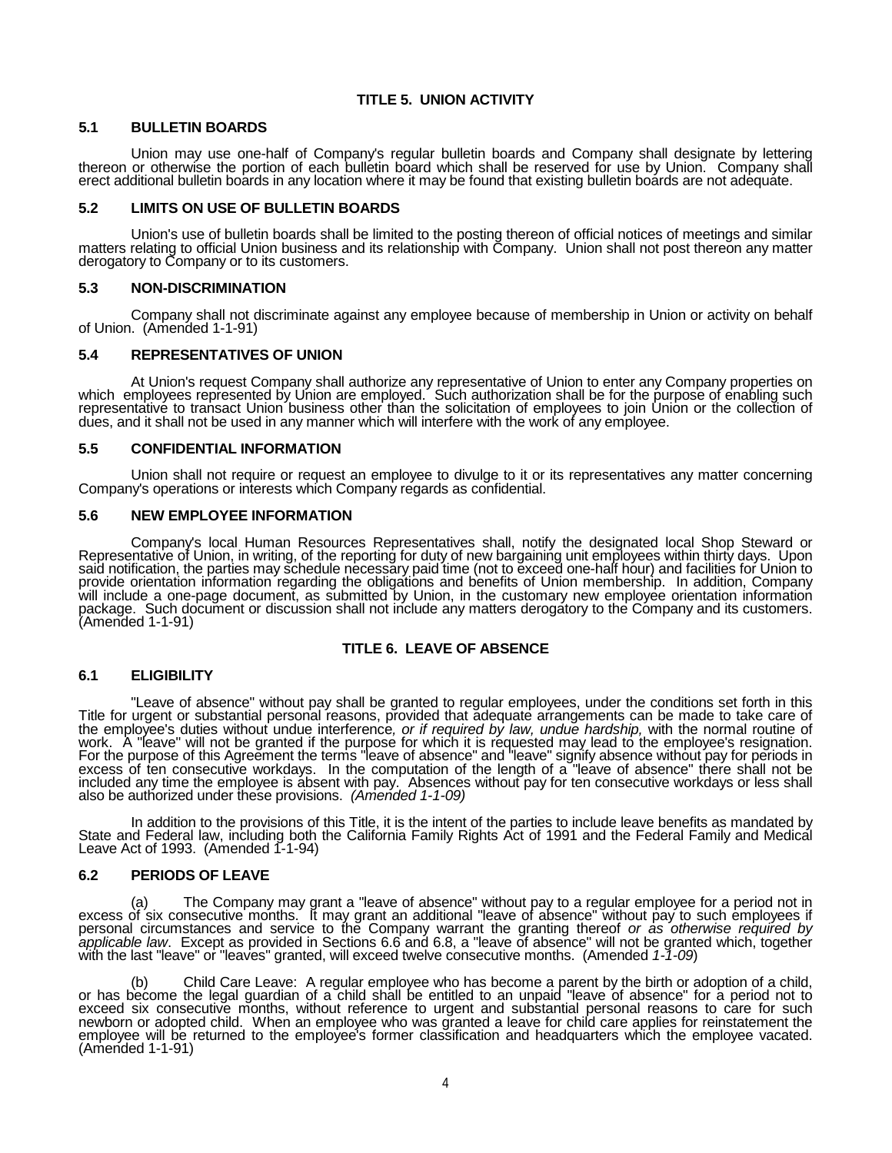# **TITLE 5. UNION ACTIVITY**

#### **5.1 BULLETIN BOARDS**

Union may use one-half of Company's regular bulletin boards and Company shall designate by lettering thereon or otherwise the portion of each bulletin board which shall be reserved for use by Union. Company shall erect additional bulletin boards in any location where it may be found that existing bulletin boards are not adequate.

### **5.2 LIMITS ON USE OF BULLETIN BOARDS**

Union's use of bulletin boards shall be limited to the posting thereon of official notices of meetings and similar<br>matters relating to official Union business and its relationship with Company. Union shall not post thereon

#### **5.3 NON-DISCRIMINATION**

Company shall not discriminate against any employee because of membership in Union or activity on behalf of Union. (Amended 1-1-91)

### **5.4 REPRESENTATIVES OF UNION**

At Union's request Company shall authorize any representative of Union to enter any Company properties on which employees represented by Union are employed. Such authorization shall be for the purpose of enabling such representative to transact Union business other than the solicitation of employees to join Union or the collection of dues, and it shall not be used in any manner which will interfere with the work of any employee.

### **5.5 CONFIDENTIAL INFORMATION**

Union shall not require or request an employee to divulge to it or its representatives any matter concerning Company's operations or interests which Company regards as confidential.

#### **5.6 NEW EMPLOYEE INFORMATION**

Company's local Human Resources Representatives shall, notify the designated local Shop Steward or Representative of Union, in writing, of the reporting for duty of new bargaining unit employees within thirty days. Upon said notification, the parties may schedule necessary paid time (not to exceed one-half hour) and facilities for Union to provide orientation information regarding the obligations and benefits of Union membership. In addit will include a one-page document, as submitted by Union, in the customary new employee orientation information<br>package. Such document or discussion shall not include any matters derogatory to the Company and its customers.

# **TITLE 6. LEAVE OF ABSENCE**

### **6.1 ELIGIBILITY**

"Leave of absence" without pay shall be granted to regular employees, under the conditions set forth in this<br>Title for urgent or substantial personal reasons, provided that adequate arrangements can be made to take care of work.  A "leave" will not be granted if the purpose for which it is requested may lead to the employee's resignation.<br>For the purpose of this Agreement the terms "leave of absence" and "leave" signify absence without pay excess of ten consecutive workdays. In the computation of the length of a "leave of absence" there shall not be<br>included any time the employee is absent with pay. Absences without pay for ten consecutive workdays or less s also be authorized under these provisions. *(Amended 1-1-09)*

In addition to the provisions of this Title, it is the intent of the parties to include leave benefits as mandated by<br>State and Federal law, including both the California Family Rights Act of 1991 and the Federal Family an Leave Act of 1993. (Amended 1-1-94)

### **6.2 PERIODS OF LEAVE**

(a) The Company may grant a "leave of absence" without pay to a regular employee for a period not in<br>excess of six consecutive months. It may grant an additional "leave of absence" without pay to such employees if personal circumstances and service to the Company warrant the granting thereof *or as otherwise required by*<br>*applicable law*. Except as provided in Sections 6.6 and 6.8, a "leave of absence" will not be granted which, tog

(b) Child Care Leave: A regular employee who has become a parent by the birth or adoption of a child, or has become the legal guardian of a child shall be entitled to an unpaid "leave of absence" for a period not to exceed newborn or adopted child. When an employee who was granted a leave for child care applies for reinstatement the employee will be returned to the employee's former classification and headquarters which the employee vacated.<br>(Amended 1-1-91)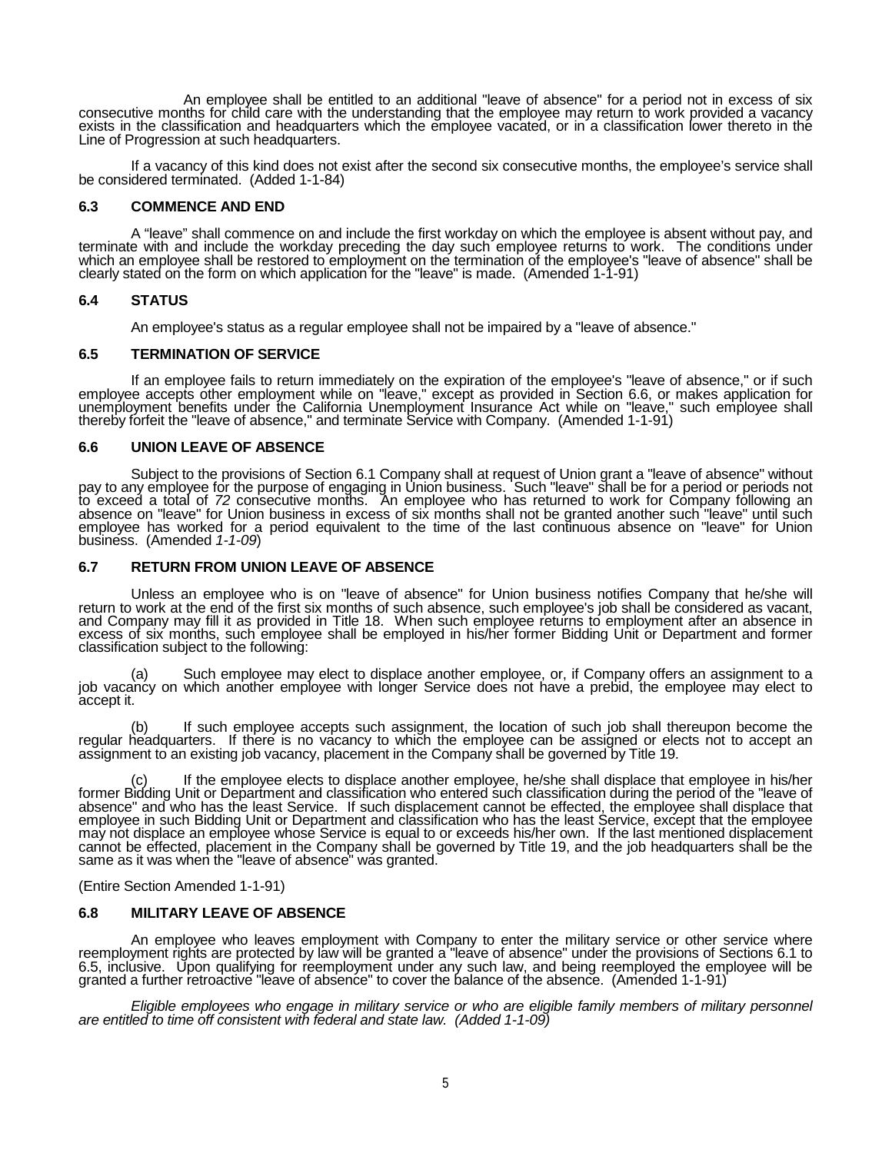An employee shall be entitled to an additional "leave of absence" for a period not in excess of six<br>consecutive months for child care with the understanding that the employee may return to work provided a vacancy<br>exists in Line of Progression at such headquarters.

If a vacancy of this kind does not exist after the second six consecutive months, the employee's service shall be considered terminated. (Added 1-1-84)

#### **6.3 COMMENCE AND END**

A "leave" shall commence on and include the first workday on which the employee is absent without pay, and terminate with and include the workday preceding the day such employee returns to work. The conditions under which an employee shall be restored to employment on the termination of the employee's "leave of absence" shall be clearly stated on the form on which application for the "leave" is made. (Amended 1-1-91)

### **6.4 STATUS**

An employee's status as a regular employee shall not be impaired by a "leave of absence."

### **6.5 TERMINATION OF SERVICE**

If an employee fails to return immediately on the expiration of the employee's "leave of absence," or if such employee accepts other employment while on "leave," except as provided in Section 6.6, or makes application for unemployment benefits under the California Unemployment Insurance Act while on "leave," such employee shall<br>thereby forfeit the "leave of absence," and terminate Service with Company. (Amended 1-1-91)

### **6.6 UNION LEAVE OF ABSENCE**

Subject to the provisions of Section 6.1 Company shall at request of Union grant a "leave of absence" without pay to any employee for the purpose of engaging in Union business. Such "leave" shall be for a period or periods not<br>to exceed a total of 72 consecutive months. An employee who has returned to work for Company following an business. (Amended *1-1-09*)

#### **6.7 RETURN FROM UNION LEAVE OF ABSENCE**

Unless an employee who is on "leave of absence" for Union business notifies Company that he/she will return to work at the end of the first six months of such absence, such employee's job shall be considered as vacant, and Company may fill it as provided in Title 18. When such employee returns to employment after an absence in<br>excess of six months, such employee shall be employed in his/her former Bidding Unit or Department and former classification subject to the following:

(a) Such employee may elect to displace another employee, or, if Company offers an assignment to a job vacancy on which another employee with longer Service does not have a prebid, the employee may elect to accept it.

(b) If such employee accepts such assignment, the location of such job shall thereupon become the regular headquarters. If there is no vacancy to which the employee can be assigned or elects not to accept an assignment to an existing job vacancy, placement in the Company shall be governed by Title 19.

(c) If the employee elects to displace another employee, he/she shall displace that employee in his/her former Bidding Unit or Department and classification who entered such classification during the period of the "leave of absence" and who has the least Service. If such displacement cannot be effected, the employee shall displace that<br>employee in such Bidding Unit or Department and classification who has the least Service, except that the em may not displace an employee whose Service is equal to or exceeds his/her own. If the last mentioned displacement<br>cannot be effected, placement in the Company shall be governed by Title 19, and the job headquarters shall b same as it was when the "leave of absence" was granted.

(Entire Section Amended 1-1-91)

### **6.8 MILITARY LEAVE OF ABSENCE**

An employee who leaves employment with Company to enter the military service or other service where reemployment rights are protected by law will be granted a "leave of absence" under the provisions of Sections 6.1 to 6.5, inclúsive. Upon qualifying for reemployment under any such law, and being reemployed the employee will be<br>granted a further retroactive "leave of absence" to cover the balance of the absence. (Amended 1-1-91)

*Eligible employees who engage in military service or who are eligible family members of military personnel are entitled to time off consistent with federal and state law. (Added 1-1-09)*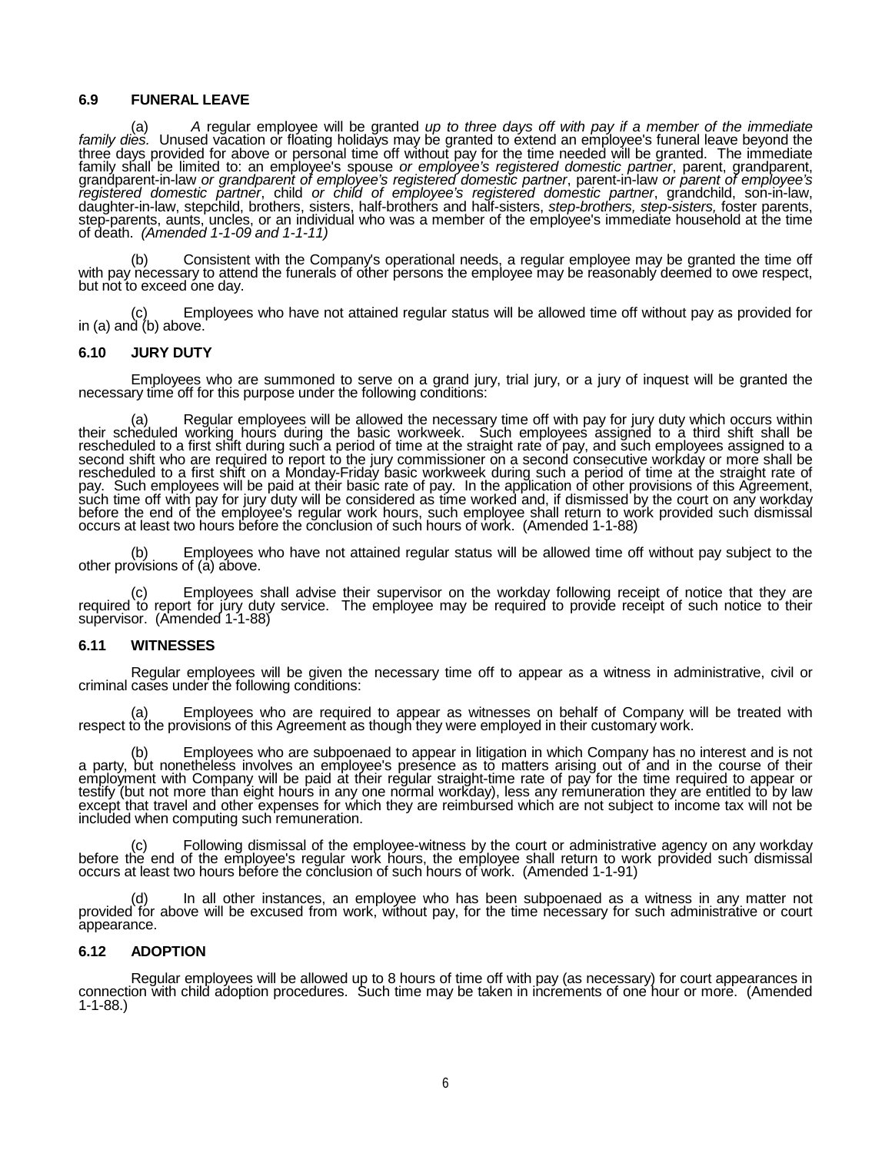## **6.9 FUNERAL LEAVE**

(a) A regular employee will be granted up to three days off with pay if a member of the immediate family dies. Unused vacation or floating holidays may be granted to extend an employee's funeral leave beyond the family shall be limited to: an employee's spouse *or employee's registered domestic partner*, parent, grandparent,<br>grandparent-in-law *or grandparent of employee's registered domestic partner*, parent-in-law *or parent of* daughter-in-law, stepchild, brothers, sisters, half-brothers and half-sisters, *step-brothers, step-sisters,* foster parents, step-parents, aunts, uncles, or an individual who was a member of the employee's immediate household at the time of death. *(Amended 1-1-09 and 1-1-11)*

(b) Consistent with the Company's operational needs, a regular employee may be granted the time off with pay necessary to attend the funerals of other persons the employee may be reasonably deemed to owe respect, but not t

(c) Employees who have not attained regular status will be allowed time off without pay as provided for in (a) and (b) above.

### **6.10 JURY DUTY**

Employees who are summoned to serve on a grand jury, trial jury, or a jury of inquest will be granted the necessary time off for this purpose under the following conditions:

(a) Regular employees will be allowed the necessary time off with pay for jury duty which occurs within their scheduled working hours during the basic workweek. Such employees assigned to a third shift shall be rescheduled second shift who are required to report to the jury commissioner on a second consecutive workday or more shall be<br>rescheduled to a first shift on a Monday-Friday basic workweek during such a period of time at the straight before the end of the employee's regular work hours, such employee shall return to work provided such dismissal occurs at least two hours before the conclusion of such hours of work. (Amended 1-1-88)

(b) Employees who have not attained regular status will be allowed time off without pay subject to the other provisions of (a) above.

(c) Employees shall advise their supervisor on the workday following receipt of notice that they are required to report for jury duty service. The employee may be required to provide receipt of such notice to their supervisor. (Amended 1-1-88)

### **6.11 WITNESSES**

Regular employees will be given the necessary time off to appear as a witness in administrative, civil or criminal cases under the following conditions:

Employees who are required to appear as witnesses on behalf of Company will be treated with (a) Employees who are required to appear as witnesses on behalf of Company v<br>respect to the provisions of this Agreement as though they were employed in their customary work.

(b) Employees who are subpoenaed to appear in litigation in which Company has no interest and is not a party, but nonetheless involves an employee's presence as to matters arising out of and in the course of their employme included when computing such remuneration.

(c) Following dismissal of the employee-witness by the court or administrative agency on any workday before the end of the employee's regular work hours, the employee shall return to work provided such dismissal occurs at least two hours before the conclusion of such hours of work. (Amended 1-1-91)

(d) In all other instances, an employee who has been subpoenaed as a witness in any matter not provided for above will be excused from work, without pay, for the time necessary for such administrative or court appearance.

### **6.12 ADOPTION**

Regular employees will be allowed up to 8 hours of time off with pay (as necessary) for court appearances in connection with child adoption procedures. Such time may be taken in increments of one hour or more. (Amended 1-1-88.)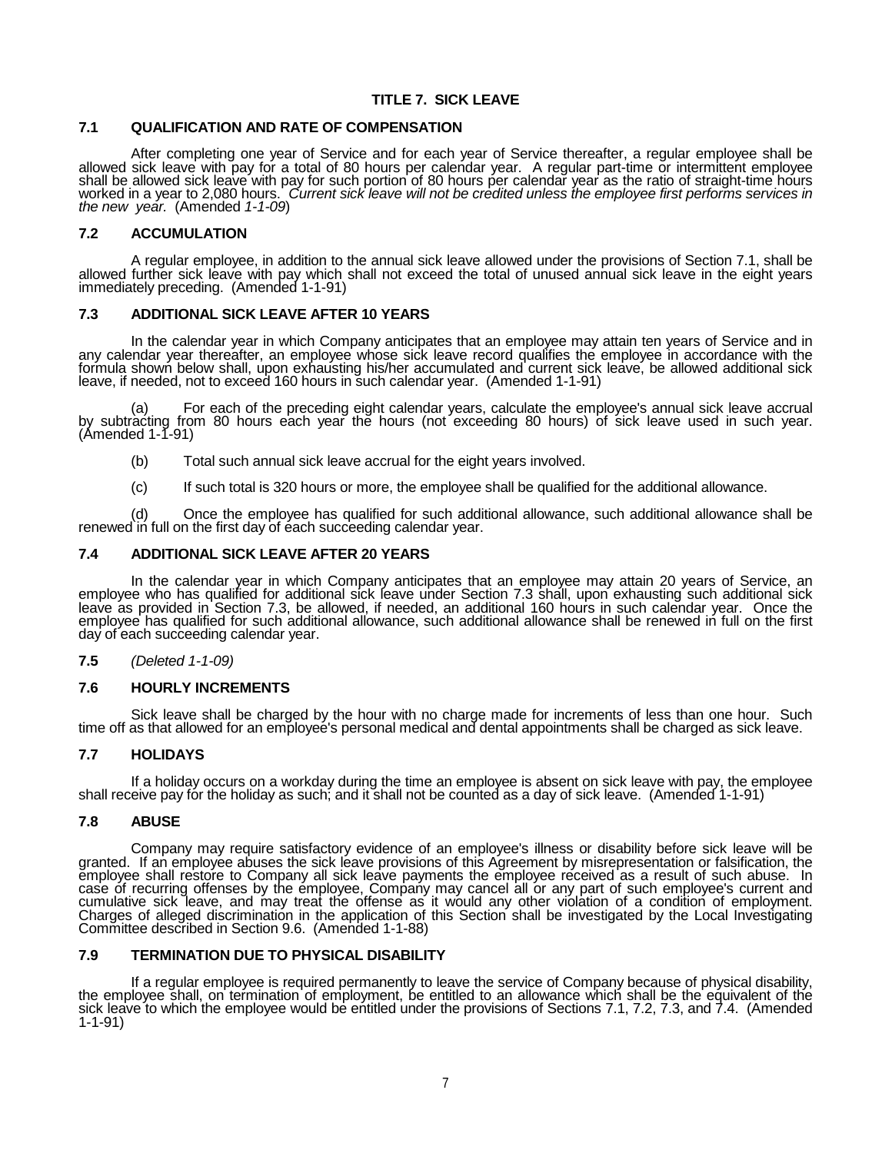# **TITLE 7. SICK LEAVE**

### **7.1 QUALIFICATION AND RATE OF COMPENSATION**

After completing one year of Service and for each year of Service thereafter, a regular employee shall be<br>allowed sick leave with pay for a total of 80 hours per calendar year. A regular part-time or intermittent employee<br> worked in a year to 2,080 hours. *Current sick leave will not be credited unless the employee first performs services in the new year.* (Amended *1-1-09*)

## **7.2 ACCUMULATION**

A regular employee, in addition to the annual sick leave allowed under the provisions of Section 7.1, shall be<br>allowed further sick leave with pay which shall not exceed the total of unused annual sick leave in the eight y immediately preceding. (Amended 1-1-91)

### **7.3 ADDITIONAL SICK LEAVE AFTER 10 YEARS**

In the calendar year in which Company anticipates that an employee may attain ten years of Service and in any calendar year thereafter, an employee whose sick leave record qualifies the employee in accordance with the formula shown below shall, upon exhausting his/her accumulated and current sick leave, be allowed additional sick leave, if needed, not to exceed 160 hours in such calendar year. (Amended 1-1-91)

(a) For each of the preceding eight calendar years, calculate the employee's annual sick leave accrual by subtracting from 80 hours each year the hours (not exceeding 80 hours) of sick leave used in such year.  $(Amended 1-1-91)$ 

- (b) Total such annual sick leave accrual for the eight years involved.
- (c) If such total is 320 hours or more, the employee shall be qualified for the additional allowance.

(d) Once the employee has qualified for such additional allowance, such additional allowance shall be renewed in full on the first day of each succeeding calendar year.

## **7.4 ADDITIONAL SICK LEAVE AFTER 20 YEARS**

In the calendar year in which Company anticipates that an employee may attain 20 years of Service, an<br>employee who has qualified for additional sick leave under Section 7.3 shall, upon exhausting such additional sick<br>leave employee has qualified for such additional allowance, such additional allowance shall be renewed in full on the first day of each succeeding calendar year.

### **7.5** *(Deleted 1-1-09)*

### **7.6 HOURLY INCREMENTS**

Sick leave shall be charged by the hour with no charge made for increments of less than one hour. Such time off as that allowed for an employee's personal medical and dental appointments shall be charged as sick leave.

### **7.7 HOLIDAYS**

If a holiday occurs on a workday during the time an employee is absent on sick leave with pay, the employee shall receive pay for the holiday as such; and it shall not be counted as a day of sick leave. (Amended 1-1-91)

### **7.8 ABUSE**

Company may require satisfactory evidence of an employee's illness or disability before sick leave will be granted. If an employee abuses the sick leave provisions of this Agreement by misrepresentation or falsification, the employee shall restore to Company all sick leave payments the employee received as a result of such abuse. In case of recurring offenses by the employee, Company may cancel all or any part of such employee's current and cumulative sick leave, and may treat the offense as it would any other violation of a condition of employment.<br>Charges of alleged discrimination in the application of this Section shall be investigated by the Local Investi Committee described in Section 9.6. (Amended 1-1-88)

## **7.9 TERMINATION DUE TO PHYSICAL DISABILITY**

If a regular employee is required permanently to leave the service of Company because of physical disability,<br>the employee shall, on termination of employment, be entitled to an allowance which shall be the equivalent of t 1-1-91)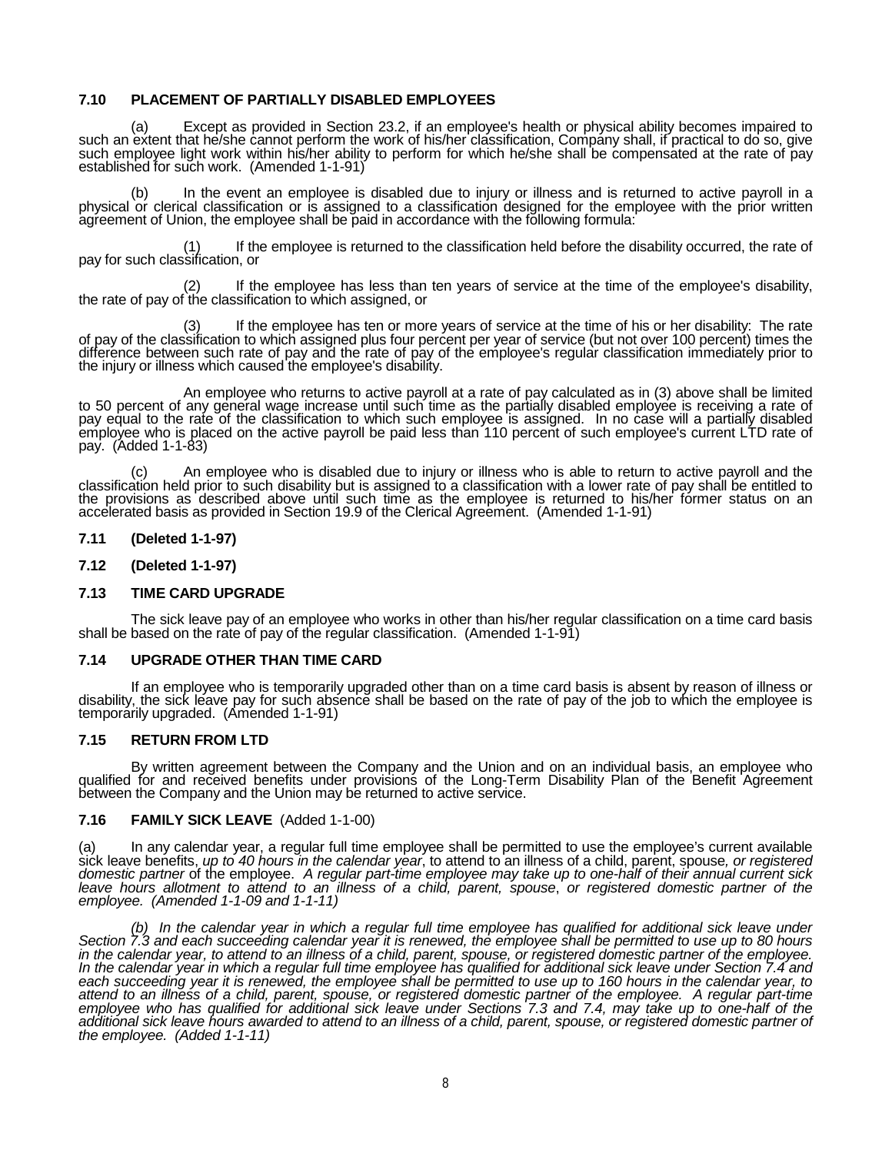# **7.10 PLACEMENT OF PARTIALLY DISABLED EMPLOYEES**

(a) Except as provided in Section 23.2, if an employee's health or physical ability becomes impaired to such an extent that he/she cannot perform the work of his/her classification, Company shall, if practical to do so, give such employee light work within his/her ability to perform for which he/she shall be compensated at the rate of pay<br>established for such work. (Amended 1-1-91)

(b) In the event an employee is disabled due to injury or illness and is returned to active payroll in a<br>physical or clerical classification or is assigned to a classification designed for the employee with the prior writt

If the employee is returned to the classification held before the disability occurred, the rate of pay for such classification, or

(2) If the employee has less than ten years of service at the time of the employee's disability, the rate of pay of the classification to which assigned, or

(3) If the employee has ten or more years of service at the time of his or her disability: The rate of pay of the classification to which assigned plus four percent per year of service (but not over 100 percent) times the difference between such rate of pay and the rate of pay of the employee's regular classification immediately prior to the injury or illness which caused the employee's disability.

An employee who returns to active payroll at a rate of pay calculated as in (3) above shall be limited<br>to 50 percent of any general wage increase until such time as the partially disabled employee is receiving a rate of<br>pa employee who is placed on the active payroll be paid less than 110 percent of such employee's current LTD rate of pay. (Added 1-1-83)

(c) An employee who is disabled due to injury or illness who is able to return to active payroll and the classification held prior to such disability but is assigned to a classification with a lower rate of pay shall be en accelerated basis as provided in Section 19.9 of the Clerical Agreement. (Amended 1-1-91)

### **7.11 (Deleted 1-1-97)**

**7.12 (Deleted 1-1-97)**

### **7.13 TIME CARD UPGRADE**

The sick leave pay of an employee who works in other than his/her regular classification on a time card basis shall be based on the rate of pay of the regular classification. (Amended 1-1-91)

### **7.14 UPGRADE OTHER THAN TIME CARD**

If an employee who is temporarily upgraded other than on a time card basis is absent by reason of illness or<br>disability, the sick leave pay for such absence shall be based on the rate of pay of the job to which the employe temporarily upgraded. (Amended 1-1-91)

### **7.15 RETURN FROM LTD**

By written agreement between the Company and the Union and on an individual basis, an employee who qualified for and received benefits under provisions of the Long-Term Disability Plan of the Benefit Agreement between the Company and the Union may be returned to active service.

### **7.16 FAMILY SICK LEAVE** (Added 1-1-00)

(a) In any calendar year, a regular full time employee shall be permitted to use the employee's current available<br>sick leave benefits, *up to 40 hours in the calendar year*, to attend to an illness of a child, parent, sp *leave hours allotment to attend to an illness of a child, parent, spouse*, *or registered domestic partner of the employee. (Amended 1-1-09 and 1-1-11)*

(b) In the calendar year in which a regular full time employee has qualified for additional sick leave under<br>Section 7.3 and each succeeding calendar year it is renewed, the employee shall be permitted to use up to 80 hour *In the calendar year in which a regular full time employee has qualified for additional sick leave under Section 7.4 and each succeeding year it is renewed, the employee shall be permitted to use up to 160 hours in the calendar year, to attend to an illness of a child, parent, spouse, or registered domestic partner of the employee. A regular part-time employee who has qualified for additional sick leave under Sections 7.3 and 7.4, may take up to one-half of the additional sick leave hours awarded to attend to an illness of a child, parent, spouse, or registered domestic partner of the employee. (Added 1-1-11)*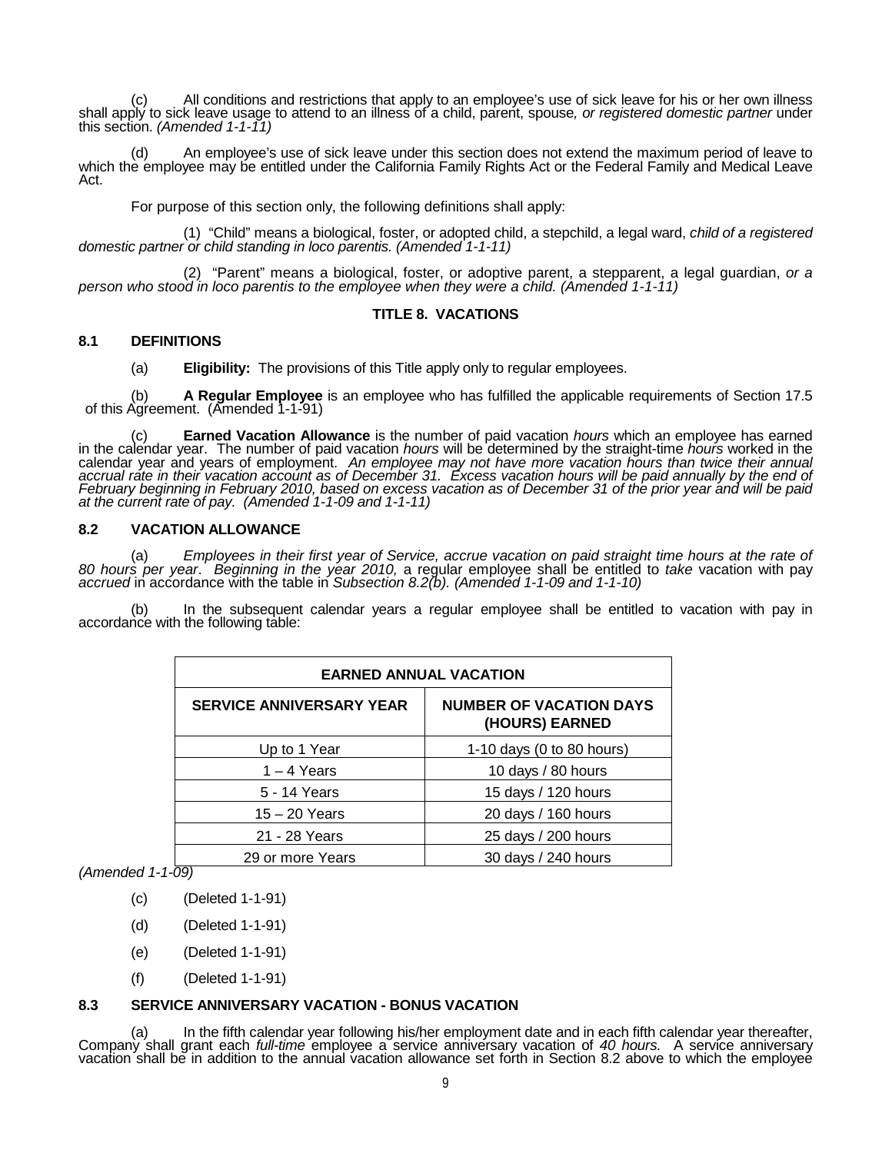(c) All conditions and restrictions that apply to an employee's use of sick leave for his or her own illness<br>shall apply to sick leave usage to attend to an illness of a child, parent, spouse, or registered domestic partne this section. *(Amended 1-1-11)*

(d) An employee's use of sick leave under this section does not extend the maximum period of leave to which the employee may be entitled under the California Family Rights Act or the Federal Family and Medical Leave Act.

For purpose of this section only, the following definitions shall apply:

(1) "Child" means a biological, foster, or adopted child, a stepchild, a legal ward, *child of a registered domestic partner or child standing in loco parentis. (Amended 1-1-11)*

(2) "Parent" means a biological, foster, or adoptive parent, a stepparent, a legal guardian, *or a person who stood in loco parentis to the employee when they were a child. (Amended 1-1-11)*

# **TITLE 8. VACATIONS**

# **8.1 DEFINITIONS**

(a) **Eligibility:** The provisions of this Title apply only to regular employees.

(b) **A Regular Employee** is an employee who has fulfilled the applicable requirements of Section 17.5 of this Agreement. (Amended 1-1-91)

(c) **Earned Vacation Allowance** is the number of paid vacation *hours* which an employee has earned<br>in the calendar year. The number of paid vacation *hours* will be determined by the straight-time *hours* worked in the calendar year and years of employment. *An employee may not have more vacation hours than twice their annual accrual rate in their vacation account as of December 31. Excess vacation hours will be paid annually by the end of February beginning in February 2010, based on excess vacation as of December 31 of the prior year and will be paid at the current rate of pay. (Amended 1-1-09 and 1-1-11)*

# **8.2 VACATION ALLOWANCE**

(a) Employees in their first year of Service, accrue vacation on paid straight time hours at the rate of 80 hours per year. Beginning in the year 2010, a regular employee shall be entitled to take vacation with pay accrued

(b) In the subsequent calendar years a regular employee shall be entitled to vacation with pay in accordance with the following table:

| <b>EARNED ANNUAL VACATION</b>                                                       |                           |  |  |
|-------------------------------------------------------------------------------------|---------------------------|--|--|
| <b>NUMBER OF VACATION DAYS</b><br><b>SERVICE ANNIVERSARY YEAR</b><br>(HOURS) EARNED |                           |  |  |
| Up to 1 Year                                                                        | 1-10 days (0 to 80 hours) |  |  |
| $1 - 4$ Years                                                                       | 10 days / 80 hours        |  |  |
| 5 - 14 Years                                                                        | 15 days / 120 hours       |  |  |
| $15 - 20$ Years                                                                     | 20 days / 160 hours       |  |  |
| 21 - 28 Years                                                                       | 25 days / 200 hours       |  |  |
| 29 or more Years                                                                    | 30 days / 240 hours       |  |  |

*(Amended 1-1-09)*

- (c) (Deleted 1-1-91)
- (d) (Deleted 1-1-91)
- (e) (Deleted 1-1-91)
- (f) (Deleted 1-1-91)

# **8.3 SERVICE ANNIVERSARY VACATION - BONUS VACATION**

(a) In the fifth calendar year following his/her employment date and in each fifth calendar year thereafter, Company shall grant each *full-time* employee a service anniversary vacation of 40 hours. A service anniversary v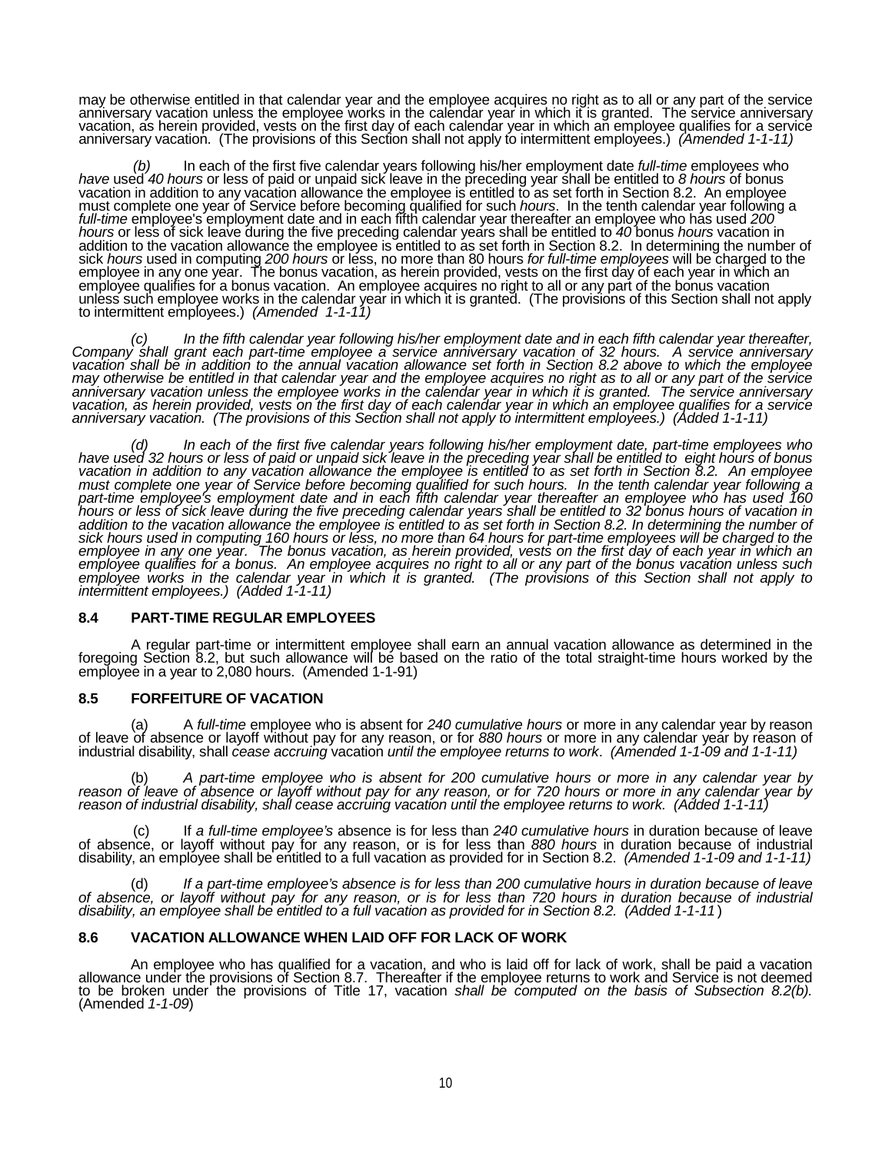may be otherwise entitled in that calendar year and the employee acquires no right as to all or any part of the service anniversary vacation unless the employee works in the calendar year in which it is granted. The service anniversary<br>vacation, as herein provided, vests on the first day of each calendar year in which an employee qualifies anniversary vacation. (The provisions of this Section shall not apply to intermittent employees.) *(Amended 1-1-11)*

*(b)* In each of the first five calendar years following his/her employment date *full-time* employee*s* who *have* used *40 hours* or less of paid or unpaid sick leave in the preceding year shall be entitled to *8 hours* of bonus vacation in addition to any vacation allowance the employee is entitled to as set forth in Section 8.2. An employee<br>must complete one year of Service before becoming qualified for such *hours*. In the tenth calendar year f *hours* or less of sick leave during the five preceding calendar years shall be entitled to *40* bonus *hours* vacation in addition to the vacation allowance the employee is entitled to as set forth in Section 8.2. In determining the number of sick *hours* used in computing 200 *hours* or less, no more than 80 hours for full-time employees wil employee qualifies for a bonus vacation. An employee acquires no right to all or any part of the bonus vacation unless such employee works in the calendar year in which it is granted. (The provisions of this Section shall not apply to intermittent employees.) *(Amended 1-1-11)*

(c) In the fifth calendar year following his/her employment date and in each fifth calendar year thereafter,<br>Company shall grant each part-time employee a service anniversary vacation of 32 hours. A service anniversary *vacation shall be in addition to the annual vacation allowance set forth in Section 8.2 above to which the employee may otherwise be entitled in that calendar year and the employee acquires no right as to all or any part of the service*  anniversary vacation unless the employee works in the calendar year in which it is granted. The service anniversary<br>vacation, as herein provided, vests on the first day of each calendar year in which an employee qualifies *anniversary vacation. (The provisions of this Section shall not apply to intermittent employees.) (Added 1-1-11)*

(d) In each of the first five calendar years following his/her employment date, part-time employees who<br>have used 32 hours or less of paid or unpaid sick leave in the preceding year shall be entitled to eight hours of bonu *must complete one year of Service before becoming qualified for such hours. In the tenth calendar year following a*  part-time employee's employment date and in each fifth calendar year thereafter an employee who has used 160<br>hours or less of sick leave during the five preceding calendar years shall be entitled to 32 bonus hours of vacat addition to the vacation allowance the employee is entitled to as set forth in Section 8.2. In determining the number of<br>sick hours used in computing 160 hours or less, no more than 64 hours for part-time employees will be employee qualities for a bonus. An employee acquires no right to all or any part of the bonus vacation unless such employee works in the calendar year in which it is granted. (The provisions of this Section shall not apply

### **8.4 PART-TIME REGULAR EMPLOYEES**

A regular part-time or intermittent employee shall earn an annual vacation allowance as determined in the foregoing Section 8.2, but such allowance will be based on the ratio of the total straight-time hours worked by the

# **8.5 FORFEITURE OF VACATION**

(a) A full-time employee who is absent for 240 cumulative hours or more in any calendar year by reason<br>of leave of absence or layoff without pay for any reason, or for 880 hours or more in any calendar year by reason of<br>in

(b) *A part-time employee who is absent for 200 cumulative hours or more in any calendar year by reason of leave of absence or layoff without pay for any reason, or for 720 hours or more in any calendar year by reason of industrial disability, shall cease accruing vacation until the employee returns to work. (Added 1-1-11)*

(c) If *a full-time employee's* absence is for less than *240 cumulative hours* in duration because of leave of absence, or layoff without pay for any reason, or is for less than *880 hours* in duration because of industrial disability, an employee shall be entitled to a full vacation as provided for in Section 8.2. *(Amended 1-1-09 and 1-1-11)*

If a part-time employee's absence is for less than 200 cumulative hours in *duration* because of leave *of absence, or layoff without pay for any reason, or is for less than 720 hours in duration because of industrial disability, an employee shall be entitled to a full vacation as provided for in Section 8.2. (Added 1-1-11*)

# **8.6 VACATION ALLOWANCE WHEN LAID OFF FOR LACK OF WORK**

An employee who has qualified for a vacation, and who is laid off for lack of work, shall be paid a vacation<br>allowance under the provisions of Section 8.7. Thereafter if the employee returns to work and Service is not deem to be broken under the provisions of Title 17, vacation *shall be computed on the basis of Subsection 8.2(b).* (Amended *1-1-09*)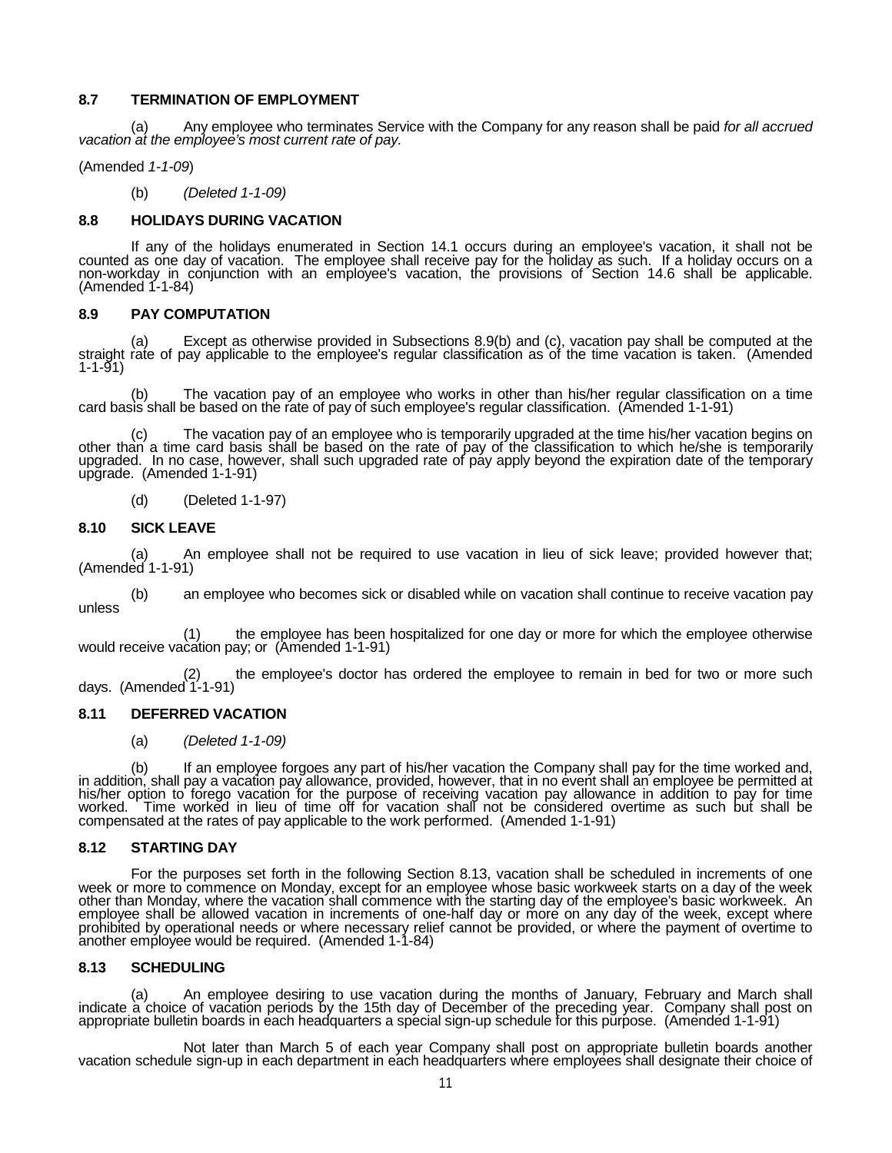# **8.7 TERMINATION OF EMPLOYMENT**

(a) Any employee who terminates Service with the Company for any reason shall be paid *for all accrued vacation at the employee's most current rate of pay.*

(Amended *1-1-09*)

(b) *(Deleted 1-1-09)*

# **8.8 HOLIDAYS DURING VACATION**

If any of the holidays enumerated in Section 14.1 occurs during an employee's vacation, it shall not be counted as one day of vacation. The employee shall receive pay for the holiday as such. If a holiday occurs on a non-workday in conjunction with an employee's vacation, the provisions of Section 14.6 shall be applicable.<br>(Amended 1-1-84)

# **8.9 PAY COMPUTATION**

(a) Except as otherwise provided in Subsections 8.9(b) and (c), vacation pay shall be computed at the straight rate of pay applicable to the employee's regular classification as of the time vacation is taken. (Amended 1-1-91)

(b) The vacation pay of an employee who works in other than his/her regular classification on a time card basis shall be based on the rate of pay of such employee's regular classification. (Amended 1-1-91)

(c) The vacation pay of an employee who is temporarily upgraded at the time his/her vacation begins on other than a time card basis shall be based on the rate of pay of the classification to which he/she is temporarily upgraded. In no case, however, shall such upgraded rate of pay apply beyond the expiration date of the temporary upgrade. (Amended 1-1-91)

(d) (Deleted 1-1-97)

# **8.10 SICK LEAVE**

(a) An employee shall not be required to use vacation in lieu of sick leave; provided however that; (Amended 1-1-91)

(b) an employee who becomes sick or disabled while on vacation shall continue to receive vacation pay unless

(1) the employee has been hospitalized for one day or more for which the employee otherwise would receive vacation pay; or (Amended 1-1-91)

the employee's doctor has ordered the employee to remain in bed for two or more such days. (Amended 1-1-91)

# **8.11 DEFERRED VACATION**

(a) *(Deleted 1-1-09)*

(b) If an employee forgoes any part of his/her vacation the Company shall pay for the time worked and,<br>in addition, shall pay a vacation pay allowance, provided, however, that in no event shall an employee be permitted at<br> worked. Time worked in lieu of time off for vacation shall not be considered overtime as such but shall be compensated at the rates of pay applicable to the work performed. (Amended 1-1-91)

### **8.12 STARTING DAY**

For the purposes set forth in the following Section 8.13, vacation shall be scheduled in increments of one week or more to commence on Monday, except for an employee whose basic workweek starts on a day of the week other t employee shall be allowed vacation in increments of one-half day or more on any day of the week, except where<br>prohibited by operational needs or where necessary relief cannot be provided, or where the payment of overtime t another employee would be required. (Amended 1-1-84)

### **8.13 SCHEDULING**

(a) An employee desiring to use vacation during the months of January, February and March shall indicate a choice of vacation periods by the 15th day of December of the preceding year. Company shall post on appropriate bulletin boards in each headquarters a special sign-up schedule for this purpose. (Amended 1-1-91)

Not later than March 5 of each year Company shall post on appropriate bulletin boards another vacation schedule sign-up in each department in each headquarters where employees shall designate their choice of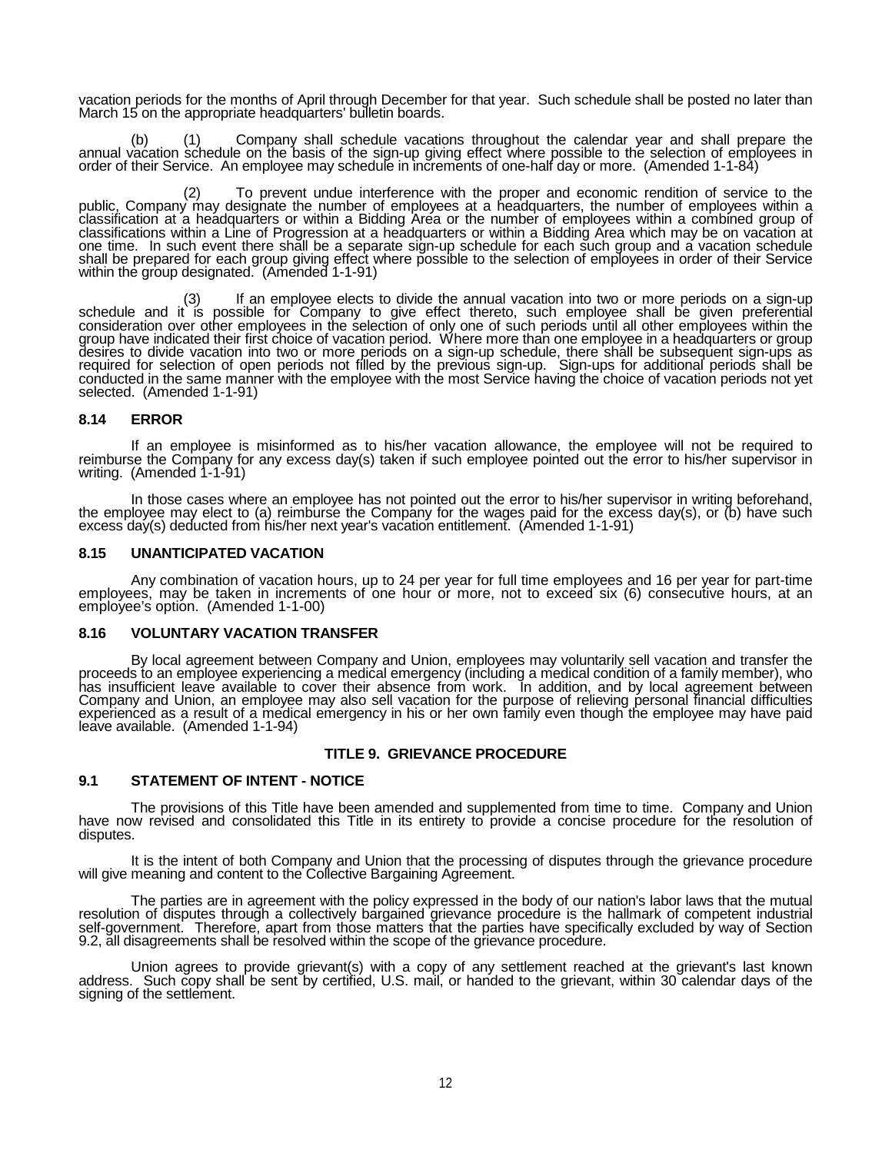vacation periods for the months of April through December for that year. Such schedule shall be posted no later than March 15 on the appropriate headquarters' bulletin boards.

(b) (1) Company shall schedule vacations throughout the calendar year and shall prepare the annual vacation schedule on the basis of the sign-up giving effect where possible to the selection of employees in order of their

(2) To prevent undue interference with the proper and economic rendition of service to the public, Company may designate the number of employees at a headquarters, the number of employees within a classification at a headquarters or within a Bidding Area or the number of employees within a combined group of<br>classifications within a Line of Progression at a headquarters or within a Bidding Area which may be on vacati one time. In such event there shall be a separate sign-up schedule for each such group and a vacation schedule shall be prepared for each group giving effect where possible to the selection of employees in order of their Service within the group designated. (Amended 1-1-91)

(3) If an employee elects to divide the annual vacation into two or more periods on a sign-up schedule and it is possible for Company to give effect thereto, such employee shall be given preferential consideration over other employees in the selection of only one of such periods until all other employees within the group have indicated their first choice of vacation period. Where more than one employee in a headquarters or group<br>desires to divide vacation into two or more periods on a sign-up schedule, there shall be subsequent signselected. (Amended 1-1-91)

# **8.14 ERROR**

If an employee is misinformed as to his/her vacation allowance, the employee will not be required to reimburse the Company for any excess day(s) taken if such employee pointed out the error to his/her supervisor in writing. (Amended 1-1-91)

In those cases where an employee has not pointed out the error to his/her supervisor in writing beforehand,<br>the employee may elect to (a) reimburse the Company for the wages paid for the excess day(s), or (b) have such excess day(s) deducted from his/her next year's vacation entitlement. (Amended 1-1-91)

### **8.15 UNANTICIPATED VACATION**

Any combination of vacation hours, up to 24 per year for full time employees and 16 per year for part-time employees, may be taken in increments of one hour or more, not to exceed six (6) consecutive hours, at an employee's option. (Amended 1-1-00)

#### **8.16 VOLUNTARY VACATION TRANSFER**

By local agreement between Company and Union, employees may voluntarily sell vacation and transfer the<br>proceeds to an employee experiencing a medical emergency (including a medical condition of a family member), who<br>has in Company and Union, an employee may also sell vacation for the purpose of relieving personal financial difficulties experienced as a result of a medical emergency in his or her own family even though the employee may have paid leave available. (Amended 1-1-94)

## **TITLE 9. GRIEVANCE PROCEDURE**

### **9.1 STATEMENT OF INTENT - NOTICE**

The provisions of this Title have been amended and supplemented from time to time. Company and Union have now revised and consolidated this Title in its entirety to provide a concise procedure for the resolution of disputes.

It is the intent of both Company and Union that the processing of disputes through the grievance procedure will give meaning and content to the Collective Bargaining Agreement.

The parties are in agreement with the policy expressed in the body of our nation's labor laws that the mutual<br>resolution of disputes through a collectively bargained grievance procedure is the hallmark of competent industr

Union agrees to provide grievant(s) with a copy of any settlement reached at the grievant's last known address. Such copy shall be sent by certified, U.S. mail, or handed to the grievant, within 30 calendar days of the signing of the settlement.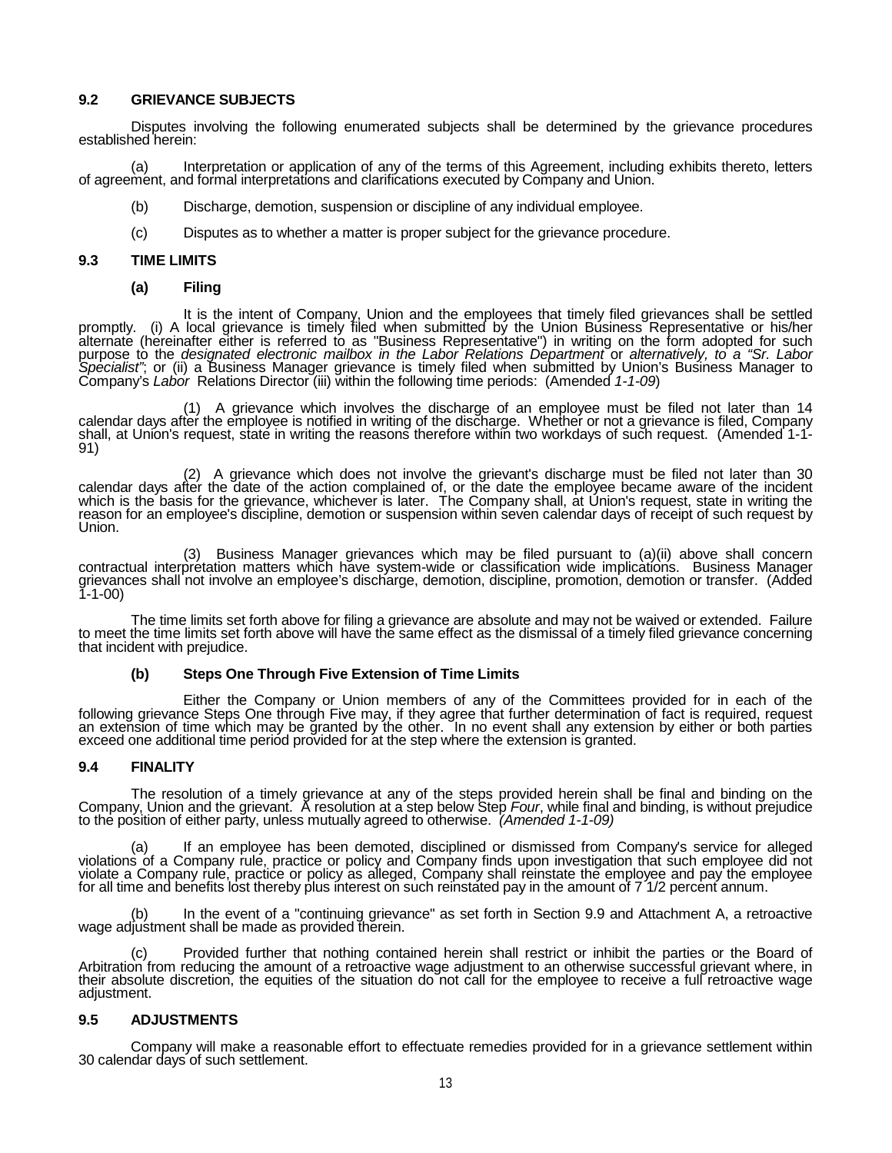# **9.2 GRIEVANCE SUBJECTS**

Disputes involving the following enumerated subjects shall be determined by the grievance procedures established herein:

(a) Interpretation or application of any of the terms of this Agreement, including exhibits thereto, letters of agreement, and formal interpretations and clarifications executed by Company and Union.

- (b) Discharge, demotion, suspension or discipline of any individual employee.
- (c) Disputes as to whether a matter is proper subject for the grievance procedure.

#### **9.3 TIME LIMITS**

**(a) Filing**

It is the intent of Company, Union and the employees that timely filed grievances shall be settled promptly. (i) A local grievance is timely filed when submitted by the Union Business Representative or his/her alternate (hereinafter either is referred to as "Business Representative") in writing on the form adopted for such purpose tò the *designated electronic mailbox in the Labor Relations Department* or *alternatively, to a "Sr. Labor*<br>*Specialist"*; or (ii) a Business Manager grievance is timely filed when submitted by Union's Business Ma

(1) A grievance which involves the discharge of an employee must be filed not later than 14 calendar days after the employee is notified in writing of the discharge. Whether or not a grievance is filed, Company shall, at Union's request, staté in writing the reasons therefore within two workdays of such request. (Amended 1-1-<br>91)

(2) A grievance which does not involve the grievant's discharge must be filed not later than 30 calendar days after the date of the action complained of, or the date the employee became aware of the incident which is the basis for the grievance, whichever is later. The Company shall, at Union's request, state in writing the<br>reason for an employee's discipline, demotion or suspension within seven calendar days of receipt of su Union.

Contractual interpretation matters Manager grievances which may be filed pursuant to (a)(ii) above shall concern<br>Contractual interpretation matters which have system-wide or classification wide implications. Business Manag 1-1-00)

The time limits set forth above for filing a grievance are absolute and may not be waived or extended. Failure<br>to meet the time limits set forth above will have the same effect as the dismissal of a timely filed grievance

### **(b) Steps One Through Five Extension of Time Limits**

Either the Company or Union members of any of the Committees provided for in each of the following grievance Steps One through Five may, if they agree that further determination of fact is required, request an extension of exceed one additional time period provided for at the step where the extension is granted.

### **9.4 FINALITY**

The resolution of a timely grievance at any of the steps provided herein shall be final and binding on the Company, Union and the grievant. A resolution at a step below Step Four, while final and binding, is without prejud

a) If an employee has been demoted, disciplined or dismissed from Company's service for alleged<br>violations of a Company rule, practice or policy and Company finds upon investigation that such employee did not<br>violate a Com for all time and benefits lost thereby plus interest on such reinstated pay in the amount of 7 1/2 percent annum.

(b) In the event of a "continuing grievance" as set forth in Section 9.9 and Attachment A, a retroactive wage adjustment shall be made as provided therein.

(c) Provided further that nothing contained herein shall restrict or inhibit the parties or the Board of Arbitration from reducing the amount of a retroactive wage adjustment to an otherwise successful grievant where, in their absolute discretion, the equities of the situation do not call for the employee to receive a full retroactive wage adjustment.

### **9.5 ADJUSTMENTS**

Company will make a reasonable effort to effectuate remedies provided for in a grievance settlement within 30 calendar days of such settlement.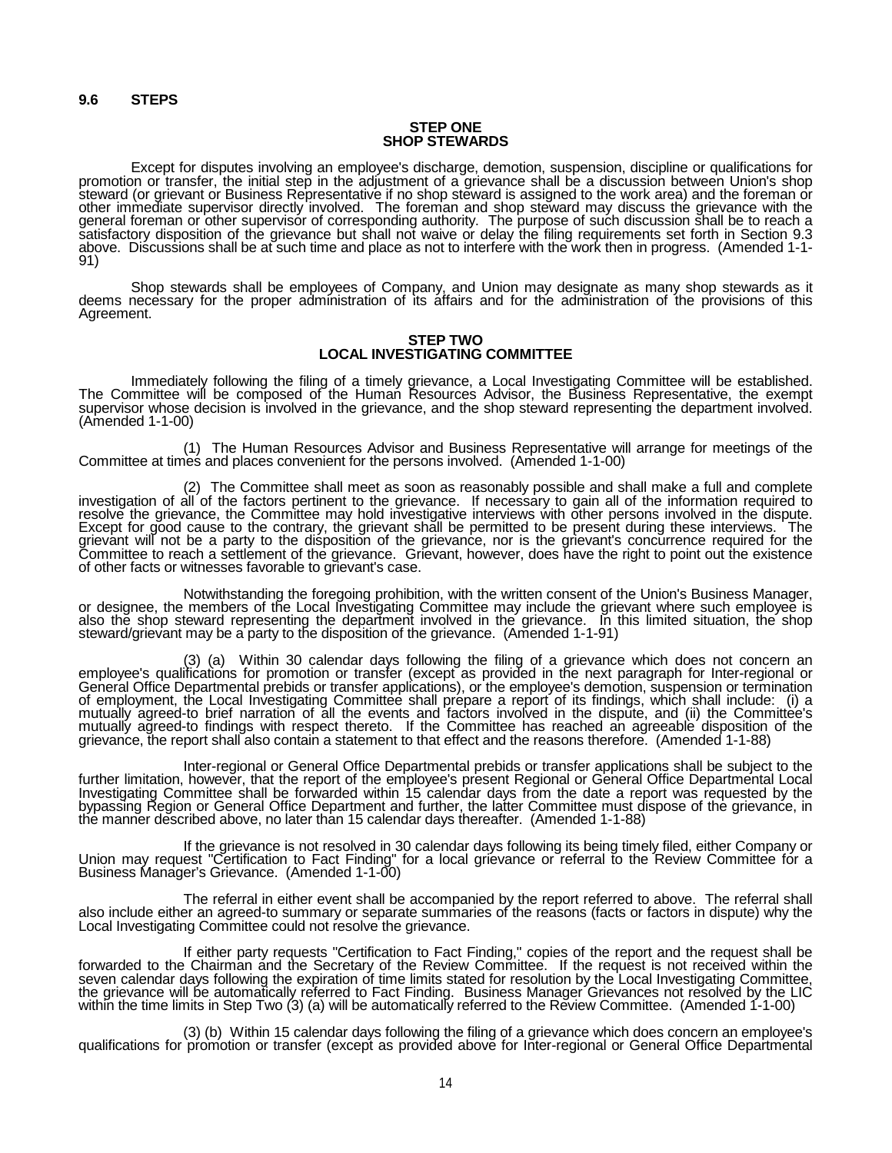#### **STEP ONE SHOP STEWARDS**

Except for disputes involving an employee's discharge, demotion, suspension, discipline or qualifications for<br>promotion or transfer, the initial step in the adjustment of a grievance shall be a discussion between Union's s steward (or grievant or Business Representative if no shop steward is assigned to the work area) and the foreman or<br>other immediate supervisor directly involved. The foreman and shop steward may discuss the grievance with general foreman or other supervisor of corresponding authority. The purpose of such discussion shall be to reach a satisfactory disposition of the grievance but shall not waive or delay the filing requirements set forth in Section 9.3 above. Discussions shall be at such time and place as not to interfere with the work then in progress. (Amended 1-1-<br>91)

Shop stewards shall be employees of Company, and Union may designate as many shop stewards as it deems necessary for the proper administration of its affairs and for the administration of the provisions of this Agreement.

#### **STEP TWO LOCAL INVESTIGATING COMMITTEE**

Immediately following the filing of a timely grievance, a Local Investigating Committee will be established. The Committee will be composed of the Human Resources Advisor, the Business Representative, the exempt supervisor whose decision is involved in the grievance, and the shop steward representing the department involved. (Amended 1-1-00)

(1) The Human Resources Advisor and Business Representative will arrange for meetings of the Committee at times and places convenient for the persons involved. (Amended 1-1-00)

investigation of all of the factors pertinent to the grievance. If necessary to gain all of the information required to resolve the grievance, the Committee may hold investigative interviews with other persons involved in Except for good cause to the contrary, the grievant shall be permitted to be present during these interviews. The grievant will not be a party to the disposition of the grievance, nor is the grievant's concurrence required for the Committee to reach a settlement of the grievance. Grievant, however, does have the right to point out the of other facts or witnesses favorable to grievant's case.

Notwithstanding the foregoing prohibition, with the written consent of the Union's Business Manager, or designee, the members of the Local Investigating Committee may include the grievant where such employee is also the shop steward representing the department involved in the grievance. In this limited situation, the shop<br>steward/grievant may be a party to the disposition of the grievance. (Amended 1-1-91)

(3) (a) Within 30 calendar days following the filing of a grievance which does not concern an employee's qualifications for promotion or transfer (except as provided in the next paragraph for Inter-regional or<br>General Office Departmental prebids or transfer applications), or the employee's demotion, suspension or t General Office Departmental prebids or transfer applications), or the employee's demotion, suspension or termination of employment, the Local Investigating Committee shall prepare a report of its findings, which shall incl

Inter-regional or General Office Departmental prebids or transfer applications shall be subject to the further limitation, however, that the report of the employee's present Regional or General Office Departmental Local Investigating Committee shall be forwarded within 15 calendar days from the date a report was requested by the<br>bypassing Region or General Office Department and further, the latter Committee must dispose of the grievance, the manner described above, no later than 15 calendar days thereafter. (Amended 1-1-88)

If the grievance is not resolved in 30 calendar days following its being timely filed, either Company or Union may request "Certification to Fact Finding" for a local grievance or referral to the Review Committee for a Business Manager's Grievance. (Amended 1-1-00)

The referral in either event shall be accompanied by the report referred to above. The referral shall<br>also include either an agreed-to summary or separate summaries of the reasons (facts or factors in dispute) why the<br>Loca

If either party requests "Certification to Fact Finding," copies of the report and the request shall be forwarded to the Chairman and the Secretary of the Review Committee. If the request is not received within the seven calendar days following the expiration of time limits stated for resolution by the Local Investigating Committee,<br>the grievance will be automatically referred to Fact Finding. Business Manager Grievances not resolved within the time limits in Step Two (3) (a) will be automatically referred to the Review Committee. (Amended 1-1-00)

(3) (b) Within 15 calendar days following the filing of a grievance which does concern an employee's qualifications for promotion or transfer (except as provided above for Inter-regional or General Office Departmental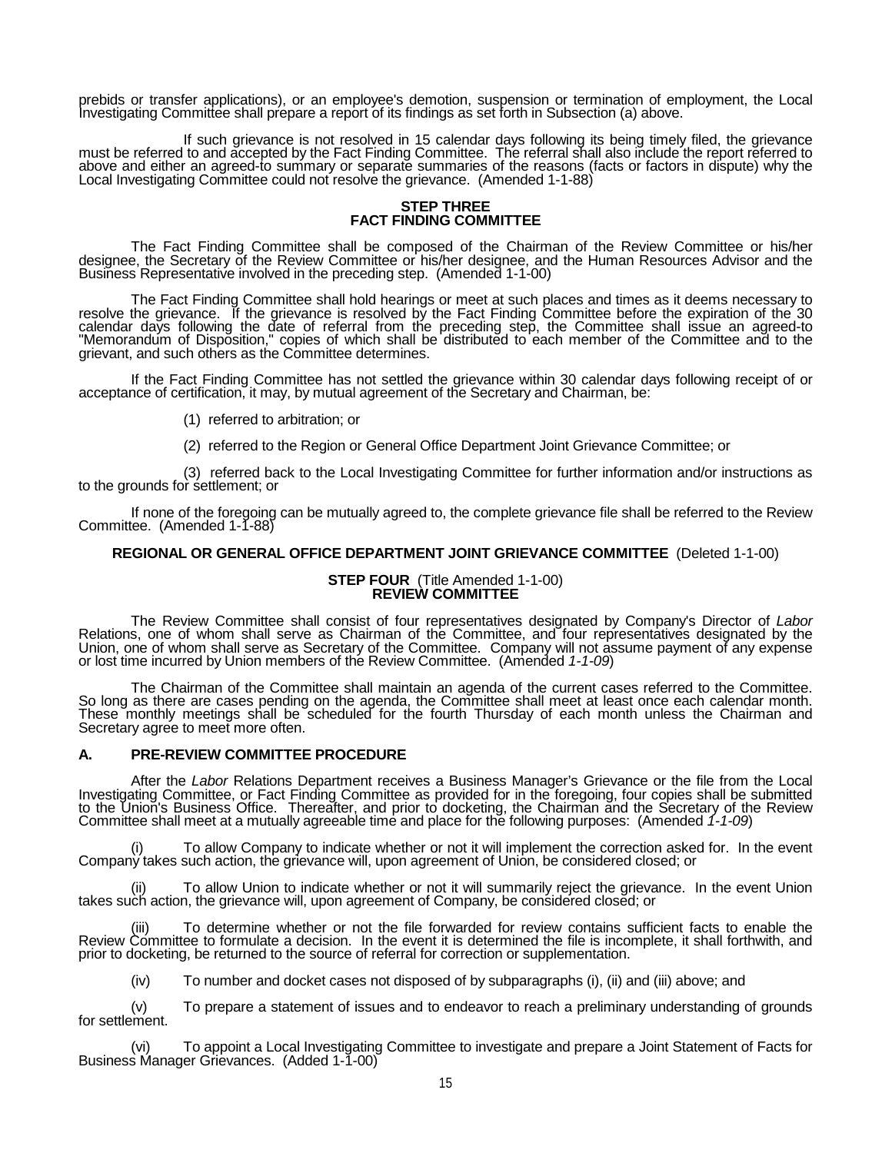prebids or transfer applications), or an employee's demotion, suspension or termination of employment, the Local Investigating Committee shall prepare a report of its findings as set forth in Subsection (a) above.

If such grievance is not resolved in 15 calendar days following its being timely filed, the grievance must be referred to and accepted by the Fact Finding Committee. The referral shall also include the report referred to above and either an agreed-to summary or separate summaries of the reasons (facts or factors in dispute) why the<br>Local Investigating Committee could not resolve the grievance. (Amended 1-1-88)

#### **STEP THREE FACT FINDING COMMITTEE**

The Fact Finding Committee shall be composed of the Chairman of the Review Committee or his/her designee, the Secretary of the Review Committee or his/her designee, and the Human Resources Advisor and the Business Representative involved in the preceding step. (Amended 1-1-00)

The Fact Finding Committee shall hold hearings or meet at such places and times as it deems necessary to resolve the grievance. If the grievance is resolved by the Fact Finding Committee before the expiration of the 30 calendar days following the date of referral from the preceding step, the Committee shall issue an agreed-to "Memorandum of Disposition," copies of which shall be distributed to each member of the Committee and to the grievant, and such others as the Committee determines.

If the Fact Finding Committee has not settled the grievance within 30 calendar days following receipt of or acceptance of certification, it may, by mutual agreement of the Secretary and Chairman, be:

- (1) referred to arbitration; or
- (2) referred to the Region or General Office Department Joint Grievance Committee; or

(3) referred back to the Local Investigating Committee for further information and/or instructions as to the grounds for settlement; or

If none of the foregoing can be mutually agreed to, the complete grievance file shall be referred to the Review Committee. (Amended 1-1-88)

### **REGIONAL OR GENERAL OFFICE DEPARTMENT JOINT GRIEVANCE COMMITTEE** (Deleted 1-1-00)

#### **STEP FOUR** (Title Amended 1-1-00) **REVIEW COMMITTEE**

The Review Committee shall consist of four representatives designated by Company's Director of *Labor* Relations, one of whom shall serve as Chairman of the Committee, and four representatives designated by the Union, one of whom shall serve as Secretary of the Committee. Company will not assume payment of any expense or lost time incurred by Union members of the Review Committee. (Amended *1-1-09*)

The Chairman of the Committee shall maintain an agenda of the current cases referred to the Committee. So long as there are cases pending on the agenda, the Committee shall meet at least once each calendar month. These monthly meetings shall be scheduled for the fourth Thursday of each month unless the Chairman and Secretary agree to meet more often.

## **A. PRE-REVIEW COMMITTEE PROCEDURE**

After the *Labor* Relations Department receives a Business Manager's Grievance or the file from the Local Investigating Committee, or Fact Finding Committee as provided for in the foregoing, four copies shall be submitted to the Union's Business Office. Thereafter, and prior to docketing, the Chairman and the Secretary of the Review Committee shall meet at a mutually agreeable time and place for the following purposes: (Amended *1-1-09*)

(i) To allow Company to indicate whether or not it will implement the correction asked for. In the event Company takes such action, the grievance will, upon agreement of Union, be considered closed; or

(ii) To allow Union to indicate whether or not it will summarily reject the grievance. In the event Union takes such action, the grievance will, upon agreement of Company, be considered closed; or

(iii) To determine whether or not the file forwarded for review contains sufficient facts to enable the Review Committee to formulate a decision. In the event it is determined the file is incomplete, it shall forthwith, and prior to docketing, be returned to the source of referral for correction or supplementation.

(iv) To number and docket cases not disposed of by subparagraphs (i), (ii) and (iii) above; and

(v) To prepare a statement of issues and to endeavor to reach a preliminary understanding of grounds for settlement.

(vi) To appoint a Local Investigating Committee to investigate and prepare a Joint Statement of Facts for Business Manager Grievances. (Added 1-1-00)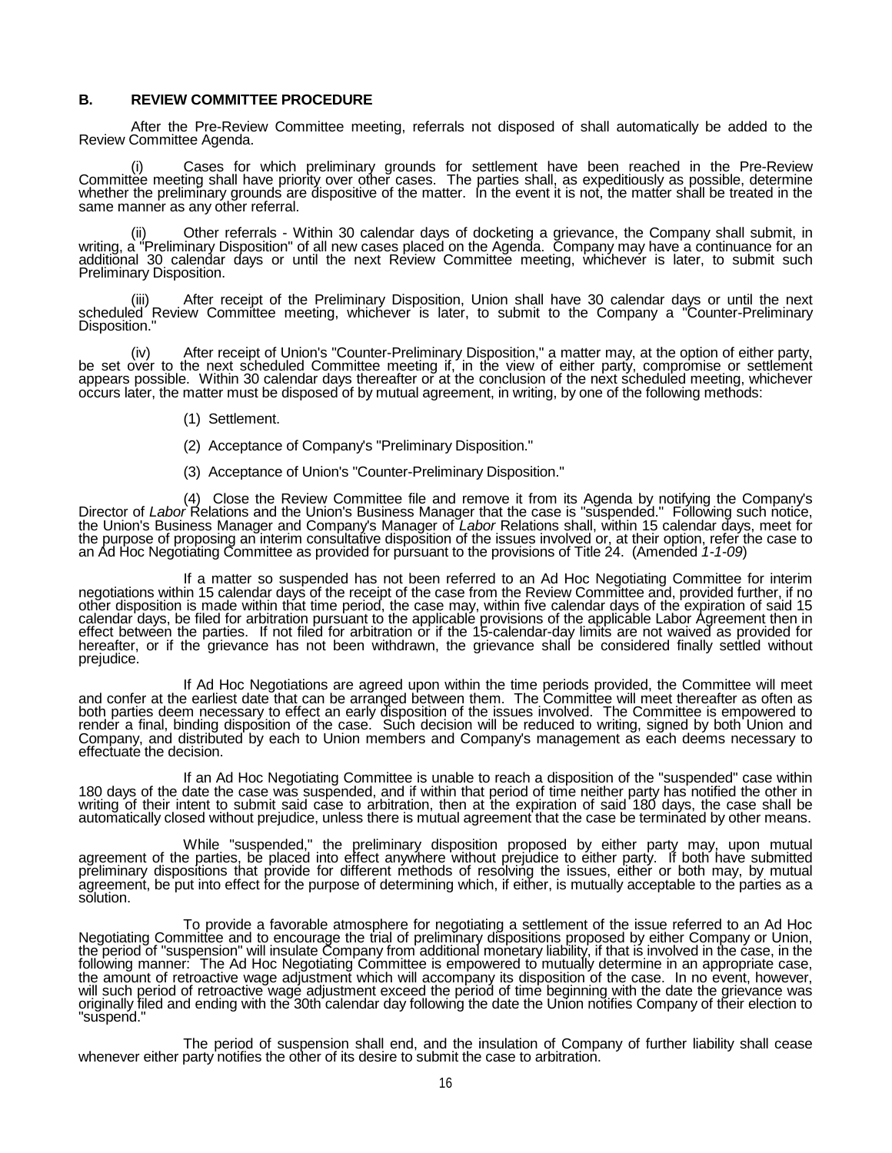#### **B. REVIEW COMMITTEE PROCEDURE**

After the Pre-Review Committee meeting, referrals not disposed of shall automatically be added to the Review Committee Agenda.

(i) Cases for which preliminary grounds for settlement have been reached in the Pre-Review Committee meeting shall have priority over other cases. The parties shall, as expeditiously as possible, determine whether the preliminary grounds are dispositive of the matter. In the event it is not, the matter shall be treated in the same manner as any other referral.

(ii) Other referrals - Within 30 calendar days of docketing a grievance, the Company shall submit, in writing, a "Preliminary Disposition" of all new cases placed on the Agenda. Company may have a continuance for an additional 30 calendar days or until the next Review Committee meeting, whichever is later, to submit such Preliminary Disposition.

(iii) After receipt of the Preliminary Disposition, Union shall have 30 calendar days or until the next scheduled Review Committee meeting, whichever is later, to submit to the Company a "Counter-Preliminary Disposition."

(iv) After receipt of Union's "Counter-Preliminary Disposition," a matter may, at the option of either party, be set over to the next scheduled Committee meeting if, in the view of either party, compromise or settlement appears possible. Within 30 calendar days thereafter or at the conclusion of the next scheduled meeting, whichever<br>occurs later, the matter must be disposed of by mutual agreement, in writing, by one of the following meth

- (1) Settlement.
- (2) Acceptance of Company's "Preliminary Disposition."
- (3) Acceptance of Union's "Counter-Preliminary Disposition."

(4) Close the Review Committee file and remove it from its Agenda by notifying the Company's<br>Director of *Labor* Relations and the Union's Business Manager that the case is "suspended." Following such notice,<br>the Union's B

If a matter so suspended has not been referred to an Ad Hoc Negotiating Committee for interim<br>negotiations within 15 calendar days of the receipt of the case from the Review Committee and, provided further, if no<br>15 other calendar days, be filed for arbitration pursuant to the applicable provisions of the applicable Labor Agreement then in<br>effect between the parties. If not filed for arbitration or if the 15-calendar-day limits are not waiv

If Ad Hoc Negotiations are agreed upon within the time periods provided, the Committee will meet and confer at the earliest date that can be arranged between them. The Committee will meet thereafter as often as both parties deem necessary to effect an early disposition of the issues involved. The Committee is empowered to render a final, binding disposition of the case. Such decision will be reduced to writing, signed by both Union and Company, and distributed by each to Union members and Company's management as each deems necessary to effectuate the decision.

If an Ad Hoc Negotiating Committee is unable to reach a disposition of the "suspended" case within<br>180 days of the date the case was suspended, and if within that period of time neither party has notified the other in<br>writ automatically closed without prejudice, unless there is mutual agreement that the case be terminated by other means.

While "suspended," the preliminary disposition proposed by either party may, upon mutual agreement of the parties, be placed into effect anywhere without prejudice to either party. If both have submitted preliminary dispositions that provide for different methods of resolving the issues, either or both may, by mutual agreement, be put into effect for the purpose of determining which, if either, is mutually acceptable to the parties as a solution.

To provide a favorable atmosphere for negotiating a settlement of the issue referred to an Ad Hoc Negotiating Committee and to encourage the trial of preliminary dispositions proposed by either Company or Union, the period the period of "suspension" will insulate Company from additional monetary liability, if that is involved in the case, in the<br>following manner: The Ad Hoc Negotiating Committee is empowered to mutually determine in an appr the amount of retroactive wage adjustment which will accompany its disposition of the case. In no event, however,<br>will such period of retroactive wage adjustment exceed the period of time beginning with the date the grieva originally filed and ending with the 30th calendar day following the date the Union notifies Company of their election to<br>"suspend."

The period of suspension shall end, and the insulation of Company of further liability shall cease<br>whenever either party notifies the other of its desire to submit the case to arbitration.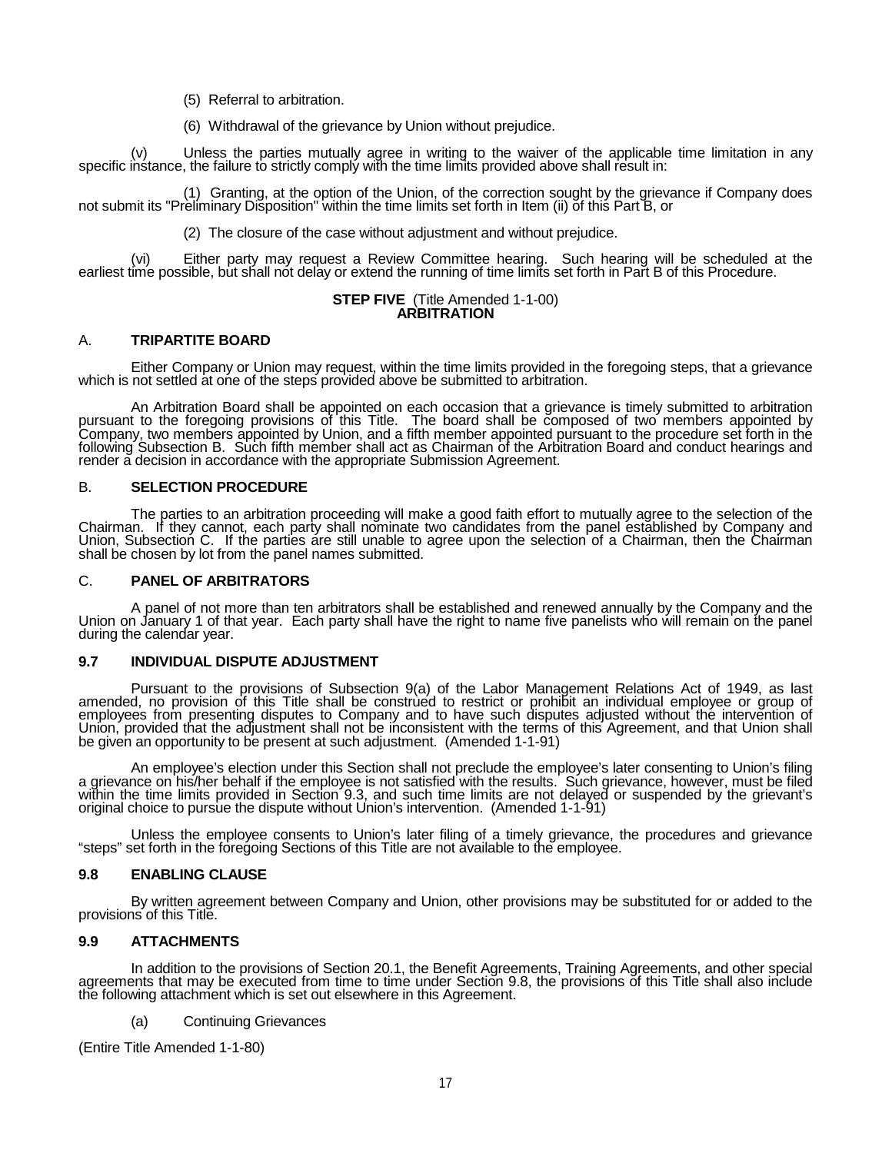(5) Referral to arbitration.

(6) Withdrawal of the grievance by Union without prejudice.

(v) Unless the parties mutually agree in writing to the waiver of the applicable time limitation in any specific instance, the failure to strictly comply with the time limits provided above shall result in:

(1) Granting, at the option of the Union, of the correction sought by the grievance if Company does not submit its "Preliminary Disposition" within the time limits set forth in Item (ii) of this Part B, or

(2) The closure of the case without adjustment and without prejudice.

(vi) Either party may request a Review Committee hearing. Such hearing will be scheduled at the earliest time possible, but shall not delay or extend the running of time limits set forth in Part B of this Procedure.

#### **STEP FIVE** (Title Amended 1-1-00) **ARBITRATION**

# A. **TRIPARTITE BOARD**

Either Company or Union may request, within the time limits provided in the foregoing steps, that a grievance which is not settled at one of the steps provided above be submitted to arbitration.

An Arbitration Board shall be appointed on each occasion that a grievance is timely submitted to arbitration<br>pursuant to the foregoing provisions of this Title. The board shall be composed of two members appointed by<br>Compa following Subsection B. Such fifth member shall act as Chairman of the Arbitration Board and conduct hearings and render a decision in accordance with the appropriate Submission Agreement.

## B. **SELECTION PROCEDURE**

The parties to an arbitration proceeding will make a good faith effort to mutually agree to the selection of the<br>Chairman. If they cannot, each party shall nominate two candidates from the panel established by Company and<br> shall be chosen by lot from the panel names submitted.

#### C. **PANEL OF ARBITRATORS**

A panel of not more than ten arbitrators shall be established and renewed annually by the Company and the Union on January 1 of that year. Each party shall have the right to name five panelists who will remain on the panel during the calendar year.

### **9.7 INDIVIDUAL DISPUTE ADJUSTMENT**

Pursuant to the provisions of Subsection 9(a) of the Labor Management Relations Act of 1949, as last amended, no provision of this Title shall be construed to restrict or prohibit an individual employee or group of employees from presenting disputes to Company and to have such disputes adjusted without the intervention of<br>Union, provided that the adjustment shall not be inconsistent with the terms of this Agreement, and that Union sh be given an opportunity to be present at such adjustment. (Amended 1-1-91)

An employee's election under this Section shall not preclude the employee's later consenting to Union's filing<br>a grievance on his/her behalf if the employee is not satisfied with the results. Such grievance, however, must within the time limits provided in Section 9.3, and such time limits are not delayed or suspended by the grievant's original choice to pursue the dispute without Union's intervention. (Amended 1-1-91)

Unless the employee consents to Union's later filing of a timely grievance, the procedures and grievance "steps" set forth in the foregoing Sections of this Title are not available to the employee.

### **9.8 ENABLING CLAUSE**

By written agreement between Company and Union, other provisions may be substituted for or added to the provisions of this Title.

### **9.9 ATTACHMENTS**

In addition to the provisions of Section 20.1, the Benefit Agreements, Training Agreements, and other special<br>agreements that may be executed from time to time under Section 9.8, the provisions of this Title shall also inc the following attachment which is set out elsewhere in this Agreement.

(a) Continuing Grievances

(Entire Title Amended 1-1-80)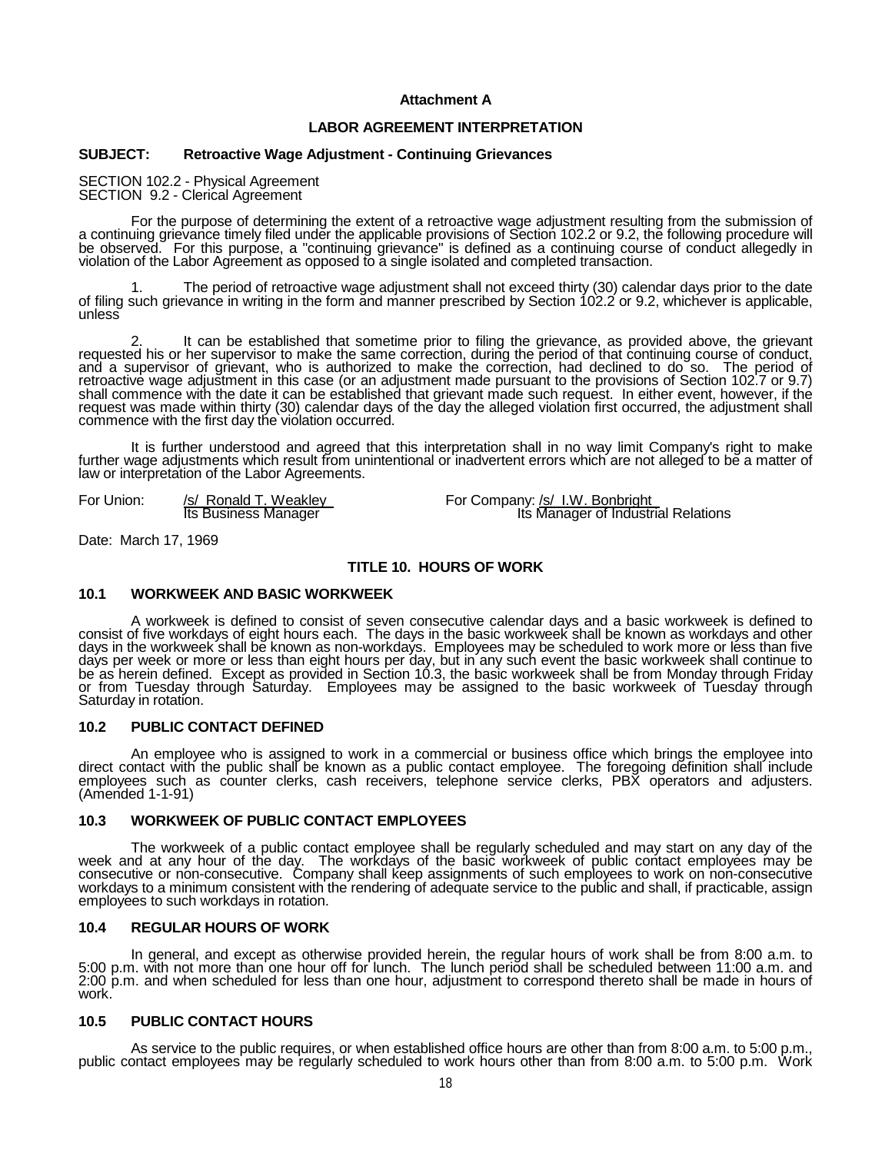# **Attachment A**

# **LABOR AGREEMENT INTERPRETATION**

## **SUBJECT: Retroactive Wage Adjustment - Continuing Grievances**

SECTION 102.2 - Physical Agreement SECTION 9.2 - Clerical Agreement

For the purpose of determining the extent of a retroactive wage adjustment resulting from the submission of<br>a continuing grievance timely filed under the applicable provisions of Section 102.2 or 9.2, the following procedu violation of the Labor Agreement as opposed to a single isolated and completed transaction.

1. The period of retroactive wage adjustment shall not exceed thirty (30) calendar days prior to the date of filing such grievance in writing in the form and manner prescribed by Section 102.2 or 9.2, whichever is applicab unless

2. It can be established that sometime prior to filing the grievance, as provided above, the grievant requested his or her supervisor to make the same correction, during the period of that continuing course of conduct, and a supervisor of grievant, who is authorized to make the correction, had declined to do so. The period of<br>retroactive wage adjustment in this case (or an adjustment made pursuant to the provisions of Section 102.7 or 9. shall commence with the date it can be established that grievant made such request. In either event, however, if the<br>request was made within thirty (30) calendar days of the day the alleged violation first occurred, the a commence with the first day the violation occurred.<br>
commence with the first day the violation occurred.<br>
commence with the first day the violation occurred.

It is further understood and agreed that this interpretation shall in no way limit Company's right to make<br>further wage adjustments which result from unintentional or inadvertent errors which are not alleged to be a matter law or interpretation of the Labor Agreements.

For Union: /s/ Ronald T. Weakley For Company: /s/ I.W. Bonbright /s/ Its Business Manager **Its Manager of Industrial Relations** 

Date: March 17, 1969

### **TITLE 10. HOURS OF WORK**

#### **10.1 WORKWEEK AND BASIC WORKWEEK**

A workweek is defined to consist of seven consecutive calendar days and a basic workweek is defined to consist of five workdays of eight hours each. The days in the basic workweek shall be known as workdays and other days in the workweek shall be known as non-workdays. Employees may be scheduled to work more or less than five days per week or more or less than eight hours per day, but in any such event the basic workweek shall continue to be as herein defined. Except as provided in Section 10.3, the basic workweek shall be from Monday through Friday or from Tuesday through Saturday. Employees may be assigned to the basic workweek of Tuesday through Saturday in rotation.

#### **10.2 PUBLIC CONTACT DEFINED**

An employee who is assigned to work in a commercial or business office which brings the employee into direct contact with the public shall be known as a public contact employee. The foregoing definition shall include employees such as counter clerks, cash receivers, telephone service clerks, PBX operators and adjusters. (Amended 1-1-91)

#### **10.3 WORKWEEK OF PUBLIC CONTACT EMPLOYEES**

The workweek of a public contact employee shall be regularly scheduled and may start on any day of the week and at any hour of the day. The workdays of the basic workweek of public contact employees may be consecutive or non-consecutive. Company shall keep assignments of such employees to work on non-consecutive workdays to a minimum consistent with the rendering of adequate service to the public and shall, if practicable, assign employees to such workdays in rotation.

### **10.4 REGULAR HOURS OF WORK**

In general, and except as otherwise provided herein, the regular hours of work shall be from 8:00 a.m. to 5:00 p.m. with not more than one hour off for lunch. The lunch period shall be scheduled between 11:00 a.m. and 2:00 p.m. and when scheduled for less than one hour, adjustment to correspond thereto shall be made in hours of<br>work.

#### **10.5 PUBLIC CONTACT HOURS**

As service to the public requires, or when established office hours are other than from 8:00 a.m. to 5:00 p.m., public contact employees may be regularly scheduled to work hours other than from 8:00 a.m. to 5:00 p.m. Work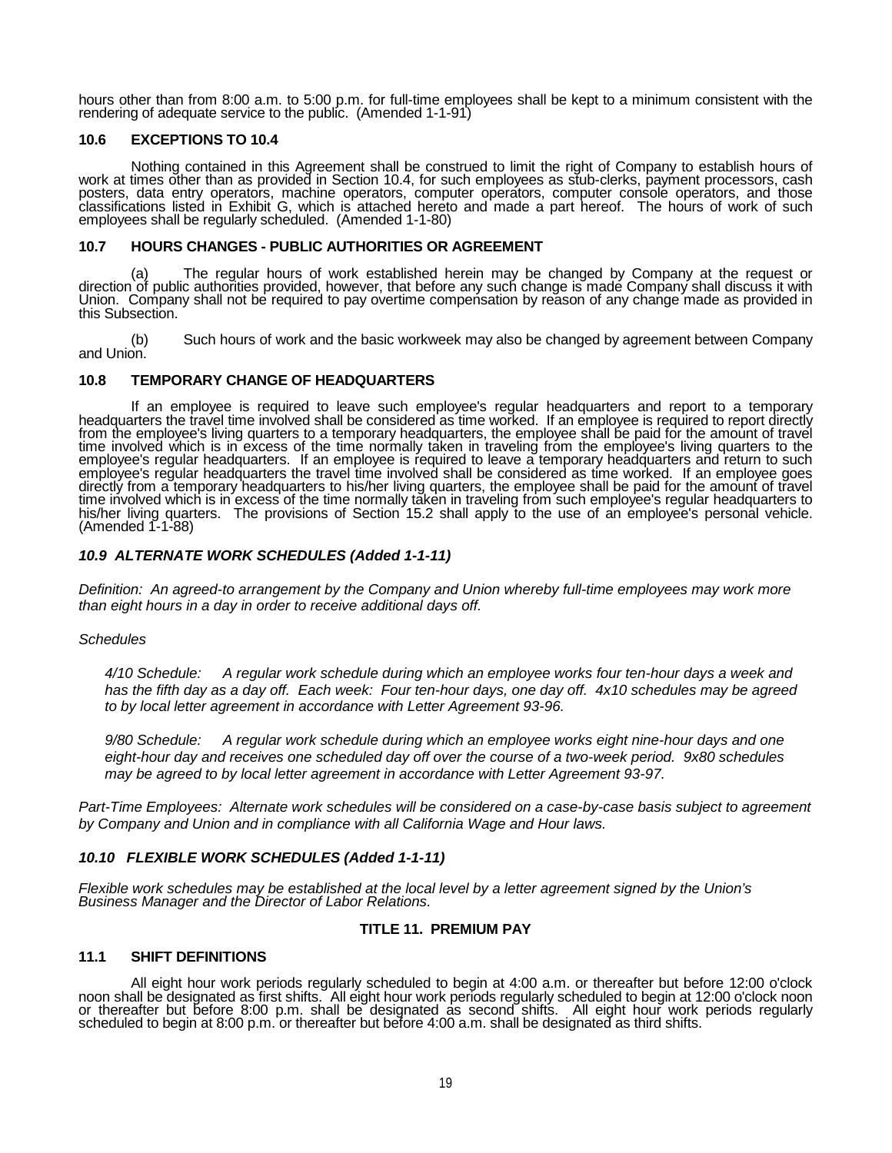hours other than from 8:00 a.m. to 5:00 p.m. for full-time employees shall be kept to a minimum consistent with the rendering of adequate service to the public. (Amended 1-1-91)

# **10.6 EXCEPTIONS TO 10.4**

Nothing contained in this Agreement shall be construed to limit the right of Company to establish hours of work at times other than as provided in Section 10.4, for such employees as stub-clerks, payment processors, cash posters, data entry operators, machine operators, computer operators, computer console operators, and those classifications listed in Exhibit G, which is attached hereto and made a part hereof. The hours of work of such employees shall be regularly scheduled. (Amended 1-1-80)

## **10.7 HOURS CHANGES - PUBLIC AUTHORITIES OR AGREEMENT**

(a) The regular hours of work established herein may be changed by Company at the request or direction of public authorities provided, however, that before any such change is made Company shall discuss it with Union. Compa this Subsection.

(b) Such hours of work and the basic workweek may also be changed by agreement between Company and Union.

# **10.8 TEMPORARY CHANGE OF HEADQUARTERS**

If an employee is required to leave such employee's regular headquarters and report to a temporary<br>headquarters the travel time involved shall be considered as time worked. If an employee is required to report directly<br>fro time involved which is in excess of the time normally taken in traveling from the employee's living quarters to the employee's regular headquarters. If an employee is required to leave a temporary headquarters and return to such employee's regular headquarters the travel time involved shall be considered as time worked. If an employee goes directly from a temporary headquarters to his/her living quarters, the employee shall be paid for the amount of travel<br>time involved which is in <u>e</u>xcess of the time normally taken in traveling from such employee's regular his/her living quarters. The provisions of Section 15.2 shall apply to the use of an employee's personal vehicle.<br>(Amended 1-1-88)

# *10.9 ALTERNATE WORK SCHEDULES (Added 1-1-11)*

*Definition: An agreed-to arrangement by the Company and Union whereby full-time employees may work more than eight hours in a day in order to receive additional days off.* 

### *Schedules*

*4/10 Schedule: A regular work schedule during which an employee works four ten-hour days a week and has the fifth day as a day off. Each week: Four ten-hour days, one day off. 4x10 schedules may be agreed to by local letter agreement in accordance with Letter Agreement 93-96.*

*9/80 Schedule: A regular work schedule during which an employee works eight nine-hour days and one eight-hour day and receives one scheduled day off over the course of a two-week period. 9x80 schedules may be agreed to by local letter agreement in accordance with Letter Agreement 93-97.*

*Part-Time Employees: Alternate work schedules will be considered on a case-by-case basis subject to agreement by Company and Union and in compliance with all California Wage and Hour laws.*

### *10.10 FLEXIBLE WORK SCHEDULES (Added 1-1-11)*

*Flexible work schedules may be established at the local level by a letter agreement signed by the Union's Business Manager and the Director of Labor Relations.*

### **TITLE 11. PREMIUM PAY**

## **11.1 SHIFT DEFINITIONS**

All eight hour work periods regularly scheduled to begin at 4:00 a.m. or thereafter but before 12:00 o'clock<br>noon shall be designated as first shifts. All eight hour work periods regularly scheduled to begin at 12:00 o'clo scheduled to begin at 8:00 p.m. or thereafter but before 4:00 a.m. shall be designated as third shifts.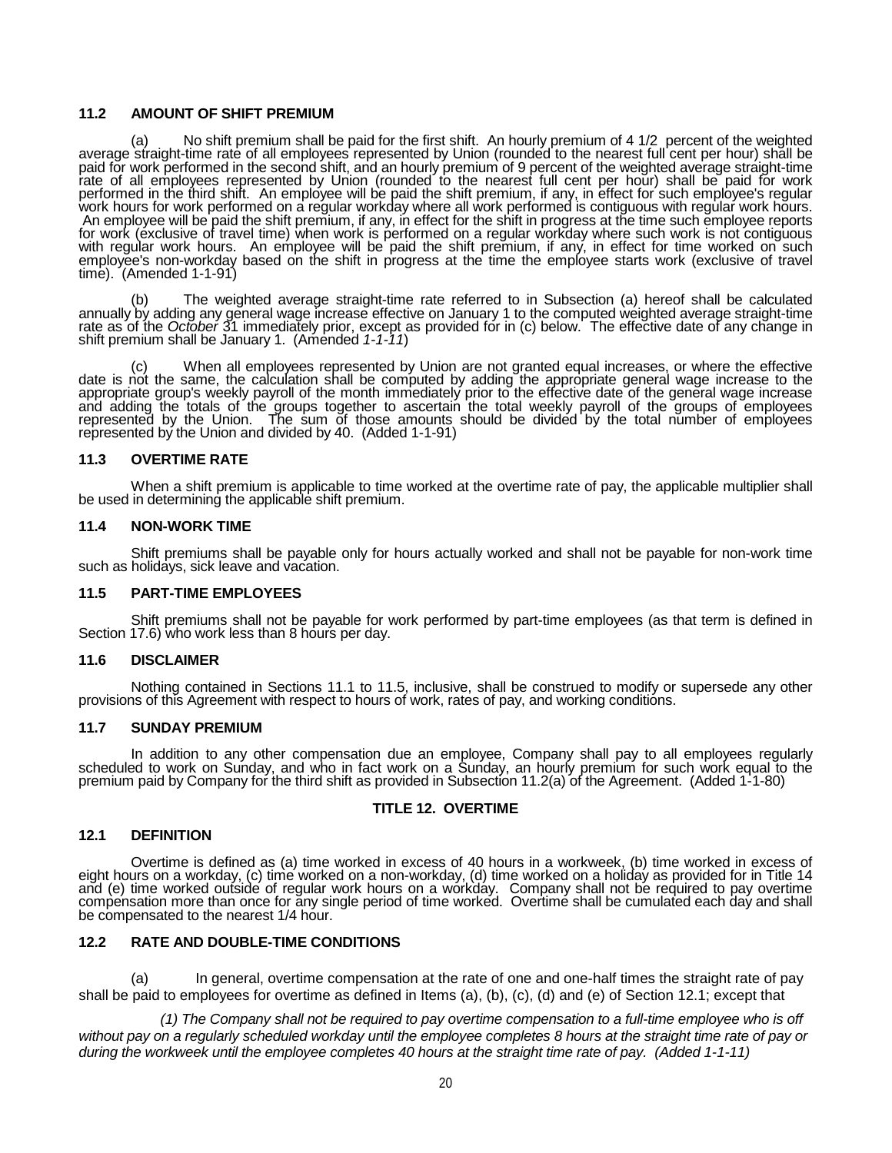#### **11.2 AMOUNT OF SHIFT PREMIUM**

(a) No shift premium shall be paid for the first shift. An hourly premium of 4 1/2 percent of the weighted average straight-time rate of all employees represented by Union (rounded to the nearest full cent per hour) shall be paid for work performed in the second shift, and an hourly premium of 9 percent of the weighted average straight-time rate of all employees represented by Union (rounded to the nearest full cent per hour) shall be paid for work performed in the third shift. An employee will be paid the shift premium, if any, in effect for such employee's regular<br>work hours for work performed on a regular workday where all work performed is contiguous with regula An employee will be paid the shift premium, if any, in effect for the shift in progress at the time such employee reports<br>for work (exclusive of travel time) when work is performed on a regular workday where such work is n For work (exclusive of travel time) when work is performed on a regular workday where such work is not contiguous<br>with regular work hours. An employee will be paid the shift premium, if any, in effect for time worked on su

(b) The weighted average straight-time rate referred to in Subsection (a) hereof shall be calculated annually by adding any general wage increase effective on January 1 to the computed weighted average straight-time rate as of the *October* 31 immediately prior, except as provided for in (c) below. The effective date of any change in<br>shift premium shall be January 1. (Amended *1-1-11*)

c) When all employees represented by Union are not granted equal increases, or where the effective<br>date is not the same, the calculation shall be computed by adding the appropriate general wage increase to the<br>appropriate and adding the totals of the groups together to ascertain the total weekly payroll of the groups of employees represented by the Union. The sum of those amounts should be divided by the total number of employees<br>represented by the Union and divided by 40. (Added 1-1-91)

# **11.3 OVERTIME RATE**

When a shift premium is applicable to time worked at the overtime rate of pay, the applicable multiplier shall be used in determining the applicable shift premium.

## **11.4 NON-WORK TIME**

Shift premiums shall be payable only for hours actually worked and shall not be payable for non-work time such as holidays, sick leave and vacation.

### **11.5 PART-TIME EMPLOYEES**

Shift premiums shall not be payable for work performed by part-time employees (as that term is defined in Section 17.6) who work less than 8 hours per day.

### **11.6 DISCLAIMER**

Nothing contained in Sections 11.1 to 11.5, inclusive, shall be construed to modify or supersede any other provisions of this Agreement with respect to hours of work, rates of pay, and working conditions.

### **11.7 SUNDAY PREMIUM**

In addition to any other compensation due an employee, Company shall pay to all employees regularly scheduled to work on Sunday, and who in fact work on a Sunday, an hourly premium for such work equal to the premium paid by Company for the third shift as provided in Subsection 11.2(a) of the Agreement. (Added 1-1-80)

## **TITLE 12. OVERTIME**

# **12.1 DEFINITION**

Overtime is defined as (a) time worked in excess of 40 hours in a workweek, (b) time worked in excess of eight hours on a workday, (c) time worked on a non-workday, (d) time worked on a holiday as provided for in Title 14 be compensated to the nearest  $1/4$  hour.

### **12.2 RATE AND DOUBLE-TIME CONDITIONS**

In general, overtime compensation at the rate of one and one-half times the straight rate of pay shall be paid to employees for overtime as defined in Items (a), (b), (c), (d) and (e) of Section 12.1; except that

*(1) The Company shall not be required to pay overtime compensation to a full-time employee who is off without pay on a regularly scheduled workday until the employee completes 8 hours at the straight time rate of pay or during the workweek until the employee completes 40 hours at the straight time rate of pay. (Added 1-1-11)*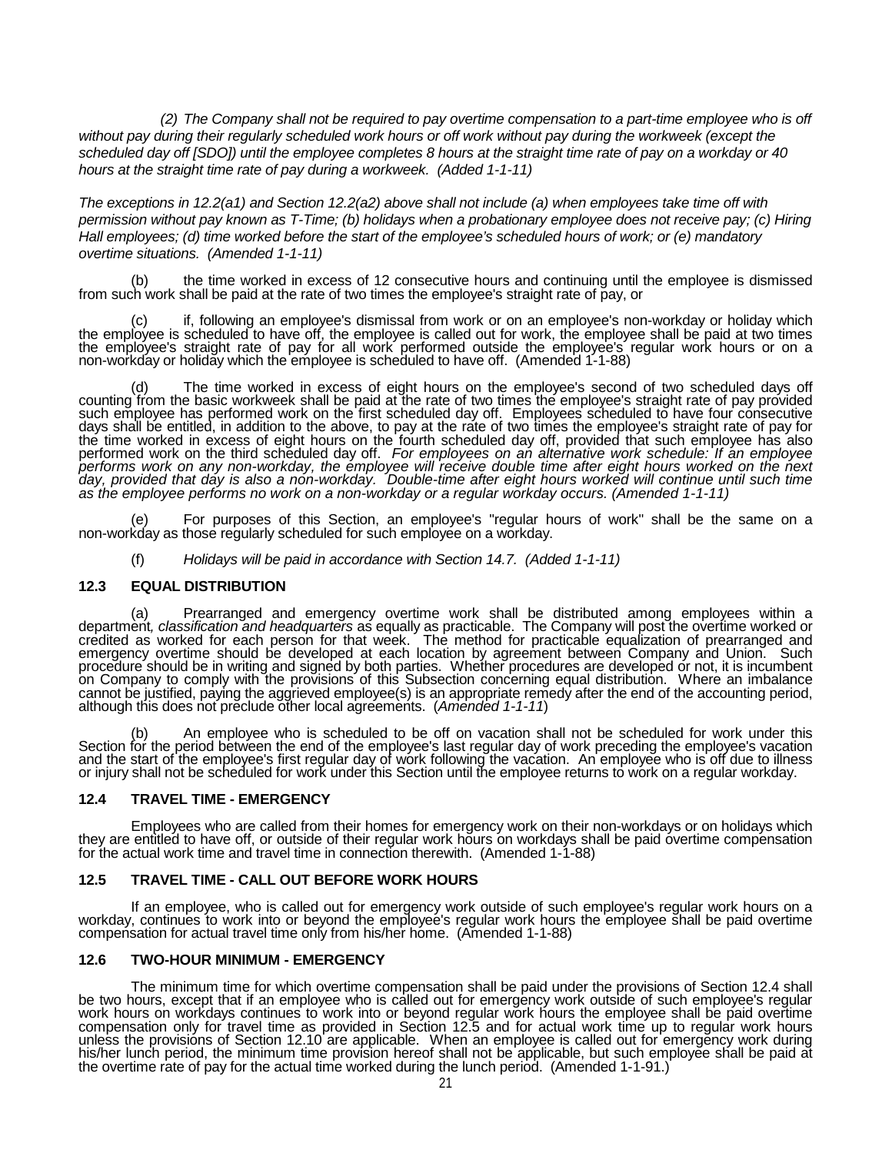*(2) The Company shall not be required to pay overtime compensation to a part-time employee who is off*  without pay during their regularly scheduled work hours or off work without pay during the workweek (except the scheduled day off [SDO]) until the employee completes 8 hours at the straight time rate of pay on a workday or 40 *hours at the straight time rate of pay during a workweek. (Added 1-1-11)*

*The exceptions in 12.2(a1) and Section 12.2(a2) above shall not include (a) when employees take time off with permission without pay known as T-Time; (b) holidays when a probationary employee does not receive pay; (c) Hiring Hall employees; (d) time worked before the start of the employee's scheduled hours of work; or (e) mandatory overtime situations. (Amended 1-1-11)*

(b) the time worked in excess of 12 consecutive hours and continuing until the employee is dismissed from such work shall be paid at the rate of two times the employee's straight rate of pay, or

(c) if, following an employee's dismissal from work or on an employee's non-workday or holiday which the employee is scheduled to have off, the employee is called out for work, the employee shall be paid at two times the employee's straight rate of pay for all work performed outside the employee's regular work hours or on a non-workday or holiday which the employee is scheduled to have off. (Amended 1-1-88)

(d) The time worked in excess of eight hours on the employee's second of two scheduled days off counting from the basic workweek shall be paid at the rate of two times the employee's straight rate of pay provided such employee has performed work on the first scheduled day off. Employees scheduled to have four consecutive days shall be entitled, in addition to the above, to pay at the rate of two times the employee's straight rate of pay for<br>the time worked in excess of eight hours on the fourth scheduled day off, provided that such employe performed work on the third scheduled day off. For employees on an alternative work schedule: If an employee<br>performs work on any non-workday, the employee will receive double time after eight hours worked on the next<br>day,

For purposes of this Section, an employee's "regular hours of work" shall be the same on a non-workday as those regularly scheduled for such employee on a workday.

(f) *Holidays will be paid in accordance with Section 14.7. (Added 1-1-11)*

### **12.3 EQUAL DISTRIBUTION**

(a) Prearranged and emergency overtime work shall be distributed among employees within a department, classification and headquarters as equally as practicable. The Company will post the overtime worked or emergency overtime should be developed at each location by agreement between Company and Union. Such procedure should be in writing and signed by both parties. Whether procedures are developed or not, it is incumbent proce on Company to comply with the provisions of this Subsection concerning equal distribution. Where an imbalance<br>cannot be justified, paying the aggrieved employee(s) is an appropriate remedy after the end of the accounting although this does not preclude other local agreements. (*Amended 1-1-11*)

An employee who is scheduled to be off on vacation shall not be scheduled for work under this Section for the period between the end of the employee's last regular day of work preceding the employee's vacation and the start of the employee's first regular day of work following the vacation. An employee who is off due to illness<br>or injury shall not be scheduled for work under this Section until the employee returns to work on a

### **12.4 TRAVEL TIME - EMERGENCY**

Employees who are called from their homes for emergency work on their non-workdays or on holidays which they are entitled to have off, or outside of their regular work hours on workdays shall be paid overtime compensation for the actual work time and travel time in connection therewith. (Amended 1-1-88)

### **12.5 TRAVEL TIME - CALL OUT BEFORE WORK HOURS**

If an employee, who is called out for emergency work outside of such employee's regular work hours on a workday, continues to work into or beyond the employee's regular work hours the employee shall be paid overtime compensation for actual travel time only from his/her home. (Amended 1-1-88)

# **12.6 TWO-HOUR MINIMUM - EMERGENCY**

The minimum time for which overtime compensation shall be paid under the provisions of Section 12.4 shall<br>be two hours, except that if an employee who is called out for emergency work outside of such employee's regular<br>wor compensation only for travel time as provided in Section 12.5 and for actual work time up to regular work hours<br>unless the provisions of Section 12.10 are applicable. When an employee is called out for emergency work durin his/her lunch period, the minimum time provision hereof shall not be applicable, but such employee shall be paid at<br>the overtime rate of pay for the actual time worked during the lunch period. (Amended 1-1-91.)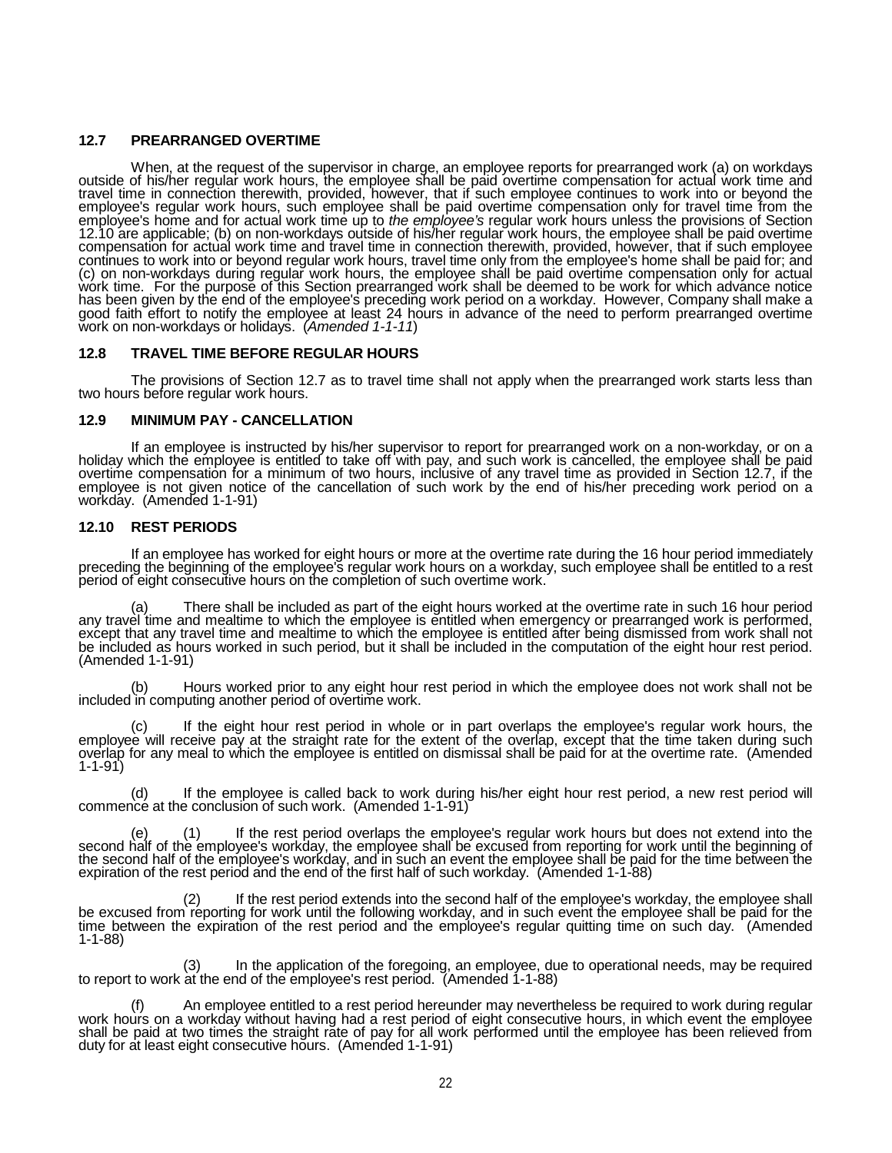# **12.7 PREARRANGED OVERTIME**

When, at the request of the supervisor in charge, an employee reports for prearranged work (a) on workdays outside of his/her regular work hours, the employee shall be paid overtime compensation for actual work time and travel time in connection therewith, provided, however, that if such employee continues to work into or beyond the employee's regular work hours, such employee shall be paid overtime compensation only for travel time from the<br>employee's home and for actual work time up to *the employee's* regular work hours unless the provisions of Sec continues to work into or beyond regular work hours, travel time only from the employee's home shall be paid for; and<br>(c) on non-workdays during regular work hours, the employee shall be paid overtime compensation only for has been given by the end of the employee's preceding work period on a workday. However, Company shall make a good faith effort to notify the employee at least 24 hours in advance of the need to perform prearranged overtime work on non-workdays or holidays. (*Amended 1-1-11*)

# **12.8 TRAVEL TIME BEFORE REGULAR HOURS**

The provisions of Section 12.7 as to travel time shall not apply when the prearranged work starts less than two hours before regular work hours.

#### **12.9 MINIMUM PAY - CANCELLATION**

If an employee is instructed by his/her supervisor to report for prearranged work on a non-workday, or on a holiday which the employee is entitled to take off with pay, and such work is cancelled, the employee shall be paid overtime compensation for a minimum of two hours, inclusive of any travel time as provided in Séction 12.7, if the<br>employee is not given notice of the cancellation of such work by the end of his/her preceding work period o workday. (Amended 1-1-91)

### **12.10 REST PERIODS**

If an employee has worked for eight hours or more at the overtime rate during the 16 hour period immediately<br>preceding the beginning of the employee's regular work hours on a workday, such employee shall be entitled to a r period of eight consecutive hours on the completion of such overtime work.

(a) There shall be included as part of the eight hours worked at the overtime rate in such 16 hour period any travel time and mealtime to which the employee is entitled when emergency or prearranged work is performed, exce be included as hours worked in such period, but it shall be included in the computation of the eight hour rest period. (Amended 1-1-91)

(b) Hours worked prior to any eight hour rest period in which the employee does not work shall not be included in computing another period of overtime work.

(c) If the eight hour rest period in whole or in part overlaps the employee's regular work hours, the employee will receive pay at the straight rate for the extent of the overlap, except that the time taken during such overlap for any meal to which the employee is entitled on dismissal shall be paid for at the overtime rate. (Amended 1-1-91)

(d) If the employee is called back to work during his/her eight hour rest period, a new rest period will commence at the conclusion of such work. (Amended 1-1-91)

(e) (1) If the rest period overlaps the employee's regular work hours but does not extend into the second half of the employee's workday, the employee shall be excused from reporting for work until the beginning of<br>the second half of the employee's workday, and in such an event the employee shall be paid for the time be expiration of the rest period and the end of the first half of such workday. (Amended 1-1-88)

(2) If the rest period extends into the second half of the employee's workday, the employee shall<br>be excused from reporting for work until the following workday, and in such event the employee shall be paid for the<br>time be 1-1-88)

(3) In the application of the foregoing, an employee, due to operational needs, may be required to report to work at the end of the employee's rest period. (Amended 1-1-88)

(f) An employee entitled to a rest period hereunder may nevertheless be required to work during regular<br>work hours on a workday without having had a rest period of eight consecutive hours, in which event the employee<br>shall duty for at least eight consecutive hours. (Amended 1-1-91)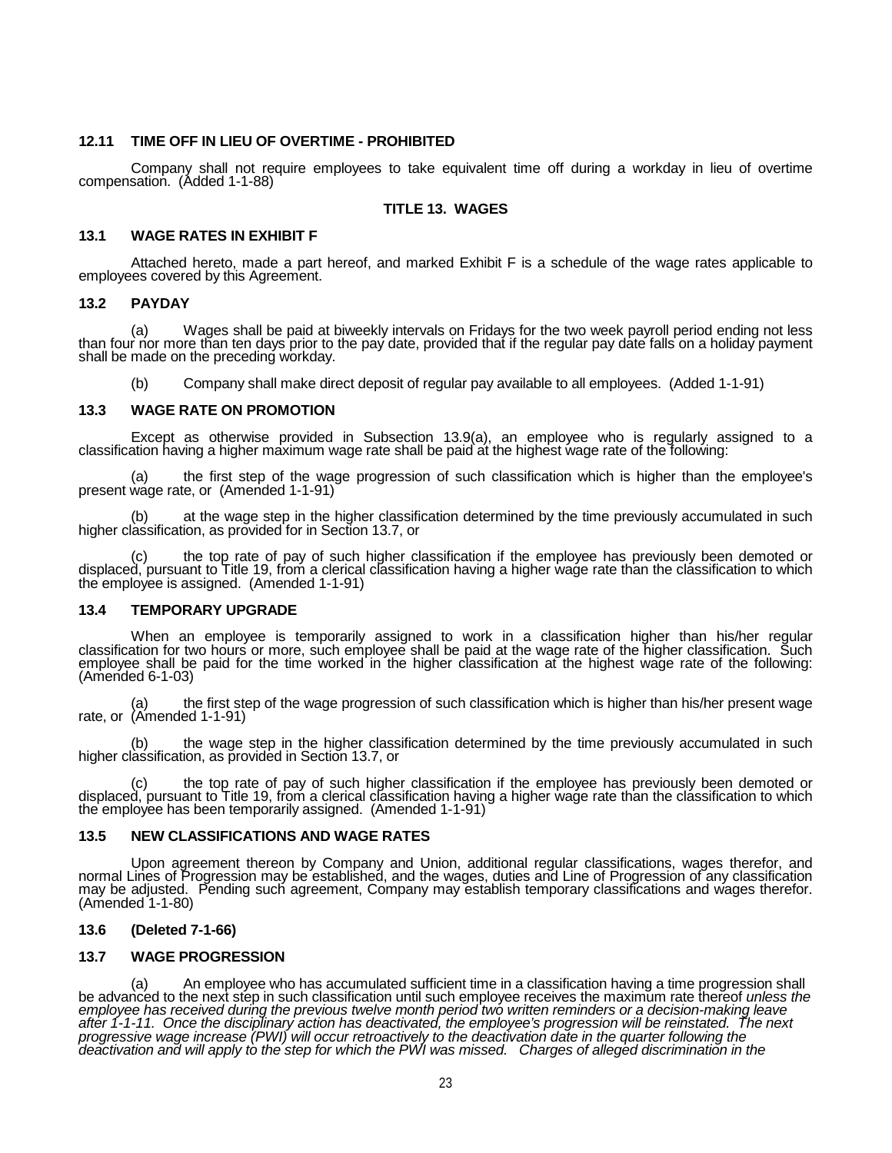#### **12.11 TIME OFF IN LIEU OF OVERTIME - PROHIBITED**

Company shall not require employees to take equivalent time off during a workday in lieu of overtime compensation. (Added 1-1-88)

#### **TITLE 13. WAGES**

#### **13.1 WAGE RATES IN EXHIBIT F**

Attached hereto, made a part hereof, and marked Exhibit F is a schedule of the wage rates applicable to employees covered by this Agreement.

#### **13.2 PAYDAY**

(a) Wages shall be paid at biweekly intervals on Fridays for the two week payroll period ending not less<br>than four nor more than ten days prior to the pay date, provided that if the regular pay date falls on a holiday paym

(b) Company shall make direct deposit of regular pay available to all employees. (Added 1-1-91)

#### **13.3 WAGE RATE ON PROMOTION**

Except as otherwise provided in Subsection 13.9(a), an employee who is regularly assigned to a classification having a higher maximum wage rate shall be paid at the highest wage rate of the following:

(a) the first step of the wage progression of such classification which is higher than the employee's present wage rate, or (Amended 1-1-91)

(b) at the wage step in the higher classification determined by the time previously accumulated in such higher classification, as provided for in Section 13.7, or

(c) the top rate of pay of such higher classification if the employee has previously been demoted or displaced, pursuant to Title 19, from a clerical classification having a higher wage rate than the classification to which the employee is assigned. (Amended 1-1-91)

## **13.4 TEMPORARY UPGRADE**

When an employee is temporarily assigned to work in a classification higher than his/her regular classification for two hours or more, such employee shall be paid at the wage rate of the higher classification. Such employee shall be paid for the time worked in the higher classification at the highest wage rate of the following:<br>(Amended 6-1-03)

(a) the first step of the wage progression of such classification which is higher than his/her present wage rate, or (Amended 1-1-91)

(b) the wage step in the higher classification determined by the time previously accumulated in such higher classification, as provided in Section 13.7, or

(c) the top rate of pay of such higher classification if the employee has previously been demoted or displaced, pursuant to Title 19, from a clerical classification having a higher wage rate than the classification to whic

### **13.5 NEW CLASSIFICATIONS AND WAGE RATES**

Upon agreement thereon by Company and Union, additional regular classifications, wages therefor, and normal Lines of Progression may be established, and the wages, duties and Line of Progression of any classification may be adjusted. Pending such agreement, Company may establish temporary classifications and wages therefor.<br>(Amended 1-1-80)

### **13.6 (Deleted 7-1-66)**

### **13.7 WAGE PROGRESSION**

(a) An employee who has accumulated sufficient time in a classification having a time progression shall<br>be advanced to the next step in such classification until such employee receives the maximum rate thereof unless the employee has received during the previous twelve month period two written reminders or a decision-making leave<br>after 1-1-11. Once the disciplinary action has deactivated, the employee's progression will be reinstated. Th *deactivation and will apply to the step for which the PWI was missed. Charges of alleged discrimination in the*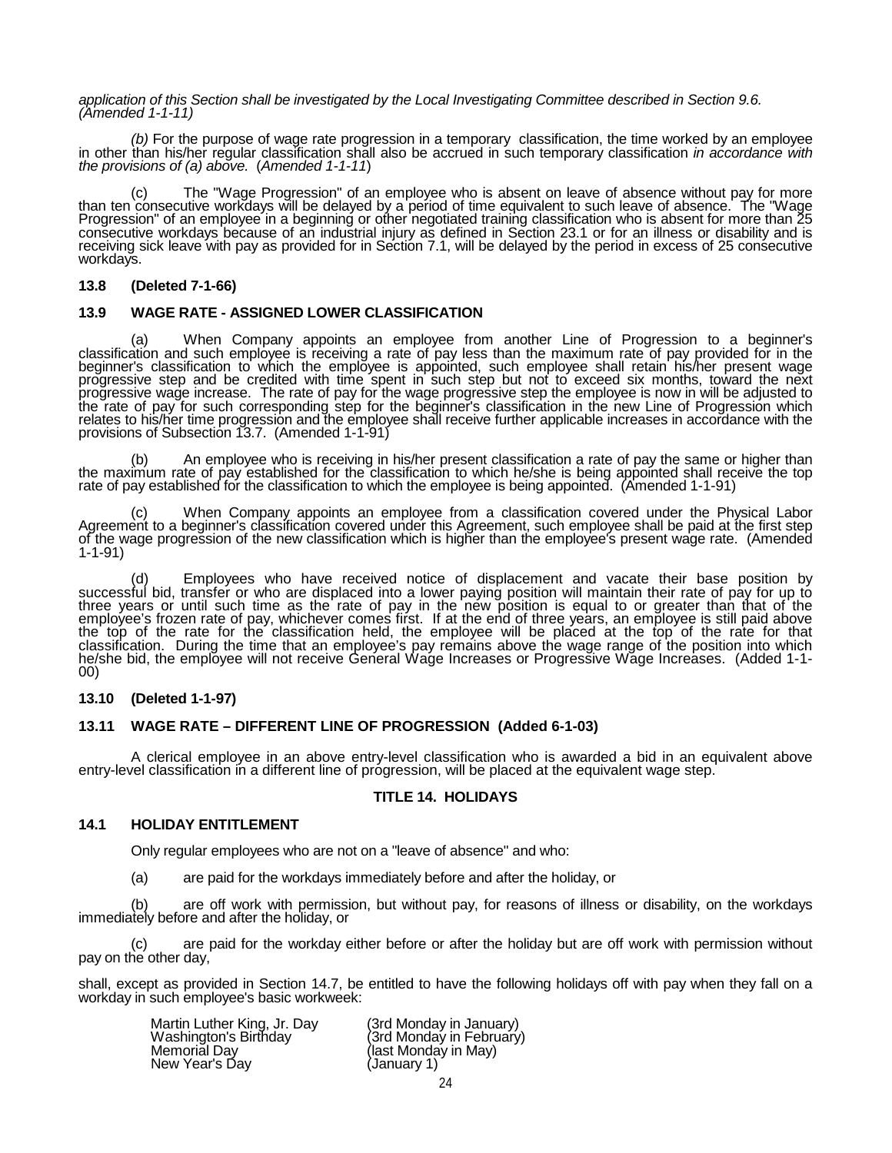#### *application of this Section shall be investigated by the Local Investigating Committee described in Section 9.6. (Amended 1-1-11)*

(b) For the purpose of wage rate progression in a temporary classification, the time worked by an employee in other than his/her regular classification shall also be accrued in such temporary classification in accordance w *the provisions of (a) above.* (*Amended 1-1-11*)

(c) The "Wage Progression" of an employee who is absent on leave of absence without pay for more than ten consecutive workdays will be delayed by a period of time equivalent to such leave of absence. The "Wage Progression" of an employee in a beginning or other negotiated training classification who is absent for more than 25 consecutive workdays because of an industrial injury as defined in Section 23.1 or for an illness or disability and is<br>receiving sick leave with pay as provided for in Section 7.1, will be delayed by the period in excess o workdays.

# **13.8 (Deleted 7-1-66)**

# **13.9 WAGE RATE - ASSIGNED LOWER CLASSIFICATION**

(a) When Company appoints an employee from another Line of Progression to a beginner's classification and such employee is receiving a rate of pay less than the maximum rate of pay provided for in the beginner's classification to which the employee is appointed, such employee shall retain his/her present wage<br>progressive step and be credited with time spent in such step but not to exceed six months, toward the next progressive wage increase. The rate of pay for the wage progressive step the employee is now in will be adjusted to<br>the rate of pay for such corresponding step for the beginner's classification in the new Line of Progress relates to his/her time progression and the employee shall receive further applicable increases in accordance with the<br>provisions of Subsection 13.7. (Amended 1-1-91)

(b) An employee who is receiving in his/her present classification a rate of pay the same or higher than<br>the maximum rate of pay established for the classification to which he/she is being appointed shall receive the top<br>r

When Company appoints an employee from a classification covered under the Physical Labor Agreement to a beginner's classification covered under this Agreement, such employee shall be paid at the first step of the wage progression of the new classification which is higher than the employee's present wage rate. (Amended 1-1-91)

(d) Employees who have received notice of displacement and vacate their base position by successful bid, transfer or who are displaced into a lower paying position will maintain their rate of pay for up to three years or until such time as the rate of pay in the new position is equal to or greater than that of the<br>employee's frozen rate of pay, whichever comes first. If at the end of three years, an employee is still paid ab the top of the rate for the classification held, the employee will be placed at the top of the rate for that<br>classification. During the time that an employee's pay remains above the wage range of the position into which he/she bid, the emplōyee will not receive General Wage Increases or Progressive Wage Increases. (Added 1-1-<br>00)

### **13.10 (Deleted 1-1-97)**

# **13.11 WAGE RATE – DIFFERENT LINE OF PROGRESSION (Added 6-1-03)**

A clerical employee in an above entry-level classification who is awarded a bid in an equivalent above entry-level classification in a different line of progression, will be placed at the equivalent wage step.

# **TITLE 14. HOLIDAYS**

# **14.1 HOLIDAY ENTITLEMENT**

Only regular employees who are not on a "leave of absence" and who:

(a) are paid for the workdays immediately before and after the holiday, or

(b) are off work with permission, but without pay, for reasons of illness or disability, on the workdays immediately before and after the holiday, or

(c) are paid for the workday either before or after the holiday but are off work with permission without pay on the other day,

shall, except as provided in Section 14.7, be entitled to have the following holidays off with pay when they fall on a workday in such employee's basic workweek:

| Martin Luther King, Jr. Day | (3rd Monday in January)  |
|-----------------------------|--------------------------|
| Washington's Birtħday       | (3rd Monday in February) |
| Memoriăl Day                | (last Monday in May)     |
| New Year's Day              | (January 1)              |
|                             |                          |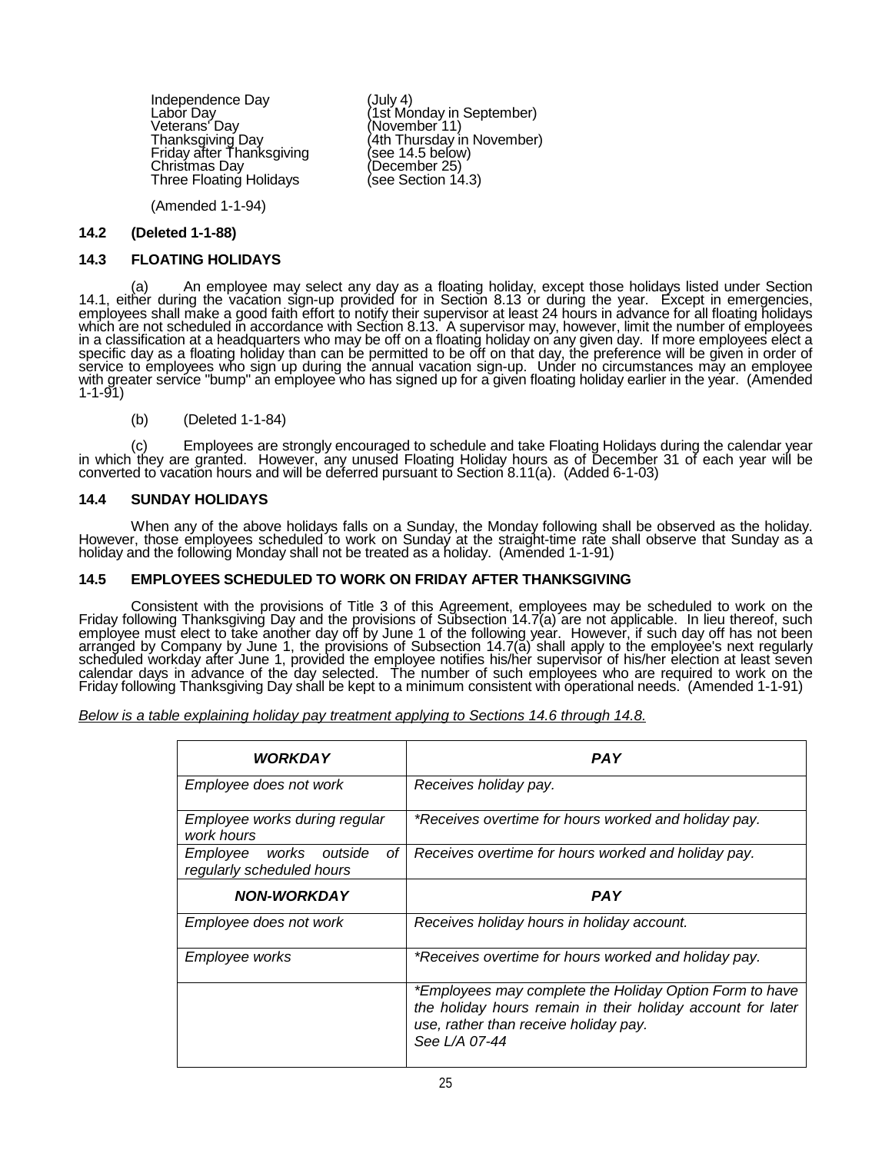Independence Day<br>
Labor Day<br>
Labor Day<br>
Veterans' Day<br>
Veterans' Day<br>
Thanksgiving Day<br>
Friday after Thanksgiving<br>
Friday after Thanksgiving<br>
Christmas Day<br>
Christmas Day<br>
Three Floating Holidays<br>
Three Floating Holidays<br>

(Amended 1-1-94)

#### **14.2 (Deleted 1-1-88)**

#### **14.3 FLOATING HOLIDAYS**

a) An employee may select any day as a floating holiday, except those holidays listed under Section)<br>14.1, either during the vacation sign-up provided for in Section 8.13 or during the year. Except in emergencies,<br>employee which are not scheduled in accordance with Section 8.13. A supervisor may, however, limit the number of employees<br>in a classification at a headquarters who may be off on a floating holiday on any given day. If more employe specific day as a floating holiday than can be permitted to be off on that day, the preference will be given in order of<br>service to employees who sign up during the annual vacation sign-up. Under no circumstances may an e 1-1-91)

### (b) (Deleted 1-1-84)

(c) Employees are strongly encouraged to schedule and take Floating Holidays during the calendar year<br>in which they are granted. However, any unused Floating Holiday hours as of December 31 of each year will be<br>converted t

### **14.4 SUNDAY HOLIDAYS**

When any of the above holidays falls on a Sunday, the Monday following shall be observed as the holiday.<br>However, those employees scheduled to work on Sunday at the straight-time rate shall observe that Sunday as a<br>holiday

### **14.5 EMPLOYEES SCHEDULED TO WORK ON FRIDAY AFTER THANKSGIVING**

Consistent with the provisions of Title 3 of this Agreement, employees may be scheduled to work on the Friday following Thanksgiving Day and the provisions of Subsection 14.7(a) are not applicable. In lieu thereof, such emplóyee must elect to take another day off by June 1 of the following year. However, if such day off has not been<br>arranged by Company by June 1, the provisions of Subsection 14.7(a) shall apply to the employee's next reg scheduled workday after June 1, provided the employee notifies his/her supervisor of his/her election at least seven<br>calendar days in advance of the day selected. The number of such employees who are required to work on th Friday following Thanksgiving Day shall be kept to a minimum consistent with operational needs. (Amended 1-1-91)

*Below is a table explaining holiday pay treatment applying to Sections 14.6 through 14.8.*

| <b>WORKDAY</b>                                                  | <b>PAY</b>                                                                                                                                                                       |
|-----------------------------------------------------------------|----------------------------------------------------------------------------------------------------------------------------------------------------------------------------------|
| Employee does not work                                          | Receives holiday pay.                                                                                                                                                            |
| Employee works during regular<br>work hours                     | *Receives overtime for hours worked and holiday pay.                                                                                                                             |
| оf<br>Employee<br>works<br>outside<br>regularly scheduled hours | Receives overtime for hours worked and holiday pay.                                                                                                                              |
| <b>NON-WORKDAY</b>                                              | <b>PAY</b>                                                                                                                                                                       |
| Employee does not work                                          | Receives holiday hours in holiday account.                                                                                                                                       |
| Employee works                                                  | *Receives overtime for hours worked and holiday pay.                                                                                                                             |
|                                                                 | *Employees may complete the Holiday Option Form to have<br>the holiday hours remain in their holiday account for later<br>use, rather than receive holiday pay.<br>See L/A 07-44 |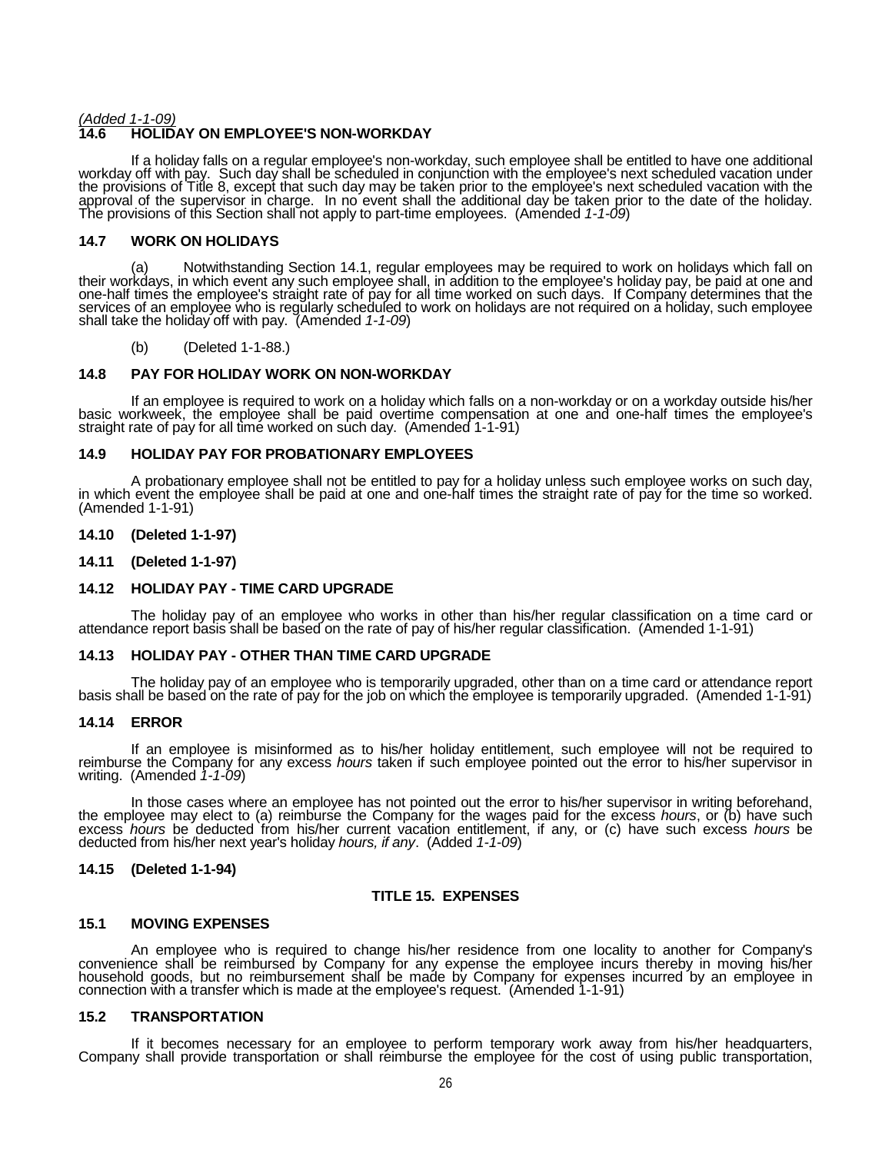## *(Added 1-1-09)* **14.6 HOLIDAY ON EMPLOYEE'S NON-WORKDAY**

If a holiday falls on a regular employee's non-workday, such employee shall be entitled to have one additional<br>workday off with pay. Such day shall be scheduled in conjunction with the employee's next scheduled vacation un the provisions of Title 8, except that such day may be taken prior to the employee's next scheduled vacation with the<br>approval of the supervisor in charge. In no event shall the additional day be taken prior to the date of The provisions of this Section shall not apply to part-time employees. (Amended *1-1-09*)

# **14.7 WORK ON HOLIDAYS**

(a) Notwithstanding Section 14.1, regular employees may be required to work on holidays which fall on their workdays, in which event any such employee shall, in addition to the employee's holiday pay, be paid at one and one-half times the employee's straight rate of pay for all time worked on such days. If Company determines that the<br>services of an employee who is regularly scheduled to work on holidays are not required on a holiday, such shall take the holiday off with pay. (Amended *1-1-09*)

#### (b) (Deleted 1-1-88.)

# **14.8 PAY FOR HOLIDAY WORK ON NON-WORKDAY**

If an employee is required to work on a holiday which falls on a non-workday or on a workday outside his/her<br>basic workweek, the employee shall be paid overtime compensation at one and one-half times the employee's<br>straigh

### **14.9 HOLIDAY PAY FOR PROBATIONARY EMPLOYEES**

A probationary employee shall not be entitled to pay for a holiday unless such employee works on such day, in which event the employee shall be paid at one and one-half times the straight rate of pay for the time so worked

# **14.10 (Deleted 1-1-97)**

### **14.11 (Deleted 1-1-97)**

### **14.12 HOLIDAY PAY - TIME CARD UPGRADE**

The holiday pay of an employee who works in other than his/her regular classification on a time card or attendance report basis shall be based on the rate of pay of his/her regular classification. (Amended 1-1-91)

### **14.13 HOLIDAY PAY - OTHER THAN TIME CARD UPGRADE**

The holiday pay of an employee who is temporarily upgraded, other than on a time card or attendance report basis shall be based on the rate of pay for the job on which the employee is temporarily upgraded. (Amended 1-1-91)

#### **14.14 ERROR**

If an employee is misinformed as to his/her holiday entitlement, such employee will not be required to reimburse the Company for any excess *hours* taken if such employee pointed out the error to his/her supervisor in writ

In those cases where an employee has not pointed out the error to his/her supervisor in writing beforehand, the employee may elect to (a) reimburse the Company for the wages paid for the excess *hours*, or (b) have such excess *hours* be deducted from his/her current vacation entitlement, if any, or (c) have such excess *hours* be deducted from his/her next year's holiday *hours, if any*. (Added *1-1-09*)

### **14.15 (Deleted 1-1-94)**

## **TITLE 15. EXPENSES**

### **15.1 MOVING EXPENSES**

An employee who is required to change his/her residence from one locality to another for Company's convenience shall be reimbursed by Company for any expense the employee incurs thereby in moving his/her household goods, but no reimbursement shall be made by Company for expenses incurred by an employee in<br>connection with a transfer which is made at the employee's request. (Amended 1-1-91)

### **15.2 TRANSPORTATION**

If it becomes necessary for an employee to perform temporary work away from his/her headquarters, Company shall provide transportation or shall reimburse the employee for the cost of using public transportation,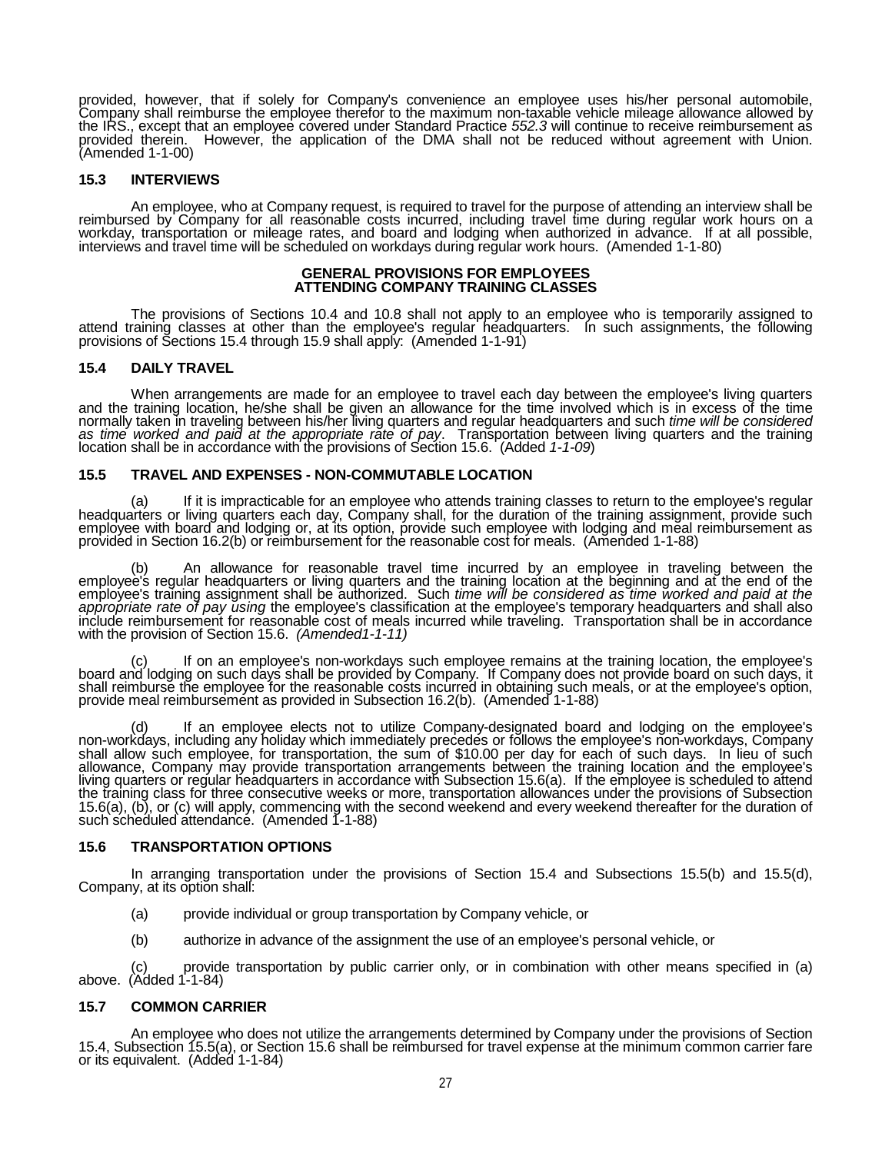provided, however, that if solely for Company's convenience an employee uses his/her personal automobile, Company shall reimburse the employee therefor to the maximum non-taxable vehicle mileage allowance allowed by<br>the IRS., except that an employee covered under Standard Practice *552.3* will continue to receive reimbursement provided therein. However, the application of the DMA shall not be reduced without agreement with Union.<br>(Amended 1-1-00)

# **15.3 INTERVIEWS**

An employee, who at Company request, is required to travel for the purpose of attending an interview shall be reimbursed by Company for all reasonable costs incurred, including travel time during regular work hours on <sup>a</sup> workday, transportation or mileage rates, and board and lodging when authorized in advance. If at all possible, interviews and travel time will be scheduled on workdays during regular work hours. (Amended 1-1-80)

#### **GENERAL PROVISIONS FOR EMPLOYEES ATTENDING COMPANY TRAINING CLASSES**

The provisions of Sections 10.4 and 10.8 shall not apply to an employee who is temporarily assigned to attend training classes at other than the employee's regular headquarters. In such assignments, the following provisions of Sections 15.4 through 15.9 shall apply: (Amended 1-1-91)

# **15.4 DAILY TRAVEL**

When arrangements are made for an employee to travel each day between the employee's living quarters and the training location, he/she shall be given an allowance for the time involved which is in excess of the time normally taken in traveling between his/her living quarters and regular headquarters and such *time will be considered as time worked and paid at the appropriate rate of pay*. Transportation between living quarters and the training location shall be in accordance with the provisions of Section 15.6. (Added *1-1-09*)

# **15.5 TRAVEL AND EXPENSES - NON-COMMUTABLE LOCATION**

(a) If it is impracticable for an employee who attends training classes to return to the employee's regular headquarters or living quarters each day, Company shall, for the duration of the training assignment, provide such employee with board and lodging or, at its option, provide such employee with lodging and meal reimbursement as provided in Section 16.2(b) or reimbursement for the reasonable cost for meals. (Amended 1-1-88)

(b) An allowance for reasonable travel time incurred by an employee in traveling between the<br>employee's regular headquarters or living quarters and the training location at the beginning and at the end of the<br>employee's tr include reimbursement for reasonable cost of meals incurred while traveling. Transportation shall be in accordance with the provision of Section 15.6. *(Amended1-1-11)*

(c) If on an employee's non-workdays such employee remains at the training location, the employee's board and lodging on such days shall be provided by Company. If Company does not provide board on such days, it shall reimburse the employee for the reasonable costs incurred in obtaining such meals, or at the employee's option, provide meal reimbursement as provided in Subsection 16.2(b). (Amended 1-1-88)

(d) If an employee elects not to utilize Company-designated board and lodging on the employee's non-workdays, including any holiday which immediately precedes or follows the employee's non-workdays, Company<br>shall allow such employee, for transportation, the sum of \$10.00 per day for each of such days. In lieu of such allowance, Company may provide transportation arrangements between the training location and the employee's living quarters or regular headquarters in accordance with Subsection 15.6(a). If the employee is scheduled to attend<br>the training class for three consecutive weeks or more, transportation allowances under the provisions o 15.6(a), (b), or (c) will apply, commencing with the second weekend and every weekend thereafter for the duration of such scheduled attendance. (Amended 1-1-88)

### **15.6 TRANSPORTATION OPTIONS**

In arranging transportation under the provisions of Section 15.4 and Subsections 15.5(b) and 15.5(d), Company, at its option shall:

- (a) provide individual or group transportation by Company vehicle, or
- (b) authorize in advance of the assignment the use of an employee's personal vehicle, or

(c) provide transportation by public carrier only, or in combination with other means specified in (a) above. (Added 1-1-84)

## **15.7 COMMON CARRIER**

An employee who does not utilize the arrangements determined by Company under the provisions of Section 15.4, Subsection 15.5(a), or Section 15.6 shall be reimbursed for travel expense at the minimum common carrier fare or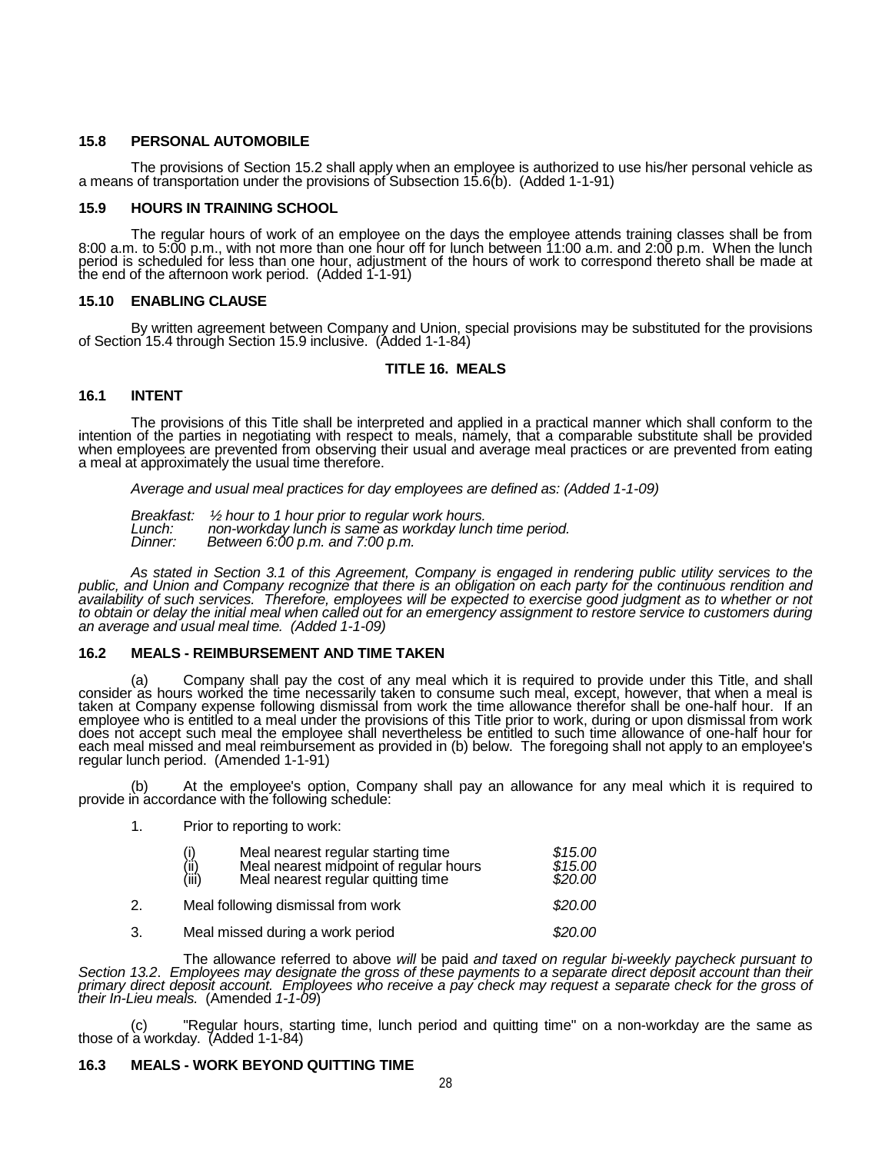### **15.8 PERSONAL AUTOMOBILE**

The provisions of Section 15.2 shall apply when an employee is authorized to use his/her personal vehicle as a means of transportation under the provisions of Subsection 15.6(b). (Added 1-1-91)

## **15.9 HOURS IN TRAINING SCHOOL**

The regular hours of work of an employee on the days the employee attends training classes shall be from<br>8:00 a.m. to 5:00 p.m., with not more than one hour off for lunch between 11:00 a.m. and 2:00 p.m. When the lunch period is scheduled for less than one hour, adjustment of the hours of work to correspond thereto shall be made at the end of the afternoon work period. (Added 1-1-91)

# **15.10 ENABLING CLAUSE**

By written agreement between Company and Union, special provisions may be substituted for the provisions of Section 15.4 through Section 15.9 inclusive. (Added 1-1-84)

# **TITLE 16. MEALS**

# **16.1 INTENT**

The provisions of this Title shall be interpreted and applied in a practical manner which shall conform to the<br>intention of the parties in negotiating with respect to meals, namely, that a comparable substitute shall be pr when employees are prevented from observing their usual and average meal practices or are prevented from eating<br>a meal at approximately the usual time therefore.

*Average and usual meal practices for day employees are defined as: (Added 1-1-09)*

*Breakfast: ½ hour to 1 hour prior to regular work hours. Lunch: non-workday lunch is same as workday lunch time period. Dinner: Between 6:00 p.m. and 7:00 p.m.* 

As stated in Section 3.1 of this Agreement, Company is engaged in rendering public utility services to the public, and Union and Company recognize that there is an obligation on each party for the continuous rendition and *to obtain of such services. Therefore, employees will be expected to exercise good judgment as to whether or not*<br>to obtain or delay the initial meal when called out for an emergency assignment to restore service to custo

### **16.2 MEALS - REIMBURSEMENT AND TIME TAKEN**

(a) Company shall pay the cost of any meal which it is required to provide under this Title, and shall consider as hours worked the time necessarily taken to consume such meal, except, however, that when a meal is employee who is entitled to a meal under the provisions of this Title prior to work, during or upon dismissal from work<br>does not accept such meal the employee shall nevertheless be entitled to such time allowance of one-ha each meal missed and meal reimbursement as provided in (b) below. The foregoing shall not apply to an employee's<br>regular lunch period. (Amended 1-1-91)

(b) At the employee's option, Company shall pay an allowance for any meal which it is required to provide in accordance with the following schedule:

1. Prior to reporting to work:

|    | Meal nearest regular starting time<br>Meal nearest midpoint of regular hours<br>(i)<br>(ii)<br>(iii)<br>Meal nearest regular quitting time | \$15.00<br>\$15.00<br>\$20.00 |
|----|--------------------------------------------------------------------------------------------------------------------------------------------|-------------------------------|
| 2. | Meal following dismissal from work                                                                                                         | \$20.00                       |
| 3. | Meal missed during a work period                                                                                                           | \$20.00                       |

The allowance referred to above will be paid and taxed on regular bi-weekly paycheck pursuant to<br>Section 13.2. Employees may designate the gross of these payments to a separate direct deposit account than their<br>primary dir

(c) "Regular hours, starting time, lunch period and quitting time" on a non-workday are the same as those of a workday. (Added 1-1-84)

### **16.3 MEALS - WORK BEYOND QUITTING TIME**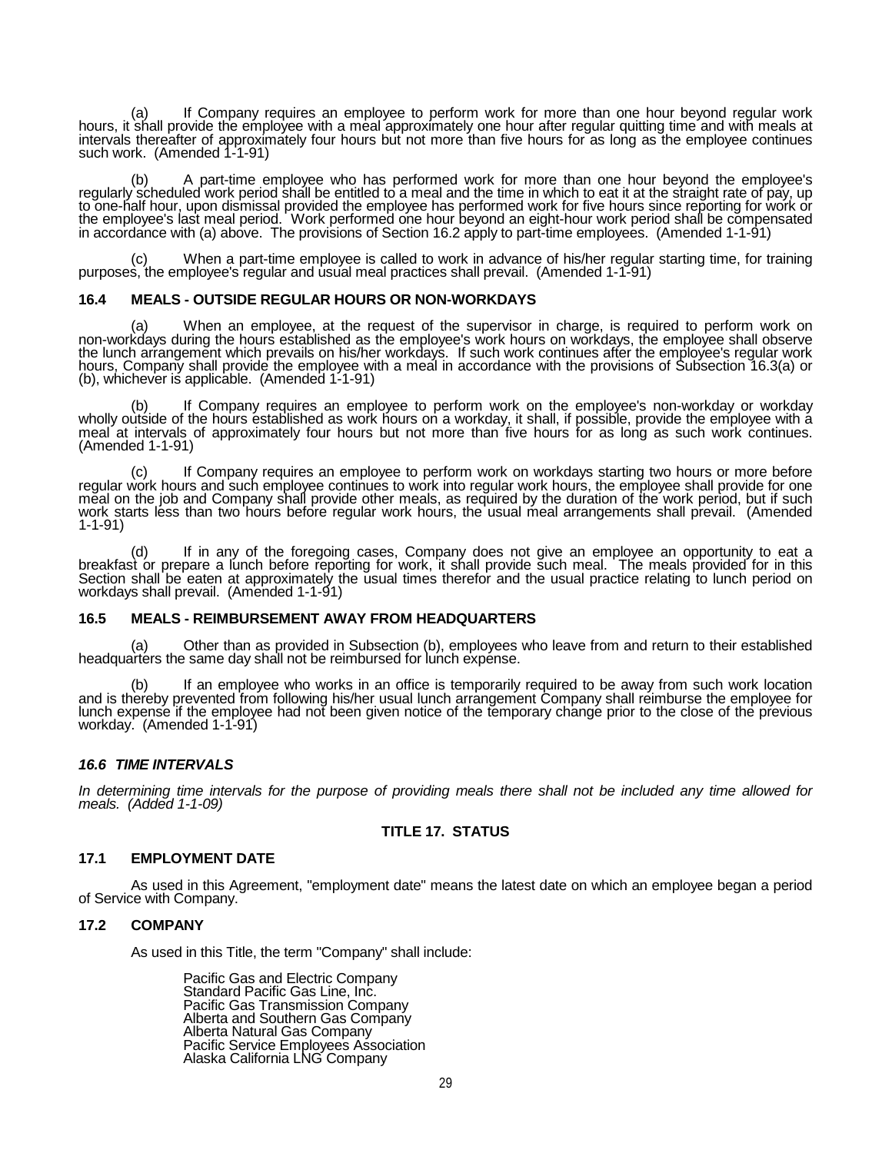(a) If Company requires an employee to perform work for more than one hour beyond regular work hours, it shall provide the employee with a meal approximately one hour after regular quitting time and with meals at intervals thereafter of approximately four hours but not more than five hours for as long as the employee continues such work. (Amended 1-1-91)

(b) A part-time employee who has performed work for more than one hour beyond the employee's regularly scheduled work period shall be entitled to a meal and the time in which to eat it at the straight rate of pay, up to one-half hour, upon dismissal provided the employee has performed work for five hours since reporting for work or<br>the employee's last meal period. Work performed one hour beyond an eight-hour work period shall be compe

(c) When a part-time employee is called to work in advance of his/her regular starting time, for training purposes, the employee's regular and usual meal practices shall prevail. (Amended 1-1-91)

## **16.4 MEALS - OUTSIDE REGULAR HOURS OR NON-WORKDAYS**

(a) When an employee, at the request of the supervisor in charge, is required to perform work on non-workdays during the hours established as the employee's work hours on workdays, the employee shall observe non-workdays during the hours established as the employee's work hours on workdays, the employee shall observe<br>the lunch arrangement which prevails on his/her workdays. If such work continues after the employee's regular hours, Company shall provide the employee with a meal in accordance with the provisions of Subsection 16.3(a) or (b), whichever is applicable. (Amended 1-1-91)

(b) If Company requires an employee to perform work on the employee's non-workday or workday wholly outside of the hours established as work hours on a workday, it shall, if possible, provide the employee with a meal at intervals of approximately four hours but not more than five hours for as long as such work continues. (Amended 1-1-91)

(c) If Company requires an employee to perform work on workdays starting two hours or more before regular work hours, the employee shall provide for one regular work hours, the employee shall provide for one meal on the jo work starts less than two hours before regular work hours, the usual meal arrangements shall prevail. (Amended 1-1-91)

(d) If in any of the foregoing cases, Company does not give an employee an opportunity to eat a breakfast or prepare a lunch before reporting for work, it shall provide such meal. The meals provided for in this Section shall be eaten at approximately the usual times therefor and the usual practice relating to lunch period on workdays shall prevail. (Amended 1-1-91)

# **16.5 MEALS - REIMBURSEMENT AWAY FROM HEADQUARTERS**

(a) Other than as provided in Subsection (b), employees who leave from and return to their established headquarters the same day shall not be reimbursed for lunch expense.

(b) If an employee who works in an office is temporarily required to be away from such work location and is thereby prevented from following his/her usual lunch arrangement Company shall reimburse the employee for lunch expense if the employee had not been given notice of the temporary change prior to the close of the previous workday. (Amended 1-1-91)

### *16.6 TIME INTERVALS*

*In determining time intervals for the purpose of providing meals there shall not be included any time allowed for meals. (Added 1-1-09)*

#### **TITLE 17. STATUS**

#### **17.1 EMPLOYMENT DATE**

As used in this Agreement, "employment date" means the latest date on which an employee began a period of Service with Company.

#### **17.2 COMPANY**

As used in this Title, the term "Company" shall include:

Pacific Gas and Electric Company Standard Pacific Gas Line, Inc. Pacific Gas Transmission Company Alberta and Southern Gas Company Alberta Natural Gas Company Pacific Service Employees Association Alaska California LNG Company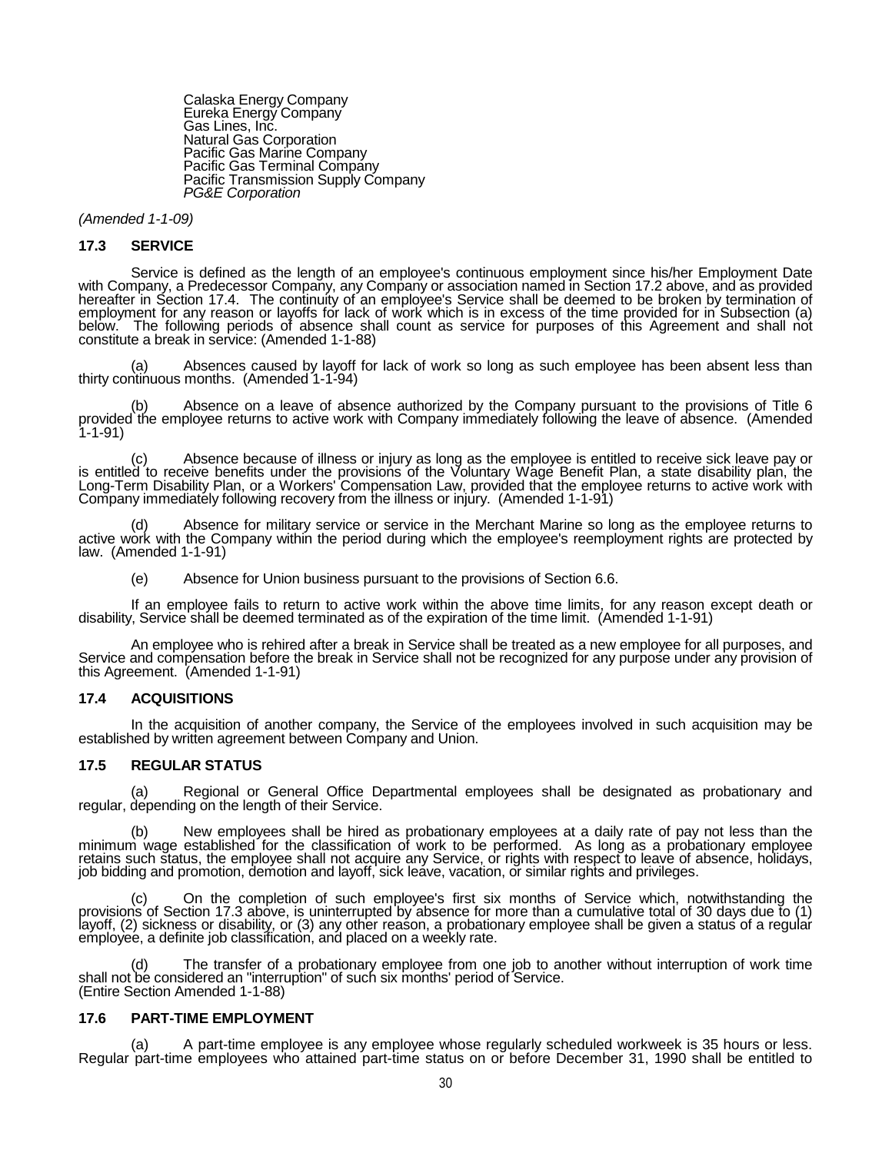Calaska Energy Company Eureka Energy Company Gas Lines, Inc. Natural Gas Corporation Pacific Gas Marine Company Pacific Gas Terminal Company Pacific Transmission Supply Company *PG&E Corporation*

*(Amended 1-1-09)*

#### **17.3 SERVICE**

Service is defined as the length of an employee's continuous employment since his/her Employment Date with Company, a Predecessor Company, any Company or association named in Section 17.2 above, and as provided hereafter in Section 17.4. The continuity of an employee's Service shall be deemed to be broken by termination of<br>employment for any reason or layoffs for lack of work which is in excess of the time provided for in Subsec below. The following periods of absence shall count as service for purposes of this Agreement and shall not constitute a break in service: (Amended 1-1-88)

(a) Absences caused by layoff for lack of work so long as such employee has been absent less than thirty continuous months. (Amended 1-1-94)

(b) Absence on a leave of absence authorized by the Company pursuant to the provisions of Title 6 provided the employee returns to active work with Company immediately following the leave of absence. (Amended  $1 - 1 - 91$ 

(c) Absence because of illness or injury as long as the employee is entitled to receive sick leave pay or is entitled to receive benefits under the provisions of the Voluntary Wage Benefit Plan, a state disability plan, the Long-Term Disability Plan, or a Workers' Compensation Law, provided that the employee returns to active work with Company immediately following recovery from the illness or injury. (Amended 1-1-91)

(d) Absence for military service or service in the Merchant Marine so long as the employee returns to active work with the Company within the period during which the employee's reemployment rights are protected by law. (Am

(e) Absence for Union business pursuant to the provisions of Section 6.6.

If an employee fails to return to active work within the above time limits, for any reason except death or disability, Service shall be deemed terminated as of the expiration of the time limit. (Amended 1-1-91)

An employee who is rehired after a break in Service shall be treated as a new employee for all purposes, and<br>Service and compensation before the break in Service shall not be recognized for any purpose under any provision

### **17.4 ACQUISITIONS**

In the acquisition of another company, the Service of the employees involved in such acquisition may be established by written agreement between Company and Union.

### **17.5 REGULAR STATUS**

(a) Regional or General Office Departmental employees shall be designated as probationary and regular, depending on the length of their Service.

(b) New employees shall be hired as probationary employees at a daily rate of pay not less than the minimum wage established for the classification of work to be performed. As long as a probationary employee retains such status, the employee shall not acquire any Service, or rights with respect to leave of absence, holidays,<br>job bidding and promotion, demotion and layoff, sick leave, vacation, or similar rights and privileges.

(c) On the completion of such employee's first six months of Service which, notwithstanding the provisions of Section 17.3 above, is uninterrupted by absence for more than a cumulative total of 30 days due to (1) layoff, ( employee, a definite job classification, and placed on a weekly rate.

(d) The transfer of a probationary employee from one job to another without interruption of work time shall not be considered an "interruption" of such six months' period of Service. (Entire Section Amended 1-1-88)

### **17.6 PART-TIME EMPLOYMENT**

(a) A part-time employee is any employee whose regularly scheduled workweek is 35 hours or less. Regular part-time employees who attained part-time status on or before December 31, 1990 shall be entitled to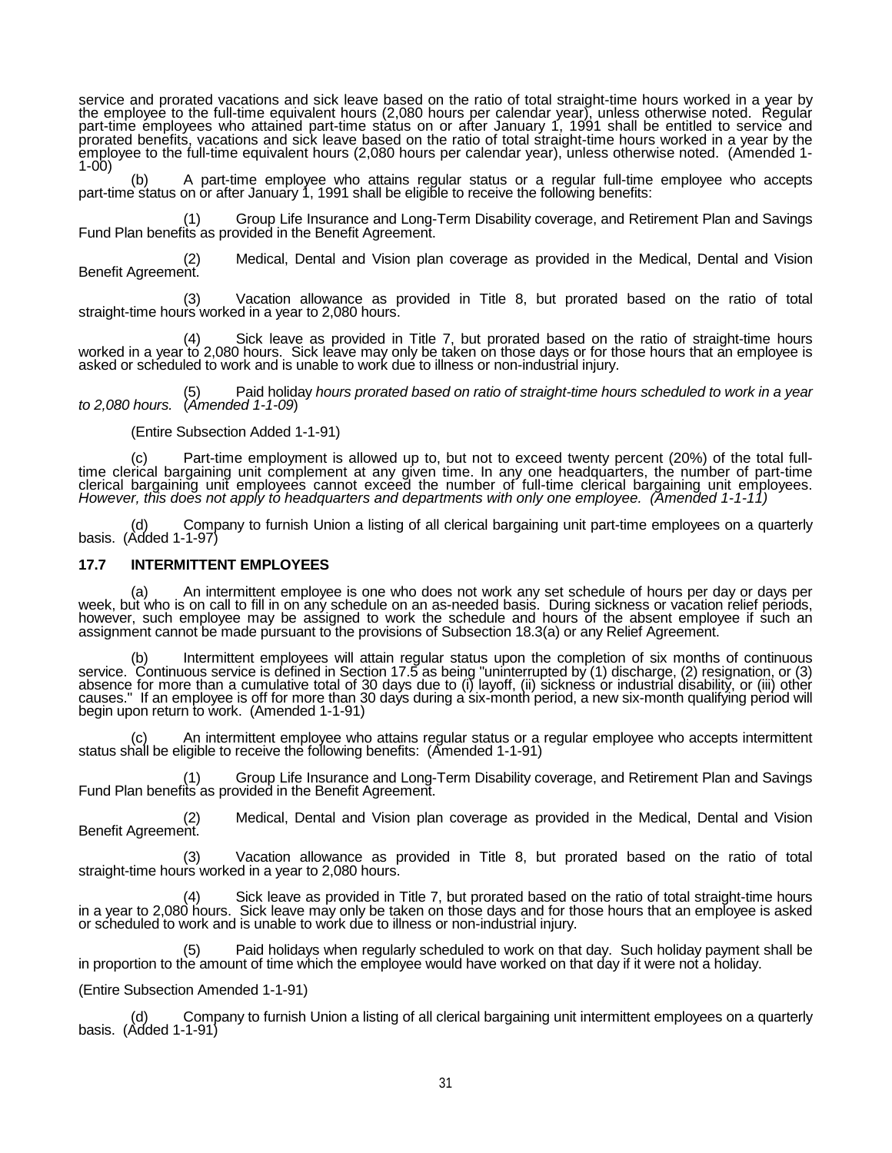service and prorated vacations and sick leave based on the ratio of total straight-time hours worked in a year by<br>the employee to the full-time equivalent hours (2,080 hours per calendar year), unless otherwise noted. Regu prorated benefits, vacations and sick leave based on the ratio of total straight-time hours worked in a year by the employee to the full-time equivalent hours (2,080 hours per calendar year), unless otherwise noted. (Amend

part-time status on or after January 1, 1991 shall be eligible to receive the following benefits:

(1) Group Life Insurance and Long-Term Disability coverage, and Retirement Plan and Savings Fund Plan benefits as provided in the Benefit Agreement.

(2) Medical, Dental and Vision plan coverage as provided in the Medical, Dental and Vision Benefit Agreement.

(3) Vacation allowance as provided in Title 8, but prorated based on the ratio of total straight-time hours worked in a year to 2,080 hours.

(4) Sick leave as provided in Title 7, but prorated based on the ratio of straight-time hours worked in a year to 2,080 hours. Sick leave may only be taken on those days or for those hours that an employee is<br>asked or scheduled to work and is unable to work due to illness or non-industrial injury.

(5) Paid holiday *hours prorated based on ratio of straight-time hours scheduled to work in a year to 2,080 hours.* (*Amended 1-1-09*)

(Entire Subsection Added 1-1-91)

(c) Part-time employment is allowed up to, but not to exceed twenty percent (20%) of the total full- time clerical bargaining unit complement at any given time. In any one headquarters, the number of part-time clerical bargaining unit employees cannot exceed the number of full-time clerical bargaining unit employees.<br>*However, this does not apply to headquarters and departments with only one employee. (Amended 1-1-11)* 

(d) Company to furnish Union a listing of all clerical bargaining unit part-time employees on a quarterly basis. (Added 1-1-97)

### **17.7 INTERMITTENT EMPLOYEES**

(a) An intermittent employee is one who does not work any set schedule of hours per day or days per week, but who is on call to fill in on any schedule on an as-needed basis. During sickness or vacation relief periods,<br>however, such employee may be assigned to work the schedule and hours of the absent employee if such a assignment cannot be made pursuant to the provisions of Subsection 18.3(a) or any Relief Agreement.

(b) Intermittent employees will attain regular status upon the completion of six months of continuous<br>service. Continuous service is defined in Section 17.5 as being "uninterrupted by (1) discharge, (2) resignation, or (3) causes." If an employee is off for more than 30 days during a six-month period, a new six-month qualifying period will<br>begin upon return to work. (Amended 1-1-91)

(c) An intermittent employee who attains regular status or a regular employee who accepts intermittent status shall be eligible to receive the following benefits: (Amended 1-1-91)

(1) Group Life Insurance and Long-Term Disability coverage, and Retirement Plan and Savings Fund Plan benefits as provided in the Benefit Agreement.

(2) Medical, Dental and Vision plan coverage as provided in the Medical, Dental and Vision Benefit Agreement.

(3) Vacation allowance as provided in Title 8, but prorated based on the ratio of total straight-time hours worked in a year to 2,080 hours.

Sick leave as provided in Title 7, but prorated based on the ratio of total straight-time hours in a year to 2,080 hours. Sick leave may only be taken on those days and for those hours that an employee is asked<br>or scheduled to work and is unable to work due to illness or non-industrial injury.

(5) Paid holidays when regularly scheduled to work on that day. Such holiday payment shall be in proportion to the amount of time which the employee would have worked on that day if it were not a holiday.

(Entire Subsection Amended 1-1-91)

(d) Company to furnish Union a listing of all clerical bargaining unit intermittent employees on a quarterly basis. (Added 1-1-91)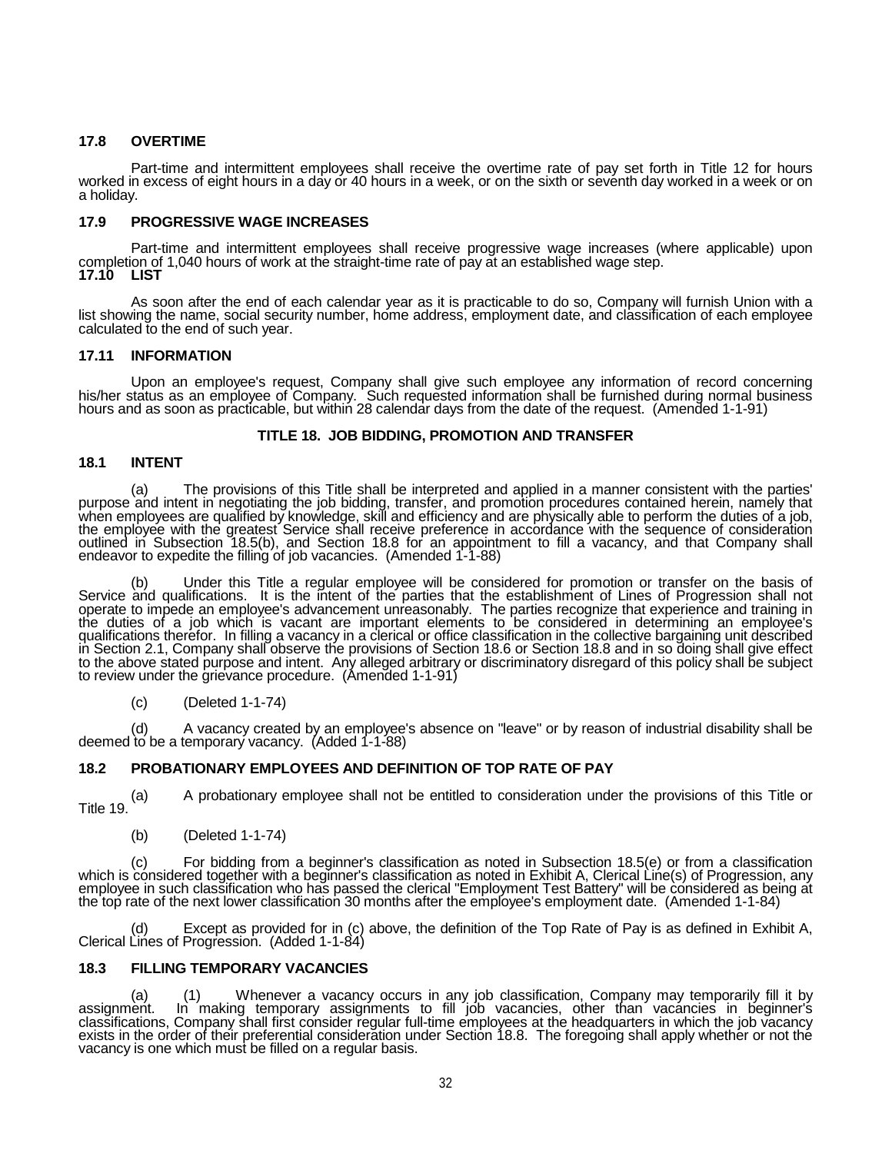## **17.8 OVERTIME**

Part-time and intermittent employees shall receive the overtime rate of pay set forth in Title 12 for hours<br>worked in excess of eight hours in a day or 40 hours in a week, or on the sixth or seventh day worked in a week or

## **17.9 PROGRESSIVE WAGE INCREASES**

Part-time and intermittent employees shall receive progressive wage increases (where applicable) upon completion of 1,040 hours of work at the straight-time rate of pay at an established wage step.<br>17.10 LIST **17.10** 

As soon after the end of each calendar year as it is practicable to do so, Company will furnish Union with a<br>list showing the name, social security number, home address, employment date, and classification of each employee

## **17.11 INFORMATION**

Upon an employee's request, Company shall give such employee any information of record concerning<br>his/her status as an employee of Company. Such requested information shall be furnished during normal business<br>hours and as

## **TITLE 18. JOB BIDDING, PROMOTION AND TRANSFER**

### **18.1 INTENT**

(a) The provisions of this Title shall be interpreted and applied in a manner consistent with the parties' purpose and intent in negotiating the job bidding, transfer, and promotion procedures contained herein, namely that when employees are qualified by knowledge, skill and efficiency and are physically able to perform the duties of a job,<br>the employee with the greatest Service shall receive preference in accordance with the sequence of con outlined in Subsection 18.5(b), and Section 18.8 for an appointment to fill a vacancy, and that Company shall endeavor to expedite the filling of job vacancies. (Amended 1-1-88)

(b) Under this Title a regular employee will be considered for promotion or transfer on the basis of<br>Service and qualifications. It is the intent of the parties that the establishment of Lines of Progression shall not<br>oper the duties of a job which is vacant are important elements to be considered in determining an employee's qualifications therefor. In filling a vacancy in a clerical or office classification in the collective bargaining unit described in Section 2.1, Company shall observe the provisions of Section 18.6 or Section 18.8 and in so doing shall give effect to the above stated purpose and intent. Any alleged arbitrary or discriminatory disregard of this policy shall be subject to review under the grievance procedure. (Amended 1-1-91)

(c) (Deleted 1-1-74)

(d) A vacancy created by an employee's absence on "leave" or by reason of industrial disability shall be deemed to be a temporary vacancy. (Added 1-1-88)

# **18.2 PROBATIONARY EMPLOYEES AND DEFINITION OF TOP RATE OF PAY**

(a) A probationary employee shall not be entitled to consideration under the provisions of this Title or Title 19.

(b) (Deleted 1-1-74)

(c) For bidding from a beginner's classification as noted in Subsection 18.5(e) or from a classification<br>which is considered together with a beginner's classification as noted in Exhibit A, Clerical Line(s) of Progression, the top rate of the next lower classification 30 months after the employee's employment date. (Amended 1-1-84)

(d) Except as provided for in (c) above, the definition of the Top Rate of Pay is as defined in Exhibit A, Clerical Lines of Progression. (Added 1-1-84)

# **18.3 FILLING TEMPORARY VACANCIES**

(a) (1) Whenever a vacancy occurs in any job classification, Company may temporarily fill it by assignment. In making temporary assignments to fill job vacancies, other than vacancies in beginner's classifications, Company shall first consider regular full-time employees at the headquarters in which the job vacancy<br>exists in the order of their preferential consideration under Section 18.8. The foregoing shall apply w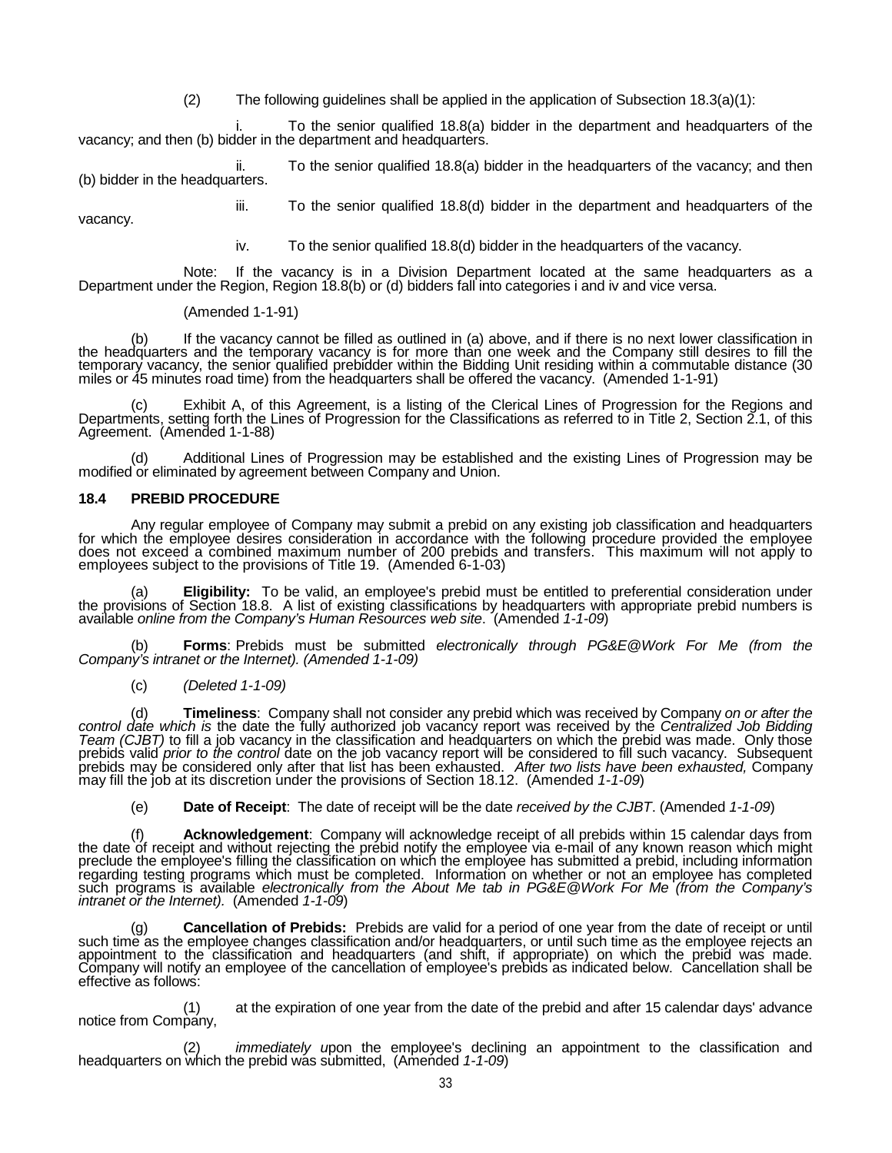(2) The following guidelines shall be applied in the application of Subsection  $18.3(a)(1)$ :

i. To the senior qualified 18.8(a) bidder in the department and headquarters of the vacancy; and then (b) bidder in the department and headquarters.

ii. To the senior qualified 18.8(a) bidder in the headquarters of the vacancy; and then (b) bidder in the headquarters.

iii. To the senior qualified 18.8(d) bidder in the department and headquarters of the

vacancy.

iv. To the senior qualified 18.8(d) bidder in the headquarters of the vacancy.

Note: If the vacancy is in a Division Department located at the same headquarters as a Department under the Region, Region 18.8(b) or (d) bidders fall into categories i and iv and vice versa.

### (Amended 1-1-91)

(b) If the vacancy cannot be filled as outlined in (a) above, and if there is no next lower classification in the headquarters and the temporary vacancy is for more than one week and the Company still desires to fill the temporary vacancy, the senior qualified prebidder within the Bidding Unit residing within a commutable distance (30 miles or 45 minutes road time) from the headquarters shall be offered the vacancy. (Amended 1-1-91)

(c) Exhibit A, of this Agreement, is a listing of the Clerical Lines of Progression for the Regions and Departments, setting forth the Lines of Progression for the Classifications as referred to in Title 2, Section 2.1, of Agreement. (Amended 1-1-88)

(d) Additional Lines of Progression may be established and the existing Lines of Progression may be modified or eliminated by agreement between Company and Union.

## **18.4 PREBID PROCEDURE**

Any regular employee of Company may submit a prebid on any existing job classification and headquarters<br>for which the employee desires consideration in accordance with the following procedure provided the employee<br>does not

(a) **Eligibility:** To be valid, an employee's prebid must be entitled to preferential consideration under the provisions of Section 18.8. A list of existing classifications by headquarters with appropriate prebid numbers is available *online from the Company's Human Resources web site*. (Amended *1-1-09*)

(b) **Forms**: Prebids must be submitted *electronically through PG&E@Work For Me (from the Company's intranet or the Internet). (Amended 1-1-09)*

(c) *(Deleted 1-1-09)*

(d) **Timeliness**: Company shall not consider any prebid which was received by Company *on or after the control date which is* the date the fully authorized job vacancy report was received by the Centralized Job Bidding Tea rebids valid prior to the control date on the job vacancy report will be considered to fill such vacancy. Subsequent<br>prebids may be considered only after that list has been exhausted. After two lists have been exhausted, C

(e) **Date of Receipt**: The date of receipt will be the date *received by the CJBT*. (Amended *1-1-09*)

f) **Acknowledgement**: Company will acknowledge receipt of all prebids within 15 calendar days from<br>the date of receipt and without rejecting the prebid notify the employee via e-mail of any known reason which might<br>preclud regarding testing programs which must be completed. Information on whether or not an employee has completed<br>such programs is available *electronically from the About Me tab in PG&E@Work For Me (from the Company's*<br>*intrane* 

(g) **Cancellation of Prebids:** Prebids are valid for a period of one year from the date of receipt or until such time as the employee changes classification and/or headquarters, or until such time as the employee rejects a Company will notify an employee of the cancellation of employee's prebids as indicated below. Cancellation shall be effective as follows:

at the expiration of one year from the date of the prebid and after 15 calendar days' advance notice from Company,

(2) *immediately u*pon the employee's declining an appointment to the classification and headquarters on which the prebid was submitted, (Amended *1-1-09*)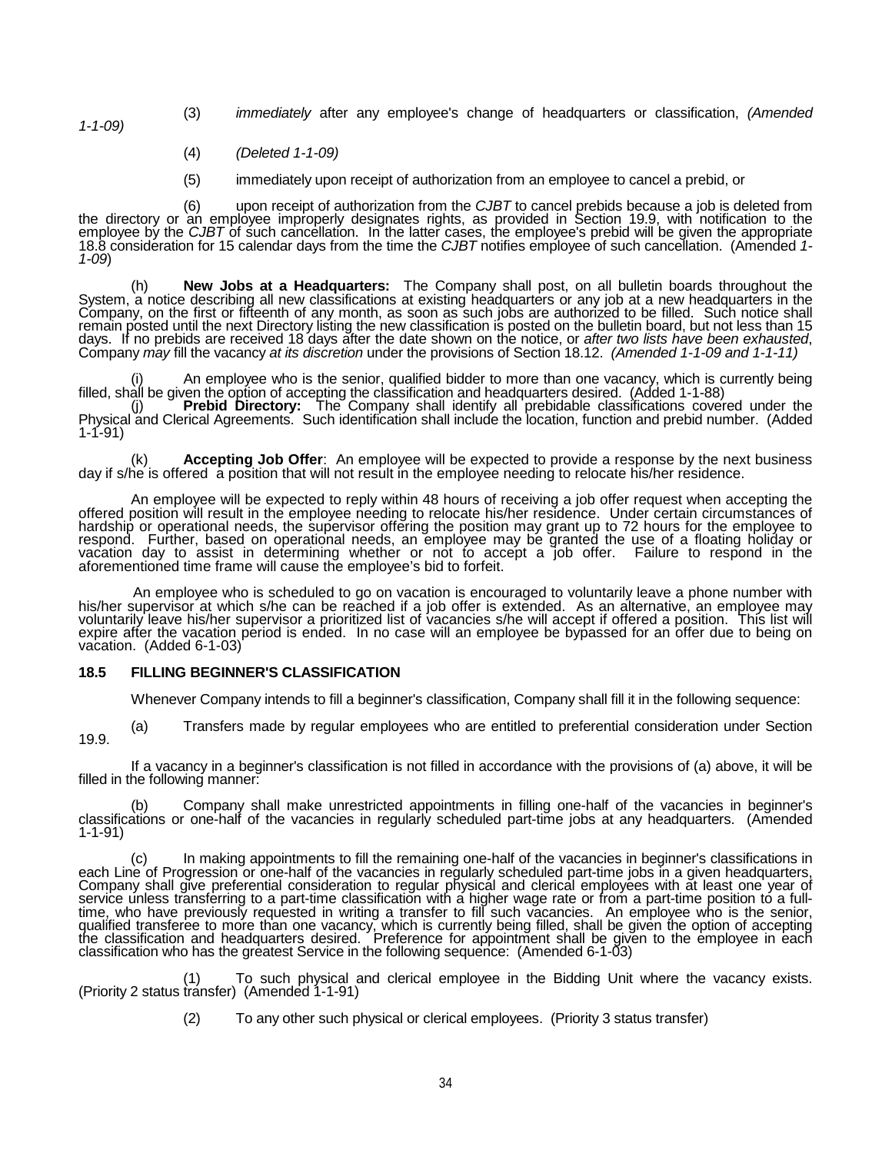*1-1-09)*

- (3) *immediately* after any employee's change of headquarters or classification, *(Amended*
- (4) *(Deleted 1-1-09)*
- (5) immediately upon receipt of authorization from an employee to cancel a prebid, or

(6) upon receipt of authorization from the *CJBT* to cancel prebids because a job is deleted from the directory or an employee improperly designates rights, as provided in Section 19.9, with notification to the<br>employee by the CJBT of such cancellation. In the latter cases, the employee's prebid will be given the appro

(h) New Jobs at a Headquarters: The Company shall post, on all bulletin boards throughout the System, a notice describing all new classifications at existing headquarters or any job at a new headquarters in the Company, on remain posted until the next Directory listing the new classification is posted on the bulletin board, but not less than 15 days. If no prebids are received 18 days after the date shown on the notice, or after two lists have been exhausted,<br>Company may fill the vacancy at its discretion under the provisions of Section 18.12. (Amended 1-1-09 and

(i) An employee who is the senior, qualified bidder to more than one vacancy, which is currently being filled, shall be given the option of accepting the classification and headquarters desired. (Added 1-1-88)

(j) **Prebid Directory:** The Company shall identify all prebidable classifications covered under the Physical and Clerical Agreements. Such identification shall include the location, function and prebid number. (Added 1-1-91)

(k) **Accepting Job Offer**:An employee will be expected to provide a response by the next business day if s/he is offered a position that will not result in the employee needing to relocate his/her residence.

An employee will be expected to reply within 48 hours of receiving a job offer request when accepting the<br>offered position will result in the employee needing to relocate his/her residence. Under certain circumstances of<br>h respond. Further, based on operational needs, an employee may be granted the use of a floating holiday or<br>vacation day to assist in determining whether or not to accept a job offer. Failure to respond in the aforementioned time frame will cause the employee's bid to forfeit.

An employee who is scheduled to go on vacation is encouraged to voluntarily leave a phone number with his/her supervisor at which s/he can be reached if a job offer is extended. As an alternative, an employee may voluntari expire after the vacation period is ended. In no case will an employee be bypassed for an offer due to being on vacation. (Added 6-1-03)

## **18.5 FILLING BEGINNER'S CLASSIFICATION**

Whenever Company intends to fill a beginner's classification, Company shall fill it in the following sequence:

(a) Transfers made by regular employees who are entitled to preferential consideration under Section 19.9.

If a vacancy in a beginner's classification is not filled in accordance with the provisions of (a) above, it will be filled in the following manner:

(b) Company shall make unrestricted appointments in filling one-half of the vacancies in beginner's classifications or one-half of the vacancies in regularly scheduled part-time jobs at any headquarters. (Amended 1-1-91)

c) ln making appointments to fill the remaining one-half of the vacancies in beginner's classifications in<br>each Line of Progression or one-half of the vacancies in regularly scheduled part-time jobs in a given headquarters service unless transferring to a part-time classification with a higher wage rate or from a part-time position to a full-<br>time, who have previously requested in writing a transfer to fill such vacancies. An employee who is qualified transferee to more than one vacancy, which is currently being filled, shall be given the option of accepting<br>the classification and headquarters desired. Preference for appointment shall be given to the employee classification who has the greatest Service in the following sequence: (Amended 6-1-03)

(1) To such physical and clerical employee in the Bidding Unit where the vacancy exists. (Priority 2 status transfer) (Amended 1-1-91)

(2) To any other such physical or clerical employees. (Priority 3 status transfer)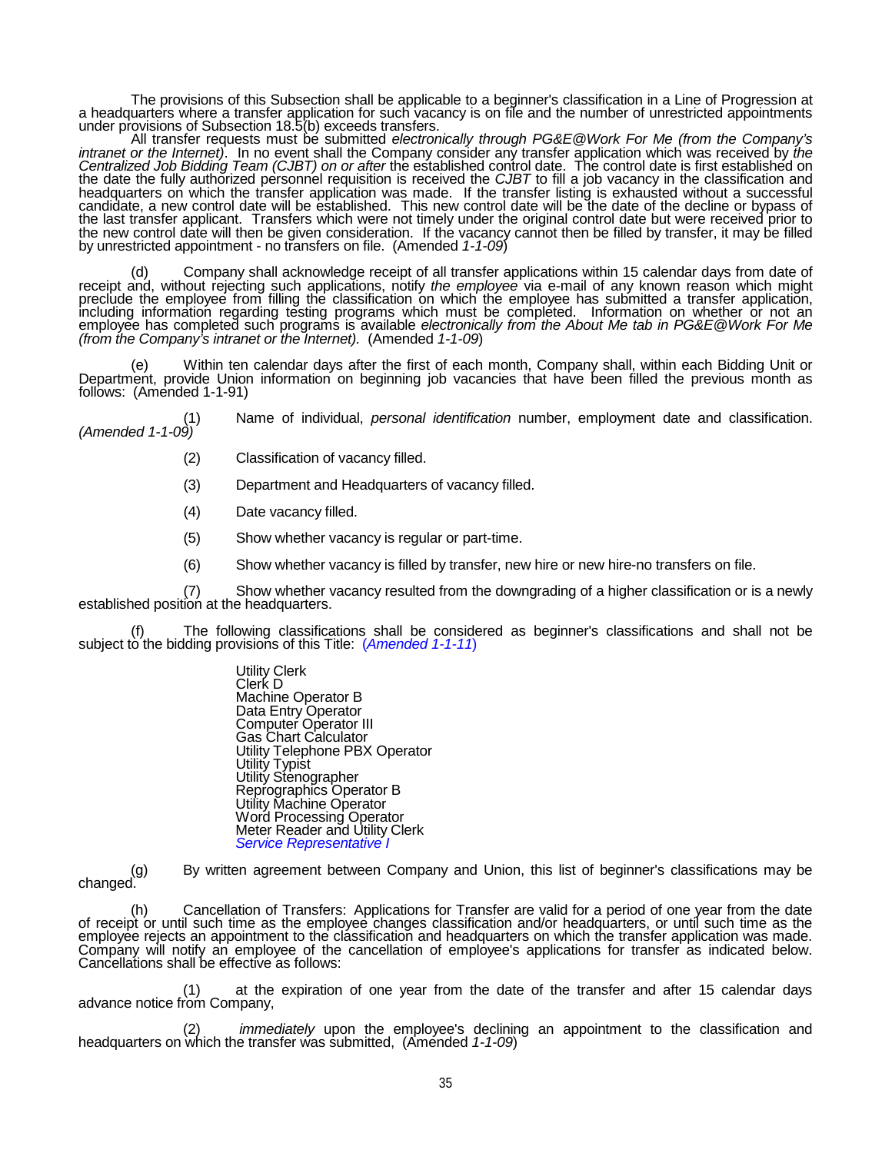The provisions of this Subsection shall be applicable to a beginner's classification in a Line of Progression at<br>a headquarters where a transfer application for such vacancy is on file and the number of unrestricted appoin

All transfer requests must be submitted *electronically through PG&E@Work For Me (from the Company's intranet or the Internet*). In no event shall the Company consider any transfer application which was received by the *Centralized Job Bidding Team (CJBT) on or after* the established control date. The control date is first established on the date the fully authorized personnel requisition is received the *CJBT* to fill a job vacancy in the classification and<br>headquarters on which the transfer application was made. If the transfer listing is exhausted witho candidate, a new control date will be established. This new control date will be the date of the decline or bypass of the last transfer applicant. Transfers which were not timely under the original control date but were received prior to the new control date will then be given consideration. If the vacancy cannot then be filled by transfer, it may be filled by unrestricted appointment - no transfers on file. (Amended *1-1-09*)

(d) Company shall acknowledge receipt of all transfer applications within 15 calendar days from date of receipt and, without rejecting such applications, notify the employee via e-mail of any known reason which might precl employee has completed such programs is available *electronically from the About Me tab in PG&E@Work For Me (from the Company's intranet or the Internet).* (Amended *1-1-09*)

(e) Within ten calendar days after the first of each month, Company shall, within each Bidding Unit or Department, provide Union information on beginning job vacancies that have been filled the previous month as follows: (Amended 1-1-91)

(1) Name of individual, *personal identification* number, employment date and classification. *(Amended 1-1-09)*

- (2) Classification of vacancy filled.
- (3) Department and Headquarters of vacancy filled.
- (4) Date vacancy filled.
- (5) Show whether vacancy is regular or part-time.
- (6) Show whether vacancy is filled by transfer, new hire or new hire-no transfers on file.

Show whether vacancy resulted from the downgrading of a higher classification or is a newly established position at the headquarters.

(f) The following classifications shall be considered as beginner's classifications and shall not be subject to the bidding provisions of this Title: (*Amended 1-1-11*)

Utility Clerk Clerk D Machine Operator B Data Entry Operator Computer Operator III Gas Chart Calculator Utility Telephone PBX Operator Utility Typist Utility Stenographer Reprographics Operator B Utility Machine Operator Word Processing Operator Meter Reader and Utility Clerk *Service Representative I*

(g) By written agreement between Company and Union, this list of beginner's classifications may be changed.

(h) Cancellation of Transfers: Applications for Transfer are valid for a period of one year from the date of receipt or until such time as the employee changes classification and/or headquarters, or until such time as the employee rejects an appointment to the classification and headquarters on which the transfer application was made. Company will notify an employee of the cancellation of employee's applications for transfer as indicated below. Cancellations shall be effective as follows:

(1) at the expiration of one year from the date of the transfer and after 15 calendar days advance notice from Company,

(2) *immediately* upon the employee's declining an appointment to the classification and headquarters on which the transfer was submitted, (Amended *1-1-09*)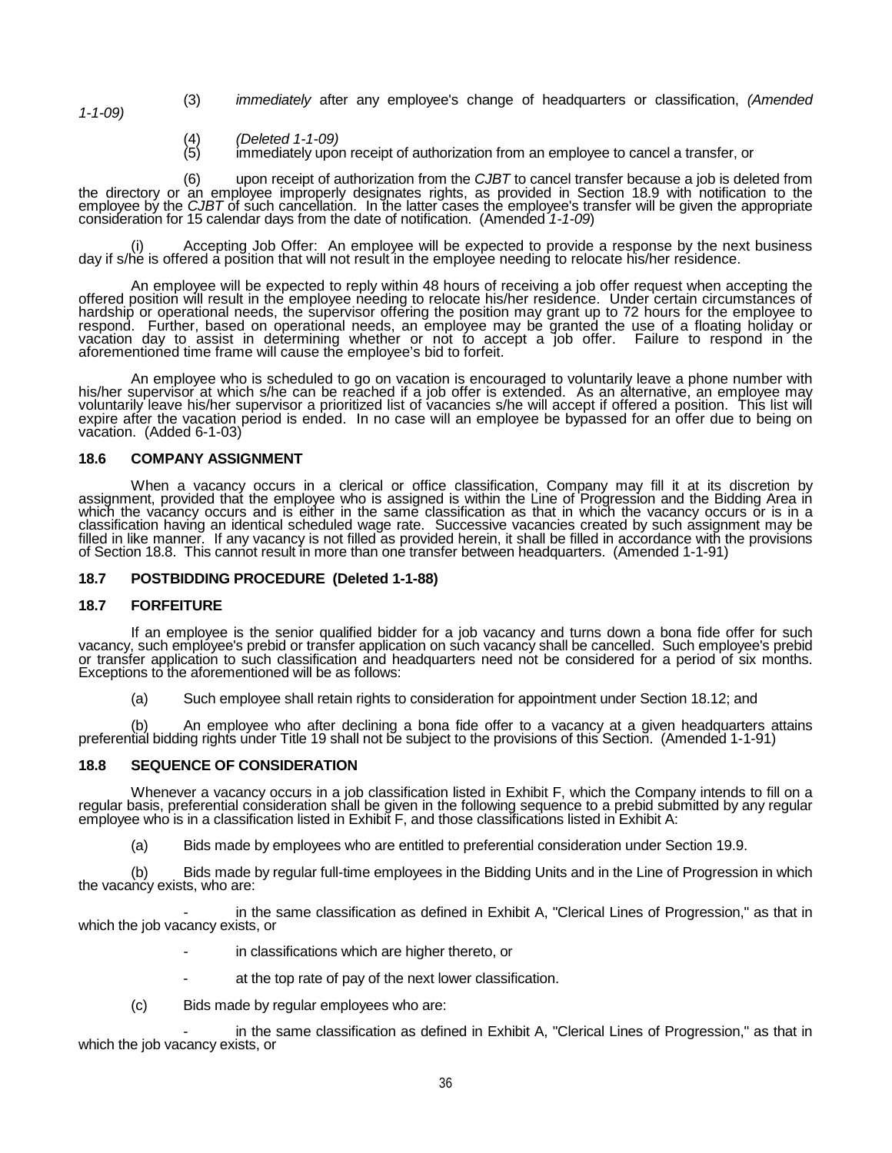- (3) *immediately* after any employee's change of headquarters or classification, *(Amended 1-1-09)*
	-
	- (4) *(Deleted 1-1-09)* (5) immediately upon receipt of authorization from an employee to cancel a transfer, or

(6) upon receipt of authorization from the *CJBT* to cancel transfer because a job is deleted from the directory or an employee improperly designates rights, as provided in Section 18.9 with notification to the<br>employee by the CJBT of such cancellation. In the latter cases the employee's transfer will be given the appr

(i) Accepting Job Offer: An employee will be expected to provide a response by the next business day if s/he is offered a position that will not result in the employee needing to relocate his/her residence.

An employee will be expected to reply within 48 hours of receiving a job offer request when accepting the offered position will result in the employee needing to relocate his/her residence. Under certain circumstances of h hardship or operational needs, the supervisor offering the position may grant up to 72 hours for the employee to<br>respond. Further, based on operational needs, an employee may be granted the use of a floating holiday or vacation day to assist in determining whether or not to accept a job offer. Failure to respond in the<br>aforementioned time frame will cause the employee's bid to forfeit.

An employee who is scheduled to go on vacation is encouraged to voluntarily leave a phone number with<br>his/her supervisor at which s/he can be reached if a job offer is extended. As an alternative, an employee may<br>voluntari expire after the vacation period is ended. In no case will an employee be bypassed for an offer due to being on<br>vacation. (Added 6-1-03)

### **18.6 COMPANY ASSIGNMENT**

When a vacancy occurs in a clerical or office classification, Company may fill it at its discretion by<br>assignment, provided that the employee who is assigned is within the Line of Progression and the Bidding Area in<br>which classification having an identical scheduled wage rate. Successive vacancies created by such assignment may be<br>filled in like manner. If any vacancy is not filled as provided herein, it shall be filled in accordance with t of Section 18.8. This cannot result in more than one transfer between headquarters. (Amended 1-1-91)

### **18.7 POSTBIDDING PROCEDURE (Deleted 1-1-88)**

### **18.7 FORFEITURE**

If an employee is the senior qualified bidder for a job vacancy and turns down a bona fide offer for such<br>vacancy, such employee's prebid or transfer application on such vacancy shall be cancelled. Such employee's prebid<br>o Exceptions to the aforementioned will be as follows:

(a) Such employee shall retain rights to consideration for appointment under Section 18.12; and

(b) An employee who after declining a bona fide offer to a vacancy at a given headquarters attains preferential bidding rights under Title 19 shall not be subject to the provisions of this Section. (Amended 1-1-91)

# **18.8 SEQUENCE OF CONSIDERATION**

Whenever a vacancy occurs in a job classification listed in Exhibit F, which the Company intends to fill on a<br>regular basis, preferential consideration shall be given in the following sequence to a prebid submitted by any employee who is in a classification listed in Exhibit F, and those classifications listed in Exhibit A:

(a) Bids made by employees who are entitled to preferential consideration under Section 19.9.

(b) Bids made by regular full-time employees in the Bidding Units and in the Line of Progression in which the vacancy exists, who are:

in the same classification as defined in Exhibit A, "Clerical Lines of Progression," as that in which the job vacancy exists, or

- in classifications which are higher thereto, or
- at the top rate of pay of the next lower classification.
- (c) Bids made by regular employees who are:

in the same classification as defined in Exhibit A, "Clerical Lines of Progression," as that in which the job vacancy exists, or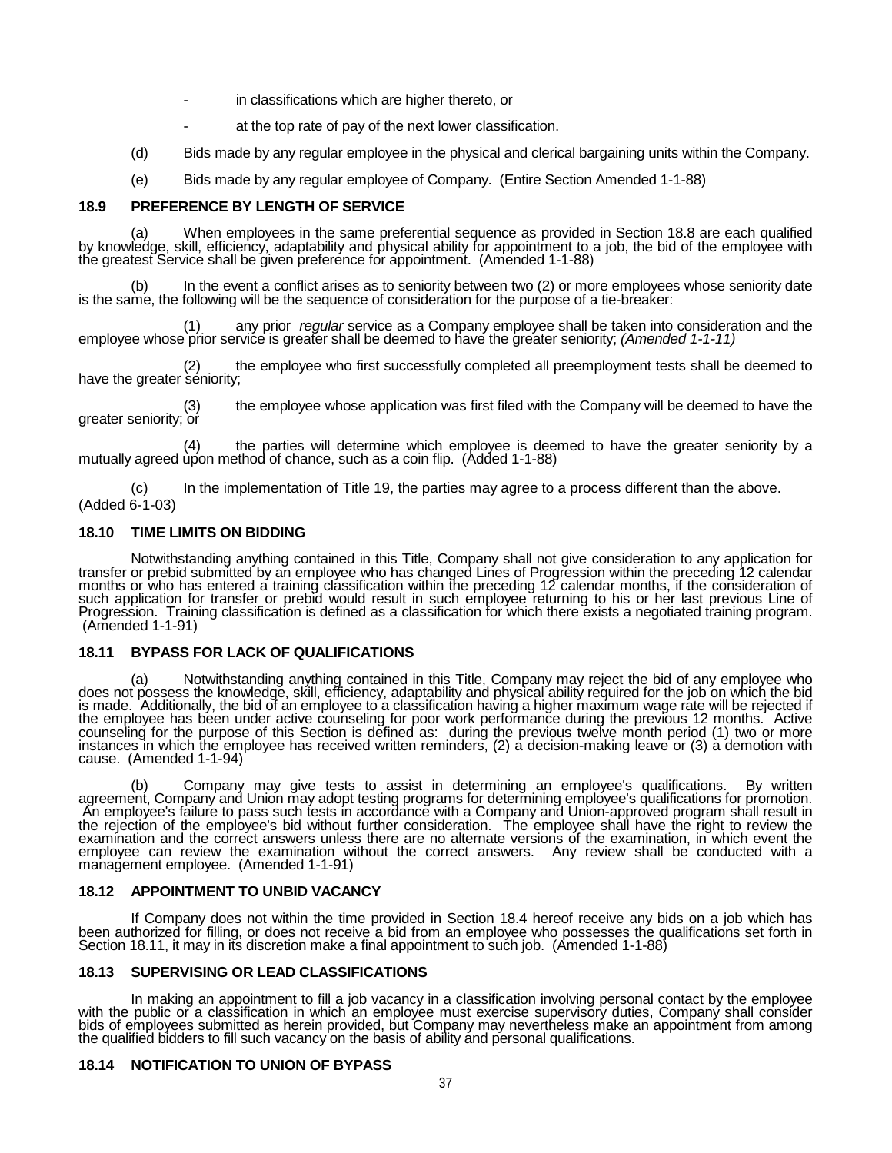- in classifications which are higher thereto, or
- at the top rate of pay of the next lower classification.
- (d) Bids made by any regular employee in the physical and clerical bargaining units within the Company.
- (e) Bids made by any regular employee of Company. (Entire Section Amended 1-1-88)

#### **18.9 PREFERENCE BY LENGTH OF SERVICE**

(a) When employees in the same preferential sequence as provided in Section 18.8 are each qualified<br>by knowledge, skill, efficiency, adaptability and physical ability for appointment to a job, the bid of the employee with<br>

(b) In the event a conflict arises as to seniority between two (2) or more employees whose seniority date is the same, the following will be the sequence of consideration for the purpose of a tie-breaker:

(1) any prior *regular* service as a Company employee shall be taken into consideration and the employee whose prior service is greater shall be deemed to have the greater seniority; *(Amended 1-1-11)*

(2) the employee who first successfully completed all preemployment tests shall be deemed to have the greater seniority;

the employee whose application was first filed with the Company will be deemed to have the greater seniority; or

(4) the parties will determine which employee is deemed to have the greater seniority by a mutually agreed upon method of chance, such as a coin flip. (Added 1-1-88)

(c) In the implementation of Title 19, the parties may agree to a process different than the above. (Added 6-1-03)

## **18.10 TIME LIMITS ON BIDDING**

Notwithstanding anything contained in this Title, Company shall not give consideration to any application for<br>transfer or prebid submitted by an employee who has changed Lines of Progression within the preceding 12 calenda such application for transfer or prebid would result in such employee returning to his or her last previous Line of<br>Progression. Training classification is defined as a classification for which there exists a negotiated tr (Amended 1-1-91)

### **18.11 BYPASS FOR LACK OF QUALIFICATIONS**

(a) Notwithstanding anything contained in this Title, Company may reject the bid of any employee who does not possess the knowledge, skill, efficiency, adaptability and physical ability required for the job on which the bi is made. `Additionally, the bid of an employee to a classification having a higher maximum wage rate will be rejected if<br>the employee has been under active counseling for poor work performance during the previous 12 months counseling for the purpose of this Section is defined as: during the previous twelve month period (1) two or more instances in which the employee has received written reminders, (2) a decision-making leave or (3) a demotion with<br>cause. (Amended 1-1-94)

(b) Company may give tests to assist in determining an employee's qualifications. By written agreement, Company and Union may adopt testing programs for determining employee's qualifications for promotion.<br>An employee's failure to pass such tests in accordance with a Company and Union-approved program shall result examination and the correct answers unless there are no alternate versions of the examination, in which event the employee can review the examination without the correct answers. Any review shall be conducted with a manage

## **18.12 APPOINTMENT TO UNBID VACANCY**

If Company does not within the time provided in Section 18.4 hereof receive any bids on a job which has<br>been authorized for filling, or does not receive a bid from an employee who possesses the qualifications set forth in<br>

### **18.13 SUPERVISING OR LEAD CLASSIFICATIONS**

In making an appointment to fill a job vacancy in a classification involving personal contact by the employee with the public or a classification in which an employee must exercise supervisory duties, Company shall consider bids of employees submitted as herein provided, but Company may nevertheless make an appointment from among the qualified bidders to fill such vacancy on the basis of ability and personal qualifications.

### **18.14 NOTIFICATION TO UNION OF BYPASS**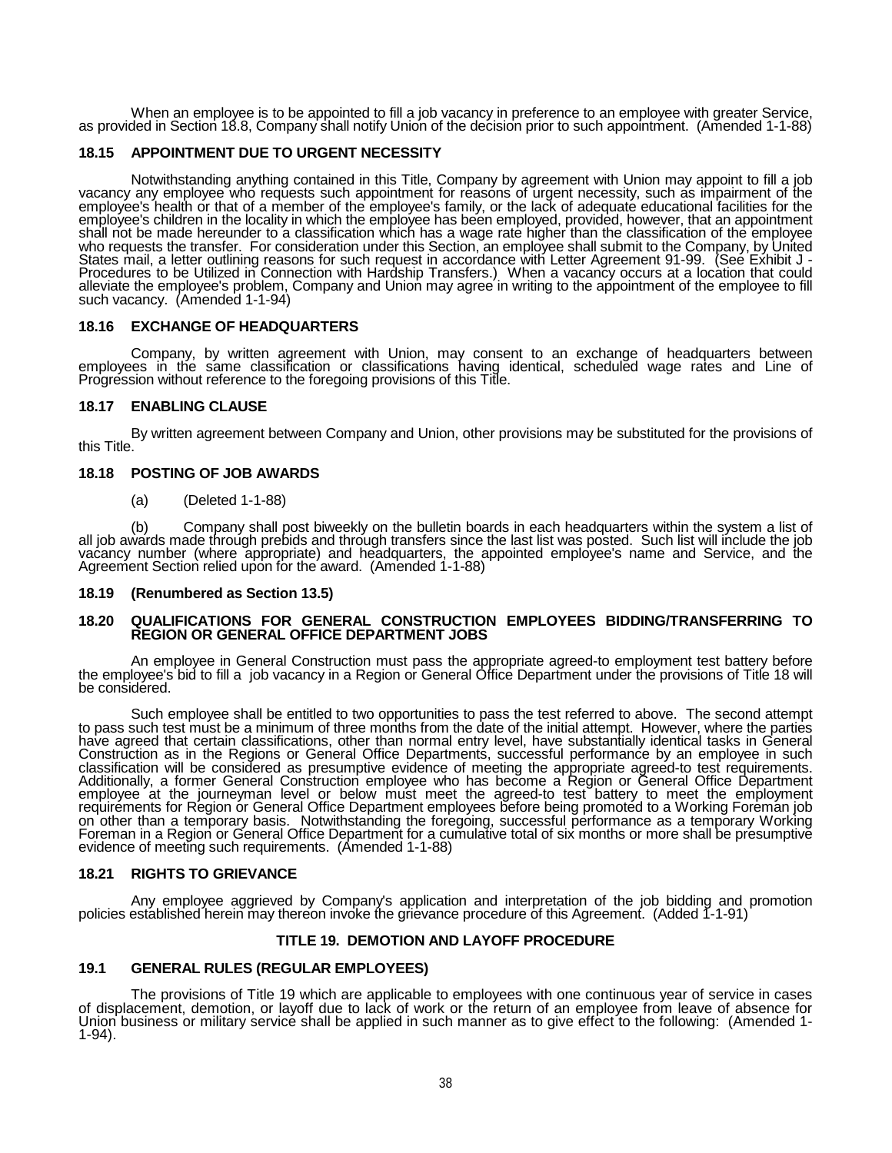When an employee is to be appointed to fill a job vacancy in preference to an employee with greater Service, as provided in Section 18.8, Company shall notify Union of the decision prior to such appointment. (Amended 1-1-88)

## **18.15 APPOINTMENT DUE TO URGENT NECESSITY**

Notwithstanding anything contained in this Title, Company by agreement with Union may appoint to fill a job vacancy any employee who requests such appointment for reasons of urgent necessity, such as impairment of the employee's health or that of a member of the employee's family, or the lack of adequate educational facilities for the employee's children in the locality in which the employee has been employed, provided, however, that an appointment shall not be made hereunder to a classification which has a wage rate higher than the classification of the employee who requests the transfer. For consideration under this Section, an employee shall submit to the Company, by United States mail, a letter outlining reasons for such request in accordance with Letter Agreement 91-99. (See Exhibit J<br>Procedures to be Utilized in Connection with Hardship Transfers.) When a vacancy occurs at a location that such vacancy. (Amended 1-1-94)

### **18.16 EXCHANGE OF HEADQUARTERS**

Company, by written agreement with Union, may consent to an exchange of headquarters between employees in the same classification or classifications having identical, scheduled wage rates and Line of Progression without reference to the foregoing provisions of this Title.

## **18.17 ENABLING CLAUSE**

By written agreement between Company and Union, other provisions may be substituted for the provisions of this Title.

## **18.18 POSTING OF JOB AWARDS**

(a) (Deleted 1-1-88)

(b) Company shall post biweekly on the bulletin boards in each headquarters within the system a list of all job awards made through prebids and through transfers since the last list was posted. Such list will include the job vacancy number (where appropriate) and headquarters, the appointed employee's name and Service, and the Agreement Section relied upon for the award. (Amended 1-1-88)

## **18.19 (Renumbered as Section 13.5)**

## **18.20 QUALIFICATIONS FOR GENERAL CONSTRUCTION EMPLOYEES BIDDING/TRANSFERRING TO REGION OR GENERAL OFFICE DEPARTMENT JOBS**

An employee in General Construction must pass the appropriate agreed-to employment test battery before the employee's bid to fill a job vacancy in a Region or General Office Department under the provisions of Title 18 will be considered.

Such employee shall be entitled to two opportunities to pass the test referred to above. The second attempt to pass such test must be a minimum of three months from the date of the initial attempt. However, where the parti have agreed that certain classifications, other than normal entry level, have substantially identical tasks in General<br>Construction as in the Regions or General Office Departments, successful performance by an employee in classification will be considered as presumptive evidence of meeting the appropriate agreed-to test requirements.<br>Additionally, a former General Construction employee who has become a Region or General Office Department employee at the journeyman level or below must meet the agreed-to test battery to meet the employment<br>requirements for Region or General Office Department employees before being promoted to a Working Foreman job on other than a temporary basis. Notwithstanding the foregoing, successful performance as a temporary Working Foreman in a Region or General Office Department for a cumulative total of six months or more shall be presumptive<br>evidence of meeting such requirements. (Amended 1-1-88)

### **18.21 RIGHTS TO GRIEVANCE**

Any employee aggrieved by Company's application and interpretation of the job bidding and promotion policies established herein may thereon invoke the grievance procedure of this Agreement. (Added 1-1-91)

# **TITLE 19. DEMOTION AND LAYOFF PROCEDURE**

## **19.1 GENERAL RULES (REGULAR EMPLOYEES)**

The provisions of Title 19 which are applicable to employees with one continuous year of service in cases of displacement, demotion, or layoff due to lack of work or the return of an employee from leave of absence for Union business or military service shall be applied in such manner as to give effect to the following: (Amended 1-<br>1-94).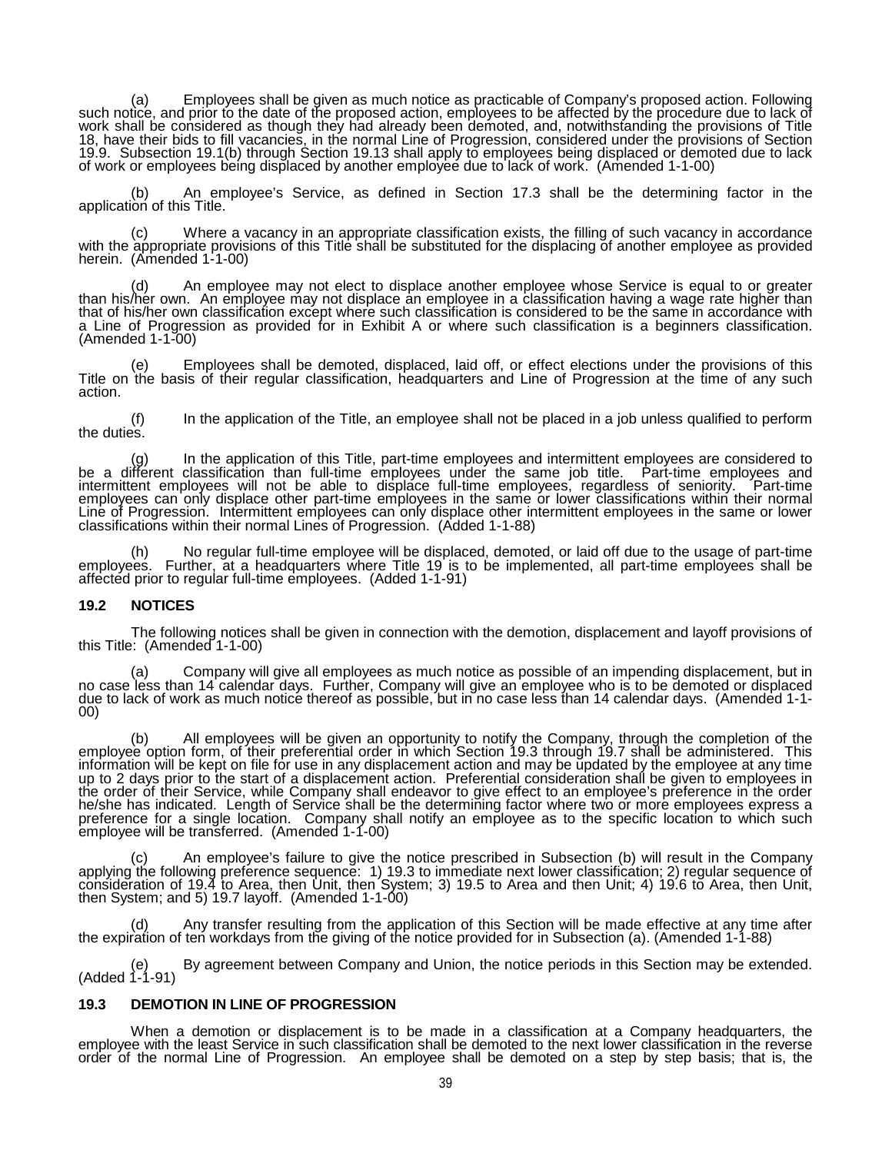(a) Employees shall be given as much notice as practicable of Company's proposed action. Following such notice, and prior to the date of the proposed action, employees to be affected by the procedure due to lack of work shall be considered as though they had already been demoted, and, notwithstanding the provisions of Title 18, have their bids to fill vacancies, in the normal Line of Progression, considered under the provisions of Section 19.9. Subsection 19.1(b) through Section 19.13 shall apply to employees being displaced or demoted due to lack<br>of work or employees being displaced by another employee due to lack of work. (Amended 1-1-00)

(b) An employee's Service, as defined in Section 17.3 shall be the determining factor in the application of this Title.

(c) Where a vacancy in an appropriate classification exists, the filling of such vacancy in accordance with the appropriate provisions of this Title shall be substituted for the displacing of another employee as provided h

(d) An employee may not elect to displace another employee whose Service is equal to or greater than his/her own. An employee may not displace an employee in a classification having a wage rate higher than that of his/her own classification except where such classification is considered to be the same in accordance with<br>a Line of Progression as provided for in Exhibit A or where such classification is a beginners classificat (Amended 1-1-00)

(e) Employees shall be demoted, displaced, laid off, or effect elections under the provisions of this Title on the basis of their regular classification, headquarters and Line of Progression at the time of any such action.

(f) In the application of the Title, an employee shall not be placed in a job unless qualified to perform the duties.

(g) In the application of this Title, part-time employees and intermittent employees are considered to a different classification than full-time employees under the same job title. Part-time employees and intermittent empl employees can only displace other part-time employees in the same or lower classifications within their normal<br>Line of Progression. Intermittent employees can only displace other intermittent employees in the same or lower

No regular full-time employee will be displaced, demoted, or laid off due to the usage of part-time employees. Further, at a headquarters where Title 19 is to be implemented, all part-time employees shall be affected prior to regular full-time employees. (Added 1-1-91)

### **19.2 NOTICES**

The following notices shall be given in connection with the demotion, displacement and layoff provisions of this Title: (Amended 1-1-00)

(a) Company will give all employees as much notice as possible of an impending displacement, but in<br>no case less than 14 calendar days. Further, Company will give an employee who is to be demoted or displaced<br>due to lack o

(b) All employees will be given an opportunity to notify the Company, through the completion of the employee option form, of their preferential order in which Section 19.3 through 19.7 shall be administered. This information will be kept on file for use in any displacement action and may be updated by the employee at any time up to 2 days prior to the start of a displacement action. Preferential consideration shall be given to employees in<br>the order of their Service, while Company shall endeavor to give effect to an employee's preference in th he/she has indicated. Length of Service shall be the determining factor where two or more employees express a<br>preference for a single location. Company shall notify an employee as to the specific location to which such preference for a single location. Company shall notify an employee as to the specific location to which such employee will be transferred. (Amended 1-1-00)

(c) An employee's failure to give the notice prescribed in Subsection (b) will result in the Company applying the following preference sequence: 1) 19.3 to immediate next lower classification; 2) regular sequence of consideration of 19.4 to Area, then Unit, then System; 3) 19.5 to Area and then Unit; 4) 19.6 to Area, then Unit,<br>then System; and 5) 19.7 layoff. (Amended 1-1-00)

(d) Any transfer resulting from the application of this Section will be made effective at any time after the expiration of ten workdays from the giving of the notice provided for in Subsection (a). (Amended 1-1-88)

(e) By agreement between Company and Union, the notice periods in this Section may be extended. (Added 1-1-91)

## **19.3 DEMOTION IN LINE OF PROGRESSION**

When a demotion or displacement is to be made in a classification at a Company headquarters, the employee with the least Service in such classification shall be demoted to the next lower classification in the reverse order of the normal Line of Progression. An employee shall be demoted on a step by step basis; that is, the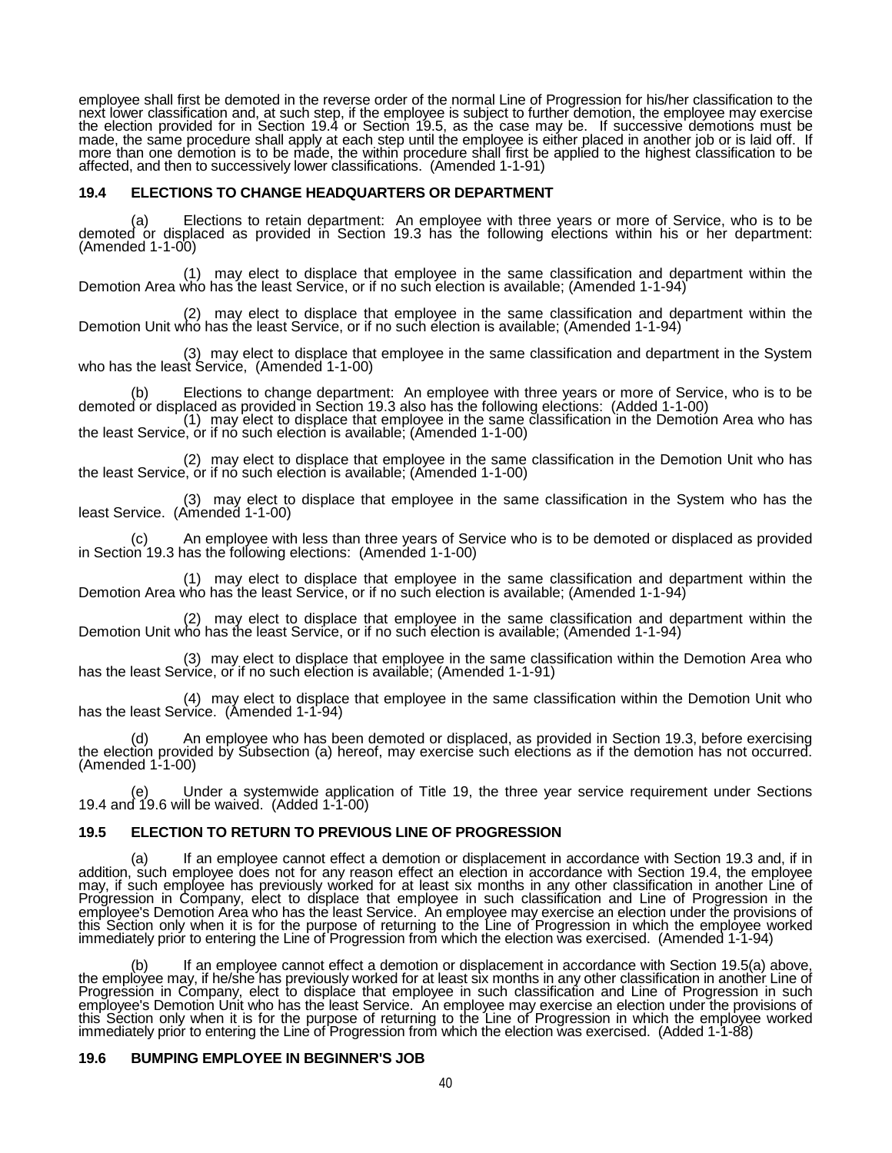employee shall first be demoted in the reverse order of the normal Line of Progression for his/her classification to the next lower classification and, at such step, if the employee is subject to further demotion, the employee may exercise<br>the election provided for in Section 19.4 or Section 19.5, as the case may be. If successive demotions made, the same procedure shall apply at each step until the employee is either placed in another job or is laid off. If more than one demotion is to be made, the within procedure shall first be applied to the highest classification to be affected, and then to successively lower classifications. (Amended 1-1-91)

#### **19.4 ELECTIONS TO CHANGE HEADQUARTERS OR DEPARTMENT**

(a) Elections to retain department: An employee with three years or more of Service, who is to be demoted or displaced as provided in Section 19.3 has the following elections within his or her department:  $(Amended 1-1-00)$ 

(1) may elect to displace that employee in the same classification and department within the Demotion Area who has the least Service, or if no such election is available; (Amended 1-1-94)

(2) may elect to displace that employee in the same classification and department within the Demotion Unit who has the least Service, or if no such election is available; (Amended 1-1-94)

(3) may elect to displace that employee in the same classification and department in the System who has the least Service, (Amended 1-1-00)

(b) Elections to change department: An employee with three years or more of Service, who is to be demoted or displaced as provided in Section 19.3 also has the following elections: (Added 1-1-00)<br>(1) may elect to displace

the least Service, or if no such election is available; (Amended 1-1-00)

(2) may elect to displace that employee in the same classification in the Demotion Unit who has the least Service, or if no such election is available; (Amended 1-1-00)

(3) may elect to displace that employee in the same classification in the System who has the least Service. (Amended 1-1-00)

(c) An employee with less than three years of Service who is to be demoted or displaced as provided in Section 19.3 has the following elections: (Amended 1-1-00)

(1) may elect to displace that employee in the same classification and department within the Demotion Area who has the least Service, or if no such election is available; (Amended 1-1-94)

(2) may elect to displace that employee in the same classification and department within the Demotion Unit who has the least Service, or if no such election is available; (Amended 1-1-94)

(3) may elect to displace that employee in the same classification within the Demotion Area who has the least Service, or if no such election is available; (Amended 1-1-91)

(4) may elect to displace that employee in the same classification within the Demotion Unit who has the least Service. (Amended 1-1-94)

(d) An employee who has been demoted or displaced, as provided in Section 19.3, before exercising the election provided by Subsection (a) hereof, may exercise such elections as if the demotion has not occurred.  $(Amended 1-1-00)$ 

(e) Under a systemwide application of Title 19, the three year service requirement under Sections 19.4 and 19.6 will be waived. (Added 1-1-00)

## **19.5 ELECTION TO RETURN TO PREVIOUS LINE OF PROGRESSION**

a) If an employee cannot effect a demotion or displacement in accordance with Section 19.3 and, if in<br>addition, such employee does not for any reason effect an election in accordance with Section 19.4, the employee<br>may, if Progression in Company, elect to displace that employee in such classification and Line of Progression in the<br>employee's Demotion Area who has the least Service. An employee may exercise an election under the provisions o this Section only when it is for the purpose of returning to the Line of Progression in which the employee worked<br>immediately prior to entering the Line of Progression from which the election was exercised. (Amended 1-1-94

(b) If an employee cannot effect a demotion or displacement in accordance with Section 19.5(a) above, the employee may, if he/she has previously worked for at least six months in any other classification in another Line of Progression in Company, elect to displace that employee in such classification and Line of Progression in such employee's Demotion Unit who has the least Service. An employee may exercise an election under the provisions of<br>this Section only when it is for the purpose of returning to the Line of Progression in which the employee w immediately prior to entering the Line of Progression from which the election was exercised. (Added 1-1-88)

#### **19.6 BUMPING EMPLOYEE IN BEGINNER'S JOB**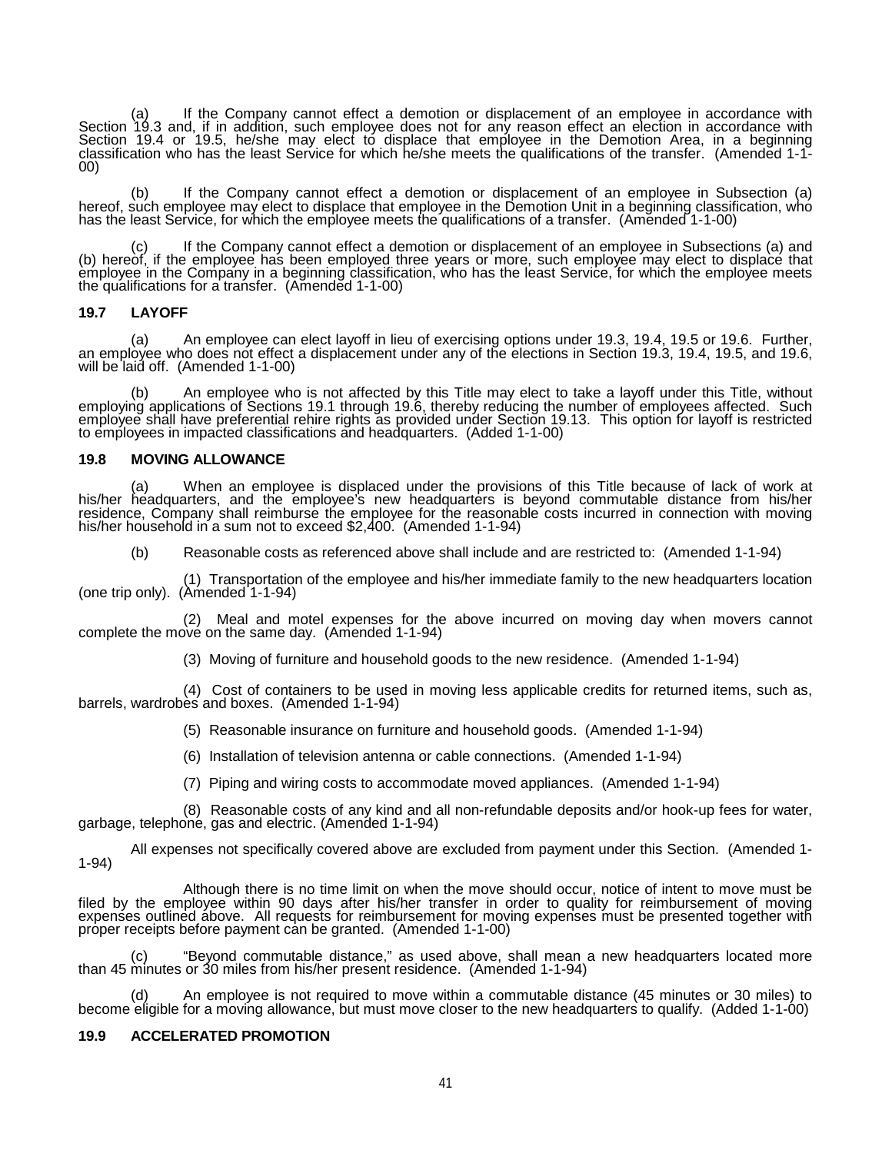(a) If the Company cannot effect a demotion or displacement of an employee in accordance with Section 19.3 and, if in addition, such employee does not for any reason effect an election in accordance with Section 19.4 or 19.5, he/she may elect to displace that employee in the Demotion Area, in a beginning classification who has the least Service for which he/she meets the qualifications of the transfer. (Amended 1-1-<br>00)

(b) If the Company cannot effect a demotion or displacement of an employee in Subsection (a) hereof, such employee may elect to displace that employee in the Demotion Unit in a beginning classification, who has the least Service, for which the employee meets the qualifications of a transfer. (Amended 1-1-00)

(c) If the Company cannot effect a demotion or displacement of an employee in Subsections (a) and (b) hereof, if the employee has been employed three years or more, such employee may elect to displace that the complexes in the company in a beginning classification, who has the least Service, for which the employee meets<br>the qualifications for a transfer. (Amended 1-1-00)

#### **19.7 LAYOFF**

(a) An employee can elect layoff in lieu of exercising options under 19.3, 19.4, 19.5 or 19.6. Further, an employee who does not effect a displacement under any of the elections in Section 19.3, 19.4, 19.5, and 19.6, will be laid off. (Amended 1-1-00)

(b) An employee who is not affected by this Title may elect to take a layoff under this Title, without employing applications of Sections 19.1 through 19.6, thereby reducing the number of employees affected. Such employee shall have preferential rehire rights as provided under Section 19.13. This option for layoff is restricted to employees in impacted classifications and headquarters. (Added 1-1-00)

### **19.8 MOVING ALLOWANCE**

(a) When an employee is displaced under the provisions of this Title because of lack of work at his/her headquarters, and the employee's new headquarters is beyond commutable distance from his/her residence, Company shall his/her household in a sum not to exceed \$2,400. (Amended 1-1-94)

(b) Reasonable costs as referenced above shall include and are restricted to: (Amended 1-1-94)

(1) Transportation of the employee and his/her immediate family to the new headquarters location (one trip only). (Amended 1-1-94)

(2) Meal and motel expenses for the above incurred on moving day when movers cannot complete the move on the same day. (Amended 1-1-94)

(3) Moving of furniture and household goods to the new residence. (Amended 1-1-94)

(4) Cost of containers to be used in moving less applicable credits for returned items, such as, barrels, wardrobes and boxes. (Amended 1-1-94)

(5) Reasonable insurance on furniture and household goods. (Amended 1-1-94)

(6) Installation of television antenna or cable connections. (Amended 1-1-94)

(7) Piping and wiring costs to accommodate moved appliances. (Amended 1-1-94)

(8) Reasonable costs of any kind and all non-refundable deposits and/or hook-up fees for water, garbage, telephone, gas and electric. (Amended 1-1-94)

All expenses not specifically covered above are excluded from payment under this Section. (Amended 1- 1-94)

Although there is no time limit on when the move should occur, notice of intent to move must be<br>filed by the employee within 90 days after his/her transfer in order to quality for reimbursement of moving<br>expenses outlined proper receipts before payment can be granted. (Amended 1-1-00)

(c) "Beyond commutable distance," as used above, shall mean a new headquarters located more than 45 minutes or 30 miles from his/her present residence. (Amended 1-1-94)

(d) An employee is not required to move within a commutable distance (45 minutes or 30 miles) to become eligible for a moving allowance, but must move closer to the new headquarters to qualify. (Added 1-1-00)

## **19.9 ACCELERATED PROMOTION**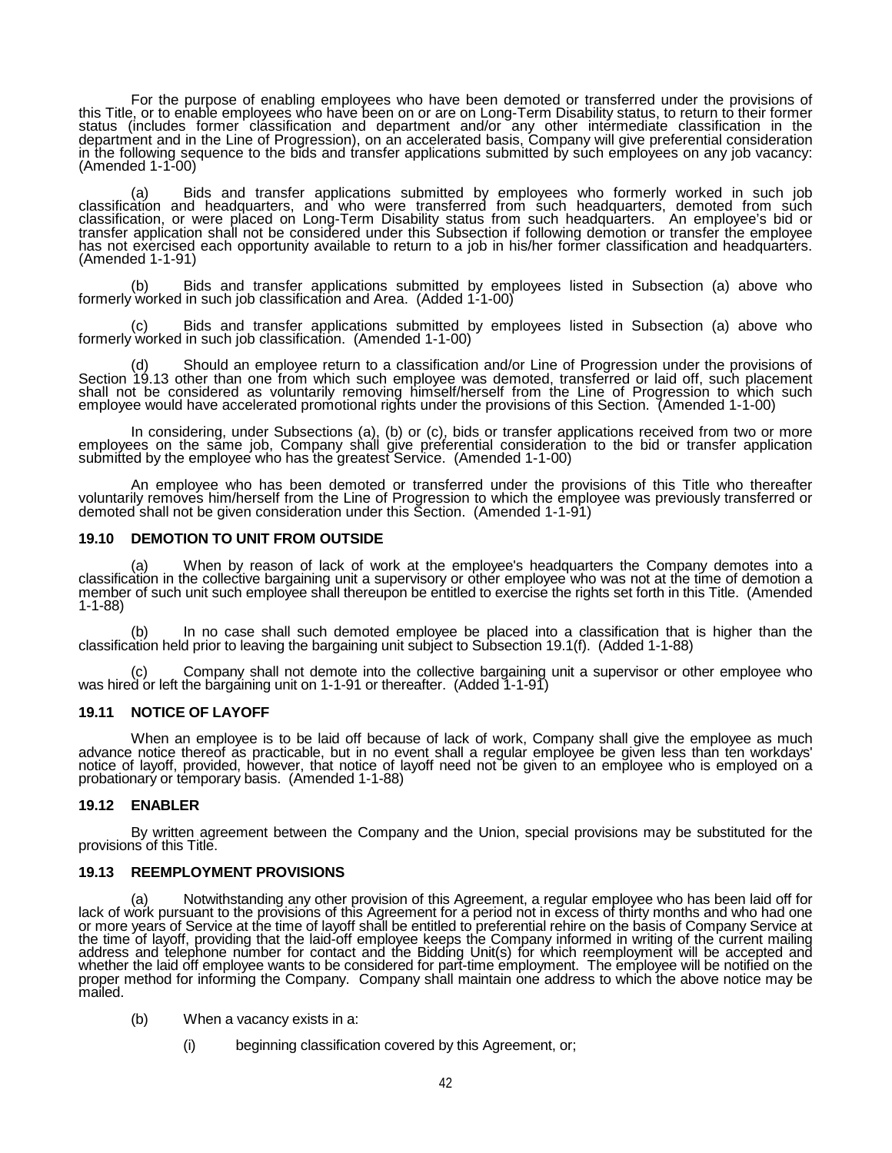For the purpose of enabling employees who have been demoted or transferred under the provisions of<br>this Title, or to enable employees who have been on or are on Long-Term Disability status, to return to their former<br>status department and in the Line of Progression), on an accelerated basis, Company will give preferential consideration in the following sequence to the bids and transfer applications submitted by such employees on any job vacancy: (Amended 1-1-00)

(a) Bids and transfer applications submitted by employees who formerly worked in such job classification and headquarters, and who were transferred from such headquarters, demoted from such classification, or were placed o (Amended 1-1-91)

(b) Bids and transfer applications submitted by employees listed in Subsection (a) above who formerly worked in such job classification and Area. (Added 1-1-00)

(c) Bids and transfer applications submitted by employees listed in Subsection (a) above who formerly worked in such job classification. (Amended 1-1-00)

(d) Should an employee return to a classification and/or Line of Progression under the provisions of Section 19.13 other than one from which such employee was demoted, transferred or laid off, such placement shall not be considered as voluntarily removing himself/herself from the Line of Progression to which such employee would have accelerated promotional rights under the provisions of this Section. (Amended 1-1-00)

In considering, under Subsections (a), (b) or (c), bids or transfer applications received from two or more employees on the same job, Company shall give preferential consideration to the bid or transfer application submitted by the employee who has the greatest Service. (Amended 1-1-00)

An employee who has been demoted or transferred under the provisions of this Title who thereafter voluntarily removes him/herself from the Line of Progression to which the employee was previously transferred or demoted shall not be given consideration under this Section. (Amended 1-1-91)

#### **19.10 DEMOTION TO UNIT FROM OUTSIDE**

(a) When by reason of lack of work at the employee's headquarters the Company demotes into a classification in the collective bargaining unit a supervisory or other employee who was not at the time of demotion a member of such unit such employee shall thereupon be entitled to exercise the rights set forth in this Title. (Amended<br>1-1-88)

(b) In no case shall such demoted employee be placed into a classification that is higher than the classification held prior to leaving the bargaining unit subject to Subsection 19.1(f). (Added 1-1-88)

(c) Company shall not demote into the collective bargaining unit a supervisor or other employee who was hired or left the bargaining unit on 1-1-91 or thereafter. (Added 1-1-91)

### **19.11 NOTICE OF LAYOFF**

When an employee is to be laid off because of lack of work, Company shall give the employee as much advance notice thereof as practicable, but in no event shall a regular employee be given less than ten workdays' notice of layoff, provided, however, that notice of layoff need not be given to an employee who is employed on a<br>probationary or temporary basis. (Amended 1-1-88)

### **19.12 ENABLER**

By written agreement between the Company and the Union, special provisions may be substituted for the provisions of this Title.

#### **19.13 REEMPLOYMENT PROVISIONS**

(a) Notwithstanding any other provision of this Agreement, a regular employee who has been laid off for lack of work pursuant to the provisions of this Agreement for a period not in excess of thirty months and who had one or more years of Service at the time of layoff shall be entitled to preferential rehire on the basis of Company Service at the time of layoff, providing that the laid-off employee keeps the Company informed in writing of the current mailing address and telephone number for contact and the Bidding Unit(s) for which reemployment will be accepted and whether the laid off employee wants to be considered for part-time employment. The employee will be notified on the<br>proper method for informing the Company. Company shall maintain one address to which the above notice ma

- (b) When a vacancy exists in a:
	- (i) beginning classification covered by this Agreement, or;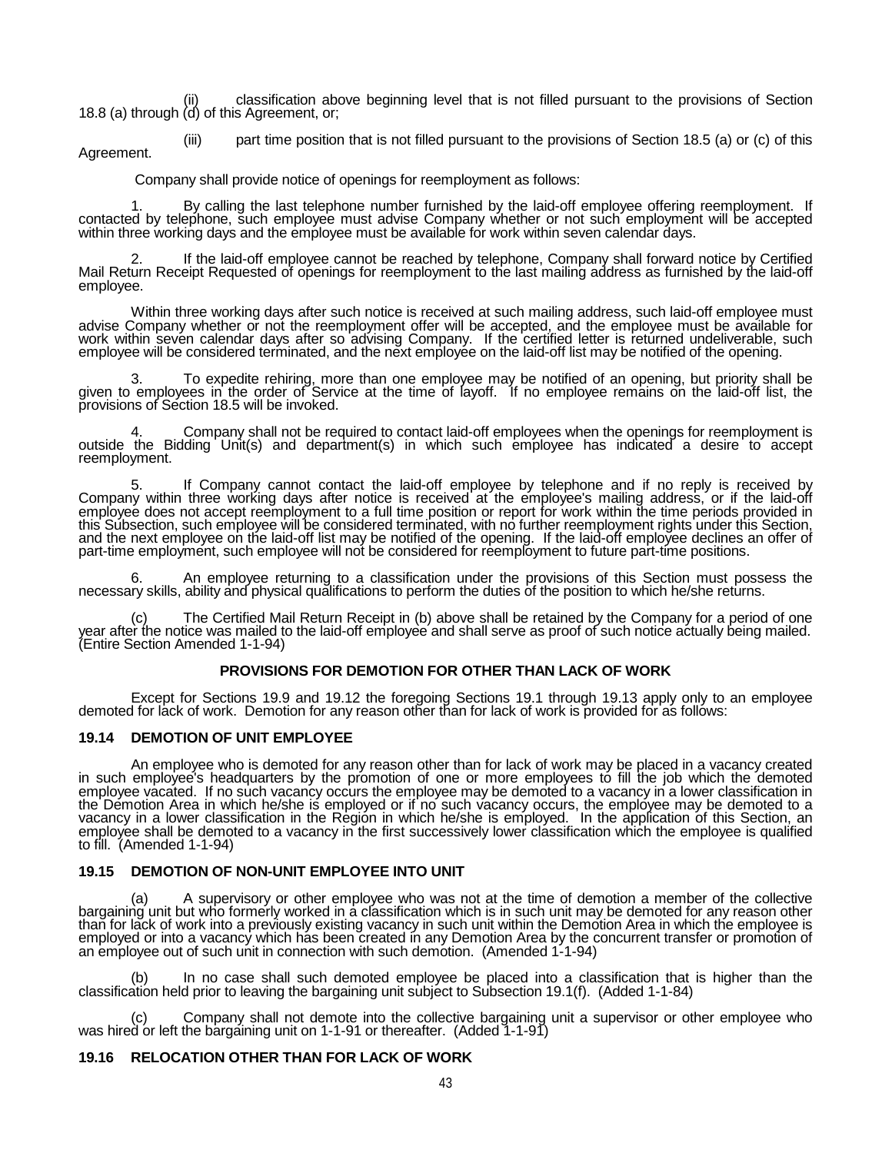(ii) classification above beginning level that is not filled pursuant to the provisions of Section 18.8 (a) through (d) of this Agreement, or;

(iii) part time position that is not filled pursuant to the provisions of Section 18.5 (a) or (c) of this Agreement.

Company shall provide notice of openings for reemployment as follows:

1. By calling the last telephone number furnished by the laid-off employee offering reemployment. If contacted by telephone, such employee must advise Company whether or not such employment will be accepted within three working days and the employee must be available for work within seven calendar days.

2. If the laid-off employee cannot be reached by telephone, Company shall forward notice by Certified Mail Return Receipt Requested of openings for reemployment to the last mailing address as furnished by the laid-off employee.

Within three working days after such notice is received at such mailing address, such laid-off employee must<br>advise Company whether or not the reemployment offer will be accepted, and the employee must be available for work within seven calendar days after so advising Company. If the certified letter is returned undeliverable, such employee will be considered terminated, and the next employee on the laid-off list may be notified of the opening.

3. To expedite rehiring, more than one employee may be notified of an opening, but priority shall be given to employees in the order of Service at the time of layoff. If no employee remains on the laid-off list, the provisions of Section 18.5 will be invoked.

4. Company shall not be required to contact laid-off employees when the openings for reemployment is outside the Bidding Unit(s) and department(s) in which such employee has indicated a desire to accept reemployment.

5. If Company cannot contact the laid-off employee by telephone and if no reply is received by Company within three working days after notice is received at the employee's mailing address, or if the laid-off employee does not accept reemployment to a full time position or report for work within the time periods provided in<br>this Subsection, such employee will be considered terminated, with no further reemployment rights under t and the next employee on the laid-off list may be notified of the opening. If the laid-off employee declines an offer of part-time employment, such employee will not be considered for reemployment to future part-time positions.

6. An employee returning to a classification under the provisions of this Section must possess the necessary skills, ability and physical qualifications to perform the duties of the position to which he/she returns.

(c) The Certified Mail Return Receipt in (b) above shall be retained by the Company for a period of one year after the notice was mailed to the laid-off employee and shall serve as proof of such notice actually being maile

### **PROVISIONS FOR DEMOTION FOR OTHER THAN LACK OF WORK**

Except for Sections 19.9 and 19.12 the foregoing Sections 19.1 through 19.13 apply only to an employee demoted for lack of work. Demotion for any reason other than for lack of work is provided for as follows:

#### **19.14 DEMOTION OF UNIT EMPLOYEE**

An employee who is demoted for any reason other than for lack of work may be placed in a vacancy created<br>in such employee's headquarters by the promotion of one or more employees to fill the job which the demoted<br>employee the Demotion Area in which he/she is employed or if no such vacancy occurs, the employee may be demoted to a<br>vacancy in a lower classification in the Region in which he/she is employed. In the application of this Section, employee shall be demoted to a vacancy in the first successively lower classification which the employee is qualified to fill. (Amended 1-1-94)

### **19.15 DEMOTION OF NON-UNIT EMPLOYEE INTO UNIT**

(a) A supervisory or other employee who was not at the time of demotion a member of the collective<br>bargaining unit but who formerly worked in a classification which is in such unit may be demoted for any reason other<br>than employed or into a vacancy which has been created in any Demotion Area by the concurrent transfer or promotion of an employee out of such unit in connection with such demotion. (Amended 1-1-94)

(b) In no case shall such demoted employee be placed into a classification that is higher than the classification held prior to leaving the bargaining unit subject to Subsection 19.1(f). (Added 1-1-84)

(c) Company shall not demote into the collective bargaining unit a supervisor or other employee who was hired or left the bargaining unit on 1-1-91 or thereafter. (Added 1-1-91)

## **19.16 RELOCATION OTHER THAN FOR LACK OF WORK**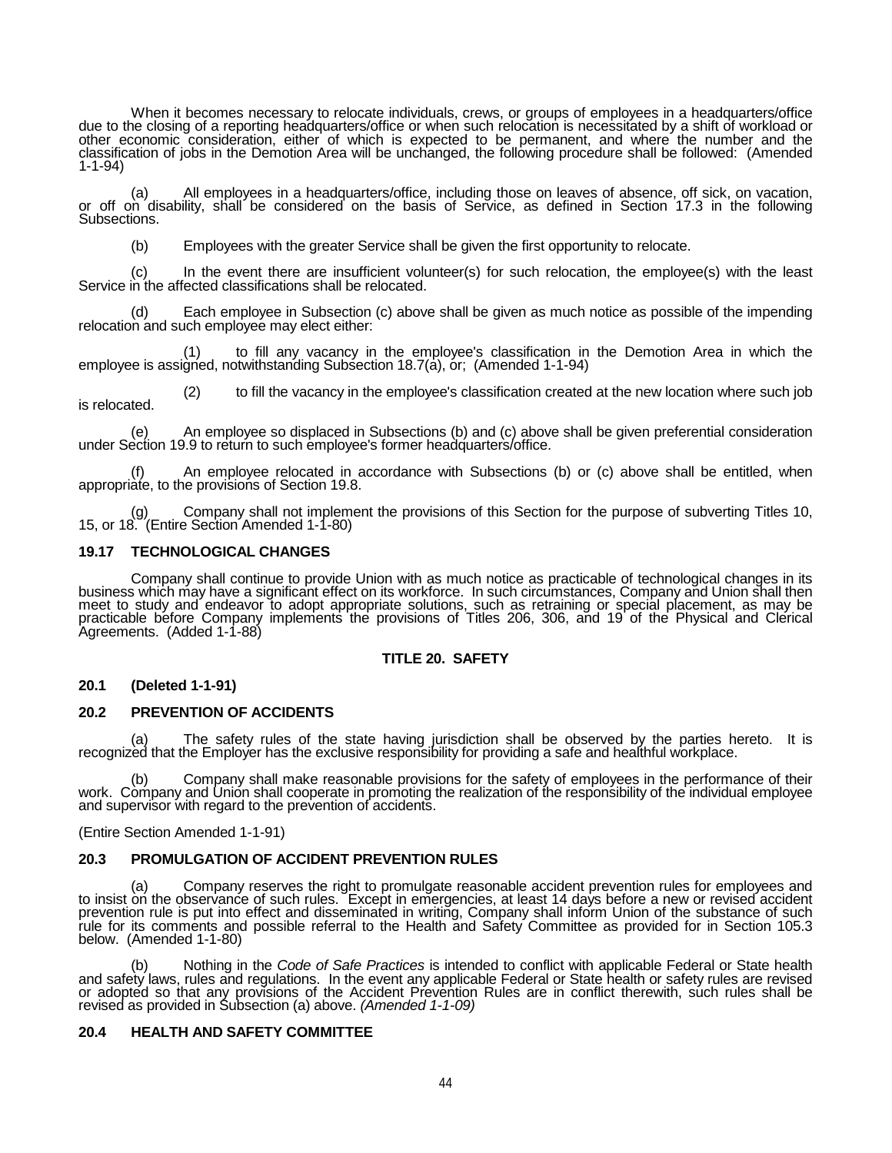When it becomes necessary to relocate individuals, crews, or groups of employees in a headquarters/office<br>due to the closing of a reporting headquarters/office or when such relocation is necessitated by a shift of workload other economic consideration, either of which is expected to be permanent, and where the number and the classification of jobs in the Demotion Area will be unchanged, the following procedure shall be followed: (Amended 1-1-94)

(a) All employees in a headquarters/office, including those on leaves of absence, off sick, on vacation, or off on disability, shall be considered on the basis of Service, as defined in Section 17.3 in the following Subsections.

(b) Employees with the greater Service shall be given the first opportunity to relocate.

(c) In the event there are insufficient volunteer(s) for such relocation, the employee(s) with the least Service in the affected classifications shall be relocated.

(d) Each employee in Subsection (c) above shall be given as much notice as possible of the impending relocation and such employee may elect either:

(1) to fill any vacancy in the employee's classification in the Demotion Area in which the employee is assigned, notwithstanding Subsection 18.7(a), or; (Amended 1-1-94)

(2) to fill the vacancy in the employee's classification created at the new location where such job is relocated.

(e) An employee so displaced in Subsections (b) and (c) above shall be given preferential consideration under Section 19.9 to return to such employee's former headquarters/office.

(f) An employee relocated in accordance with Subsections (b) or (c) above shall be entitled, when appropriate, to the provisions of Section 19.8.

(g) Company shall not implement the provisions of this Section for the purpose of subverting Titles 10, 15, or 18. (Entire Section Amended 1-1-80)

## **19.17 TECHNOLOGICAL CHANGES**

Company shall continue to provide Union with as much notice as practicable of technological changes in its business which may have a significant effect on its workforce. In such circumstances, Company and Union shall then meet to study and endeavor to adopt appropriate solutions, such as retraining or special placement, as may be practicable before Company implements the provisions of Titles 206, 306, and 19 of the Physical and Clerical<br>Agreements. (Added 1-1-88)

## **TITLE 20. SAFETY**

## **20.1 (Deleted 1-1-91)**

## **20.2 PREVENTION OF ACCIDENTS**

(a) The safety rules of the state having jurisdiction shall be observed by the parties hereto. It is recognized that the Employer has the exclusive responsibility for providing a safe and healthful workplace.

(b) Company shall make reasonable provisions for the safety of employees in the performance of their<br>work. Company and Union shall cooperate in promoting the realization of the responsibility of the individual employee<br>and

(Entire Section Amended 1-1-91)

## **20.3 PROMULGATION OF ACCIDENT PREVENTION RULES**

(a) Company reserves the right to promulgate reasonable accident prevention rules for employees and to insist on the observance of such rules. Except in emergencies, at least 14 days before a new or revised accident prevention rule is put into effect and disseminated in writiñg, Company shall inform Union of the substance of such<br>rule for its comments and possible referral to the Health and Safety Committee as provided for in Section below. (Amended 1-1-80)

(b) Nothing in the *Code of Safe Practices* is intended to conflict with applicable Federal or State health<br>and safety laws, rules and regulations. In the event any applicable Federal or State health or safety rules are re or adopted so that any provisions of the Accident Prevention Rules are in conflict therewith, such rules shall be revised as provided in Subsection (a) above. *(Amended 1-1-09)*

## **20.4 HEALTH AND SAFETY COMMITTEE**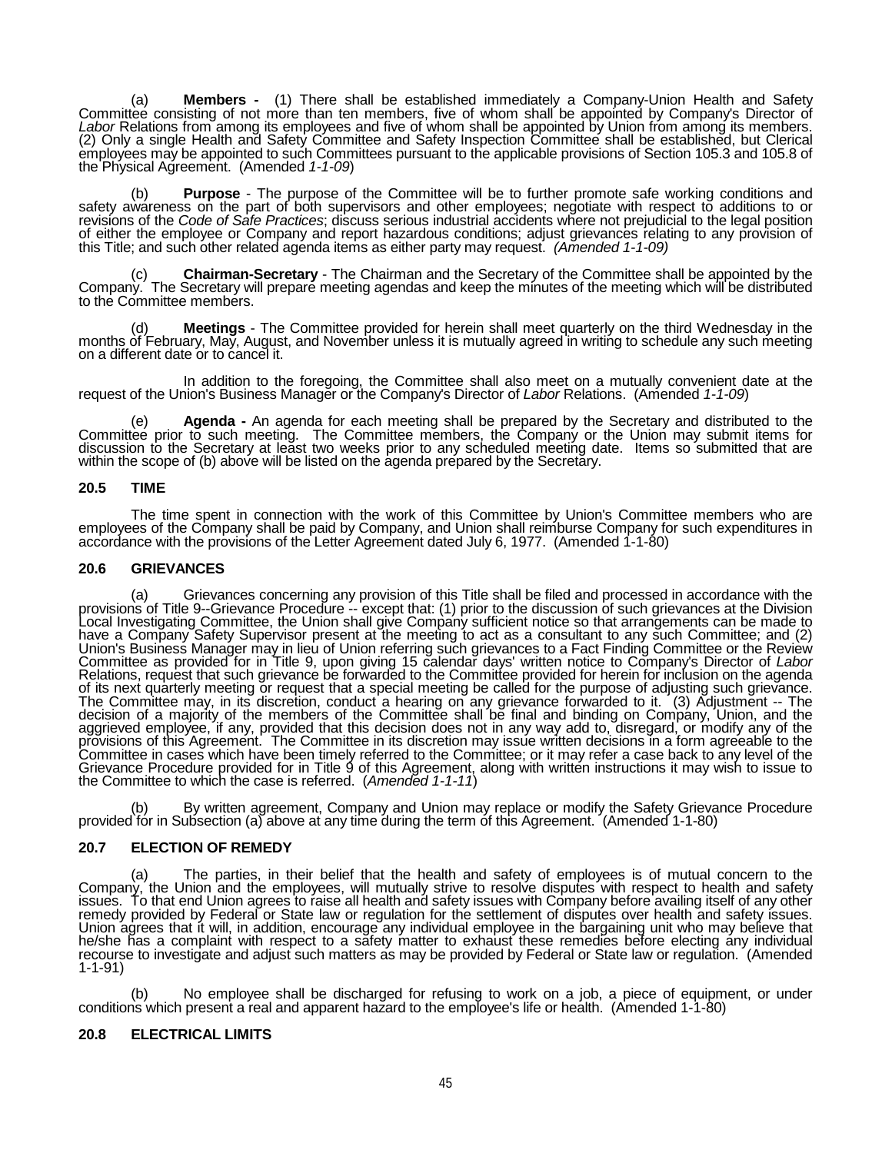(a) **Members -** (1) There shall be established immediately a Company-Union Health and Safety<br>Committee consisting of not more than ten members, five of whom shall be appointed by Company's Director of<br>Labor Relations from employees may be appointed to such Committees pursuant to the applicable provisions of Section 105.3 and 105.8 of the Physical Agreement. (Amended *1-1-09*)

(b) **Purpose** - The purpose of the Committee will be to further promote safe working conditions and safety awareness on the part of both supervisors and other employees; negotiate with respect to additions to or revisions revisions of the *Code of Safe Practices*; discuss serious industrial accidents where not prejudicial to the legal position<br>of either the employee or Company and report hazardous conditions; adjust grievances relating to a this Title; and such other related agenda items as either party may request. *(Amended 1-1-09)*

(c) **Chairman-Secretary** - The Chairman and the Secretary of the Committee shall be appointed by the Company. The Secretary will prepare meeting agendas and keep the minutes of the meeting which will be distributed to the Committee members.

(d) **Meetings** - The Committee provided for herein shall meet quarterly on the third Wednesday in the months of February, May, August, and November unless it is mutually agreed in writing to schedule any such meeting on a different date or to cancel it.

In addition to the foregoing, the Committee shall also meet on a mutually convenient date at the request of the Union's Business Manager or the Company's Director of *Labor* Relations. (Amended *1-1-09*)

**Agenda -** An agenda for each meeting shall be prepared by the Secretary and distributed to the Committee prior to such meeting. The Committee members, the Company or the Union may submit items for discussion to the Secretary at least two weeks prior to any scheduled meeting date. Items so submitted that are within the scope of (b) above will be listed on the agenda prepared by the Secretary.

### **20.5 TIME**

The time spent in connection with the work of this Committee by Union's Committee members who are employees of the Company shall be paid by Company, and Union shall reimburse Company for such expenditures in accordance wit

## **20.6 GRIEVANCES**

a) Grievances concerning any provision of this Title shall be filed and processed in accordance with the provisions<br>provisions of Title 9--Grievance Procedure -- except that: (1) prior to the discussion of such grievances have a Company Safety Supervisor present at the meeting to act as a consultant to any such Committee; and (2)<br>Union's Business Manager may in lieu of Union referring such grievances to a Fact Finding Committee or the Revie Committee as provided for in Title 9, upon giving 15 calendar days' written notice to Company's Director of *Labor* Relations, request that such grievance be forwarded to the Committee provided for herein for inclusion on the agenda of its next quarterly meeting or request that a special meeting be called for the purpose of adjusting such grievance.<br>The Committee may, in its discretion, conduct a hearing on any grievance forwarded to it. (3) Adjustmen decision of a majority of the members of the Committee shall be final and binding on Company, Union, and the aggrieved employee, if any, provided that this decision does not in any way add to, disregard, or modify any of the<br>provisions of this Agreement. The Committee in its discretion may issue written decisions in a form agreea Committee in cases which have been timely referred to the Committee; or it may refer a case back to any level of the<br>Grievance Procedure provided for in Title 9 of this Agreement, along with written instructions it may wis the Committee to which the case is referred. (*Amended 1-1-11*)

(b) By written agreement, Company and Union may replace or modify the Safety Grievance Procedure provided for in Subsection (a) above at any time during the term of this Agreement. (Amended 1-1-80)

# **20.7 ELECTION OF REMEDY**

(a) The parties, in their belief that the health and safety of employees is of mutual concern to the Company, the Union and the employees, will mutually strive to resolve disputes with respect to health and safety issues. issues. To that end Union agrees to raise all health and safety issues with Company before availing itself of any other<br>remedy provided by Federal or State law or regulation for the settlement of disputes over health and Union agrees that it will, in addition, encourage any individual employee in the bargaining unit who may believe that<br>he/she has a complaint with respect to a safety matter to exhaust these remedies before electing any ind recourse to investigate and adjust such matters as may be provided by Federal or State law or regulation. (Amended 1-1-91)

(b) No employee shall be discharged for refusing to work on a job, a piece of equipment, or under conditions which present a real and apparent hazard to the employee's life or health. (Amended 1-1-80)

### **20.8 ELECTRICAL LIMITS**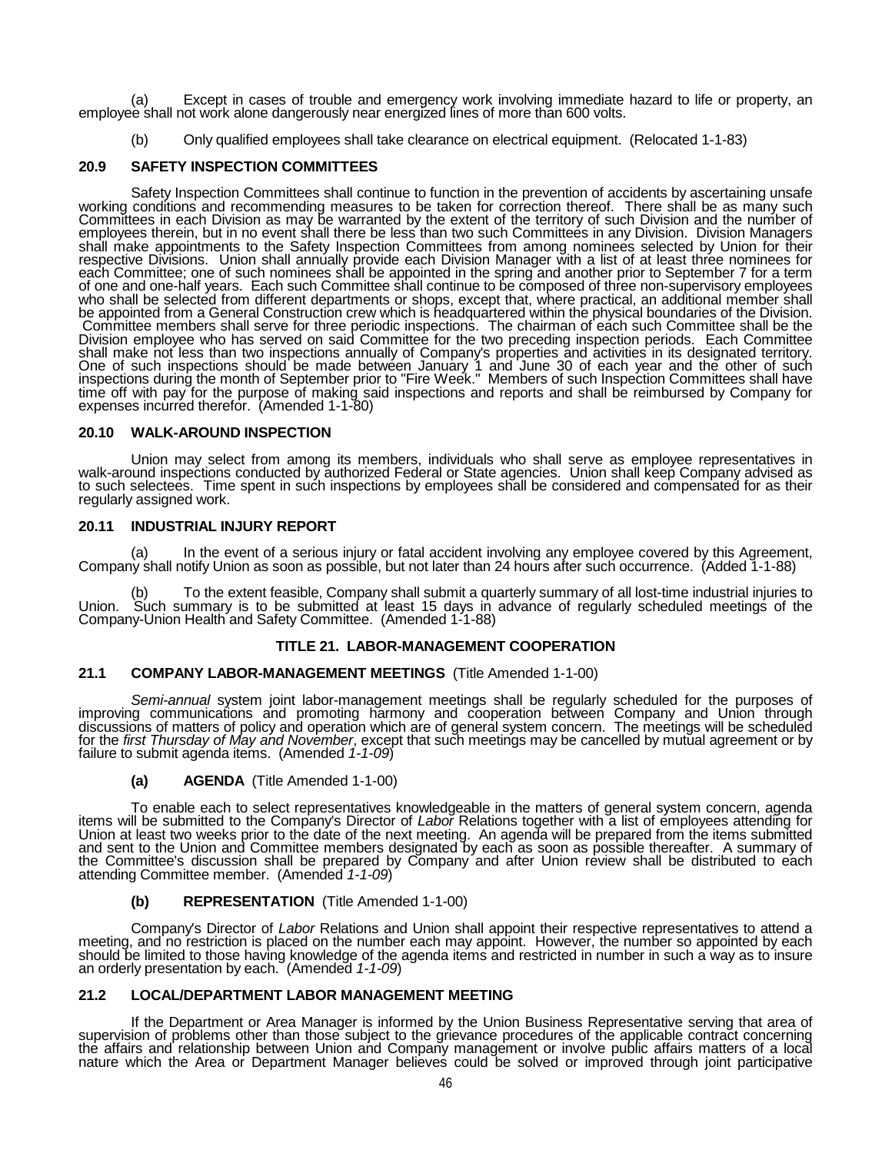(a) Except in cases of trouble and emergency work involving immediate hazard to life or property, an employee shall not work alone dangerously near energized lines of more than 600 volts.

(b) Only qualified employees shall take clearance on electrical equipment. (Relocated 1-1-83)

## **20.9 SAFETY INSPECTION COMMITTEES**

Safety Inspection Committees shall continue to function in the prevention of accidents by ascertaining unsafe<br>working conditions and recommending measures to be taken for correction thereof. There shall be as many such<br>Com employees therein, but in no event shall there be less than two such Committees in any Division. Division Managers shall make appointments to the Safety Inspection Committees from among nominees selected by Union for their<br>respective Divisions. Union shall annually provide each Division Manager with a list of at least three nominees fo each Committee; one of such nominees shall be appointed in the spring and another prior to September 7 for a term<br>of one and one-half years. Each such Committee shall continue to be composed of three non-supervisory employ Committee members shall serve for three periodic inspections. The chairman of each such Committee shall be the Division employee who has served on said Committee for the two preceding inspection periods. Each Committee shall make not less than two inspections annually of Company's properties and activities in its designated territory. One of such inspections should be made between January 1 and June 30 of each year and the other of such<br>inspections during the month of September prior to "Fire Week." Members of such Inspection Committees shall have time off with pay for the purpose of making said inspections and reports and shall be reimbursed by Company for expenses incurred therefor. (Amended 1-1-80)

## **20.10 WALK-AROUND INSPECTION**

Union may select from among its members, individuals who shall serve as employee representatives in<br>walk-around inspections conducted by authorized Federal or State agencies. Union shall keep Company advised as<br>to such sel regularly assigned work.

### **20.11 INDUSTRIAL INJURY REPORT**

(a) In the event of a serious injury or fatal accident involving any employee covered by this Agreement, Company shall notify Union as soon as possible, but not later than 24 hours after such occurrence. (Added 1-1-88)

(b) To the extent feasible, Company shall submit a quarterly summary of all lost-time industrial injuries to Union. Such summary is to be submitted at least 15 days in advance of regularly scheduled meetings of the Company-Union Health and Safety Committee. (Amended 1-1-88)

### **TITLE 21. LABOR-MANAGEMENT COOPERATION**

# **21.1 COMPANY LABOR-MANAGEMENT MEETINGS** (Title Amended 1-1-00)

Semi-annual system joint labor-management meetings shall be regularly scheduled for the purposes of<br>improving communications and promoting harmony and cooperation between Company and Union through<br>discussions of matters of for the *first Thursday of May and November*, except that such meetings may be cancelled by mutual agreement or by<br>failure to submit agenda items. (Amended *1-1-09*)

**(a) AGENDA** (Title Amended 1-1-00)

To enable each to select representatives knowledgeable in the matters of general system concern, agenda<br>items will be submitted to the Company's Director of *Labor* Relations together with a list of employees attending for the Committee's discussion shall be prepared by Company and after Union review shall be distributed to each attending Committee member. (Amended *1-1-09*)

### **(b) REPRESENTATION** (Title Amended 1-1-00)

Company's Director of *Labor* Relations and Union shall appoint their respective representatives to attend a meeting, and no restriction is placed on the number each may appoint. However, the number so appointed by each should be limited to those having knowledge of the agenda items and restricted in number in such a way as to insure an orderly presentation by each. (Amended *1-1-09*)

### **21.2 LOCAL/DEPARTMENT LABOR MANAGEMENT MEETING**

If the Department or Area Manager is informed by the Union Business Representative serving that area of supervision of problems other than those subject to the grievance procedures of the applicable contract concerning the affairs and relationship between Union and Company management or involve public affairs matters of a local nature which the Area or Department Manager believes could be solved or improved through joint participative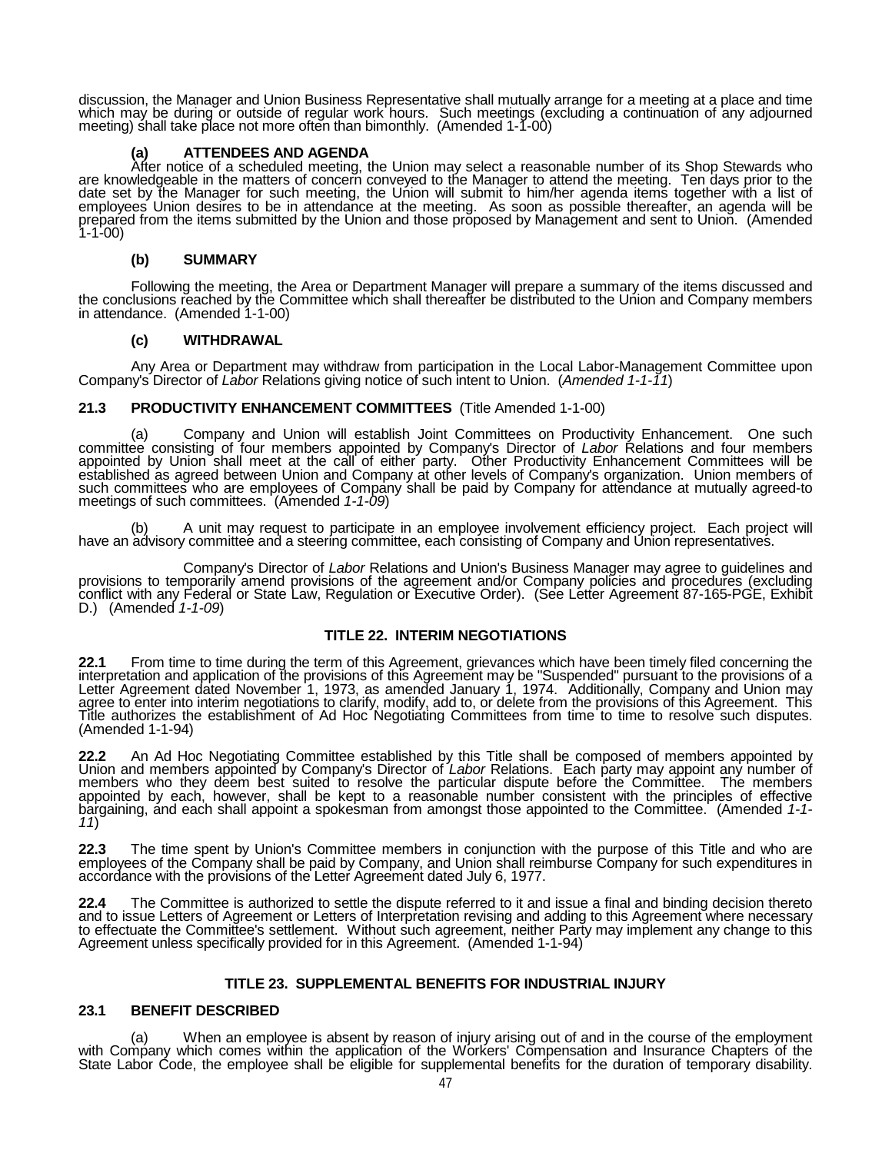discussion, the Manager and Union Business Representative shall mutually arrange for a meeting at a place and time which may be during or outside of regular work hours. Such meetings (excluding a continuation of any adjourned meeting) shall take place not more often than bimonthly. (Amended 1-1-00)

**(a) ATTENDEES AND AGENDA** After notice of a scheduled meeting, the Union may select a reasonable number of its Shop Stewards who are knowledgeable in the matters of concern conveyed to the Manager to attend the meeting. Ten days prior to the date set by the Manager for such meeting, the Union will submit to him/her agenda items together with a list of employees Union desires to be in attendance at the meeting. As soon as possible thereafter, an agenda will be prepared from the items submitted by the Union and those proposed by Management and sent to Union. (Amended  $1 - 1 - 00$ 

## **(b) SUMMARY**

Following the meeting, the Area or Department Manager will prepare a summary of the items discussed and the conclusions reached by the Committee which shall thereafter be distributed to the Union and Company members in attendance. (Amended 1-1-00)

## **(c) WITHDRAWAL**

Any Area or Department may withdraw from participation in the Local Labor-Management Committee upon Company's Director of *Labor* Relations giving notice of such intent to Union. (*Amended 1-1-11*)

## **21.3 PRODUCTIVITY ENHANCEMENT COMMITTEES** (Title Amended 1-1-00)

(a) Company and Union will establish Joint Committees on Productivity Enhancement. One such committee consisting of four members appointed by Company's Director of *Labor* Relations and four members appointed by Union shall meet at the call of either party. Other Productivity Enhancement Committees will be<br>established as agreed between Union and Company at other levels of Company's organization. Union members of such committees who are employees of Company shall be paid by Company for attendance at mutually agreed-to meetings of such committees. (Amended *1-1-09*)

(b) A unit may request to participate in an employee involvement efficiency project. Each project will have an advisory committee and a steering committee, each consisting of Company and Union representatives.

Company's Director of *Labor* Relations and Union's Business Manager may agree to guidelines and provisions to temporarily amend provisions of the agreement and/or Company policies and procedures (excluding conflict with any Federal or State Law, Regulation or Executive Order). (See Letter Agreement 87-165-PGE, Exhibit D.) (Amended *1-1-09*)

# **TITLE 22. INTERIM NEGOTIATIONS**

**22.1** From time to time during the term of this Agreement, grievances which have been timely filed concerning the<br>interpretation and application of the provisions of this Agreement may be "Suspended" pursuant to the provi agree to enter into interim negotiations to clarify, modify, add to, or delete from the provisions of this Agreement. This<br>Title authorizes the establishment of Ad Hoc Negotiating Committees from time to time to resolve su (Amended 1-1-94)

22.2 An Ad Hoc Negotiating Committee established by this Title shall be composed of members appointed by Union and members appointed by Company's Director of Labor Relations. Each party may appoint any number of members wh appointed by each, however, shall be kept to a reasonable number consistent with the principles of effective bargaining, and each shall appoint a spokesman from amongst those appointed to the Committee. (Amended 1-1-<br>11)

**22.3** The time spent by Union's Committee members in conjunction with the purpose of this Title and who are employees of the Company shall be paid by Company, and Union shall reimburse Company for such expenditures in accordance with the provisions of the Letter Agreement dated July 6, 1977.

22.4 The Committee is authorized to settle the dispute referred to it and issue a final and binding decision thereto and to issue Letters of Agreement or Letters of Hereto and to issue Letters of Agreement or Letters of In to effectuate the Committee's settlement. Without such agreement, neither Party may implement any change to this Agreement unless specifically provided for in this Agreement. (Amended 1-1-94)

## **TITLE 23. SUPPLEMENTAL BENEFITS FOR INDUSTRIAL INJURY**

# **23.1 BENEFIT DESCRIBED**

(a) When an employee is absent by reason of injury arising out of and in the course of the employment with Company which comes within the application of the Workers' Compensation and Insurance Chapters of the State Labor Code, the employee shall be eligible for supplemental benefits for the duration of temporary disability.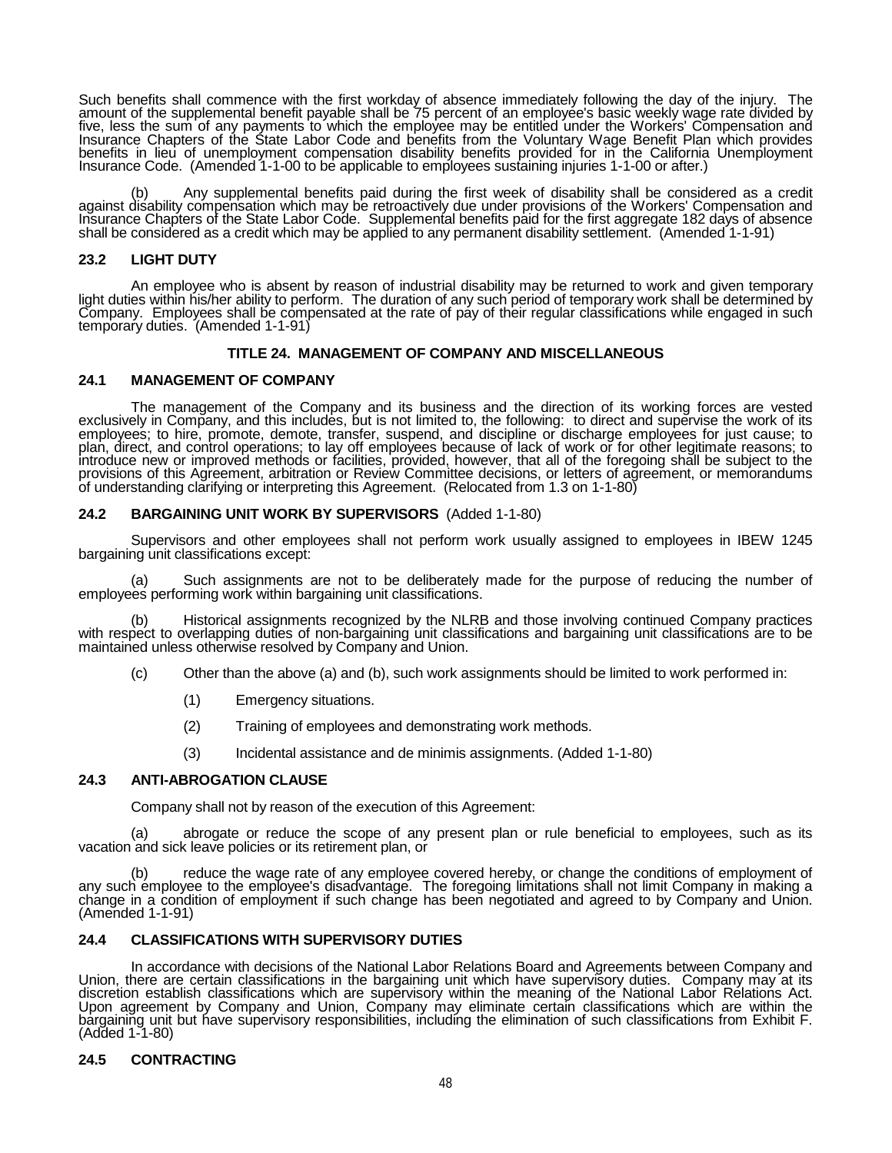Such benefits shall commence with the first workday of absence immediately following the day of the injury. The amount of the supplemental benefit payable shall be 75 percent of an employee's basic weekly wage rate divided by<br>five, less the sum of any payments to which the employee may be entitled under the Workers' Compensation and Insurance Chapters of the State Labor Code and benefits from the Voluntary Wage Benefit Plan which provides<br>benefits in lieu of unemployment compensation disability benefits provided for in the California Unemployment Insurance Code. (Amended 1-1-00 to be applicable to employees sustaining injuries 1-1-00 or after.)

(b) Any supplemental benefits paid during the first week of disability shall be considered as a credit<br>against disability compensation which may be retroactively due under provisions of the Workers' Compensation and Insurance Chapters of the State Labor Code. Supplemental benefits paid for the first aggregate 182 days of absence<br>shall be considered as a credit which may be applied to any permanent disability settlement. (Amended 1-1

### **23.2 LIGHT DUTY**

An employee who is absent by reason of industrial disability may be returned to work and given temporary<br>light duties within his/her ability to perform. The duration of any such period of temporary work shall be determined Company. Employees shall be compensated at the rate of pay of their regular classifications while engaged in such<br>temporary duties. (Amended 1-1-91)

# **TITLE 24. MANAGEMENT OF COMPANY AND MISCELLANEOUS**

## **24.1 MANAGEMENT OF COMPANY**

The management of the Company and its business and the direction of its working forces are vested<br>exclusively in Company, and this includes, but is not limited to, the following: to direct and supervise the work of its<br>emp plan, direct, and control operations; to lay off employees because of lack of work or for other legitimate reasons; to<br>introduce new or improved methods or facilities, provided, however, that all of the foregoing shall be provisions of this Agreement, arbitration or Review Committee decisions, or letters of agreement, or memorandums<br>of understanding clarifying or interpreting this Agreement. (Relocated from 1.3 on 1-1-80)

### **24.2 BARGAINING UNIT WORK BY SUPERVISORS** (Added 1-1-80)

Supervisors and other employees shall not perform work usually assigned to employees in IBEW 1245 bargaining unit classifications except:

(a) Such assignments are not to be deliberately made for the purpose of reducing the number of employees performing work within bargaining unit classifications.

(b) Historical assignments recognized by the NLRB and those involving continued Company practices<br>with respect to overlapping duties of non-bargaining unit classifications and bargaining unit classifications are to be<br>main

- (c) Other than the above (a) and (b), such work assignments should be limited to work performed in:
	- (1) Emergency situations.
	- (2) Training of employees and demonstrating work methods.
	- (3) Incidental assistance and de minimis assignments. (Added 1-1-80)

### **24.3 ANTI-ABROGATION CLAUSE**

Company shall not by reason of the execution of this Agreement:

(a) abrogate or reduce the scope of any present plan or rule beneficial to employees, such as its vacation and sick leave policies or its retirement plan, or

(b) reduce the wage rate of any employee covered hereby, or change the conditions of employment of any such employee to the employee's disadvantage. The foregoing limitations shall not limit Company in making a change in a condition of employment if such change has been negotiated and agreed to by Company and Union.<br>(Amended 1-1-91)

## **24.4 CLASSIFICATIONS WITH SUPERVISORY DUTIES**

In accordance with decisions of the National Labor Relations Board and Agreements between Company and Union, there are certain classifications in the bargaining unit which have supervisory duties. Company may at its discretion establish classifications which are supervisory within the meaning of the National Labor Relations Act. Upon agreement by Company and Union, Company may eliminate certain classifications which are within the bargaining unit but have supervisory responsibilities, including the elimination of such classifications from Exhibit F. (Added 1-1-80)

### **24.5 CONTRACTING**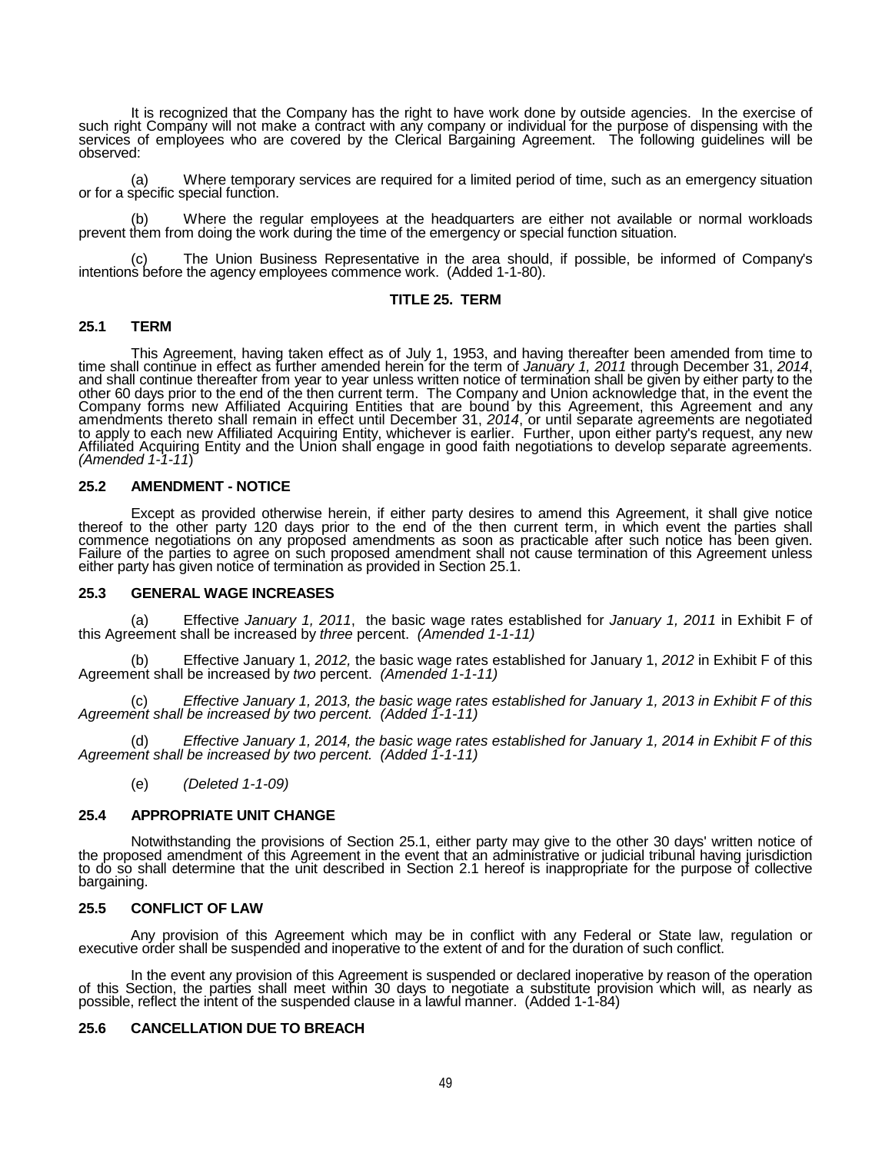It is recognized that the Company has the right to have work done by outside agencies. In the exercise of such right Company will not make a contract with any company or individual for the purpose of dispensing with the services of employees who are covered by the Clerical Bargaining Agreement. The following guidelines will be observed:

(a) Where temporary services are required for a limited period of time, such as an emergency situation or for a specific special function.

Where the regular employees at the headquarters are either not available or normal workloads prevent them from doing the work during the time of the emergency or special function situation.

(c) The Union Business Representative in the area should, if possible, be informed of Company's intentions before the agency employees commence work. (Added 1-1-80).

## **TITLE 25. TERM**

### **25.1 TERM**

This Agreement, having taken effect as of July 1, 1953, and having thereafter been amended from time to time shall continue in effect as further amended herein for the term of January 1, 2011 through December 31, 2014, other 60 days prior to the end of the then current term. The Company and Union acknowledge that, in the event the<br>Company forms new Affiliated Acquiring Entities that are bound by this Agreement, this Agreement and any amendments thereto shall remain in effect until December 31, 2014, or until separate agreements are negotiated<br>to apply to each new Affiliated Acquiring Entity, whichever is earlier. Further, upon either party's request, Affiliated Acquiring Entity and the Union shall engage in good faith negotiations to develop separate agreements.<br>(Amended 1-1-11)

#### **25.2 AMENDMENT - NOTICE**

Except as provided otherwise herein, if either party desires to amend this Agreement, it shall give notice thereof to the other party 120 days prior to the end of the then current term, in which event the parties shall com commence negotiations on any proposed amendments as soon as practicable after such notice has been given.<br>Failure of the parties to agree on such proposed amendment shall not cause termination of this Agreement unless either party has given notice of termination as provided in Section 25.1.

#### **25.3 GENERAL WAGE INCREASES**

(a) Effective *January 1, 2011*, the basic wage rates established for *January 1, 2011* in Exhibit F of this Agreement shall be increased by *three* percent. *(Amended 1-1-11)*

(b) Effective January 1, *2012,* the basic wage rates established for January 1, *2012* in Exhibit F of this Agreement shall be increased by *two* percent. *(Amended 1-1-11)*

(c) *Effective January 1, 2013, the basic wage rates established for January 1, 2013 in Exhibit F of this Agreement shall be increased by two percent. (Added 1-1-11)*

(d) *Effective January 1, 2014, the basic wage rates established for January 1, 2014 in Exhibit F of this Agreement shall be increased by two percent. (Added 1-1-11)*

(e) *(Deleted 1-1-09)*

### **25.4 APPROPRIATE UNIT CHANGE**

Notwithstanding the provisions of Section 25.1, either party may give to the other 30 days' written notice of<br>the proposed amendment of this Agreement in the event that an administrative or judicial tribunal having jurisdi to do so shall determine that the unit described in Section 2.1 hereof is inappropriate for the purpose of collective<br>bargaining.

### **25.5 CONFLICT OF LAW**

Any provision of this Agreement which may be in conflict with any Federal or State law, regulation or executive order shall be suspended and inoperative to the extent of and for the duration of such conflict.

In the event any provision of this Agreement is suspended or declared inoperative by reason of the operation<br>of this Section, the parties shall meet within 30 days to negotiate a substitute provision which will, as nearly

### **25.6 CANCELLATION DUE TO BREACH**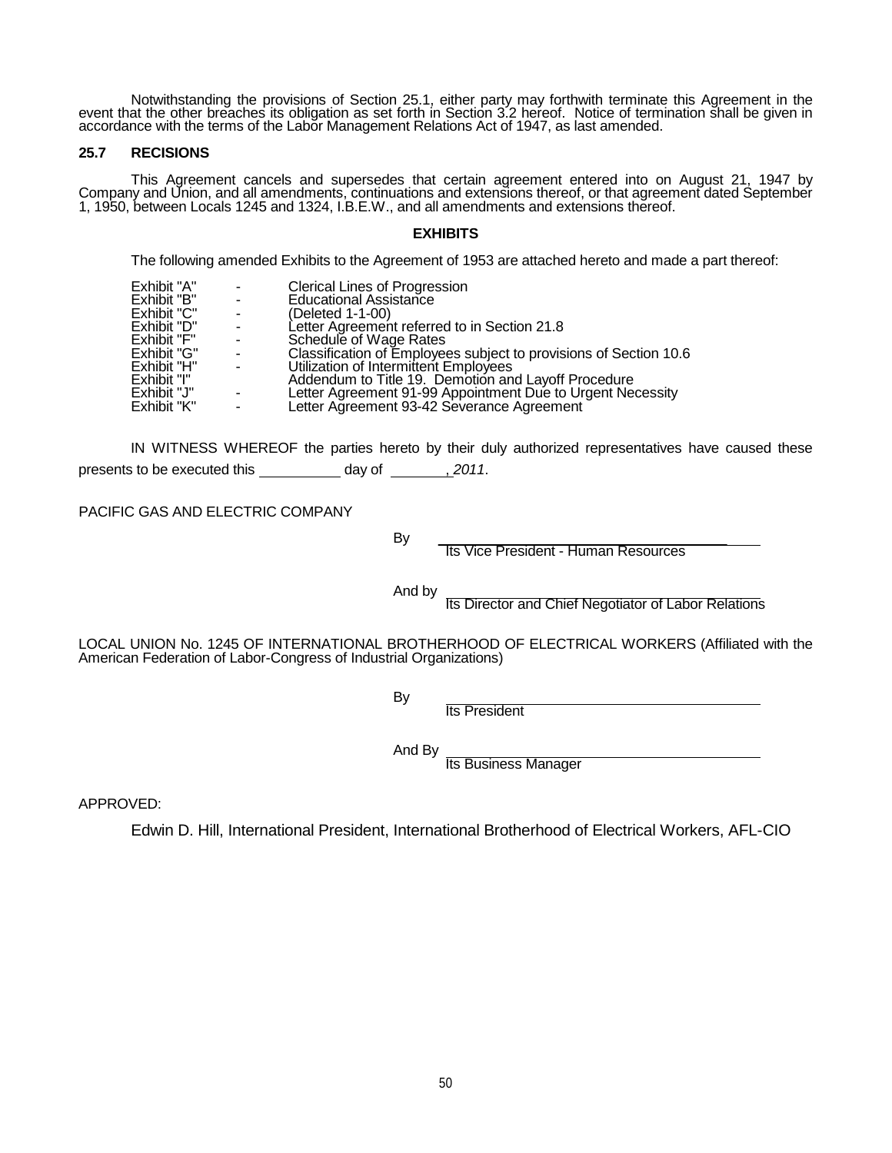Notwithstanding the provisions of Section 25.1, either party may forthwith terminate this Agreement in the<br>event that the other breaches its obligation as set forth in Section 3.2 hereof. Notice of termination shall be giv accordance with the terms of the Labor Management Relations Act of 1947, as last amended.

## **25.7 RECISIONS**

This Agreement cancels and supersedes that certain agreement entered into on August 21, 1947 by Company and Union, and all amendments, continuations and extensions thereof, or that agreement dated September 1, 1950, between Locals 1245 and 1324, I.B.E.W., and all amendments and extensions thereof.

# **EXHIBITS**

The following amended Exhibits to the Agreement of 1953 are attached hereto and made a part thereof:

| Exhibit "A"<br><b>Clerical Lines of Progression</b><br>Exhibit "B"<br><b>Educational Assistance</b><br>$\sim 100$<br>Exhibit "C"<br>(Deleted 1-1-00)<br>$\overline{\phantom{a}}$<br>Exhibit "D"<br>Letter Agreement referred to in Section 21.8<br>$\sim$<br>Exhibit "F"<br>Schedule of Wage Rates<br>$\sim 100$<br>Classification of Employees subject to provisions of Section 10.6<br>Exhibit "G"<br>$\sim 100$<br>Exhibit "H"<br>Utilization of Intermittent Employees<br>$\sim 100$<br>Exhibit "I"<br>Addendum to Title 19. Demotion and Layoff Procedure<br>Exhibit "J"<br>Letter Agreement 91-99 Appointment Due to Urgent Necessity<br>$\sim$<br>Exhibit "K"<br>Letter Agreement 93-42 Severance Agreement<br>$\sim$ |  |  |  |  |  |
|------------------------------------------------------------------------------------------------------------------------------------------------------------------------------------------------------------------------------------------------------------------------------------------------------------------------------------------------------------------------------------------------------------------------------------------------------------------------------------------------------------------------------------------------------------------------------------------------------------------------------------------------------------------------------------------------------------------------------|--|--|--|--|--|
|------------------------------------------------------------------------------------------------------------------------------------------------------------------------------------------------------------------------------------------------------------------------------------------------------------------------------------------------------------------------------------------------------------------------------------------------------------------------------------------------------------------------------------------------------------------------------------------------------------------------------------------------------------------------------------------------------------------------------|--|--|--|--|--|

IN WITNESS WHEREOF the parties hereto by their duly authorized representatives have caused these presents to be executed this \_\_\_\_\_\_\_\_\_\_\_ day of \_\_\_\_\_\_\_\_\_ 2011.

PACIFIC GAS AND ELECTRIC COMPANY

By Its Vice President - Human Resources

And by Its Director and Chief Negotiator of Labor Relations

LOCAL UNION No. 1245 OF INTERNATIONAL BROTHERHOOD OF ELECTRICAL WORKERS (Affiliated with the American Federation of Labor-Congress of Industrial Organizations)

By **Its President** 

And By<br>Its Business Manager

APPROVED:

Edwin D. Hill, International President, International Brotherhood of Electrical Workers, AFL-CIO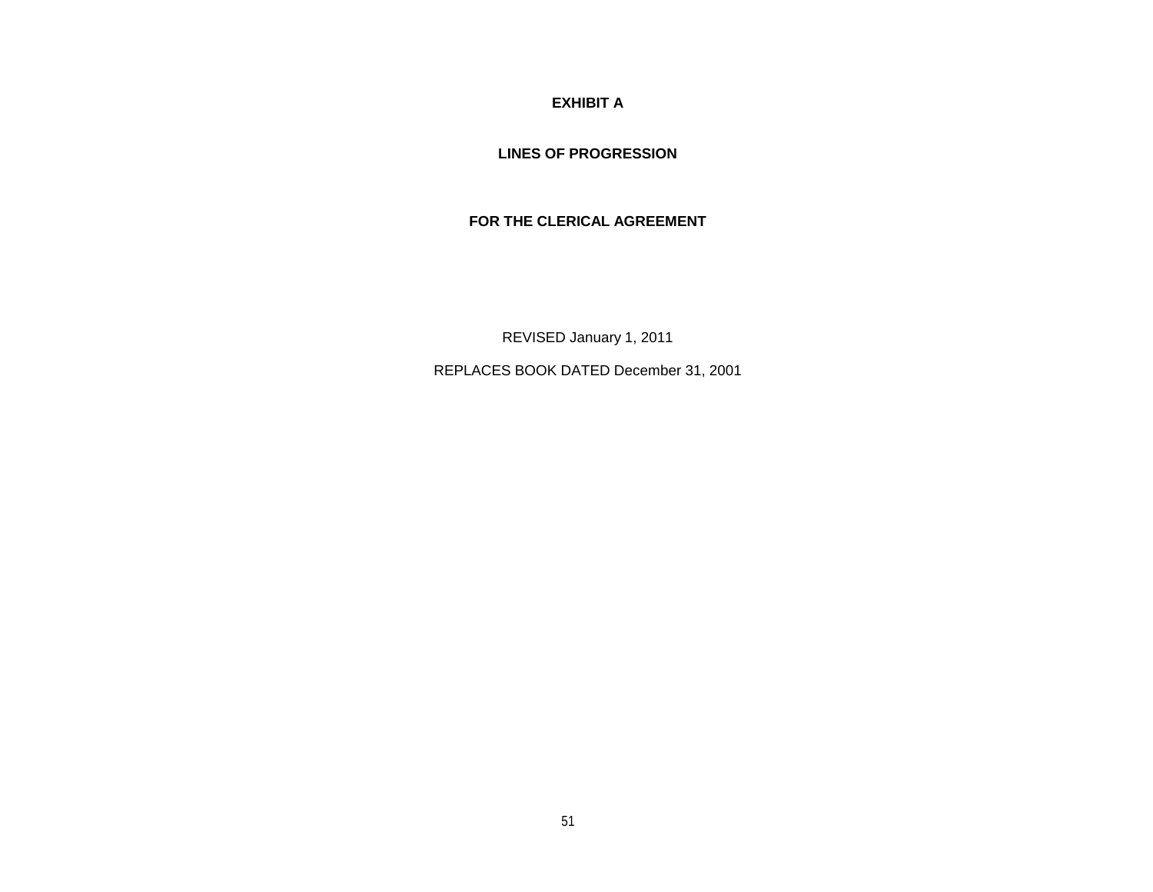**EXHIBIT A**

**LINES OF PROGRESSION**

**FOR THE CLERICAL AGREEMENT**

REVISED January 1, 2011

REPLACES BOOK DATED December 31, 2001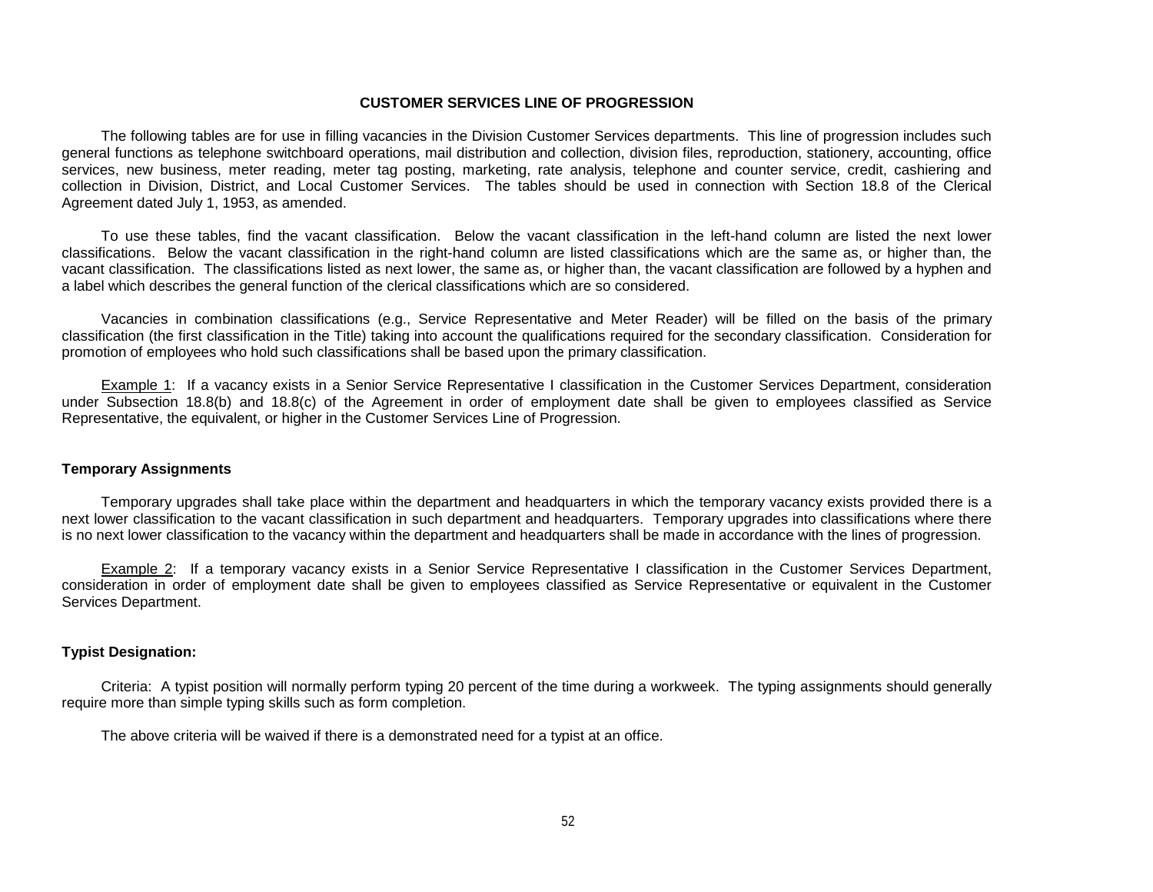#### **CUSTOMER SERVICES LINE OF PROGRESSION**

The following tables are for use in filling vacancies in the Division Customer Services departments. This line of progression includes such general functions as telephone switchboard operations, mail distribution and collection, division files, reproduction, stationery, accounting, office services, new business, meter reading, meter tag posting, marketing, rate analysis, telephone and counter service, credit, cashiering and collection in Division, District, and Local Customer Services. The tables should be used in connection with Section 18.8 of the Clerical Agreement dated July 1, 1953, as amended.

To use these tables, find the vacant classification. Below the vacant classification in the left-hand column are listed the next lower classifications. Below the vacant classification in the right-hand column are listed classifications which are the same as, or higher than, the vacant classification. The classifications listed as next lower, the same as, or higher than, the vacant classification are followed by a hyphen and a label which describes the general function of the clerical classifications which are so considered.

Vacancies in combination classifications (e.g., Service Representative and Meter Reader) will be filled on the basis of the primary classification (the first classification in the Title) taking into account the qualifications required for the secondary classification. Consideration for promotion of employees who hold such classifications shall be based upon the primary classification.

Example 1: If a vacancy exists in a Senior Service Representative I classification in the Customer Services Department, consideration under Subsection 18.8(b) and 18.8(c) of the Agreement in order of employment date shall be given to employees classified as Service Representative, the equivalent, or higher in the Customer Services Line of Progression.

#### **Temporary Assignments**

Temporary upgrades shall take place within the department and headquarters in which the temporary vacancy exists provided there is a next lower classification to the vacant classification in such department and headquarters. Temporary upgrades into classifications where there is no next lower classification to the vacancy within the department and headquarters shall be made in accordance with the lines of progression.

Example 2: If a temporary vacancy exists in a Senior Service Representative I classification in the Customer Services Department, consideration in order of employment date shall be given to employees classified as Service Representative or equivalent in the Customer Services Department.

#### **Typist Designation:**

Criteria: A typist position will normally perform typing 20 percent of the time during a workweek. The typing assignments should generally require more than simple typing skills such as form completion.

The above criteria will be waived if there is a demonstrated need for a typist at an office.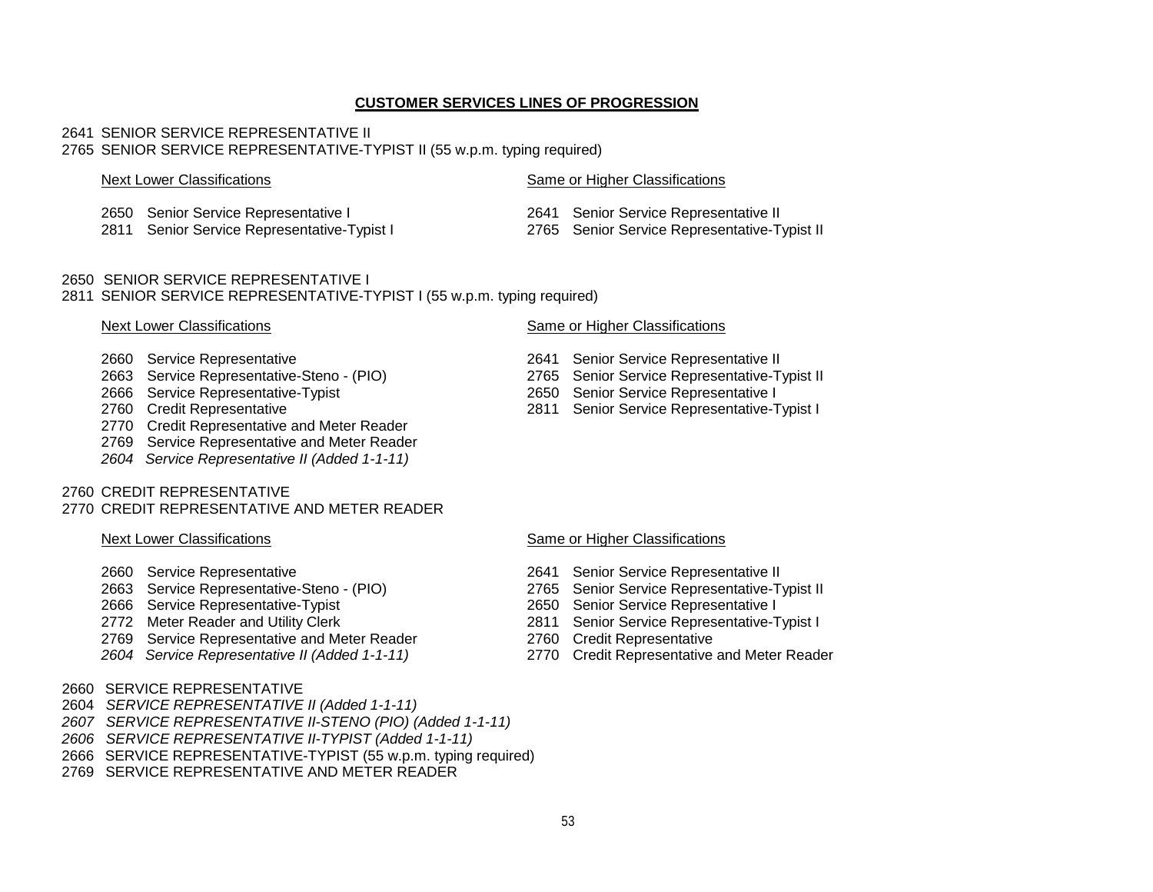## **CUSTOMER SERVICES LINES OF PROGRESSION**

#### 2641 SENIOR SERVICE REPRESENTATIVE II 2765 SENIOR SERVICE REPRESENTATIVE-TYPIST II (55 w.p.m. typing required)

### Next Lower Classifications **Same or Higher Classifications** Same or Higher Classifications

- 
- 2811 Senior Service Representative-Typist I
- 
- 2650 Senior Service Representative I 2641 Senior Service Representative II

## 2650 SENIOR SERVICE REPRESENTATIVE I 2811 SENIOR SERVICE REPRESENTATIVE-TYPIST I (55 w.p.m. typing required)

- 
- 
- 
- 
- 2770 Credit Representative and Meter Reader
- 2769 Service Representative and Meter Reader
- *2604 Service Representative II (Added 1-1-11)*

## 2760 CREDIT REPRESENTATIVE

# 2770 CREDIT REPRESENTATIVE AND METER READER

- 
- 
- 2666 Service Representative-Typist<br>2772 Meter Reader and Utility Clerk
- 
- 2769 Service Representative and Meter Reader
- *2604 Service Representative II (Added 1-1-11)* 2770 Credit Representative and Meter Reader
- 2660 SERVICE REPRESENTATIVE
- 2604 *SERVICE REPRESENTATIVE II (Added 1-1-11)*
- *2607 SERVICE REPRESENTATIVE II-STENO (PIO) (Added 1-1-11)*
- *2606 SERVICE REPRESENTATIVE II-TYPIST (Added 1-1-11)*
- 2666 SERVICE REPRESENTATIVE-TYPIST (55 w.p.m. typing required)
- 2769 SERVICE REPRESENTATIVE AND METER READER

# Next Lower Classifications **Same or Higher Classifications** Same or Higher Classifications

- 2660 Service Representative 2641 Senior Service Representative II
- 2663 Service Representative-Steno (PIO) 2765 Senior Service Representative-Typist II<br>2666 Service Representative-Typist 2650 Senior Service Representative I
- 2666 Service Representative-Typist 2650 Senior Service Representative I
	- 2811 Senior Service Representative-Typist I

## Next Lower Classifications **Same or Higher Classifications** Same or Higher Classifications

- 2660 Service Representative 2641 Senior Service Representative II
	- 2765 Senior Service Representative-Typist II<br>2650 Senior Service Representative I
	-
	- 2811 Senior Service Representative-Typist I<br>2760 Credit Representative
	-
	-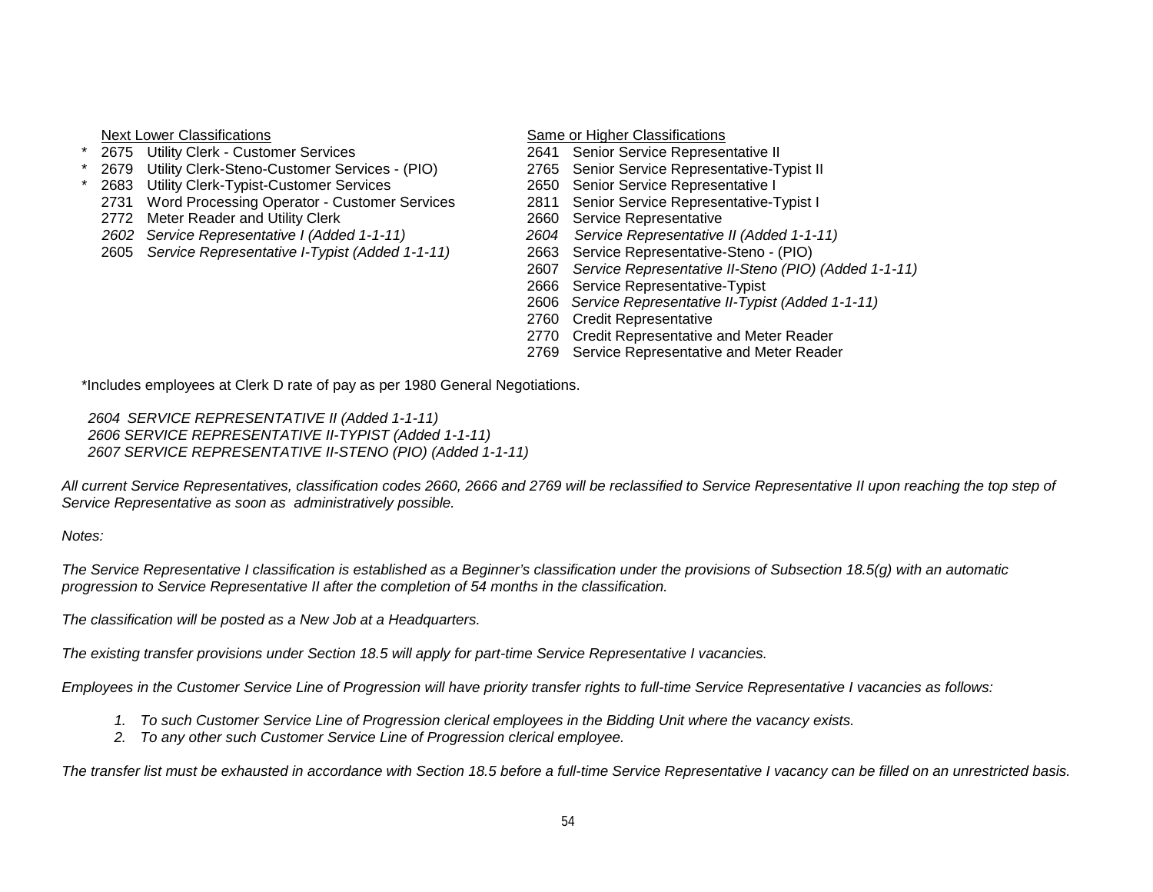- Next Lower Classifications<br>
2675 Utility Clerk Customer Services<br>
2641 Senior Service Representative II
- <sup>2675</sup> Utility Clerk Customer Services<br>
2641 Senior Service Representative II<br>
2765 Senior Service Representative-Typist II <sup>2679</sup> Utility Clerk-Steno-Customer Services - (PIO) 2765 Senior Service Representative-T<br>2683 Utility Clerk-Typist-Customer Services 2650 Senior Service Representative I
- 
- 2683 Utility Clerk-Typist-Customer Services<br>2731 Word Processing Operator Customer Services 2811 Senior Service Representative-Typist I 2731 Word Processing Operator - Customer Services
- 
- 
- 2605 Service Representative *I-Typist (Added 1-1-11)*

- 
- 
- 
- 
- 
- 2772 Meter Reader and Utility Clerk 2660 Service Representative<br>2602 Service Representative I (Added 1-1-11) 2604 Service Representative II (Added 1-1-11) *2602 Service Representative I (Added 1-1-11) 2604 Service Representative II (Added 1-1-11)*
	-
	- 2607 *Service Representative II-Steno (PIO) (Added 1-1-11)*
	- 2666 Service Representative-Typist
	- 2606 *Service Representative II-Typist (Added 1-1-11)*
	- 2760 Credit Representative
	- 2770 Credit Representative and Meter Reader
	- 2769 Service Representative and Meter Reader

\*Includes employees at Clerk D rate of pay as per 1980 General Negotiations.

*2604 SERVICE REPRESENTATIVE II (Added 1-1-11) 2606 SERVICE REPRESENTATIVE II-TYPIST (Added 1-1-11) 2607 SERVICE REPRESENTATIVE II-STENO (PIO) (Added 1-1-11)*

*All current Service Representatives, classification codes 2660, 2666 and 2769 will be reclassified to Service Representative II upon reaching the top step of Service Representative as soon as administratively possible.*

*Notes:*

*The Service Representative I classification is established as a Beginner's classification under the provisions of Subsection 18.5(g) with an automatic progression to Service Representative II after the completion of 54 months in the classification.*

*The classification will be posted as a New Job at a Headquarters.*

*The existing transfer provisions under Section 18.5 will apply for part-time Service Representative I vacancies.*

*Employees in the Customer Service Line of Progression will have priority transfer rights to full-time Service Representative I vacancies as follows:*

- *1. To such Customer Service Line of Progression clerical employees in the Bidding Unit where the vacancy exists.*
- *2. To any other such Customer Service Line of Progression clerical employee.*

*The transfer list must be exhausted in accordance with Section 18.5 before a full-time Service Representative I vacancy can be filled on an unrestricted basis.*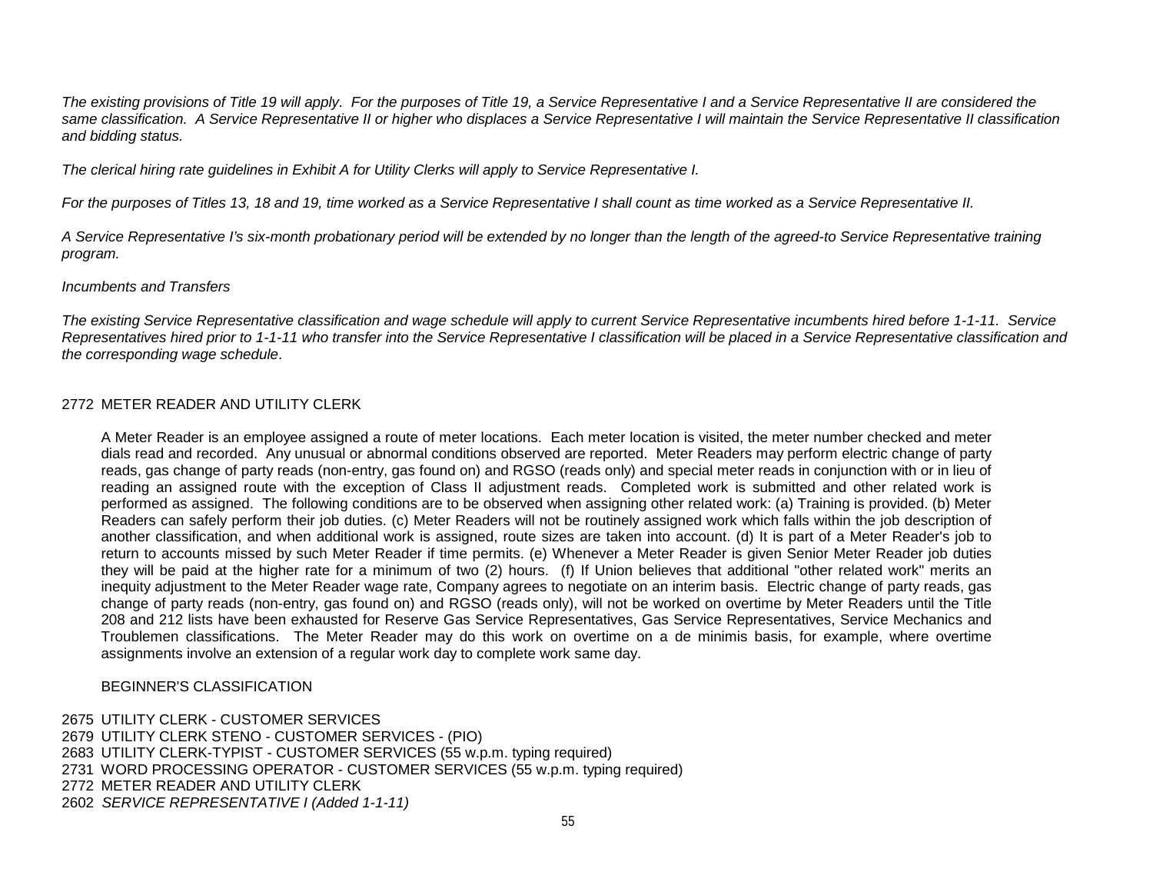*The existing provisions of Title 19 will apply. For the purposes of Title 19, a Service Representative I and a Service Representative II are considered the same classification. A Service Representative II or higher who displaces a Service Representative I will maintain the Service Representative II classification and bidding status.*

*The clerical hiring rate guidelines in Exhibit A for Utility Clerks will apply to Service Representative I.*

*For the purposes of Titles 13, 18 and 19, time worked as a Service Representative I shall count as time worked as a Service Representative II.*

*A Service Representative I's six-month probationary period will be extended by no longer than the length of the agreed-to Service Representative training program.*

# *Incumbents and Transfers*

*The existing Service Representative classification and wage schedule will apply to current Service Representative incumbents hired before 1-1-11. Service Representatives hired prior to 1-1-11 who transfer into the Service Representative I classification will be placed in a Service Representative classification and the corresponding wage schedule*.

## 2772 METER READER AND UTILITY CLERK

A Meter Reader is an employee assigned a route of meter locations. Each meter location is visited, the meter number checked and meter dials read and recorded. Any unusual or abnormal conditions observed are reported. Meter Readers may perform electric change of party reads, gas change of party reads (non-entry, gas found on) and RGSO (reads only) and special meter reads in conjunction with or in lieu of reading an assigned route with the exception of Class II adjustment reads. Completed work is submitted and other related work is performed as assigned. The following conditions are to be observed when assigning other related work: (a) Training is provided. (b) Meter Readers can safely perform their job duties. (c) Meter Readers will not be routinely assigned work which falls within the job description of another classification, and when additional work is assigned, route sizes are taken into account. (d) It is part of a Meter Reader's job to return to accounts missed by such Meter Reader if time permits. (e) Whenever a Meter Reader is given Senior Meter Reader job duties they will be paid at the higher rate for a minimum of two (2) hours. (f) If Union believes that additional "other related work" merits an inequity adjustment to the Meter Reader wage rate, Company agrees to negotiate on an interim basis. Electric change of party reads, gas change of party reads (non-entry, gas found on) and RGSO (reads only), will not be worked on overtime by Meter Readers until the Title 208 and 212 lists have been exhausted for Reserve Gas Service Representatives, Gas Service Representatives, Service Mechanics and Troublemen classifications. The Meter Reader may do this work on overtime on a de minimis basis, for example, where overtime assignments involve an extension of a regular work day to complete work same day.

## BEGINNER'S CLASSIFICATION

 UTILITY CLERK - CUSTOMER SERVICES UTILITY CLERK STENO - CUSTOMER SERVICES - (PIO) UTILITY CLERK-TYPIST - CUSTOMER SERVICES (55 w.p.m. typing required) WORD PROCESSING OPERATOR - CUSTOMER SERVICES (55 w.p.m. typing required) METER READER AND UTILITY CLERK *SERVICE REPRESENTATIVE I (Added 1-1-11)*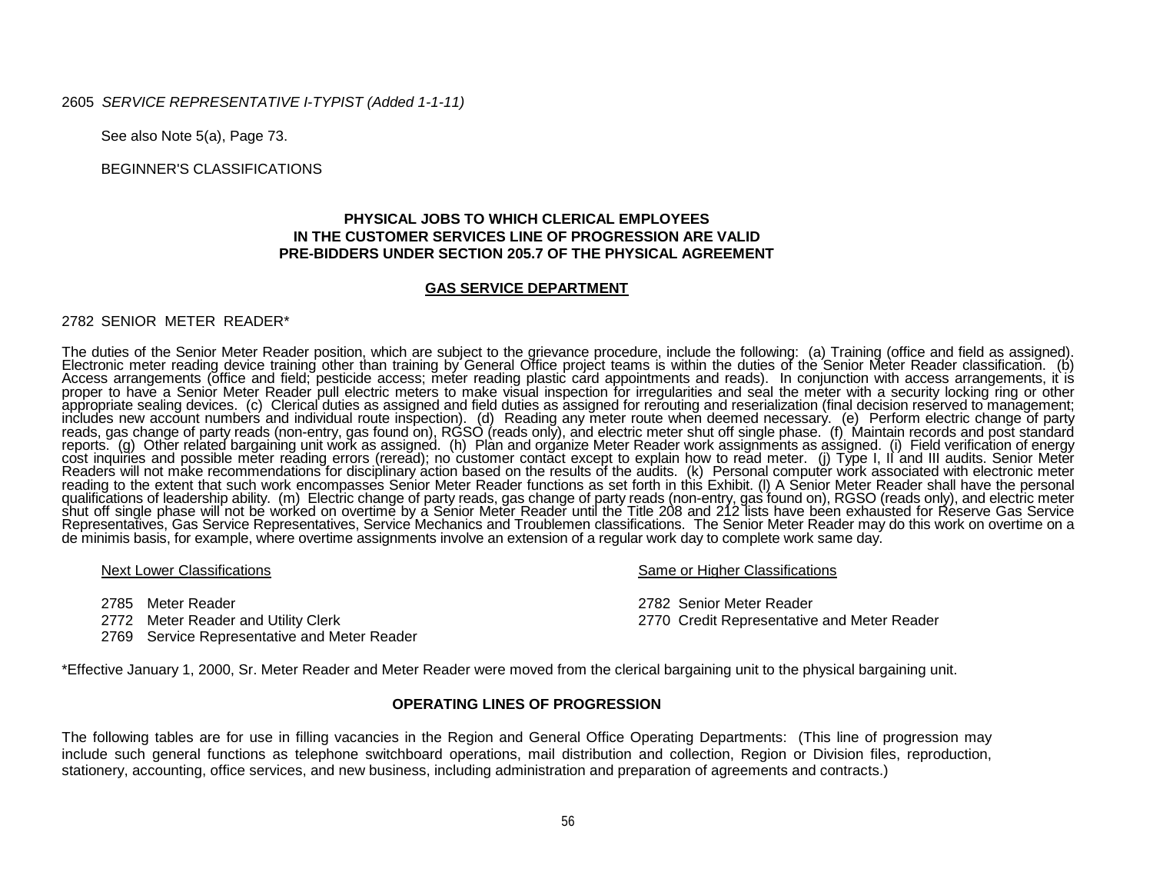### See also Note 5(a), Page 73.

2605 *SERVICE REPRESENTATIVE I-TYPIST (Added 1-1-11)*

BEGINNER'S CLASSIFICATIONS

## **PHYSICAL JOBS TO WHICH CLERICAL EMPLOYEES IN THE CUSTOMER SERVICES LINE OF PROGRESSION ARE VALID PRE-BIDDERS UNDER SECTION 205.7 OF THE PHYSICAL AGREEMENT**

#### **GAS SERVICE DEPARTMENT**

#### 2782 SENIOR METER READER\*

The duties of the Senior Meter Reader position, which are subject to the grievance procedure, include the following: (a) Training (office and field as assigned).<br>Electronic meter reading device training obter than training reading to the extent that such work encompasses Senior Meter Reader functions as set forth in this Exhibit. (I) A Senior Meter Reader shall have the personal qualifications of leadership ability. (m) Electric change of pa Representatives, Gas Service Representatives, Service Mechanics and Troublemen classifications. The Senior Meter Reader may do this work on overtime on a de minimis basis, for example, where overtime assignments involve an extension of a regular work day to complete work same day.

2770 Credit Representative and Meter Reader

Next Lower Classifications Next Lower Classifications Same or Higher Classifications

2785 Meter Reader 2782 Senior Meter Reader

2769 Service Representative and Meter Reader

\*Effective January 1, 2000, Sr. Meter Reader and Meter Reader were moved from the clerical bargaining unit to the physical bargaining unit.

#### **OPERATING LINES OF PROGRESSION**

The following tables are for use in filling vacancies in the Region and General Office Operating Departments: (This line of progression may include such general functions as telephone switchboard operations, mail distribution and collection, Region or Division files, reproduction, stationery, accounting, office services, and new business, including administration and preparation of agreements and contracts.)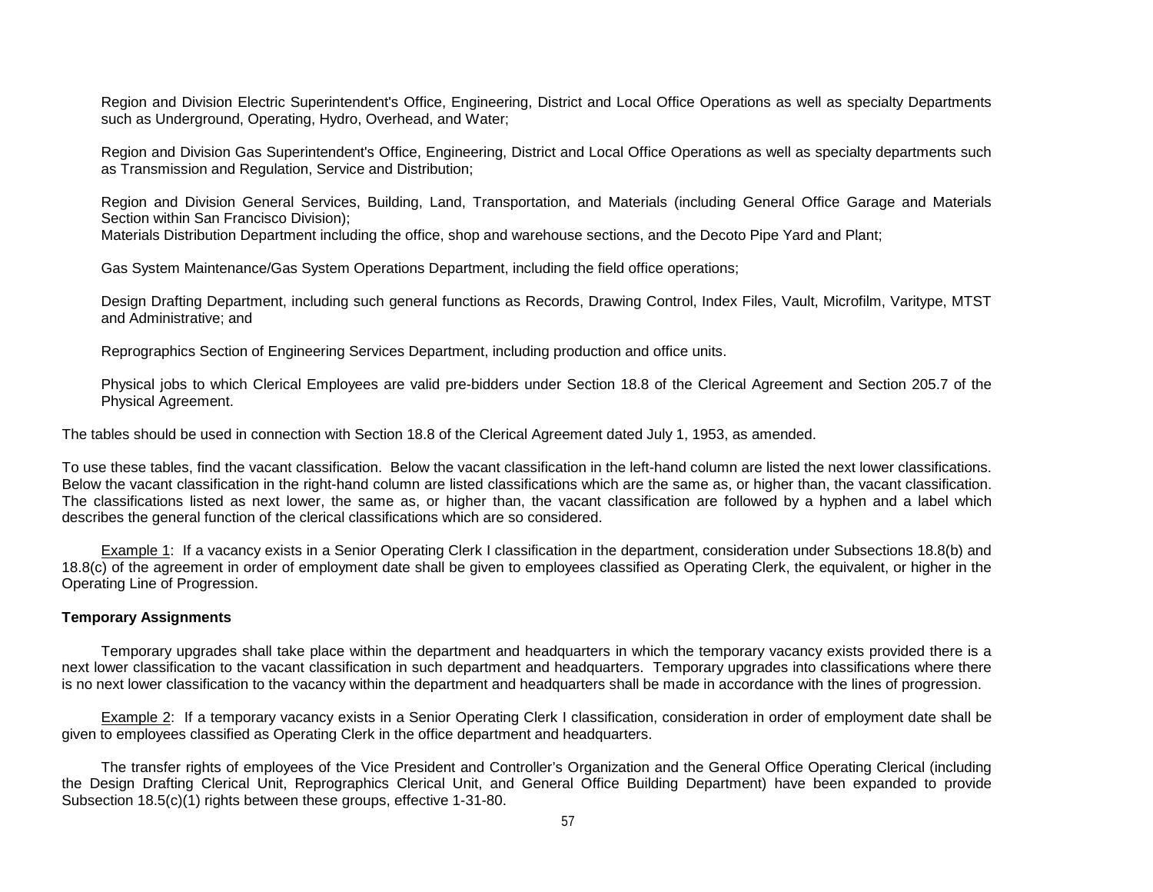Region and Division Electric Superintendent's Office, Engineering, District and Local Office Operations as well as specialty Departments such as Underground, Operating, Hydro, Overhead, and Water;

Region and Division Gas Superintendent's Office, Engineering, District and Local Office Operations as well as specialty departments such as Transmission and Regulation, Service and Distribution;

Region and Division General Services, Building, Land, Transportation, and Materials (including General Office Garage and Materials Section within San Francisco Division); Materials Distribution Department including the office, shop and warehouse sections, and the Decoto Pipe Yard and Plant;

Gas System Maintenance/Gas System Operations Department, including the field office operations;

Design Drafting Department, including such general functions as Records, Drawing Control, Index Files, Vault, Microfilm, Varitype, MTST and Administrative; and

Reprographics Section of Engineering Services Department, including production and office units.

Physical jobs to which Clerical Employees are valid pre-bidders under Section 18.8 of the Clerical Agreement and Section 205.7 of the Physical Agreement.

The tables should be used in connection with Section 18.8 of the Clerical Agreement dated July 1, 1953, as amended.

To use these tables, find the vacant classification. Below the vacant classification in the left-hand column are listed the next lower classifications. Below the vacant classification in the right-hand column are listed classifications which are the same as, or higher than, the vacant classification. The classifications listed as next lower, the same as, or higher than, the vacant classification are followed by a hyphen and a label which describes the general function of the clerical classifications which are so considered.

Example 1: If a vacancy exists in a Senior Operating Clerk I classification in the department, consideration under Subsections 18.8(b) and 18.8(c) of the agreement in order of employment date shall be given to employees classified as Operating Clerk, the equivalent, or higher in the Operating Line of Progression.

### **Temporary Assignments**

Temporary upgrades shall take place within the department and headquarters in which the temporary vacancy exists provided there is a next lower classification to the vacant classification in such department and headquarters. Temporary upgrades into classifications where there is no next lower classification to the vacancy within the department and headquarters shall be made in accordance with the lines of progression.

Example 2: If a temporary vacancy exists in a Senior Operating Clerk I classification, consideration in order of employment date shall be given to employees classified as Operating Clerk in the office department and headquarters.

The transfer rights of employees of the Vice President and Controller's Organization and the General Office Operating Clerical (including the Design Drafting Clerical Unit, Reprographics Clerical Unit, and General Office Building Department) have been expanded to provide Subsection 18.5(c)(1) rights between these groups, effective 1-31-80.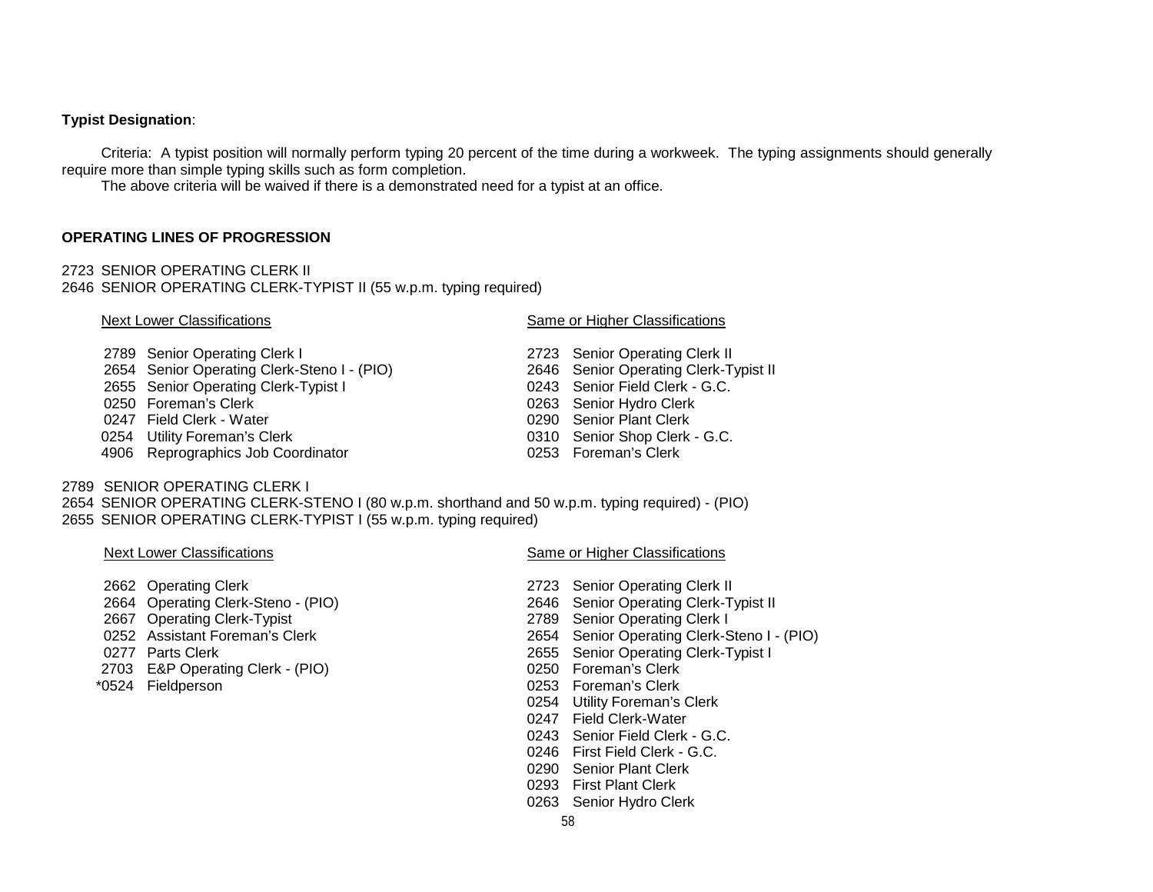## **Typist Designation**:

Criteria: A typist position will normally perform typing 20 percent of the time during a workweek. The typing assignments should generally require more than simple typing skills such as form completion.

The above criteria will be waived if there is a demonstrated need for a typist at an office.

### **OPERATING LINES OF PROGRESSION**

2723 SENIOR OPERATING CLERK II 2646 SENIOR OPERATING CLERK-TYPIST II (55 w.p.m. typing required)

#### Next Lower Classifications **Same or Higher Classifications** Same or Higher Classifications

0310 Senior Shop Clerk - G.C.

- 
- 2789 Senior Operating Clerk I<br>
2723 Senior Operating Clerk-Steno I (PIO)<br>
2646 Senior Operating Clerk-Typist II 2654 Senior Operating Clerk-Steno I - (PIO)
- 2655 Senior Operating Clerk-Typist I 0243 Senior Field Clerk G.C.
- 0250 Foreman's Clerk 0250 Foreman's Clerk 1990 Senior Hydro Clerk 0247 Field Clerk 0247 Field Clerk 0247 Field Clerk
- 0247 Field Clerk Water<br>0254 Utility Foreman's Clerk
- 
- 4906 Reprographics Job Coordinator 0253 Foreman's Clerk

# 2789 SENIOR OPERATING CLERK I

2654 SENIOR OPERATING CLERK-STENO I (80 w.p.m. shorthand and 50 w.p.m. typing required) - (PIO) 2655 SENIOR OPERATING CLERK-TYPIST I (55 w.p.m. typing required)

- 
- 
- 
- 
- 
- 2703 E&P Operating Clerk (PIO)
- 

### Next Lower Classifications **Same or Higher Classifications** Same or Higher Classifications

- 2662 Operating Clerk 2723 Senior Operating Clerk II<br>2664 Operating Clerk-Steno (PIO) 2646 Senior Operating Clerk-T 2664 Operating Clerk-Steno - (PIO) 2646 Senior Operating Clerk-Typist II<br>2667 Operating Clerk-Typist 2789 Senior Operating Clerk I 2667 Operating Clerk-Typist 2789 Senior Operating Clerk I 2654 Senior Operating Clerk-Steno I - (PIO) 0277 Parts Clerk 2001 Clerk 2655 Senior Operating Clerk-Typist I<br>2603 E&P Operating Clerk - (PIO) 260 250 Foreman's Clerk \*0524 Fieldperson 0253 Foreman's Clerk 0254 Utility Foreman's Clerk 0247 Field Clerk-Water 0243 Senior Field Clerk - G.C. 0246 First Field Clerk - G.C. 0290 Senior Plant Clerk 0293 First Plant Clerk 0263 Senior Hydro Clerk
	- 58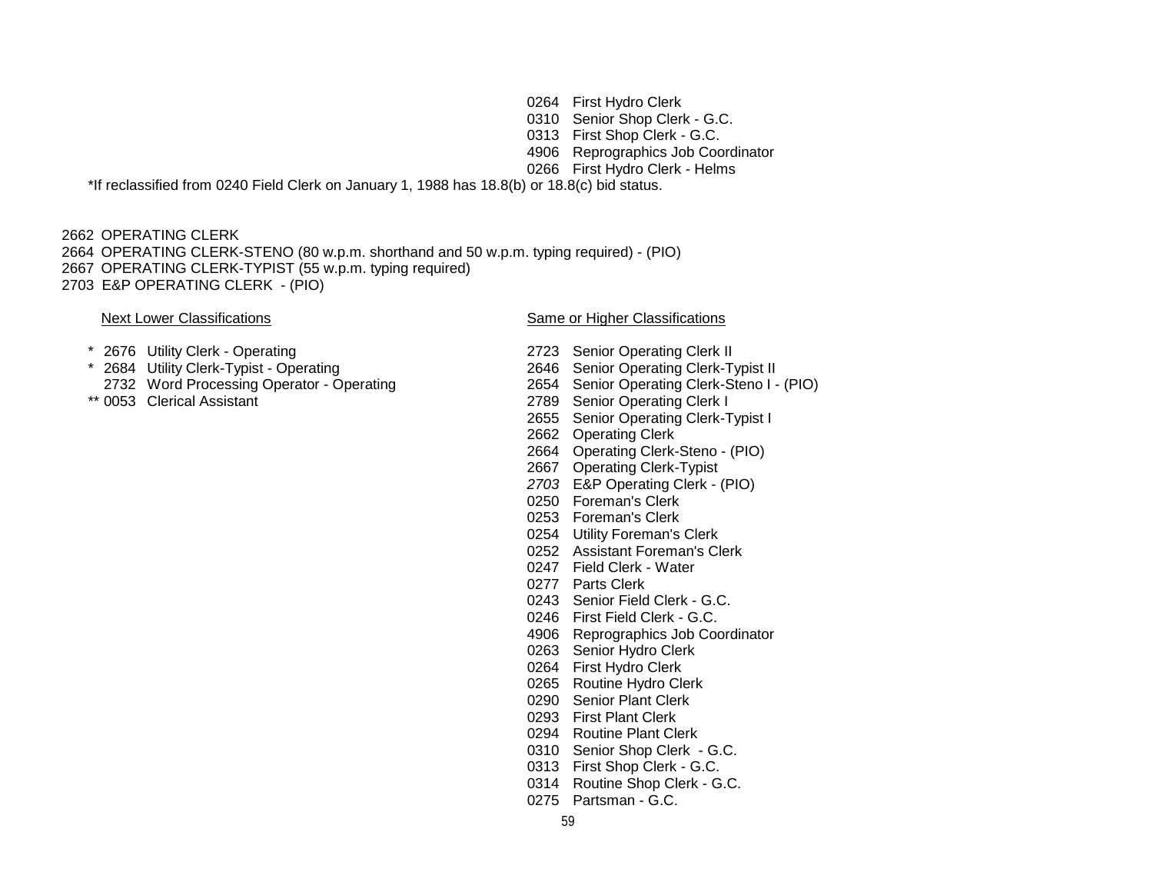First Hydro Clerk Senior Shop Clerk - G.C. First Shop Clerk - G.C. Reprographics Job Coordinator First Hydro Clerk - Helms \*If reclassified from 0240 Field Clerk on January 1, 1988 has 18.8(b) or 18.8(c) bid status.

 OPERATING CLERK OPERATING CLERK-STENO (80 w.p.m. shorthand and 50 w.p.m. typing required) - (PIO) OPERATING CLERK-TYPIST (55 w.p.m. typing required) E&P OPERATING CLERK - (PIO)

### Next Lower Classifications **Same or Higher Classifications** Same or Higher Classifications

- 
- <sup>2676</sup> Utility Clerk Operating 2723 Senior Operating Clerk II<br>2684 Utility Clerk-Typist Operating 2646 Senior Operating Clerk-T
- 2732 Word Processing Operator Operating 2654 Senior Operating Clerk-Steno I (PIO)<br>2789 Senior Operating Clerk I
	- 2789 Senior Operating Clerk I Senior Operating Clerk-Typist I Operating Clerk

2646 Senior Operating Clerk-Typist II

- Operating Clerk-Steno (PIO)
- Operating Clerk-Typist
- E&P Operating Clerk (PIO)
- Foreman's Clerk
- Foreman's Clerk
- Utility Foreman's Clerk
- Assistant Foreman's Clerk
- Field Clerk Water
- Parts Clerk
- Senior Field Clerk G.C.
- First Field Clerk G.C.
- Reprographics Job Coordinator
- Senior Hydro Clerk
- First Hydro Clerk
- Routine Hydro Clerk
- Senior Plant Clerk
- First Plant Clerk
- Routine Plant Clerk
- Senior Shop Clerk G.C.
- First Shop Clerk G.C.
- Routine Shop Clerk G.C.
- Partsman G.C.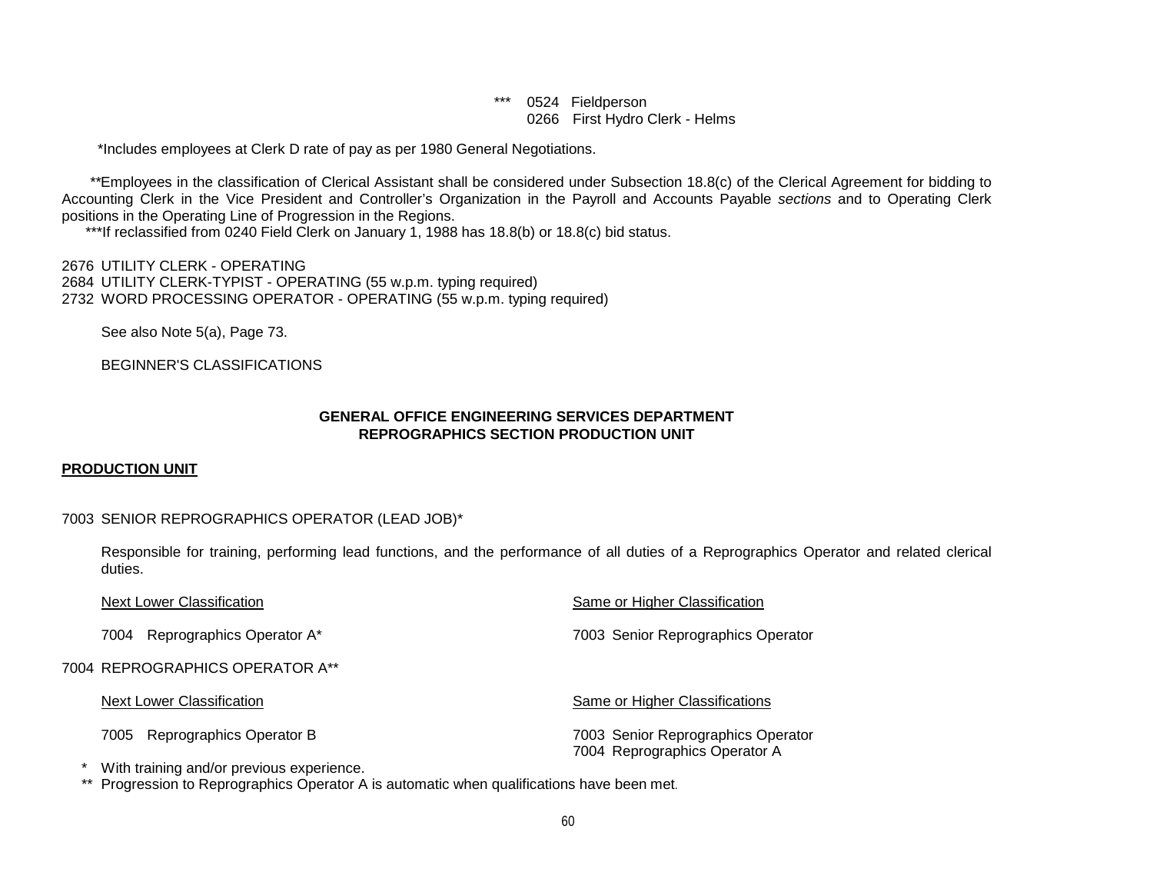# \*\*\* 0524 Fieldperson 0266 First Hydro Clerk - Helms

\*Includes employees at Clerk D rate of pay as per 1980 General Negotiations.

 *\*\**Employees in the classification of Clerical Assistant shall be considered under Subsection 18.8(c) of the Clerical Agreement for bidding to Accounting Clerk in the Vice President and Controller's Organization in the Payroll and Accounts Payable *sections* and to Operating Clerk positions in the Operating Line of Progression in the Regions.

\*\*\*If reclassified from 0240 Field Clerk on January 1, 1988 has 18.8(b) or 18.8(c) bid status.

2676 UTILITY CLERK - OPERATING 2684 UTILITY CLERK-TYPIST - OPERATING (55 w.p.m. typing required) 2732 WORD PROCESSING OPERATOR - OPERATING (55 w.p.m. typing required)

See also Note 5(a), Page 73.

BEGINNER'S CLASSIFICATIONS

# **GENERAL OFFICE ENGINEERING SERVICES DEPARTMENT REPROGRAPHICS SECTION PRODUCTION UNIT**

## **PRODUCTION UNIT**

## 7003 SENIOR REPROGRAPHICS OPERATOR (LEAD JOB)\*

Responsible for training, performing lead functions, and the performance of all duties of a Reprographics Operator and related clerical duties.

| Next Lower Classification         | Same or Higher Classification                                       |  |  |
|-----------------------------------|---------------------------------------------------------------------|--|--|
| Reprographics Operator A*<br>7004 | 7003 Senior Reprographics Operator                                  |  |  |
| 7004 REPROGRAPHICS OPERATOR A**   |                                                                     |  |  |
| <b>Next Lower Classification</b>  | Same or Higher Classifications                                      |  |  |
| Reprographics Operator B<br>7005  | 7003 Senior Reprographics Operator<br>7004 Reprographics Operator A |  |  |

\* With training and/or previous experience.

\*\* Progression to Reprographics Operator A is automatic when qualifications have been met.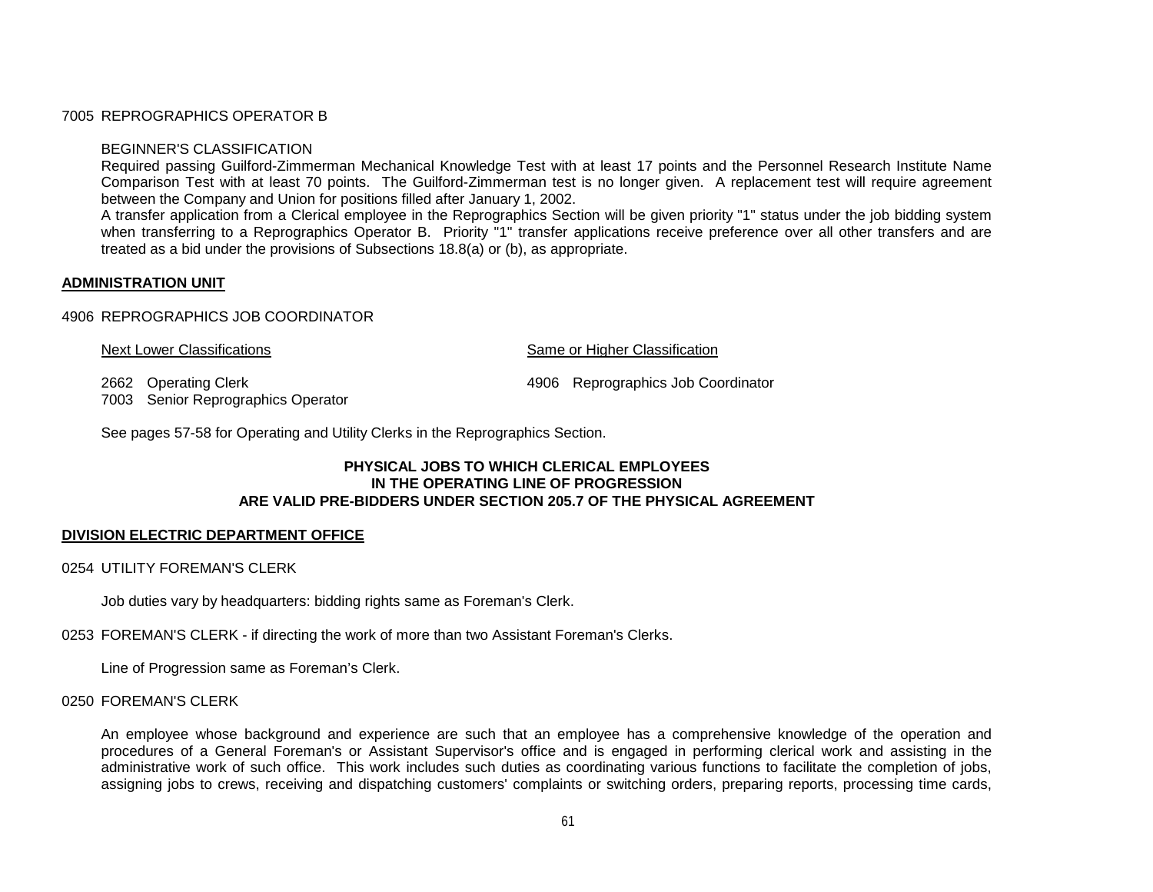# 7005 REPROGRAPHICS OPERATOR B

## BEGINNER'S CLASSIFICATION

Required passing Guilford-Zimmerman Mechanical Knowledge Test with at least 17 points and the Personnel Research Institute Name Comparison Test with at least 70 points. The Guilford-Zimmerman test is no longer given. A replacement test will require agreement between the Company and Union for positions filled after January 1, 2002.

A transfer application from a Clerical employee in the Reprographics Section will be given priority "1" status under the job bidding system when transferring to a Reprographics Operator B. Priority "1" transfer applications receive preference over all other transfers and are treated as a bid under the provisions of Subsections 18.8(a) or (b), as appropriate.

# **ADMINISTRATION UNIT**

## 4906 REPROGRAPHICS JOB COORDINATOR

| Next Lower Classifications | Same or Higher Classification |                                    |  |
|----------------------------|-------------------------------|------------------------------------|--|
| 2662 Operating Clerk       |                               | 4906 Reprographics Job Coordinator |  |

7003 Senior Reprographics Operator

See pages 57-58 for Operating and Utility Clerks in the Reprographics Section.

# **PHYSICAL JOBS TO WHICH CLERICAL EMPLOYEES IN THE OPERATING LINE OF PROGRESSION ARE VALID PRE-BIDDERS UNDER SECTION 205.7 OF THE PHYSICAL AGREEMENT**

## **DIVISION ELECTRIC DEPARTMENT OFFICE**

## 0254 UTILITY FOREMAN'S CLERK

Job duties vary by headquarters: bidding rights same as Foreman's Clerk.

0253 FOREMAN'S CLERK - if directing the work of more than two Assistant Foreman's Clerks.

Line of Progression same as Foreman's Clerk.

### 0250 FOREMAN'S CLERK

An employee whose background and experience are such that an employee has a comprehensive knowledge of the operation and procedures of a General Foreman's or Assistant Supervisor's office and is engaged in performing clerical work and assisting in the administrative work of such office. This work includes such duties as coordinating various functions to facilitate the completion of jobs, assigning jobs to crews, receiving and dispatching customers' complaints or switching orders, preparing reports, processing time cards,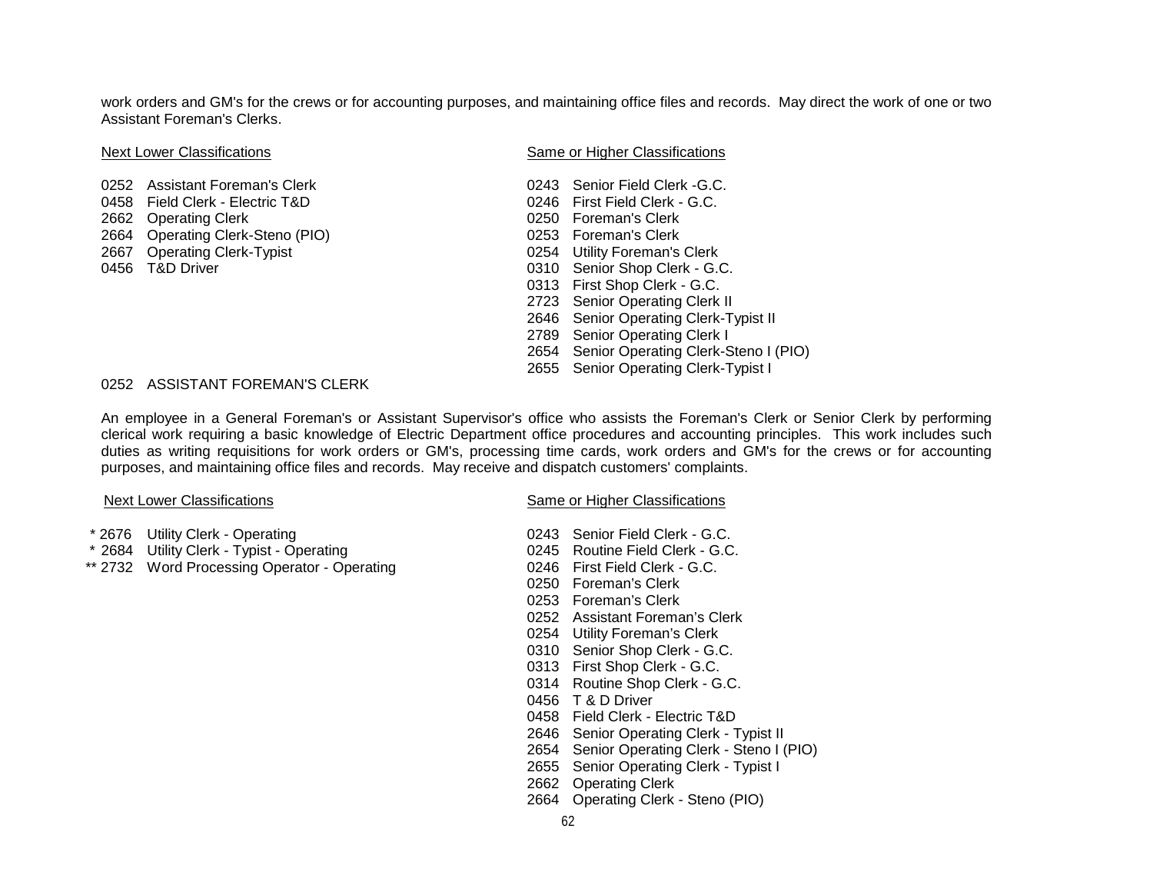work orders and GM's for the crews or for accounting purposes, and maintaining office files and records. May direct the work of one or two Assistant Foreman's Clerks.

0252 Assistant Foreman's Clerk Communication of the USAS Senior Field Clerk -G.C.<br>0258 Field Clerk - Electric T&D Communication of the USAS Senior Field Clerk - G.C. 0458 Field Clerk - Electric T&D 2662 Operating Clerk 2662 Operating Clerk 2664 Operating Clerk 2664 Operating Clerk 2664 Operating Clerk 2664 Operating Clerk 2664 Operating Clerk-Steno (PIO) 0253 Foreman's Clerk 2667 Operating Clerk-Typist<br>0456 T&D Driver

## Next Lower Classifications **Same or Higher Classifications** Same or Higher Classifications

0310 Senior Shop Clerk - G.C. First Shop Clerk - G.C. Senior Operating Clerk II Senior Operating Clerk-Typist II Senior Operating Clerk I Senior Operating Clerk-Steno I (PIO) Senior Operating Clerk-Typist I

## 0252 ASSISTANT FOREMAN'S CLERK

An employee in a General Foreman's or Assistant Supervisor's office who assists the Foreman's Clerk or Senior Clerk by performing clerical work requiring a basic knowledge of Electric Department office procedures and accounting principles. This work includes such duties as writing requisitions for work orders or GM's, processing time cards, work orders and GM's for the crews or for accounting purposes, and maintaining office files and records. May receive and dispatch customers' complaints.

- \* 2676 Utility Clerk Operating
- \* 2684 Utility Clerk Typist Operating
- \*\* 2732 Word Processing Operator Operating

Next Lower Classifications **Next Lower Classifications** Same or Higher Classifications

| 0243 | Senior Field Clerk - G.C.              |
|------|----------------------------------------|
| 0245 | Routine Field Clerk - G.C.             |
| 0246 | First Field Clerk - G.C.               |
| 0250 | Foreman's Clerk                        |
| 0253 | Foreman's Clerk                        |
| 0252 | Assistant Foreman's Clerk              |
| 0254 | Utility Foreman's Clerk                |
| 0310 | Senior Shop Clerk - G.C.               |
| 0313 | First Shop Clerk - G.C.                |
| 0314 | Routine Shop Clerk - G.C.              |
| 0456 | T & D Driver                           |
| 0458 | Field Clerk - Electric T&D             |
| 2646 | Senior Operating Clerk - Typist II     |
| 2654 | Senior Operating Clerk - Steno I (PIO) |
| 2655 | Senior Operating Clerk - Typist I      |
| 2662 | <b>Operating Clerk</b>                 |
| 2664 | Operating Clerk - Steno (PIO)          |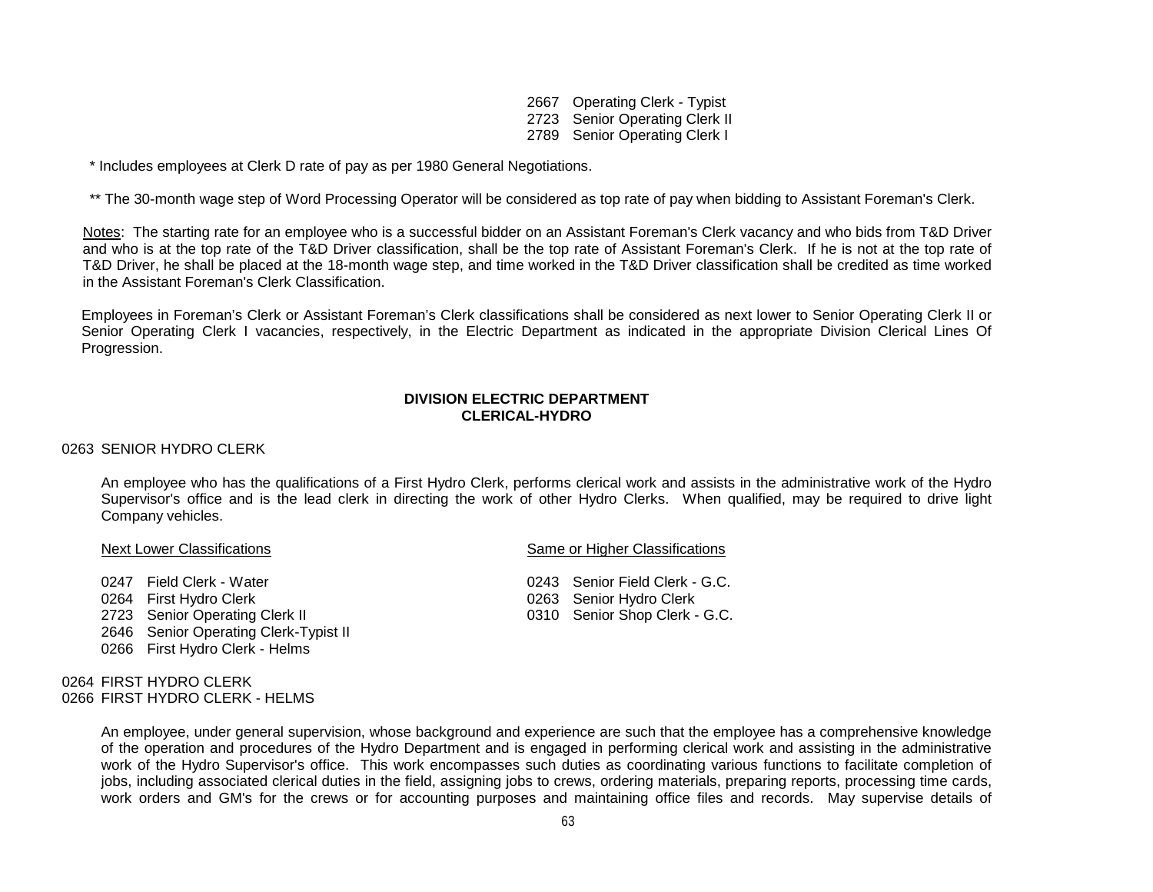2667 Operating Clerk - Typist 2723 Senior Operating Clerk II 2789 Senior Operating Clerk I

\* Includes employees at Clerk D rate of pay as per 1980 General Negotiations.

\*\* The 30-month wage step of Word Processing Operator will be considered as top rate of pay when bidding to Assistant Foreman's Clerk.

Notes: The starting rate for an employee who is a successful bidder on an Assistant Foreman's Clerk vacancy and who bids from T&D Driver and who is at the top rate of the T&D Driver classification, shall be the top rate of Assistant Foreman's Clerk. If he is not at the top rate of T&D Driver, he shall be placed at the 18-month wage step, and time worked in the T&D Driver classification shall be credited as time worked in the Assistant Foreman's Clerk Classification.

Employees in Foreman's Clerk or Assistant Foreman's Clerk classifications shall be considered as next lower to Senior Operating Clerk II or Senior Operating Clerk I vacancies, respectively, in the Electric Department as indicated in the appropriate Division Clerical Lines Of Progression.

## **DIVISION ELECTRIC DEPARTMENT CLERICAL-HYDRO**

### 0263 SENIOR HYDRO CLERK

An employee who has the qualifications of a First Hydro Clerk, performs clerical work and assists in the administrative work of the Hydro Supervisor's office and is the lead clerk in directing the work of other Hydro Clerks. When qualified, may be required to drive light Company vehicles.

2723 Senior Operating Clerk II

- 2646 Senior Operating Clerk-Typist II
- 0266 First Hydro Clerk Helms

0264 FIRST HYDRO CLERK 0266 FIRST HYDRO CLERK - HELMS

Next Lower Classifications **Same of Higher Classifications** Same or Higher Classifications

0247 Field Clerk - Water **0243** Senior Field Clerk - G.C. 0264 First Hydro Clerk 0264 First Hydro Clerk 0264 Senior Hydro Clerk 0263 Senior Hydro Clerk 1<br>
0310 Senior Shop Clerk - G.C.

An employee, under general supervision, whose background and experience are such that the employee has a comprehensive knowledge of the operation and procedures of the Hydro Department and is engaged in performing clerical work and assisting in the administrative work of the Hydro Supervisor's office. This work encompasses such duties as coordinating various functions to facilitate completion of jobs, including associated clerical duties in the field, assigning jobs to crews, ordering materials, preparing reports, processing time cards, work orders and GM's for the crews or for accounting purposes and maintaining office files and records. May supervise details of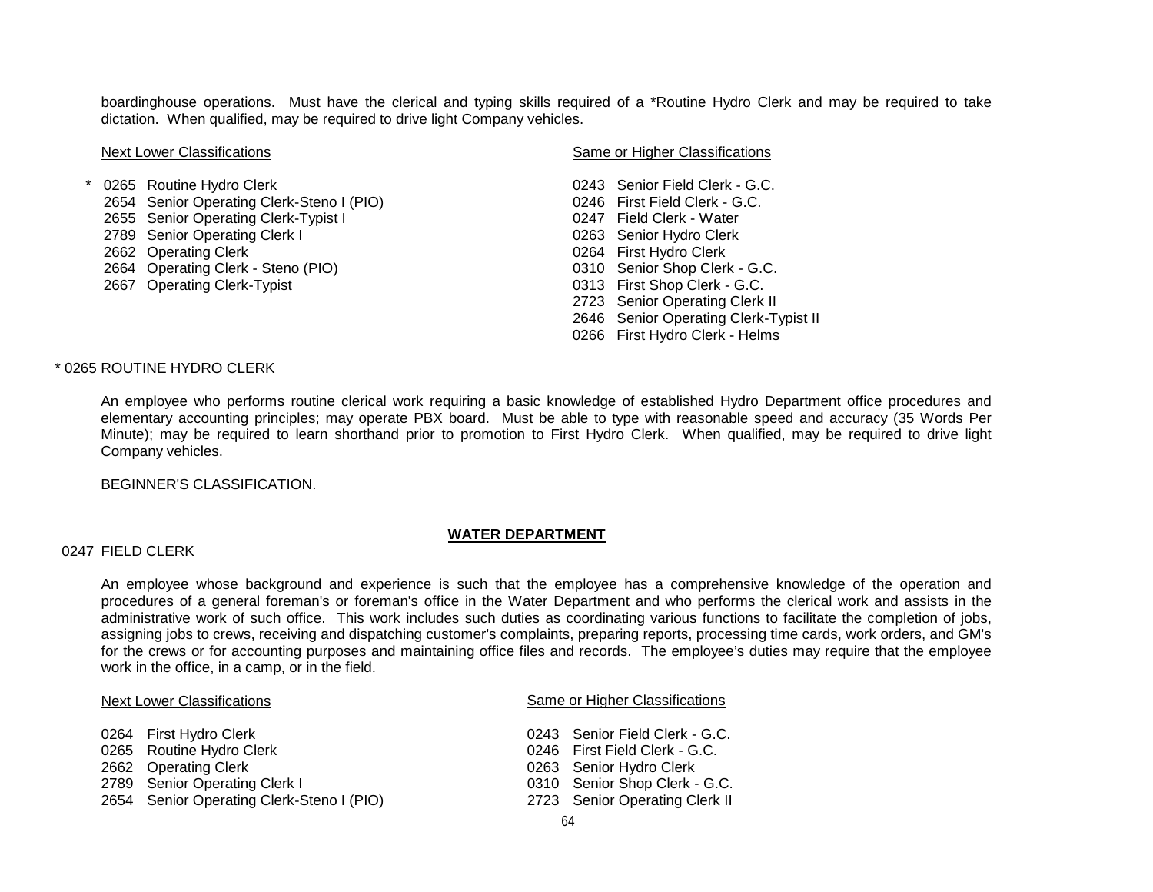boardinghouse operations. Must have the clerical and typing skills required of a \*Routine Hydro Clerk and may be required to take dictation. When qualified, may be required to drive light Company vehicles.

| <b>Next Lower Classifications</b> |            |                                           | Same or Higher Classifications |                                    |  |
|-----------------------------------|------------|-------------------------------------------|--------------------------------|------------------------------------|--|
|                                   | $^{\star}$ | 0265 Routine Hydro Clerk                  |                                | 0243 Senior Field Clerk - G.C.     |  |
|                                   |            | 2654 Senior Operating Clerk-Steno I (PIO) |                                | 0246 First Field Clerk - G.C.      |  |
|                                   |            | 2655 Senior Operating Clerk-Typist I      |                                | 0247 Field Clerk - Water           |  |
|                                   |            | 2789 Senior Operating Clerk I             |                                | 0263 Senior Hydro Clerk            |  |
|                                   |            | 2662 Operating Clerk                      |                                | 0264 First Hydro Clerk             |  |
|                                   |            | 2664 Operating Clerk - Steno (PIO)        |                                | 0310 Senior Shop Clerk - G.C.      |  |
|                                   |            | 2667 Operating Clerk-Typist               |                                | 0313 First Shop Clerk - G.C.       |  |
|                                   |            |                                           |                                | 2723 Senior Operating Clerk II     |  |
|                                   |            |                                           |                                | 2646 Senior Operating Clerk-Typist |  |
|                                   |            |                                           |                                |                                    |  |

2646 Senior Operating Clerk-Typist II 0266 First Hydro Clerk - Helms

## \* 0265 ROUTINE HYDRO CLERK

An employee who performs routine clerical work requiring a basic knowledge of established Hydro Department office procedures and elementary accounting principles; may operate PBX board. Must be able to type with reasonable speed and accuracy (35 Words Per Minute); may be required to learn shorthand prior to promotion to First Hydro Clerk. When qualified, may be required to drive light Company vehicles.

BEGINNER'S CLASSIFICATION.

### **WATER DEPARTMENT**

### 0247 FIELD CLERK

An employee whose background and experience is such that the employee has a comprehensive knowledge of the operation and procedures of a general foreman's or foreman's office in the Water Department and who performs the clerical work and assists in the administrative work of such office. This work includes such duties as coordinating various functions to facilitate the completion of jobs, assigning jobs to crews, receiving and dispatching customer's complaints, preparing reports, processing time cards, work orders, and GM's for the crews or for accounting purposes and maintaining office files and records. The employee's duties may require that the employee work in the office, in a camp, or in the field.

#### Next Lower Classifications **Same or Higher Classifications** Same or Higher Classifications

| 0264 First Hydro Clerk                    | 0243 Senior Field Clerk - G.C. |
|-------------------------------------------|--------------------------------|
| 0265 Routine Hydro Clerk                  | 0246 First Field Clerk - G.C.  |
| 2662 Operating Clerk                      | 0263 Senior Hydro Clerk        |
| 2789 Senior Operating Clerk I             | 0310 Senior Shop Clerk - G.C.  |
| 2654 Senior Operating Clerk-Steno I (PIO) | 2723 Senior Operating Clerk II |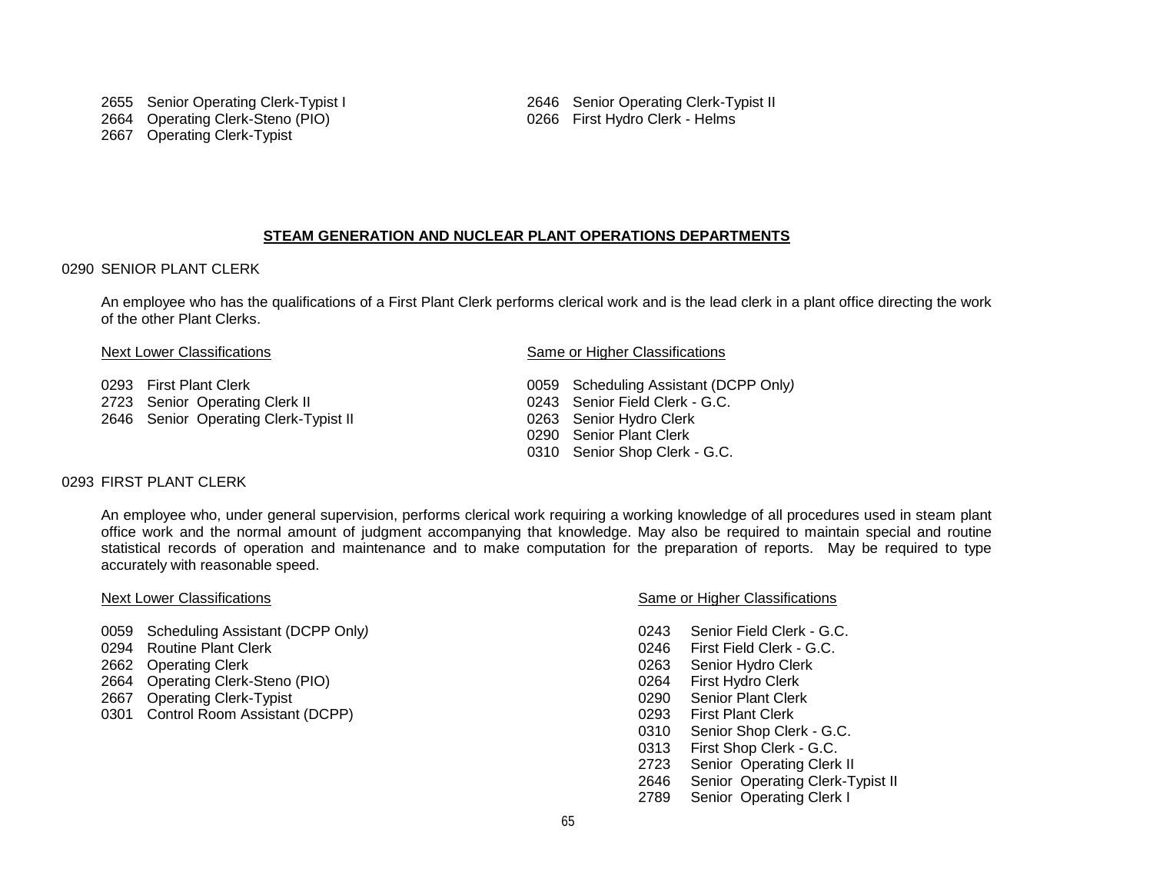### **STEAM GENERATION AND NUCLEAR PLANT OPERATIONS DEPARTMENTS**

### 0290 SENIOR PLANT CLERK

An employee who has the qualifications of a First Plant Clerk performs clerical work and is the lead clerk in a plant office directing the work of the other Plant Clerks.

- 
- 
- 2646 Senior Operating Clerk-Typist II

#### Next Lower Classifications **Same or Higher Classifications** Same or Higher Classifications

 First Plant Clerk 0059 Scheduling Assistant (DCPP Only*)* 2723 Senior Operating Clerk II 0243 Senior Field Clerk - G.C.<br>
2646 Senior Operating Clerk-Typist II 0263 Senior Hydro Clerk Senior Plant Clerk Senior Shop Clerk - G.C.

## 0293 FIRST PLANT CLERK

An employee who, under general supervision, performs clerical work requiring a working knowledge of all procedures used in steam plant office work and the normal amount of judgment accompanying that knowledge. May also be required to maintain special and routine statistical records of operation and maintenance and to make computation for the preparation of reports. May be required to type accurately with reasonable speed.

- 0059 Scheduling Assistant (DCPP Only*)* 0243 Senior Field Clerk G.C.
- 
- 
- 2664 Operating Clerk-Steno (PIO) 0264 First Hydro Clerk
- 2667 Operating Clerk-Typist 0290 Senior Plant Clerk
- 0301 Control Room Assistant (DCPP) 0293 First Plant Clerk

## Next Lower Classifications **Same or Higher Classifications** Same or Higher Classifications

- 
- 0246 First Field Clerk G.C.
- 2662 Operating Clerk 0263 Senior Hydro Clerk
	-
	-
	-
	- 0310 Senior Shop Clerk G.C.
	- 0313 First Shop Clerk G.C.
	- 2723 Senior Operating Clerk II
	- 2646 Senior Operating Clerk-Typist II
	- 2789 Senior Operating Clerk I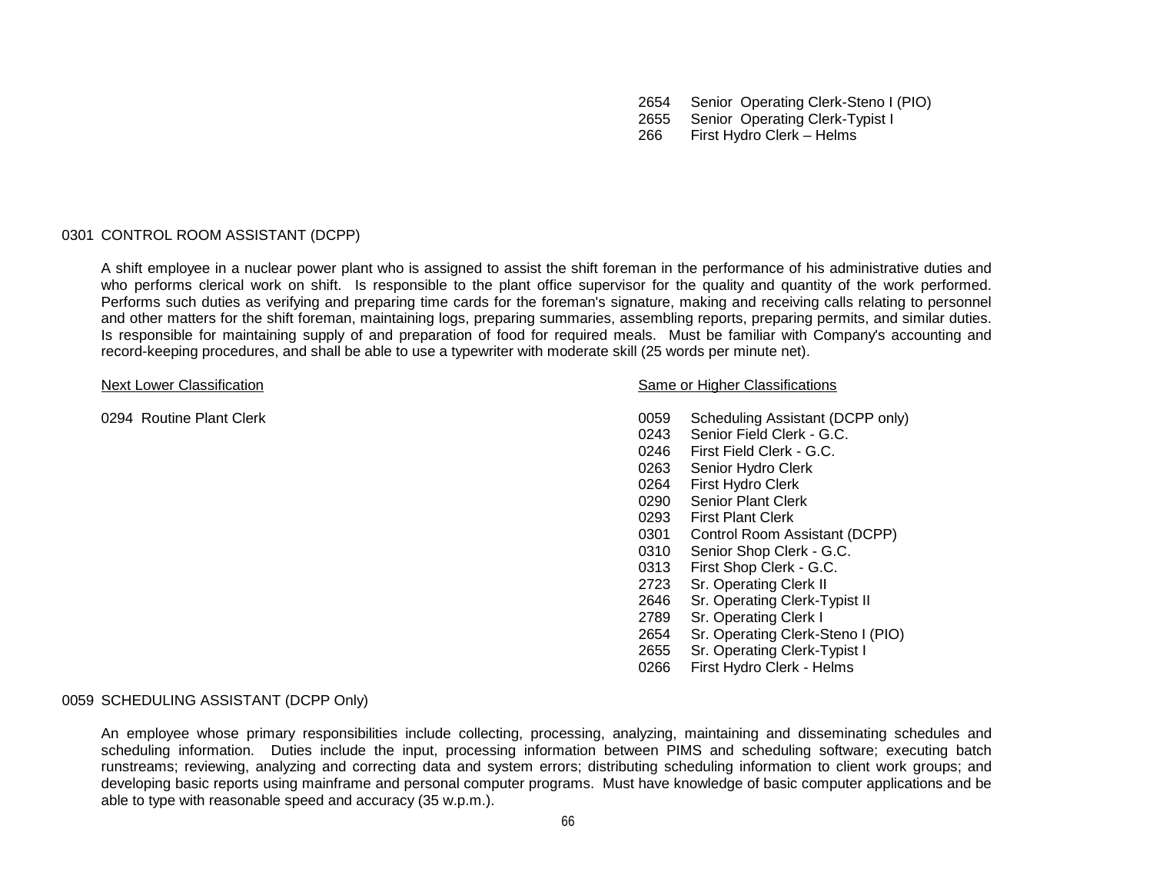2654 Senior Operating Clerk-Steno I (PIO)

2655 Senior Operating Clerk-Typist I

266 First Hydro Clerk – Helms

### 0301 CONTROL ROOM ASSISTANT (DCPP)

A shift employee in a nuclear power plant who is assigned to assist the shift foreman in the performance of his administrative duties and who performs clerical work on shift. Is responsible to the plant office supervisor for the quality and quantity of the work performed. Performs such duties as verifying and preparing time cards for the foreman's signature, making and receiving calls relating to personnel and other matters for the shift foreman, maintaining logs, preparing summaries, assembling reports, preparing permits, and similar duties. Is responsible for maintaining supply of and preparation of food for required meals. Must be familiar with Company's accounting and record-keeping procedures, and shall be able to use a typewriter with moderate skill (25 words per minute net).

#### Next Lower Classification Next Lower Classification Same or Higher Classifications

- 0294 Routine Plant Clerk 0059 Scheduling Assistant (DCPP only)
	- 0243 Senior Field Clerk G.C.
	- 0246 First Field Clerk G.C.
	- 0263 Senior Hydro Clerk
	- 0264 First Hydro Clerk<br>0290 Senior Plant Clerl
	- Senior Plant Clerk
	- 0293 First Plant Clerk
	- 0301 Control Room Assistant (DCPP)
	- 0310 Senior Shop Clerk G.C.
	- 0313 First Shop Clerk G.C.
	- 2723 Sr. Operating Clerk II
	- 2646 Sr. Operating Clerk-Typist II
	- 2789 Sr. Operating Clerk I
	- 2654 Sr. Operating Clerk-Steno I (PIO)
	- 2655 Sr. Operating Clerk-Typist I
	- 0266 First Hydro Clerk Helms

## 0059 SCHEDULING ASSISTANT (DCPP Only)

An employee whose primary responsibilities include collecting, processing, analyzing, maintaining and disseminating schedules and scheduling information. Duties include the input, processing information between PIMS and scheduling software; executing batch runstreams; reviewing, analyzing and correcting data and system errors; distributing scheduling information to client work groups; and developing basic reports using mainframe and personal computer programs. Must have knowledge of basic computer applications and be able to type with reasonable speed and accuracy (35 w.p.m.).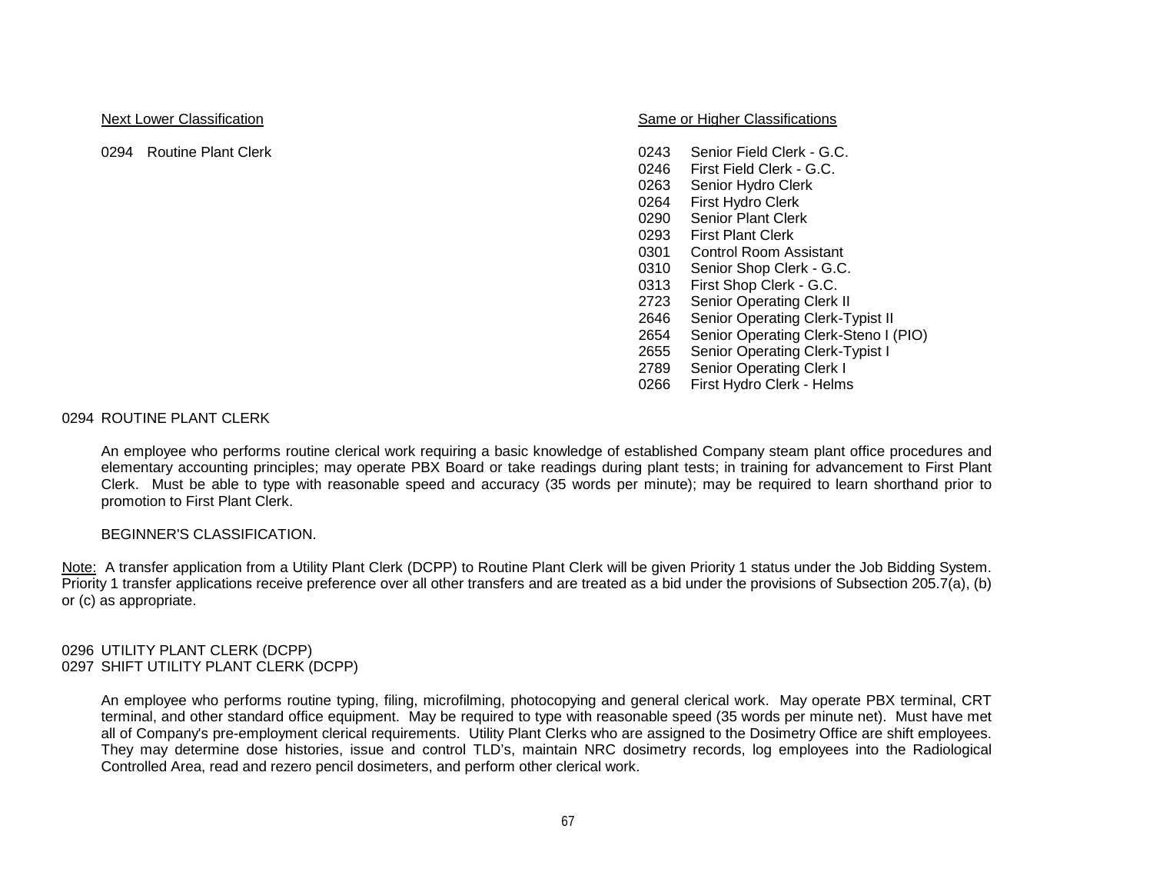Next Lower Classification Next Lower Classification Same or Higher Classifications

- 0294 Routine Plant Clerk **Clerk** 6.C.
	- 0246 First Field Clerk G.C.
	- 0263 Senior Hydro Clerk
	- 0264 First Hydro Clerk
	- 0290 Senior Plant Clerk
	- 0293 First Plant Clerk
	- 0301 Control Room Assistant
	- 0310 Senior Shop Clerk G.C.
	- 0313 First Shop Clerk G.C.
	- 2723 Senior Operating Clerk II
	- 2646 Senior Operating Clerk-Typist II
	- 2654 Senior Operating Clerk-Steno I (PIO)
	- 2655 Senior Operating Clerk-Typist I
	- 2789 Senior Operating Clerk I
	- 0266 First Hydro Clerk Helms

## 0294 ROUTINE PLANT CLERK

An employee who performs routine clerical work requiring a basic knowledge of established Company steam plant office procedures and elementary accounting principles; may operate PBX Board or take readings during plant tests; in training for advancement to First Plant Clerk. Must be able to type with reasonable speed and accuracy (35 words per minute); may be required to learn shorthand prior to promotion to First Plant Clerk.

## BEGINNER'S CLASSIFICATION.

Note: A transfer application from a Utility Plant Clerk (DCPP) to Routine Plant Clerk will be given Priority 1 status under the Job Bidding System. Priority 1 transfer applications receive preference over all other transfers and are treated as a bid under the provisions of Subsection 205.7(a), (b) or (c) as appropriate.

#### 0296 UTILITY PLANT CLERK (DCPP) 0297 SHIFT UTILITY PLANT CLERK (DCPP)

An employee who performs routine typing, filing, microfilming, photocopying and general clerical work. May operate PBX terminal, CRT terminal, and other standard office equipment. May be required to type with reasonable speed (35 words per minute net). Must have met all of Company's pre-employment clerical requirements. Utility Plant Clerks who are assigned to the Dosimetry Office are shift employees. They may determine dose histories, issue and control TLD's, maintain NRC dosimetry records, log employees into the Radiological Controlled Area, read and rezero pencil dosimeters, and perform other clerical work.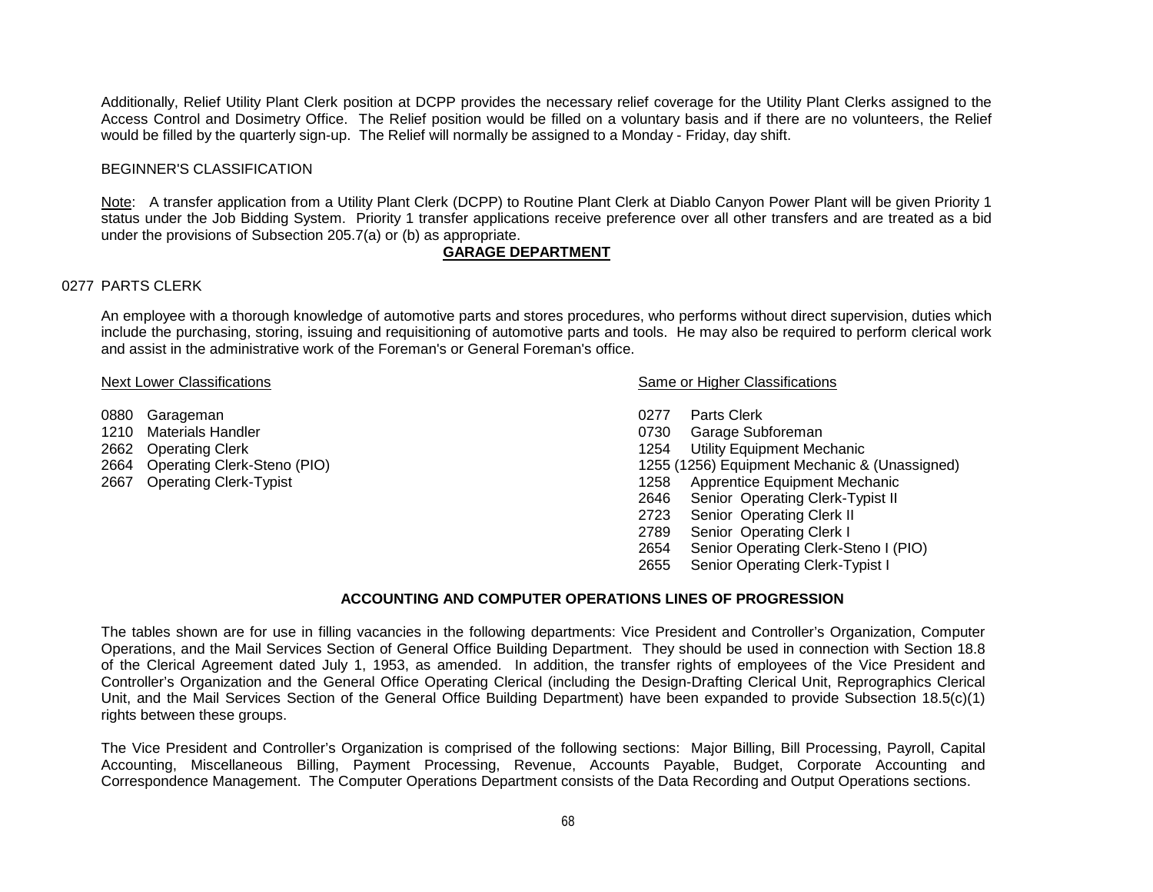Additionally, Relief Utility Plant Clerk position at DCPP provides the necessary relief coverage for the Utility Plant Clerks assigned to the Access Control and Dosimetry Office. The Relief position would be filled on a voluntary basis and if there are no volunteers, the Relief would be filled by the quarterly sign-up. The Relief will normally be assigned to a Monday - Friday, day shift.

#### BEGINNER'S CLASSIFICATION

Note: A transfer application from a Utility Plant Clerk (DCPP) to Routine Plant Clerk at Diablo Canyon Power Plant will be given Priority 1 status under the Job Bidding System. Priority 1 transfer applications receive preference over all other transfers and are treated as a bid under the provisions of Subsection 205.7(a) or (b) as appropriate.

## **GARAGE DEPARTMENT**

#### 0277 PARTS CLERK

An employee with a thorough knowledge of automotive parts and stores procedures, who performs without direct supervision, duties which include the purchasing, storing, issuing and requisitioning of automotive parts and tools. He may also be required to perform clerical work and assist in the administrative work of the Foreman's or General Foreman's office.

- 
- 0880 Garageman 0277 Parts Clerk
- 
- 
- 

#### Next Lower Classifications **Next Lower Classifications** Same or Higher Classifications

- 
- 0730 Garage Subforeman
- 2662 Operating Clerk 1254 Utility Equipment Mechanic
- 2664 Operating Clerk-Steno (PIO) 1255 (1256) Equipment Mechanic & (Unassigned)
- 2667 Operating Clerk-Typist 1258 Apprentice Equipment Mechanic
	- 2646 Senior Operating Clerk-Typist II
	- 2723 Senior Operating Clerk II
	- 2789 Senior Operating Clerk I
	- 2654 Senior Operating Clerk-Steno I (PIO)
	- 2655 Senior Operating Clerk-Typist I

#### **ACCOUNTING AND COMPUTER OPERATIONS LINES OF PROGRESSION**

The tables shown are for use in filling vacancies in the following departments: Vice President and Controller's Organization, Computer Operations, and the Mail Services Section of General Office Building Department. They should be used in connection with Section 18.8 of the Clerical Agreement dated July 1, 1953, as amended. In addition, the transfer rights of employees of the Vice President and Controller's Organization and the General Office Operating Clerical (including the Design-Drafting Clerical Unit, Reprographics Clerical Unit, and the Mail Services Section of the General Office Building Department) have been expanded to provide Subsection 18.5(c)(1) rights between these groups.

The Vice President and Controller's Organization is comprised of the following sections: Major Billing, Bill Processing, Payroll, Capital Accounting, Miscellaneous Billing, Payment Processing, Revenue, Accounts Payable, Budget, Corporate Accounting and Correspondence Management. The Computer Operations Department consists of the Data Recording and Output Operations sections.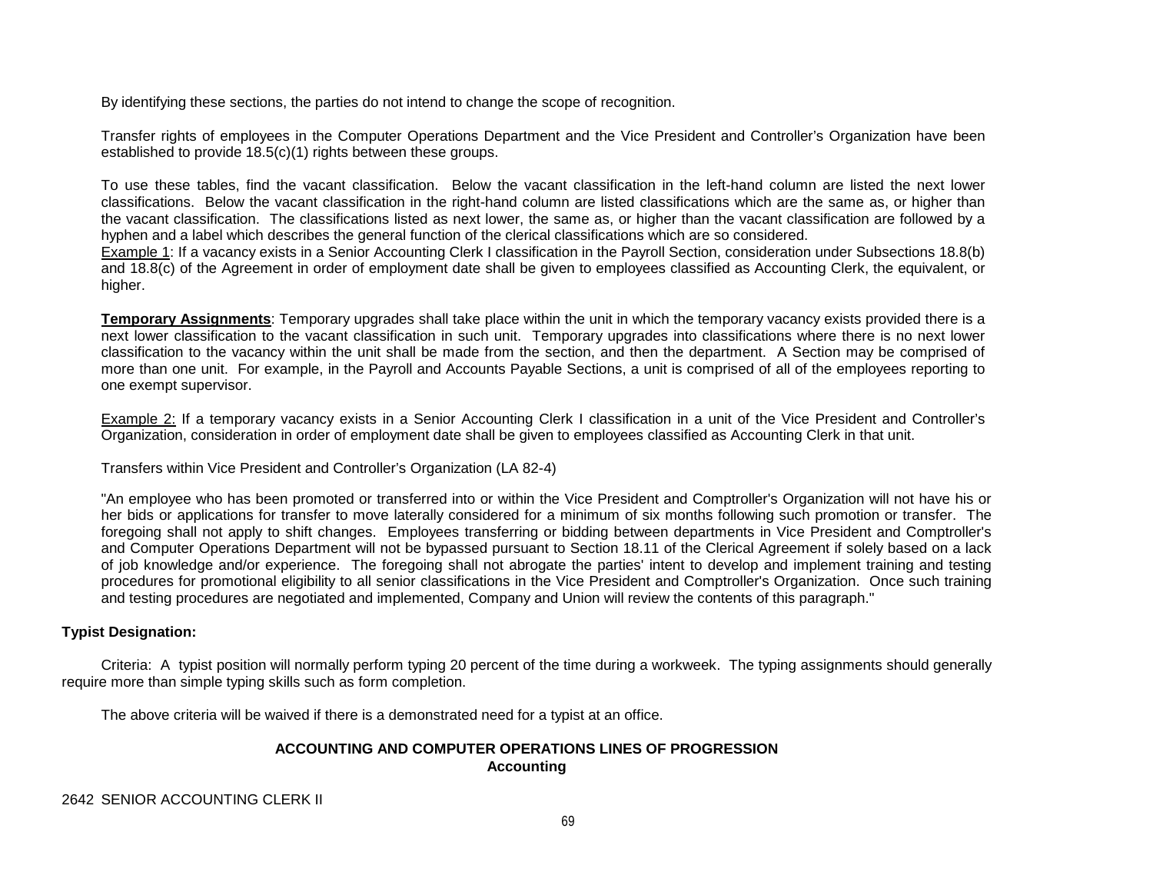By identifying these sections, the parties do not intend to change the scope of recognition.

Transfer rights of employees in the Computer Operations Department and the Vice President and Controller's Organization have been established to provide 18.5(c)(1) rights between these groups.

To use these tables, find the vacant classification. Below the vacant classification in the left-hand column are listed the next lower classifications. Below the vacant classification in the right-hand column are listed classifications which are the same as, or higher than the vacant classification. The classifications listed as next lower, the same as, or higher than the vacant classification are followed by a hyphen and a label which describes the general function of the clerical classifications which are so considered.

Example 1: If a vacancy exists in a Senior Accounting Clerk I classification in the Payroll Section, consideration under Subsections 18.8(b) and 18.8(c) of the Agreement in order of employment date shall be given to employees classified as Accounting Clerk, the equivalent, or higher.

**Temporary Assignments**: Temporary upgrades shall take place within the unit in which the temporary vacancy exists provided there is a next lower classification to the vacant classification in such unit. Temporary upgrades into classifications where there is no next lower classification to the vacancy within the unit shall be made from the section, and then the department. A Section may be comprised of more than one unit. For example, in the Payroll and Accounts Payable Sections, a unit is comprised of all of the employees reporting to one exempt supervisor.

Example 2: If a temporary vacancy exists in a Senior Accounting Clerk I classification in a unit of the Vice President and Controller's Organization, consideration in order of employment date shall be given to employees classified as Accounting Clerk in that unit.

Transfers within Vice President and Controller's Organization (LA 82-4)

"An employee who has been promoted or transferred into or within the Vice President and Comptroller's Organization will not have his or her bids or applications for transfer to move laterally considered for a minimum of six months following such promotion or transfer. The foregoing shall not apply to shift changes. Employees transferring or bidding between departments in Vice President and Comptroller's and Computer Operations Department will not be bypassed pursuant to Section 18.11 of the Clerical Agreement if solely based on a lack of job knowledge and/or experience. The foregoing shall not abrogate the parties' intent to develop and implement training and testing procedures for promotional eligibility to all senior classifications in the Vice President and Comptroller's Organization. Once such training and testing procedures are negotiated and implemented, Company and Union will review the contents of this paragraph."

## **Typist Designation:**

Criteria: A typist position will normally perform typing 20 percent of the time during a workweek. The typing assignments should generally require more than simple typing skills such as form completion.

The above criteria will be waived if there is a demonstrated need for a typist at an office.

## **ACCOUNTING AND COMPUTER OPERATIONS LINES OF PROGRESSION Accounting**

2642 SENIOR ACCOUNTING CLERK II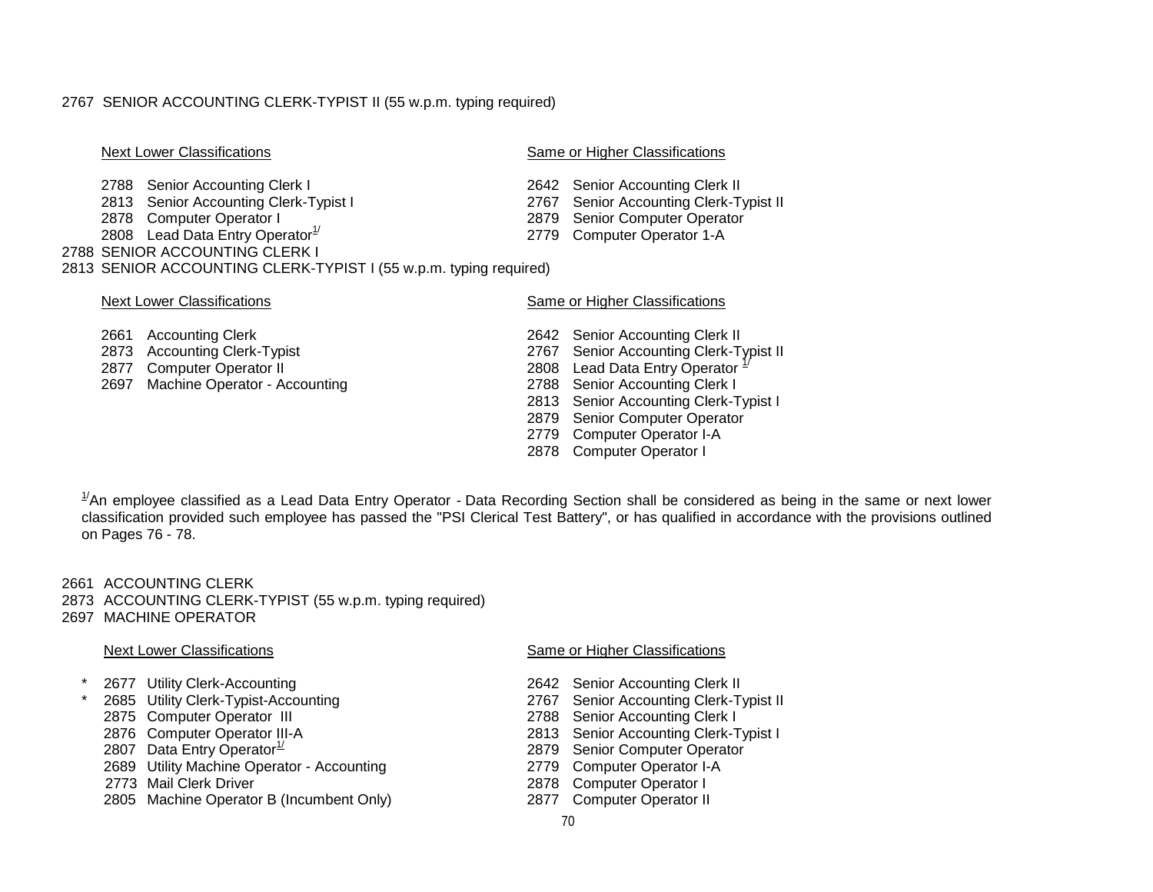#### 2767 SENIOR ACCOUNTING CLERK-TYPIST II (55 w.p.m. typing required)

#### Next Lower Classifications Same or Higher Classifications Same or Higher Classifications

2788 Senior Accounting Clerk I<br>
2788 Senior Accounting Clerk I 2642 Senior Accounting Clerk II<br>
2767 Senior Accounting Clerk-Typist II 2813 Senior Accounting Clerk-Typist I 2878 Computer Operator I 2879 Senior Computer Operator 2808 Lead Data Entry Operator 2808 Lead Data Entry Operator 2779 Computer Operator 1-A 2808 Lead Data Entry Operator $1/$ 2788 SENIOR ACCOUNTING CLERK I 2813 SENIOR ACCOUNTING CLERK-TYPIST I (55 w.p.m. typing required)

#### Next Lower Classifications **Same of Higher Classifications** Same or Higher Classifications

- 
- 2661 Accounting Clerk 2642 Senior Accounting Clerk II<br>2873 Accounting Clerk-Typist 2767 Senior Accounting Clerk-T 2873 Accounting Clerk-Typist<br>
2877 Computer Operator II 2877 Computer Operator II 2877 Computer Operator II 2808 Lead Data Entry Operator<sup>2</sup> 2697 Machine Operator - Accounting 2788 Senior Accounting Clerk I 2813 Senior Accounting Clerk-Typist I 2879 Senior Computer Operator 2779 Computer Operator I-A
	- 2878 Computer Operator I

 $^{1/}$ An employee classified as a Lead Data Entry Operator - Data Recording Section shall be considered as being in the same or next lower classification provided such employee has passed the "PSI Clerical Test Battery", or has qualified in accordance with the provisions outlined on Pages 76 - 78.

2661 ACCOUNTING CLERK 2873 ACCOUNTING CLERK-TYPIST (55 w.p.m. typing required) 2697 MACHINE OPERATOR

- 
- \* 2677 Utility Clerk-Accounting 2642 Senior Accounting Clerk II
- 
- 
- 
- 2689 Utility Machine Operator Accounting
- 
- 2773 Mail Clerk Driver **2878** Computer Operator I<br>2805 Machine Operator B (Incumbent Only) 2877 Computer Operator II 2805 Machine Operator B (Incumbent Only)

#### Next Lower Classifications Same or Higher Classifications Same or Higher Classifications

- 
- 2685 Utility Clerk-Typist-Accounting 2767 Senior Accounting Clerk-Typist II<br>2875 Computer Operator III 2875 Computer Operator III
- 2875 Computer Operator III 2788 Senior Accounting Clerk I<br>2876 Computer Operator III-A 2876 Computer Clerk-T
- 2876 Computer Operator III-A<br>
2807 Data Entry Operator<sup>1/</sup>
2807 Data Entry Operator<sup>1/</sup>
2807 Data Entry Operator
2807 Data Entry Operator
2807 Data Entry Operator
2807 Data Entry Operator
2807 Data Entry Operator
2879 Seni
	- 2879 Senior Computer Operator<br>1779 Computer Operator I-A
	-
	-
	-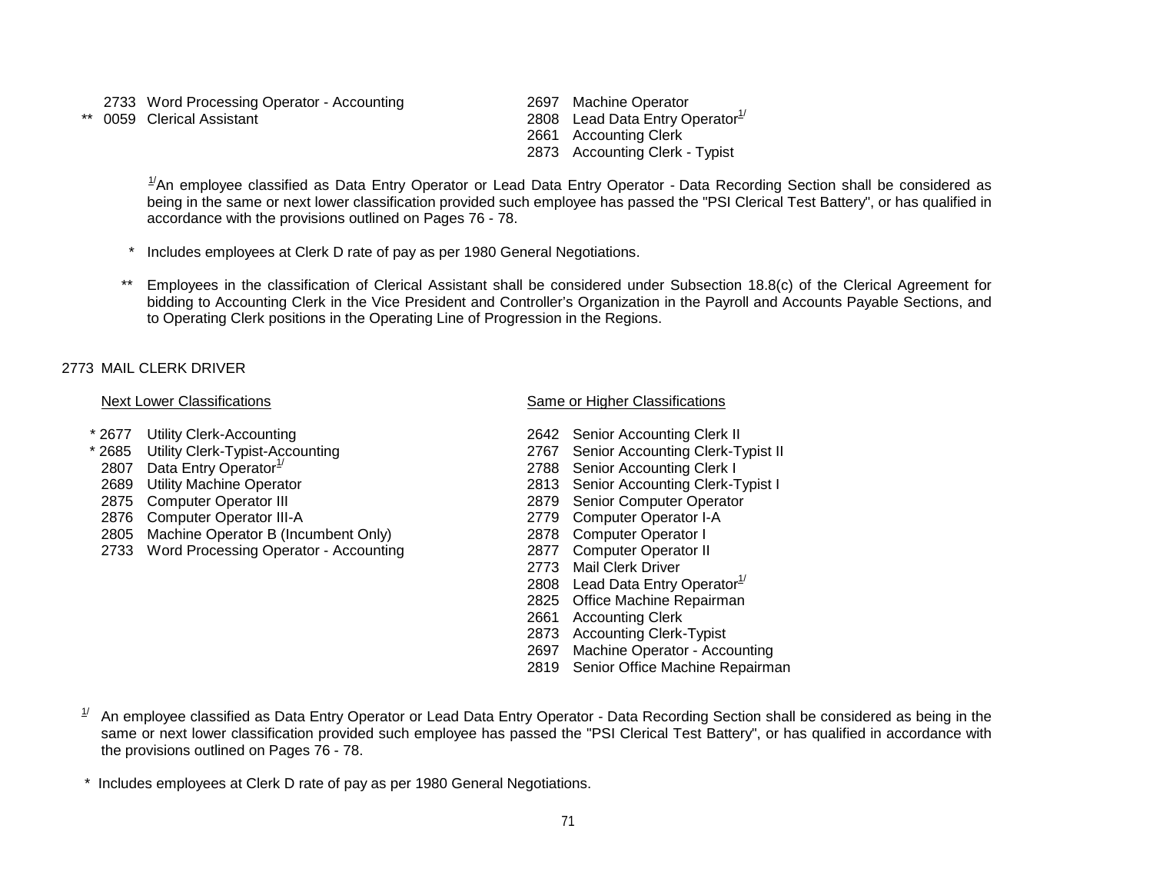- 2733 Word Processing Operator Accounting 2697 Machine Operator
- 

\*\*  $0059$  Clerical Assistant 2808 Lead Data Entry Operator<sup>1/</sup> 2661 Accounting Clerk 2873 Accounting Clerk - Typist

 $^{1/}$ An employee classified as Data Entry Operator or Lead Data Entry Operator - Data Recording Section shall be considered as being in the same or next lower classification provided such employee has passed the "PSI Clerical Test Battery", or has qualified in accordance with the provisions outlined on Pages 76 - 78.

- Includes employees at Clerk D rate of pay as per 1980 General Negotiations.
- *\*\** Employees in the classification of Clerical Assistant shall be considered under Subsection 18.8(c) of the Clerical Agreement for bidding to Accounting Clerk in the Vice President and Controller's Organization in the Payroll and Accounts Payable Sections, and to Operating Clerk positions in the Operating Line of Progression in the Regions.

## 2773 MAIL CLERK DRIVER

- 
- 
- 
- 
- 
- 2876 Computer Operator III-A
- 2805 Machine Operator B (Incumbent Only) 2878 Computer Operator I
- 2733 Word Processing Operator Accounting 2877 Computer Operator II

## Next Lower Classifications **Same or Higher Classifications** Same or Higher Classifications

- \* 2677 Utility Clerk-Accounting 2642 Senior Accounting Clerk II
- 2685 Utility Clerk-Typist-Accounting 2767 Senior Accounting Clerk-Typist II<br>2807 Data Entry Operator<sup>1/</sup> 2788 Senior Accounting Clerk I
- 2807 Data Entry Operator<sup>1/</sup> 2788 Senior Accounting Clerk I 2689 Utility Machine Operator<br>1968 2813 Senior Accounting Clerk-T
- 2689 Utility Machine Operator 2813 Senior Accounting Clerk-Typist I<br>
2875 Computer Operator III 2879 Senior Computer Operator
	- 2879 Senior Computer Operator<br>2779 Computer Operator I-A
	-
	-
	-
	- 2773 Mail Clerk Driver
	- 2808 Lead Data Entry Operator $1/2$
	- 2825 Office Machine Repairman
	- 2661 Accounting Clerk
	- 2873 Accounting Clerk-Typist
	- 2697 Machine Operator Accounting
	- 2819 Senior Office Machine Repairman
- $1/4$  An emplovee classified as Data Entry Operator or Lead Data Entry Operator Data Recording Section shall be considered as being in the same or next lower classification provided such employee has passed the "PSI Clerical Test Battery", or has qualified in accordance with the provisions outlined on Pages 76 - 78.

\* Includes employees at Clerk D rate of pay as per 1980 General Negotiations.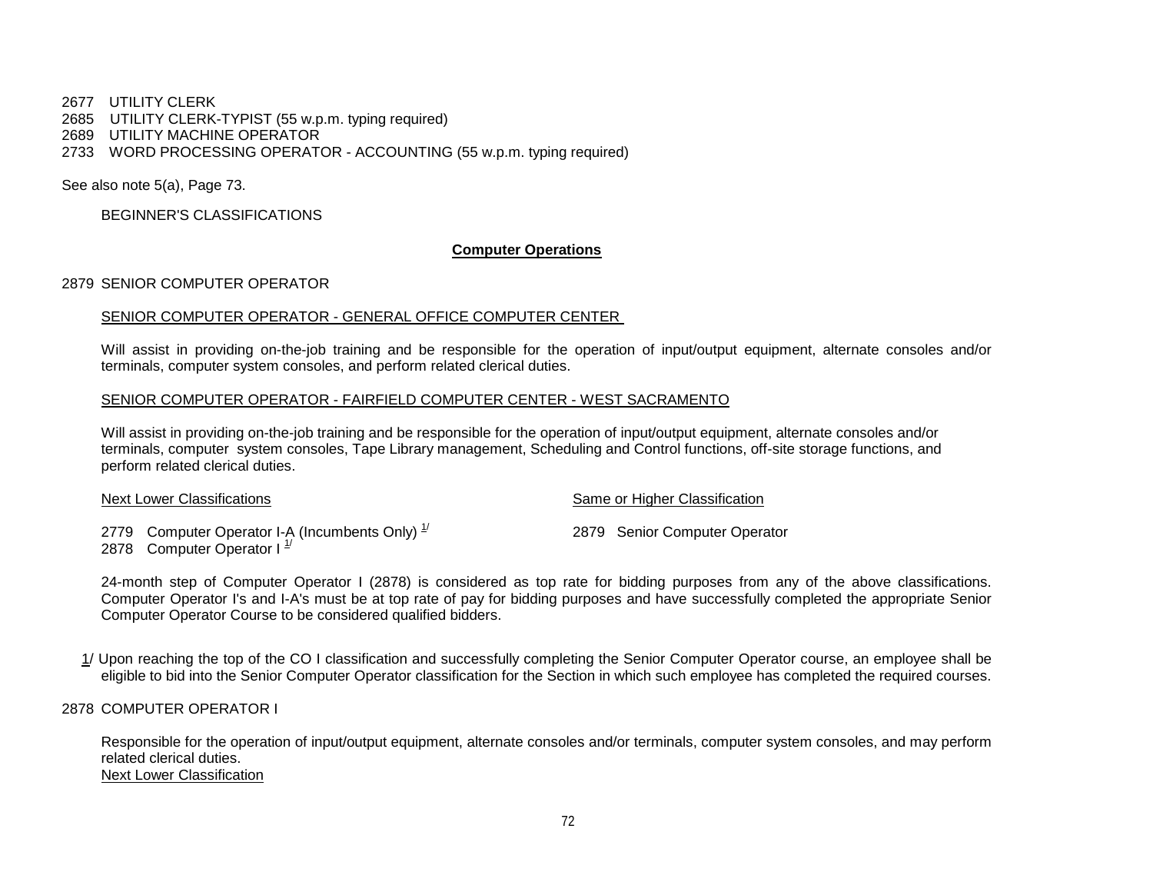2677 UTILITY CLERK 2685 UTILITY CLERK-TYPIST (55 w.p.m. typing required) 2689 UTILITY MACHINE OPERATOR 2733 WORD PROCESSING OPERATOR - ACCOUNTING (55 w.p.m. typing required)

See also note 5(a), Page 73.

BEGINNER'S CLASSIFICATIONS

## **Computer Operations**

## 2879 SENIOR COMPUTER OPERATOR

#### SENIOR COMPUTER OPERATOR - GENERAL OFFICE COMPUTER CENTER

Will assist in providing on-the-job training and be responsible for the operation of input/output equipment, alternate consoles and/or terminals, computer system consoles, and perform related clerical duties.

## SENIOR COMPUTER OPERATOR - FAIRFIELD COMPUTER CENTER - WEST SACRAMENTO

Will assist in providing on-the-job training and be responsible for the operation of input/output equipment, alternate consoles and/or terminals, computer system consoles, Tape Library management, Scheduling and Control functions, off-site storage functions, and perform related clerical duties.

| Next Lower Classifications                                                        | Same or Higher Classification |                               |
|-----------------------------------------------------------------------------------|-------------------------------|-------------------------------|
| 2779 Computer Operator I-A (Incumbents Only) $1/2$<br>2878 Computer Operator $11$ |                               | 2879 Senior Computer Operator |

24-month step of Computer Operator I (2878) is considered as top rate for bidding purposes from any of the above classifications. Computer Operator I's and I-A's must be at top rate of pay for bidding purposes and have successfully completed the appropriate Senior Computer Operator Course to be considered qualified bidders.

1/ Upon reaching the top of the CO I classification and successfully completing the Senior Computer Operator course, an employee shall be eligible to bid into the Senior Computer Operator classification for the Section in which such employee has completed the required courses.

2878 COMPUTER OPERATOR I

Responsible for the operation of input/output equipment, alternate consoles and/or terminals, computer system consoles, and may perform related clerical duties. Next Lower Classification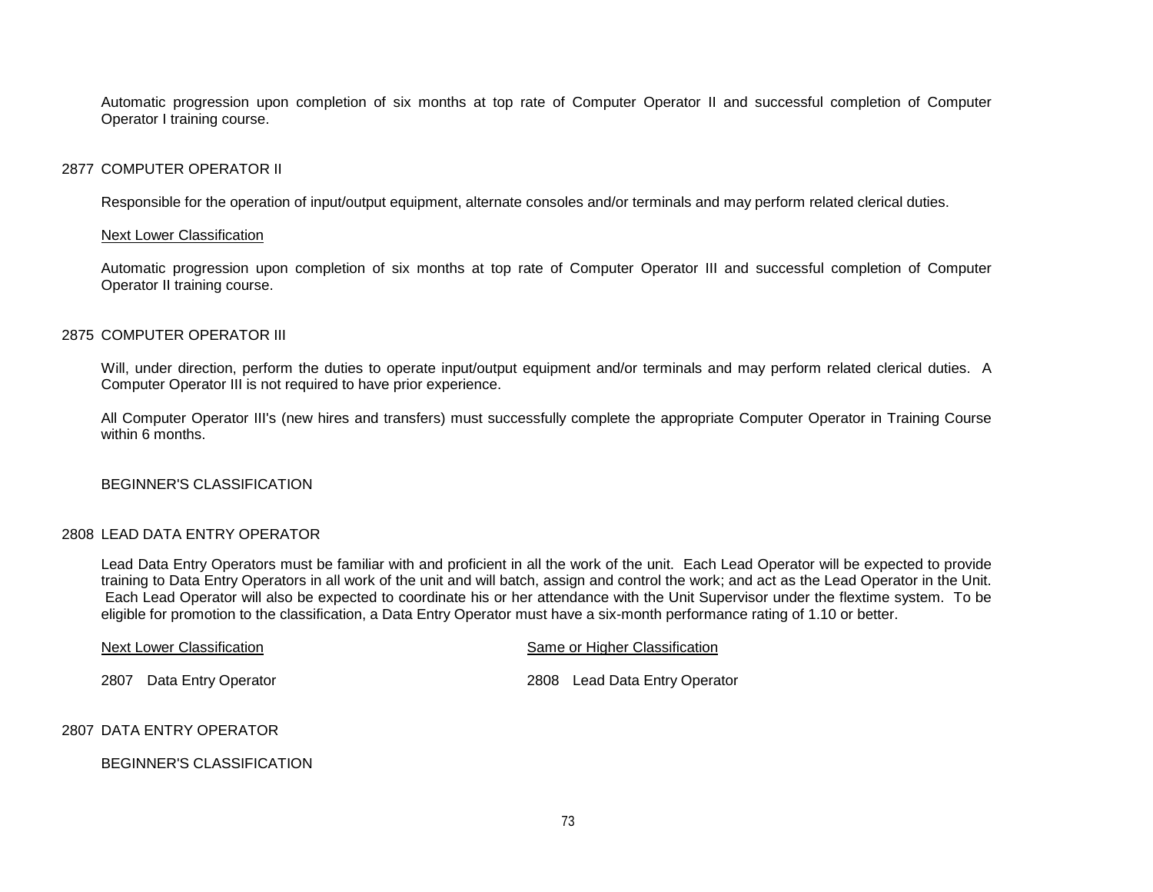Automatic progression upon completion of six months at top rate of Computer Operator II and successful completion of Computer Operator I training course.

## 2877 COMPUTER OPERATOR II

Responsible for the operation of input/output equipment, alternate consoles and/or terminals and may perform related clerical duties.

#### Next Lower Classification

Automatic progression upon completion of six months at top rate of Computer Operator III and successful completion of Computer Operator II training course.

## 2875 COMPUTER OPERATOR III

Will, under direction, perform the duties to operate input/output equipment and/or terminals and may perform related clerical duties. A Computer Operator III is not required to have prior experience.

All Computer Operator III's (new hires and transfers) must successfully complete the appropriate Computer Operator in Training Course within 6 months

## BEGINNER'S CLASSIFICATION

## 2808 LEAD DATA ENTRY OPERATOR

Lead Data Entry Operators must be familiar with and proficient in all the work of the unit. Each Lead Operator will be expected to provide training to Data Entry Operators in all work of the unit and will batch, assign and control the work; and act as the Lead Operator in the Unit. Each Lead Operator will also be expected to coordinate his or her attendance with the Unit Supervisor under the flextime system. To be eligible for promotion to the classification, a Data Entry Operator must have a six-month performance rating of 1.10 or better.

| Next Lower Classification | Same or Higher Classification |  |  |  |
|---------------------------|-------------------------------|--|--|--|
| 2807 Data Entry Operator  | 2808 Lead Data Entry Operator |  |  |  |
| Z BATA FNITBV OBFBATOR    |                               |  |  |  |

## 2807 DATA ENTRY OPERATOR

## BEGINNER'S CLASSIFICATION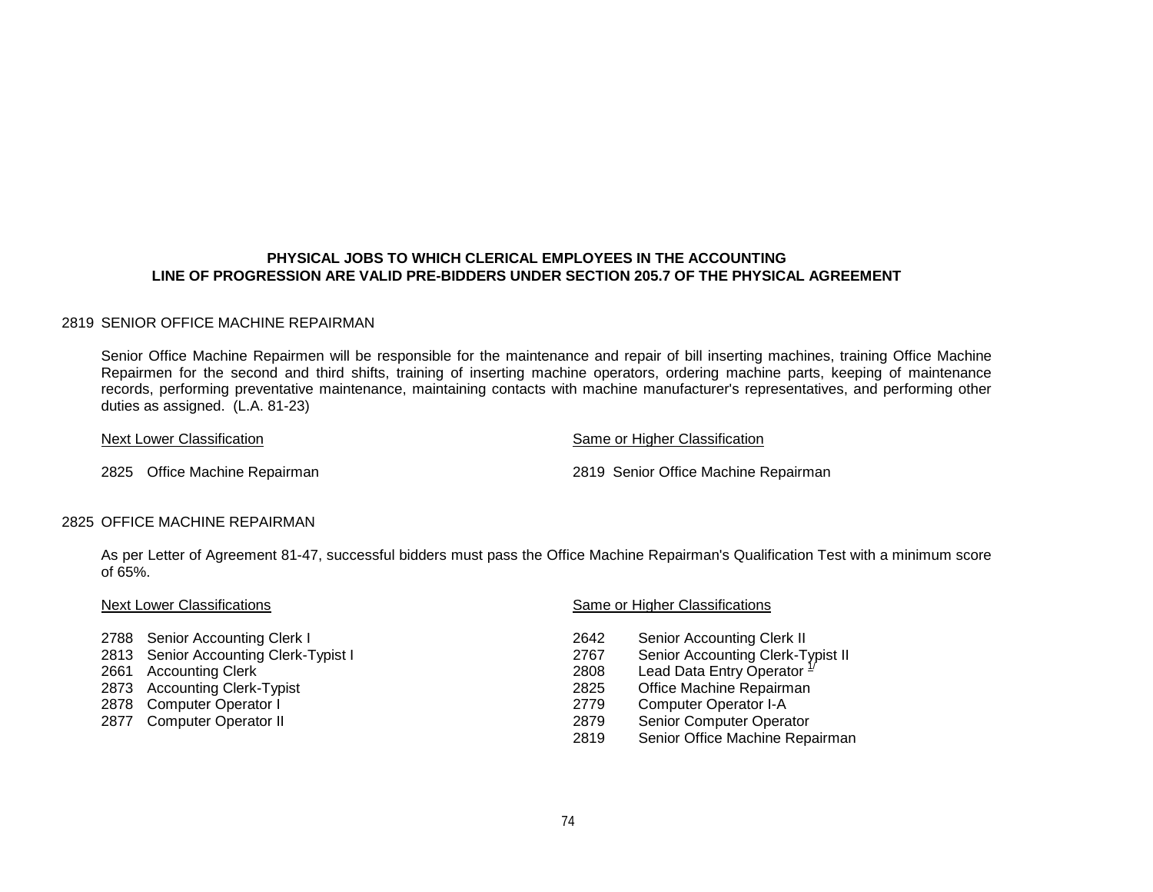## **PHYSICAL JOBS TO WHICH CLERICAL EMPLOYEES IN THE ACCOUNTING LINE OF PROGRESSION ARE VALID PRE-BIDDERS UNDER SECTION 205.7 OF THE PHYSICAL AGREEMENT**

## 2819 SENIOR OFFICE MACHINE REPAIRMAN

Senior Office Machine Repairmen will be responsible for the maintenance and repair of bill inserting machines, training Office Machine Repairmen for the second and third shifts, training of inserting machine operators, ordering machine parts, keeping of maintenance records, performing preventative maintenance, maintaining contacts with machine manufacturer's representatives, and performing other duties as assigned. (L.A. 81-23)

| Next Lower Classification     | Same or Higher Classification        |
|-------------------------------|--------------------------------------|
| 2825 Office Machine Repairman | 2819 Senior Office Machine Repairman |

## 2825 OFFICE MACHINE REPAIRMAN

As per Letter of Agreement 81-47, successful bidders must pass the Office Machine Repairman's Qualification Test with a minimum score of 65%.

- 
- 2813 Senior Accounting Clerk-Typist I<br>
2661 Accounting Clerk<br>
2808
- 
- 
- 2878 Computer Operator I<br>
2877 Computer Operator II 2879
- 

#### Next Lower Classifications **Same or Higher Classifications** Same or Higher Classifications

- 
- 2788 Senior Accounting Clerk I 2788 Senior Accounting Clerk II<br>
2767 Senior Accounting Clerk-Typist I 2767 Senior Accounting Clerk-Typist II
	- Lead Data Entry Operator <sup>1/</sup><br>Office Machine Repairman
- 2873 Accounting Clerk-Typist 2873 Accounting Clerk-Typist 2825 Office Machine Repairm<br>2878 Computer Operator I
	-
	- 2879 Senior Computer Operator<br>2819 Senior Office Machine Rep
	- Senior Office Machine Repairman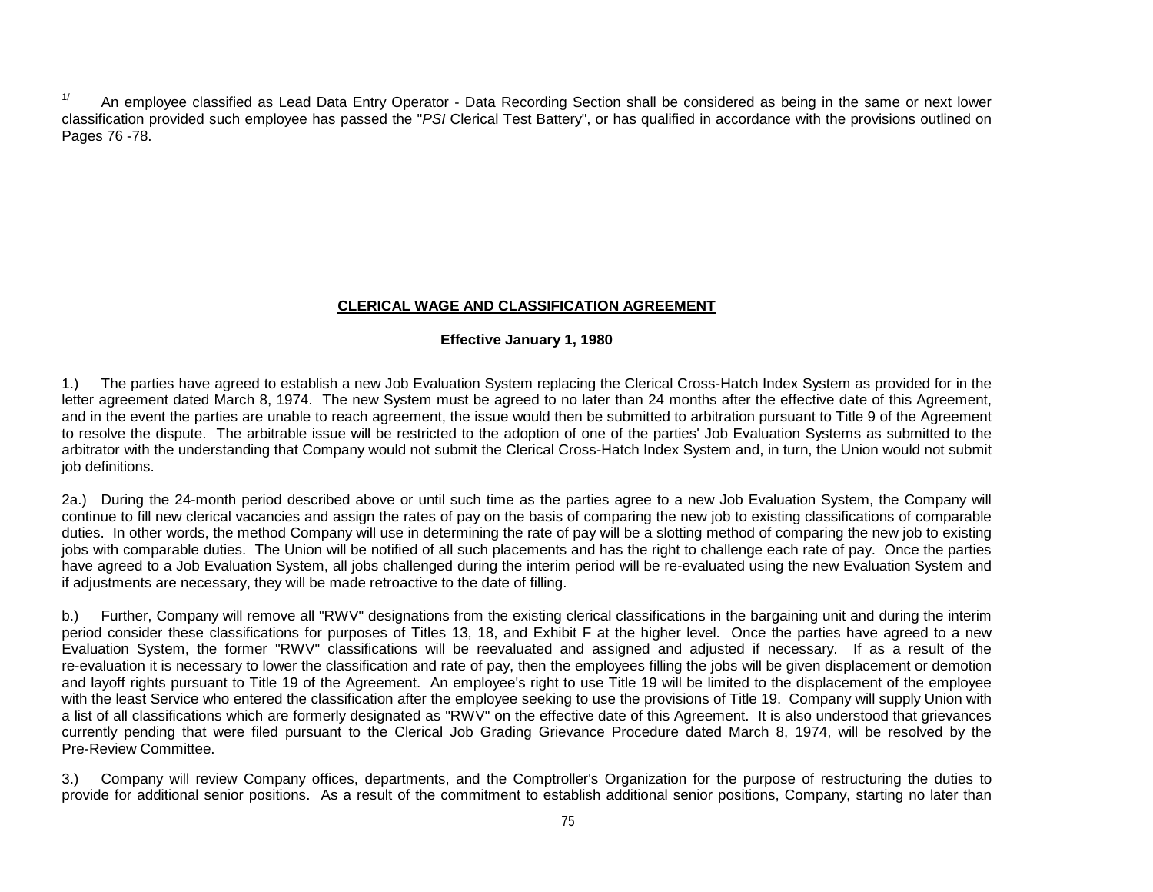$1/$  An employee classified as Lead Data Entry Operator - Data Recording Section shall be considered as being in the same or next lower classification provided such employee has passed the "*PSI* Clerical Test Battery", or has qualified in accordance with the provisions outlined on Pages 76 -78.

## **CLERICAL WAGE AND CLASSIFICATION AGREEMENT**

## **Effective January 1, 1980**

1.) The parties have agreed to establish a new Job Evaluation System replacing the Clerical Cross-Hatch Index System as provided for in the letter agreement dated March 8, 1974. The new System must be agreed to no later than 24 months after the effective date of this Agreement, and in the event the parties are unable to reach agreement, the issue would then be submitted to arbitration pursuant to Title 9 of the Agreement to resolve the dispute. The arbitrable issue will be restricted to the adoption of one of the parties' Job Evaluation Systems as submitted to the arbitrator with the understanding that Company would not submit the Clerical Cross-Hatch Index System and, in turn, the Union would not submit job definitions.

2a.) During the 24-month period described above or until such time as the parties agree to a new Job Evaluation System, the Company will continue to fill new clerical vacancies and assign the rates of pay on the basis of comparing the new job to existing classifications of comparable duties. In other words, the method Company will use in determining the rate of pay will be a slotting method of comparing the new job to existing jobs with comparable duties. The Union will be notified of all such placements and has the right to challenge each rate of pay. Once the parties have agreed to a Job Evaluation System, all jobs challenged during the interim period will be re-evaluated using the new Evaluation System and if adjustments are necessary, they will be made retroactive to the date of filling.

b.) Further, Company will remove all "RWV" designations from the existing clerical classifications in the bargaining unit and during the interim period consider these classifications for purposes of Titles 13, 18, and Exhibit F at the higher level. Once the parties have agreed to a new Evaluation System, the former "RWV" classifications will be reevaluated and assigned and adjusted if necessary. If as a result of the re-evaluation it is necessary to lower the classification and rate of pay, then the employees filling the jobs will be given displacement or demotion and layoff rights pursuant to Title 19 of the Agreement. An employee's right to use Title 19 will be limited to the displacement of the employee with the least Service who entered the classification after the employee seeking to use the provisions of Title 19. Company will supply Union with a list of all classifications which are formerly designated as "RWV" on the effective date of this Agreement. It is also understood that grievances currently pending that were filed pursuant to the Clerical Job Grading Grievance Procedure dated March 8, 1974, will be resolved by the Pre-Review Committee.

3.) Company will review Company offices, departments, and the Comptroller's Organization for the purpose of restructuring the duties to provide for additional senior positions. As a result of the commitment to establish additional senior positions, Company, starting no later than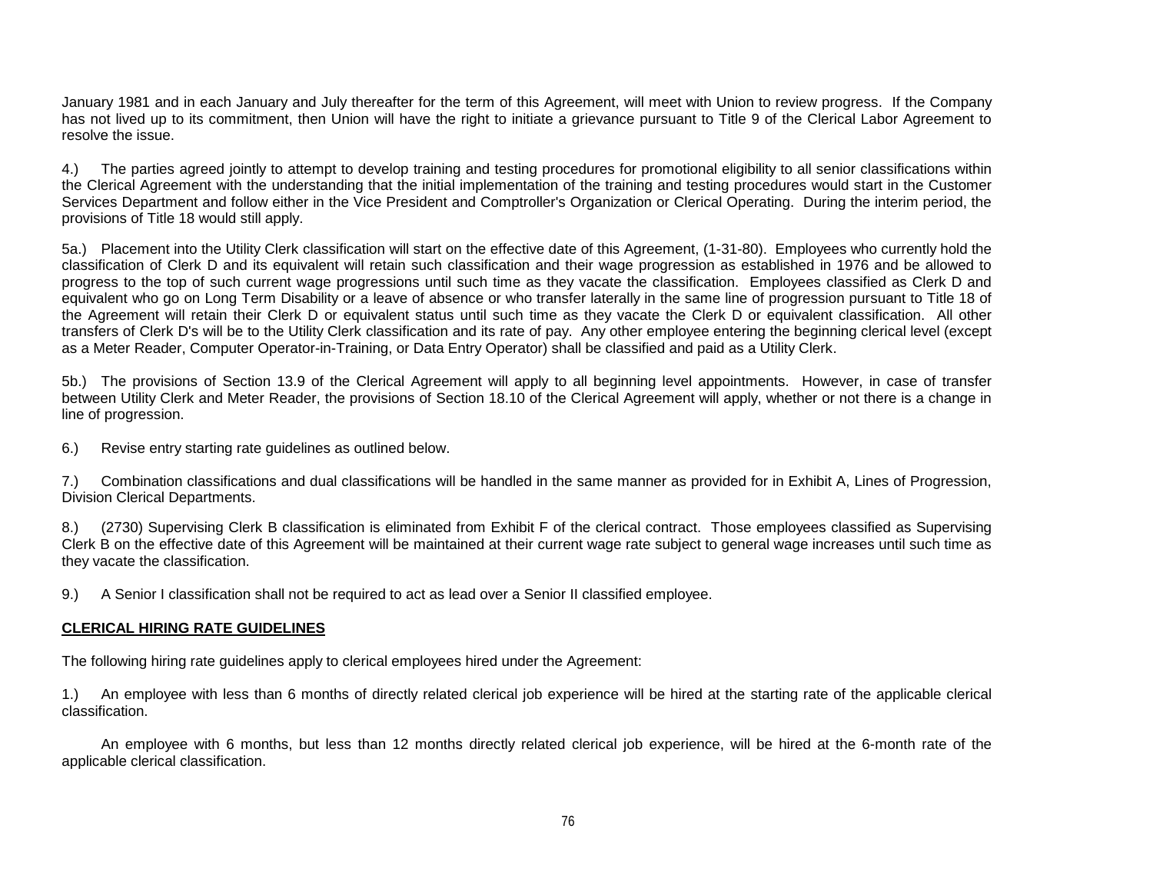January 1981 and in each January and July thereafter for the term of this Agreement, will meet with Union to review progress. If the Company has not lived up to its commitment, then Union will have the right to initiate a grievance pursuant to Title 9 of the Clerical Labor Agreement to resolve the issue.

4.) The parties agreed jointly to attempt to develop training and testing procedures for promotional eligibility to all senior classifications within the Clerical Agreement with the understanding that the initial implementation of the training and testing procedures would start in the Customer Services Department and follow either in the Vice President and Comptroller's Organization or Clerical Operating. During the interim period, the provisions of Title 18 would still apply.

5a.) Placement into the Utility Clerk classification will start on the effective date of this Agreement, (1-31-80). Employees who currently hold the classification of Clerk D and its equivalent will retain such classification and their wage progression as established in 1976 and be allowed to progress to the top of such current wage progressions until such time as they vacate the classification. Employees classified as Clerk D and equivalent who go on Long Term Disability or a leave of absence or who transfer laterally in the same line of progression pursuant to Title 18 of the Agreement will retain their Clerk D or equivalent status until such time as they vacate the Clerk D or equivalent classification. All other transfers of Clerk D's will be to the Utility Clerk classification and its rate of pay. Any other employee entering the beginning clerical level (except as a Meter Reader, Computer Operator-in-Training, or Data Entry Operator) shall be classified and paid as a Utility Clerk.

5b.) The provisions of Section 13.9 of the Clerical Agreement will apply to all beginning level appointments. However, in case of transfer between Utility Clerk and Meter Reader, the provisions of Section 18.10 of the Clerical Agreement will apply, whether or not there is a change in line of progression.

6.) Revise entry starting rate guidelines as outlined below.

7.) Combination classifications and dual classifications will be handled in the same manner as provided for in Exhibit A, Lines of Progression, Division Clerical Departments.

8.) (2730) Supervising Clerk B classification is eliminated from Exhibit F of the clerical contract. Those employees classified as Supervising Clerk B on the effective date of this Agreement will be maintained at their current wage rate subject to general wage increases until such time as they vacate the classification.

9.) A Senior I classification shall not be required to act as lead over a Senior II classified employee.

## **CLERICAL HIRING RATE GUIDELINES**

The following hiring rate guidelines apply to clerical employees hired under the Agreement:

1.) An employee with less than 6 months of directly related clerical job experience will be hired at the starting rate of the applicable clerical classification.

An employee with 6 months, but less than 12 months directly related clerical job experience, will be hired at the 6-month rate of the applicable clerical classification.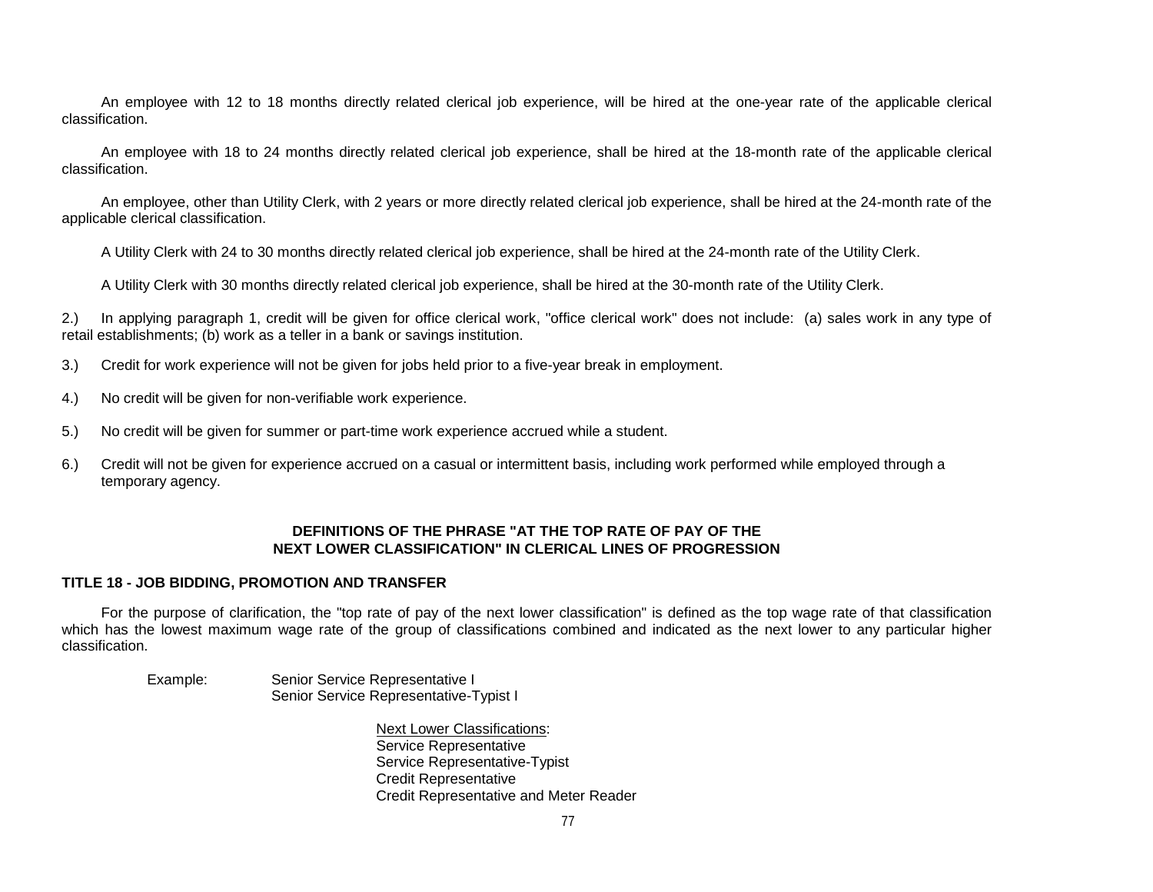An employee with 12 to 18 months directly related clerical job experience, will be hired at the one-year rate of the applicable clerical classification.

An employee with 18 to 24 months directly related clerical job experience, shall be hired at the 18-month rate of the applicable clerical classification.

An employee, other than Utility Clerk, with 2 years or more directly related clerical job experience, shall be hired at the 24-month rate of the applicable clerical classification.

A Utility Clerk with 24 to 30 months directly related clerical job experience, shall be hired at the 24-month rate of the Utility Clerk.

A Utility Clerk with 30 months directly related clerical job experience, shall be hired at the 30-month rate of the Utility Clerk.

2.) In applying paragraph 1, credit will be given for office clerical work, "office clerical work" does not include: (a) sales work in any type of retail establishments; (b) work as a teller in a bank or savings institution.

- 3.) Credit for work experience will not be given for jobs held prior to a five-year break in employment.
- 4.) No credit will be given for non-verifiable work experience.
- 5.) No credit will be given for summer or part-time work experience accrued while a student.
- 6.) Credit will not be given for experience accrued on a casual or intermittent basis, including work performed while employed through a temporary agency.

## **DEFINITIONS OF THE PHRASE "AT THE TOP RATE OF PAY OF THE NEXT LOWER CLASSIFICATION" IN CLERICAL LINES OF PROGRESSION**

## **TITLE 18 - JOB BIDDING, PROMOTION AND TRANSFER**

For the purpose of clarification, the "top rate of pay of the next lower classification" is defined as the top wage rate of that classification which has the lowest maximum wage rate of the group of classifications combined and indicated as the next lower to any particular higher classification.

| Example: | Senior Service Representative I        |
|----------|----------------------------------------|
|          | Senior Service Representative-Typist I |

Next Lower Classifications: Service Representative Service Representative-Typist Credit Representative Credit Representative and Meter Reader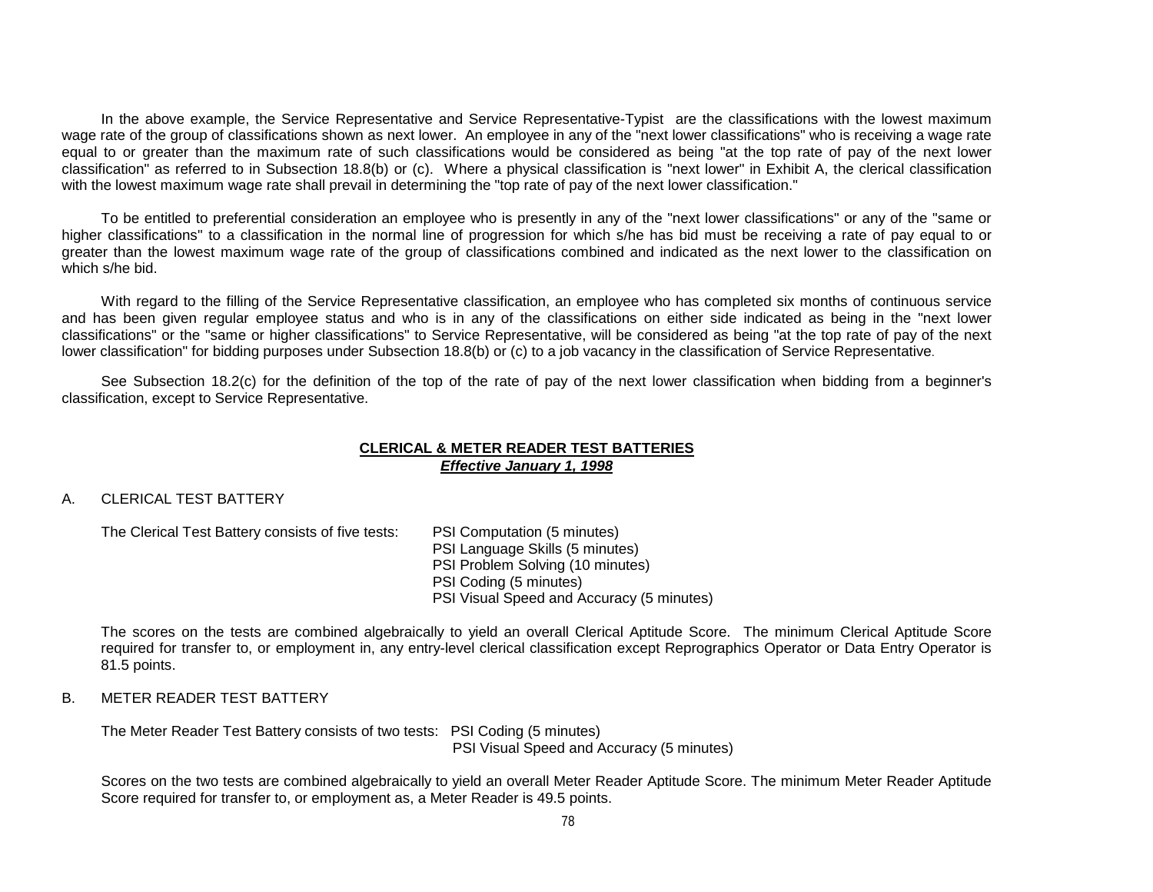In the above example, the Service Representative and Service Representative-Typistare the classifications with the lowest maximum wage rate of the group of classifications shown as next lower. An employee in any of the "next lower classifications" who is receiving a wage rate equal to or greater than the maximum rate of such classifications would be considered as being "at the top rate of pay of the next lower classification" as referred to in Subsection 18.8(b) or (c). Where a physical classification is "next lower" in Exhibit A, the clerical classification with the lowest maximum wage rate shall prevail in determining the "top rate of pay of the next lower classification."

To be entitled to preferential consideration an employee who is presently in any of the "next lower classifications" or any of the "same or higher classifications" to a classification in the normal line of progression for which s/he has bid must be receiving a rate of pay equal to or greater than the lowest maximum wage rate of the group of classifications combined and indicated as the next lower to the classification on which s/he bid.

With regard to the filling of the Service Representative classification, an employee who has completed six months of continuous service and has been given regular employee status and who is in any of the classifications on either side indicated as being in the "next lower classifications" or the "same or higher classifications" to Service Representative, will be considered as being "at the top rate of pay of the next lower classification" for bidding purposes under Subsection 18.8(b) or (c) to a job vacancy in the classification of Service Representative.

See Subsection 18.2(c) for the definition of the top of the rate of pay of the next lower classification when bidding from a beginner's classification, except to Service Representative.

## **CLERICAL & METER READER TEST BATTERIES** *Effective January 1, 1998*

## A. CLERICAL TEST BATTERY

The Clerical Test Battery consists of five tests: PSI Computation (5 minutes)

PSI Language Skills (5 minutes) PSI Problem Solving (10 minutes) PSI Coding (5 minutes) PSI Visual Speed and Accuracy (5 minutes)

The scores on the tests are combined algebraically to yield an overall Clerical Aptitude Score. The minimum Clerical Aptitude Score required for transfer to, or employment in, any entry-level clerical classification except Reprographics Operator or Data Entry Operator is 81.5 points.

## B. METER READER TEST BATTERY

The Meter Reader Test Battery consists of two tests: PSI Coding (5 minutes) PSI Visual Speed and Accuracy (5 minutes)

Scores on the two tests are combined algebraically to yield an overall Meter Reader Aptitude Score. The minimum Meter Reader Aptitude Score required for transfer to, or employment as, a Meter Reader is 49.5 points.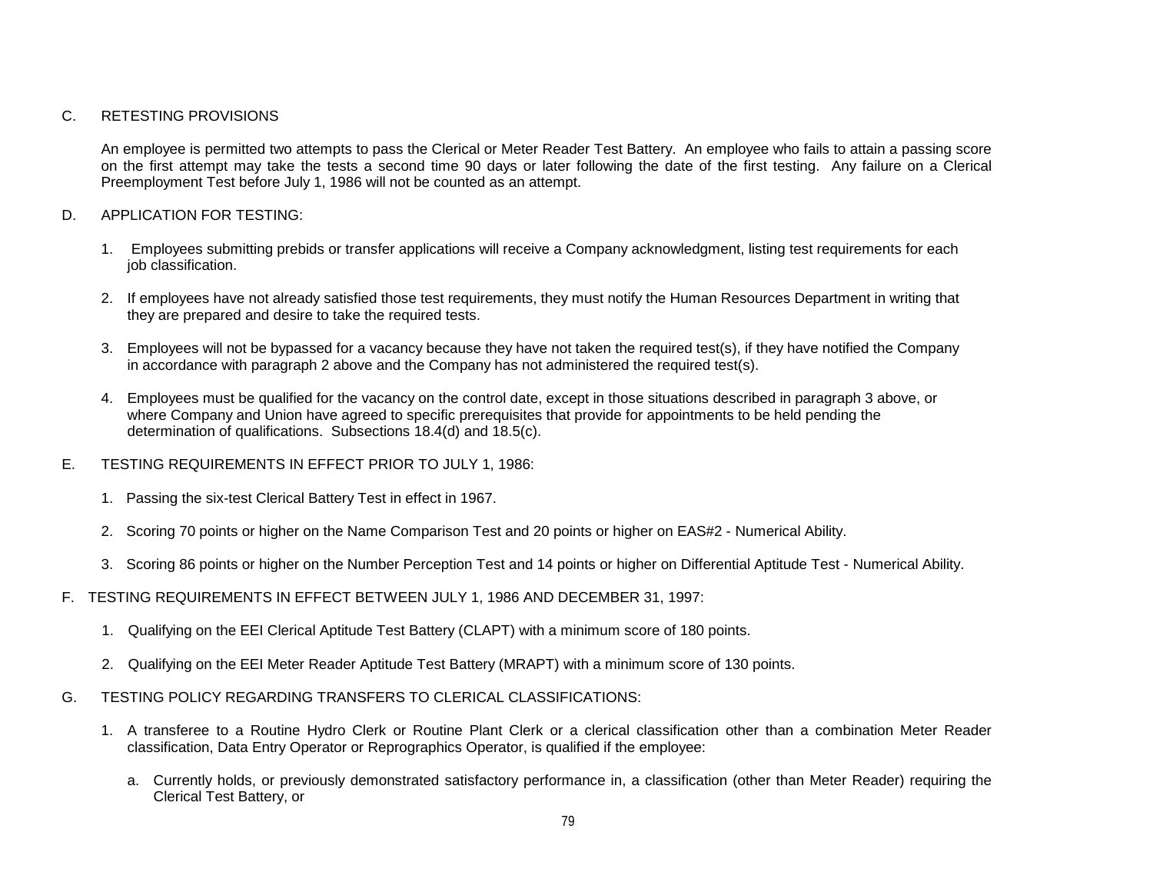## C. RETESTING PROVISIONS

An employee is permitted two attempts to pass the Clerical or Meter Reader Test Battery. An employee who fails to attain a passing score on the first attempt may take the tests a second time 90 days or later following the date of the first testing. Any failure on a Clerical Preemployment Test before July 1, 1986 will not be counted as an attempt.

## D. APPLICATION FOR TESTING:

- 1. Employees submitting prebids or transfer applications will receive a Company acknowledgment, listing test requirements for each job classification.
- 2. If employees have not already satisfied those test requirements, they must notify the Human Resources Department in writing that they are prepared and desire to take the required tests.
- 3. Employees will not be bypassed for a vacancy because they have not taken the required test(s), if they have notified the Company in accordance with paragraph 2 above and the Company has not administered the required test(s).
- 4. Employees must be qualified for the vacancy on the control date, except in those situations described in paragraph 3 above, or where Company and Union have agreed to specific prerequisites that provide for appointments to be held pending the determination of qualifications. Subsections 18.4(d) and 18.5(c).
- E. TESTING REQUIREMENTS IN EFFECT PRIOR TO JULY 1, 1986:
	- 1. Passing the six-test Clerical Battery Test in effect in 1967.
	- 2. Scoring 70 points or higher on the Name Comparison Test and 20 points or higher on EAS#2 Numerical Ability.
	- 3. Scoring 86 points or higher on the Number Perception Test and 14 points or higher on Differential Aptitude Test Numerical Ability.
- F. TESTING REQUIREMENTS IN EFFECT BETWEEN JULY 1, 1986 AND DECEMBER 31, 1997:
	- 1. Qualifying on the EEI Clerical Aptitude Test Battery (CLAPT) with a minimum score of 180 points.
	- 2. Qualifying on the EEI Meter Reader Aptitude Test Battery (MRAPT) with a minimum score of 130 points.
- G. TESTING POLICY REGARDING TRANSFERS TO CLERICAL CLASSIFICATIONS:
	- 1. A transferee to a Routine Hydro Clerk or Routine Plant Clerk or a clerical classification other than a combination Meter Reader classification, Data Entry Operator or Reprographics Operator, is qualified if the employee:
		- a. Currently holds, or previously demonstrated satisfactory performance in, a classification (other than Meter Reader) requiring the Clerical Test Battery, or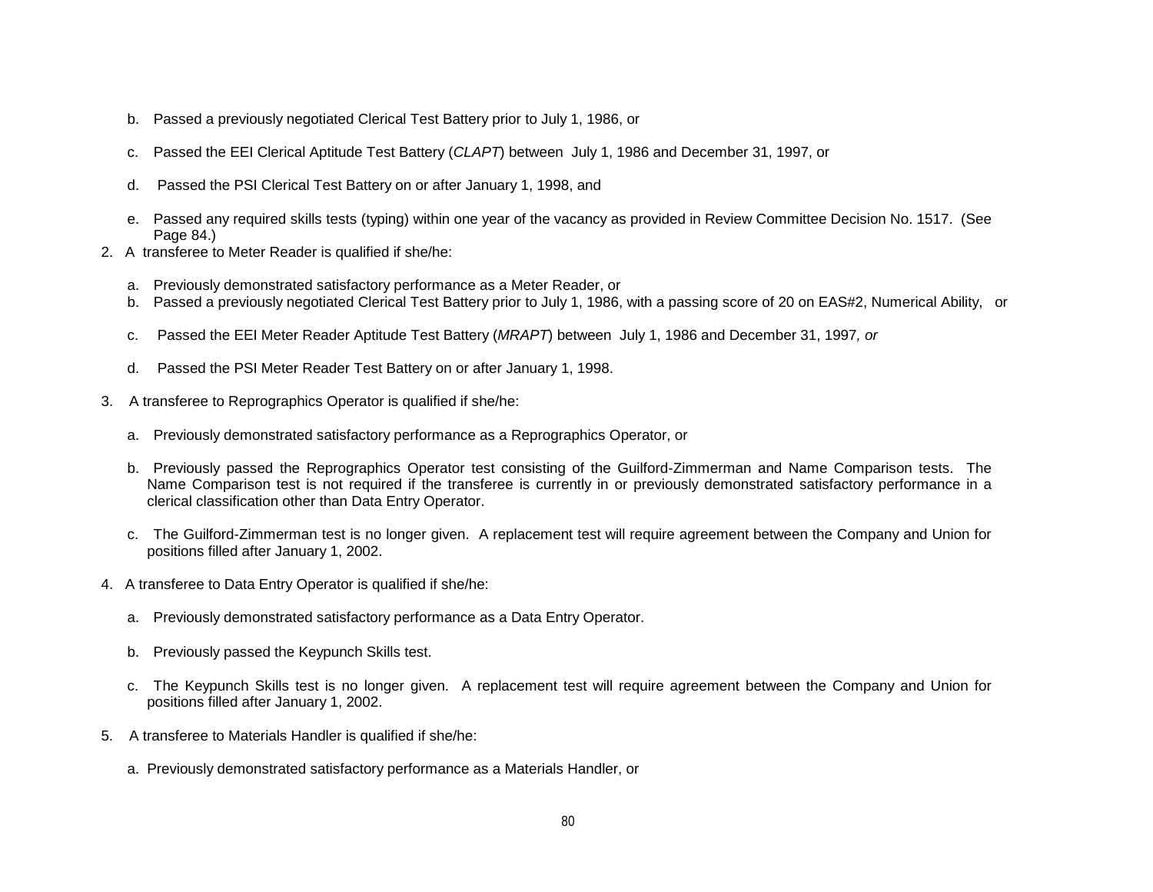- b. Passed a previously negotiated Clerical Test Battery prior to July 1, 1986, or
- c. Passed the EEI Clerical Aptitude Test Battery (*CLAPT*) between July 1, 1986 and December 31, 1997, or
- d. Passed the PSI Clerical Test Battery on or after January 1, 1998, and
- e. Passed any required skills tests (typing) within one year of the vacancy as provided in Review Committee Decision No. 1517. (See Page 84.)
- 2. A transferee to Meter Reader is qualified if she/he:
	- a. Previously demonstrated satisfactory performance as a Meter Reader, or
	- b. Passed a previously negotiated Clerical Test Battery prior to July 1, 1986, with a passing score of 20 on EAS#2, Numerical Ability, or
	- c. Passed the EEI Meter Reader Aptitude Test Battery (*MRAPT*) between July 1, 1986 and December 31, 1997*, or*
	- d. Passed the PSI Meter Reader Test Battery on or after January 1, 1998.
- 3. A transferee to Reprographics Operator is qualified if she/he:
	- a. Previously demonstrated satisfactory performance as a Reprographics Operator, or
	- b. Previously passed the Reprographics Operator test consisting of the Guilford-Zimmerman and Name Comparison tests. The Name Comparison test is not required if the transferee is currently in or previously demonstrated satisfactory performance in a clerical classification other than Data Entry Operator.
	- c. The Guilford-Zimmerman test is no longer given. A replacement test will require agreement between the Company and Union for positions filled after January 1, 2002.
- 4. A transferee to Data Entry Operator is qualified if she/he:
	- a. Previously demonstrated satisfactory performance as a Data Entry Operator.
	- b. Previously passed the Keypunch Skills test.
	- c. The Keypunch Skills test is no longer given. A replacement test will require agreement between the Company and Union for positions filled after January 1, 2002.
- 5. A transferee to Materials Handler is qualified if she/he:
	- a. Previously demonstrated satisfactory performance as a Materials Handler, or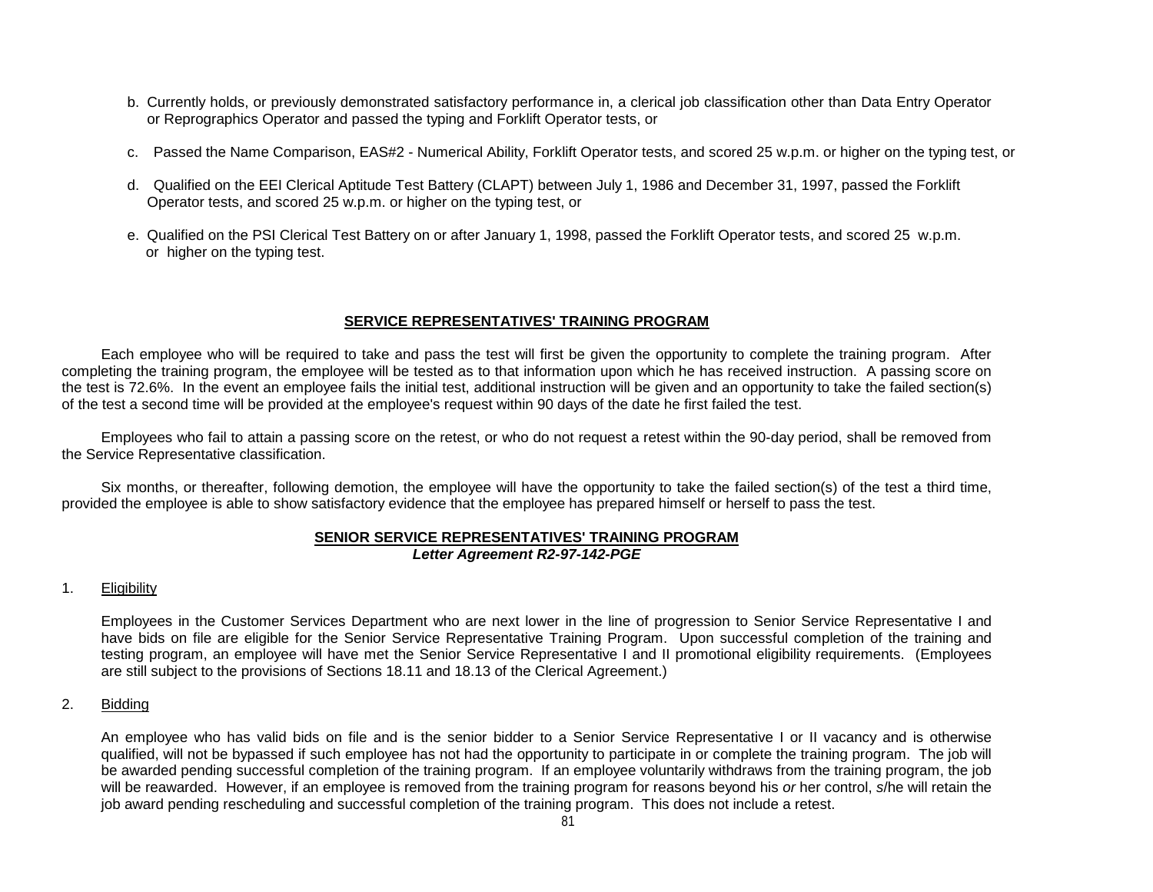- b. Currently holds, or previously demonstrated satisfactory performance in, a clerical job classification other than Data Entry Operator or Reprographics Operator and passed the typing and Forklift Operator tests, or
- c. Passed the Name Comparison, EAS#2 Numerical Ability, Forklift Operator tests, and scored 25 w.p.m. or higher on the typing test, or
- d. Qualified on the EEI Clerical Aptitude Test Battery (CLAPT) between July 1, 1986 and December 31, 1997, passed the Forklift Operator tests, and scored 25 w.p.m. or higher on the typing test, or
- e. Qualified on the PSI Clerical Test Battery on or after January 1, 1998, passed the Forklift Operator tests, and scored 25 w.p.m. or higher on the typing test.

## **SERVICE REPRESENTATIVES' TRAINING PROGRAM**

Each employee who will be required to take and pass the test will first be given the opportunity to complete the training program. After completing the training program, the employee will be tested as to that information upon which he has received instruction. A passing score on the test is 72.6%. In the event an employee fails the initial test, additional instruction will be given and an opportunity to take the failed section(s) of the test a second time will be provided at the employee's request within 90 days of the date he first failed the test.

Employees who fail to attain a passing score on the retest, or who do not request a retest within the 90-day period, shall be removed from the Service Representative classification.

Six months, or thereafter, following demotion, the employee will have the opportunity to take the failed section(s) of the test a third time, provided the employee is able to show satisfactory evidence that the employee has prepared himself or herself to pass the test.

## **SENIOR SERVICE REPRESENTATIVES' TRAINING PROGRAM** *Letter Agreement R2-97-142-PGE*

## 1. Eligibility

Employees in the Customer Services Department who are next lower in the line of progression to Senior Service Representative I and have bids on file are eligible for the Senior Service Representative Training Program. Upon successful completion of the training and testing program, an employee will have met the Senior Service Representative I and II promotional eligibility requirements. (Employees are still subject to the provisions of Sections 18.11 and 18.13 of the Clerical Agreement.)

## 2. Bidding

An employee who has valid bids on file and is the senior bidder to a Senior Service Representative I or II vacancy and is otherwise qualified, will not be bypassed if such employee has not had the opportunity to participate in or complete the training program. The job will be awarded pending successful completion of the training program. If an employee voluntarily withdraws from the training program, the job will be reawarded. However, if an employee is removed from the training program for reasons beyond his *or* her control, *s*/he will retain the iob award pending rescheduling and successful completion of the training program. This does not include a retest.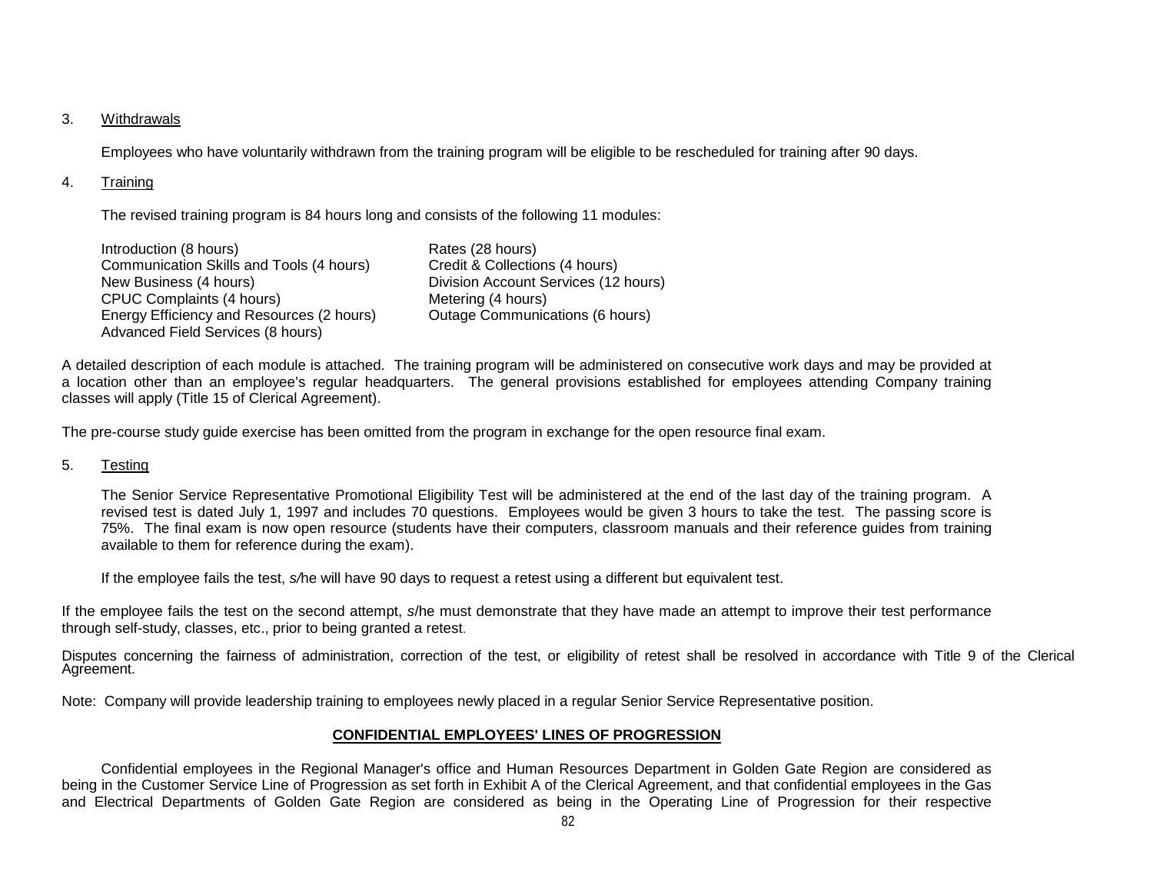## 3. Withdrawals

Employees who have voluntarily withdrawn from the training program will be eligible to be rescheduled for training after 90 days.

## 4. Training

The revised training program is 84 hours long and consists of the following 11 modules:

| Introduction (8 hours)                                                         | Rates (28 hours)                     |
|--------------------------------------------------------------------------------|--------------------------------------|
| Communication Skills and Tools (4 hours)                                       | Credit & Collections (4 hours)       |
| New Business (4 hours)                                                         | Division Account Services (12 hours) |
| <b>CPUC Complaints (4 hours)</b>                                               | Metering (4 hours)                   |
| Energy Efficiency and Resources (2 hours)<br>Advanced Field Services (8 hours) | Outage Communications (6 hours)      |

A detailed description of each module is attached. The training program will be administered on consecutive work days and may be provided at a location other than an employee's regular headquarters. The general provisions established for employees attending Company training classes will apply (Title 15 of Clerical Agreement).

The pre-course study guide exercise has been omitted from the program in exchange for the open resource final exam.

## 5. Testing

The Senior Service Representative Promotional Eligibility Test will be administered at the end of the last day of the training program. A revised test is dated July 1, 1997 and includes 70 questions. Employees would be given 3 hours to take the test. The passing score is 75%. The final exam is now open resource (students have their computers, classroom manuals and their reference guides from training available to them for reference during the exam).

If the employee fails the test, *s/*he will have 90 days to request a retest using a different but equivalent test.

If the employee fails the test on the second attempt, *s*/he must demonstrate that they have made an attempt to improve their test performance through self-study, classes, etc., prior to being granted a retest.

Disputes concerning the fairness of administration, correction of the test, or eligibility of retest shall be resolved in accordance with Title 9 of the Clerical Agreement.

Note: Company will provide leadership training to employees newly placed in a regular Senior Service Representative position.

## **CONFIDENTIAL EMPLOYEES' LINES OF PROGRESSION**

Confidential employees in the Regional Manager's office and Human Resources Department in Golden Gate Region are considered as being in the Customer Service Line of Progression as set forth in Exhibit A of the Clerical Agreement, and that confidential employees in the Gas and Electrical Departments of Golden Gate Region are considered as being in the Operating Line of Progression for their respective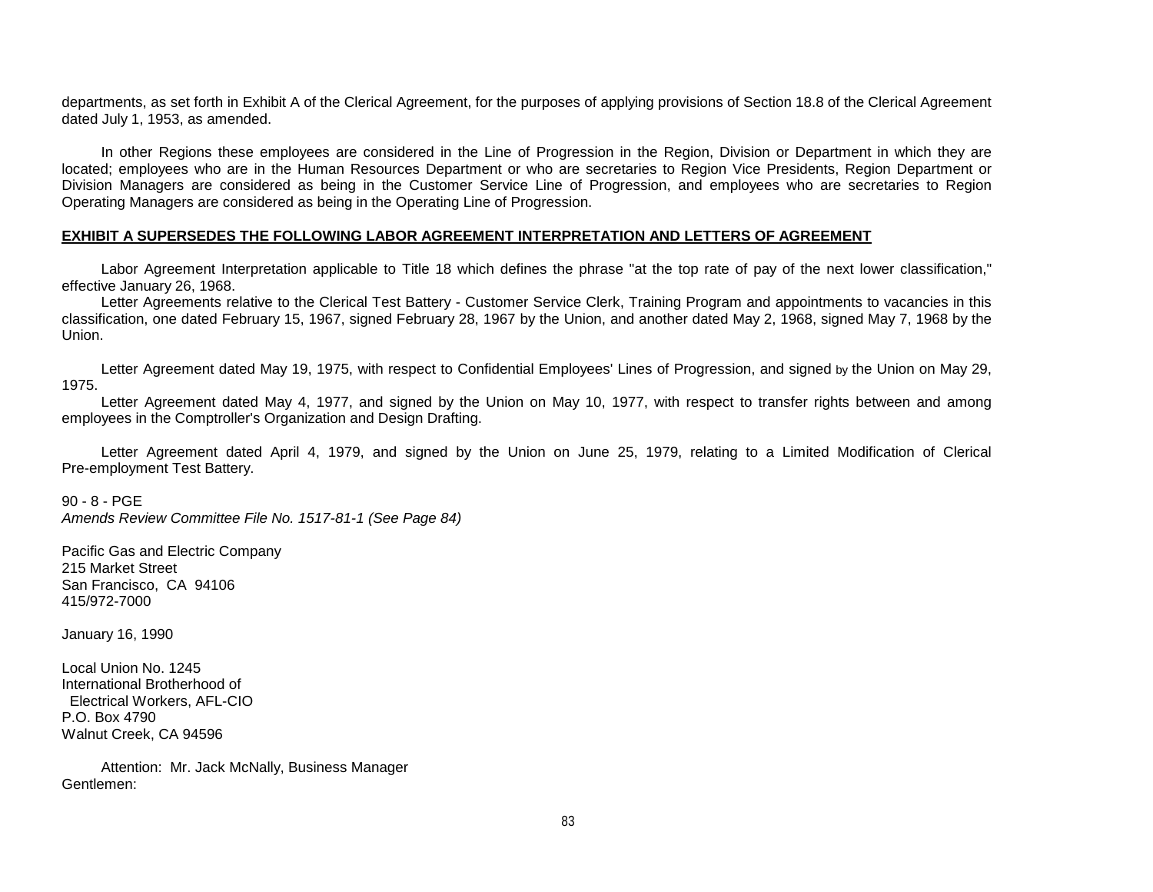departments, as set forth in Exhibit A of the Clerical Agreement, for the purposes of applying provisions of Section 18.8 of the Clerical Agreement dated July 1, 1953, as amended.

In other Regions these employees are considered in the Line of Progression in the Region, Division or Department in which they are located; employees who are in the Human Resources Department or who are secretaries to Region Vice Presidents, Region Department or Division Managers are considered as being in the Customer Service Line of Progression, and employees who are secretaries to Region Operating Managers are considered as being in the Operating Line of Progression.

## **EXHIBIT A SUPERSEDES THE FOLLOWING LABOR AGREEMENT INTERPRETATION AND LETTERS OF AGREEMENT**

Labor Agreement Interpretation applicable to Title 18 which defines the phrase "at the top rate of pay of the next lower classification," effective January 26, 1968.

Letter Agreements relative to the Clerical Test Battery - Customer Service Clerk, Training Program and appointments to vacancies in this classification, one dated February 15, 1967, signed February 28, 1967 by the Union, and another dated May 2, 1968, signed May 7, 1968 by the Union.

Letter Agreement dated May 19, 1975, with respect to Confidential Employees' Lines of Progression, and signed by the Union on May 29, 1975.

Letter Agreement dated May 4, 1977, and signed by the Union on May 10, 1977, with respect to transfer rights between and among employees in the Comptroller's Organization and Design Drafting.

Letter Agreement dated April 4, 1979, and signed by the Union on June 25, 1979, relating to a Limited Modification of Clerical Pre-employment Test Battery.

90 - 8 - PGE *Amends Review Committee File No. 1517-81-1 (See Page 84)*

Pacific Gas and Electric Company 215 Market Street San Francisco, CA 94106 415/972-7000

January 16, 1990

Local Union No. 1245 International Brotherhood of Electrical Workers, AFL-CIO P.O. Box 4790 Walnut Creek, CA 94596

Attention: Mr. Jack McNally, Business Manager Gentlemen: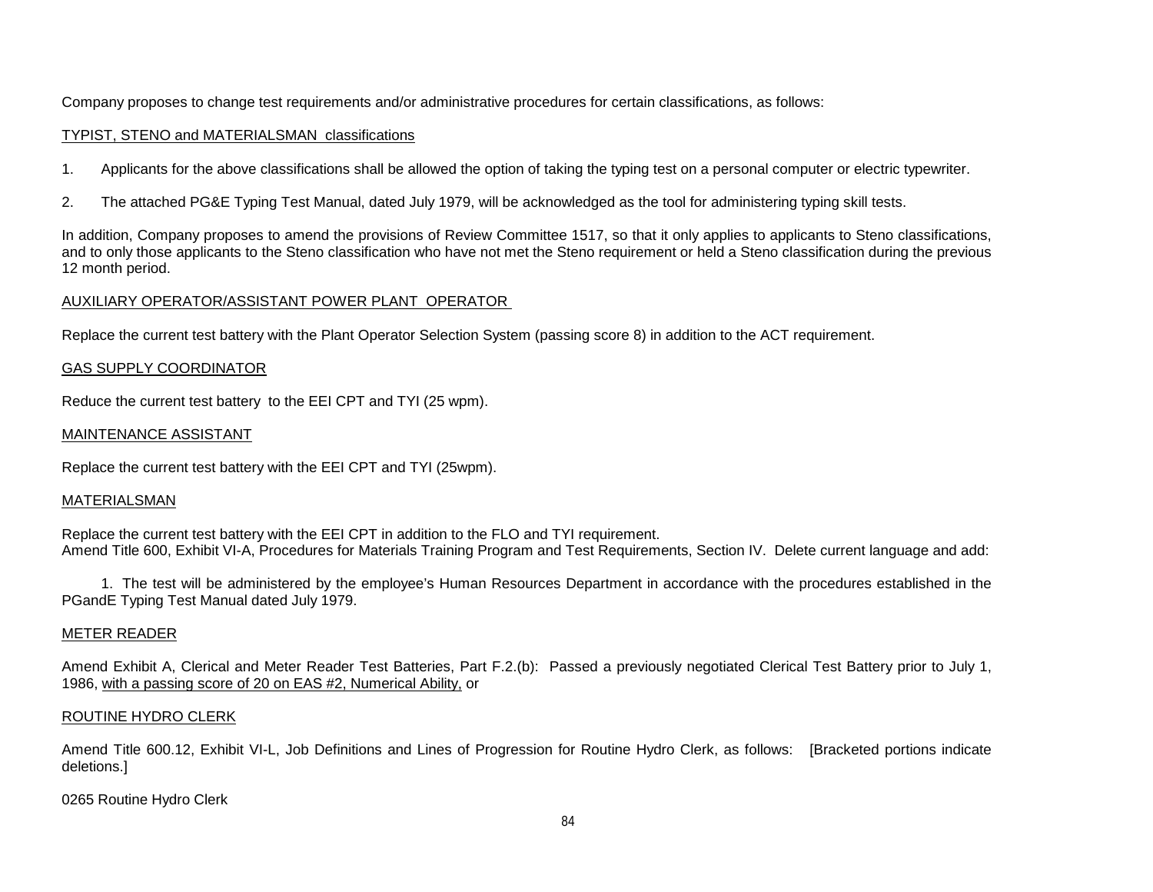Company proposes to change test requirements and/or administrative procedures for certain classifications, as follows:

## TYPIST, STENO and MATERIALSMAN classifications

- 1. Applicants for the above classifications shall be allowed the option of taking the typing test on a personal computer or electric typewriter.
- 2. The attached PG&E Typing Test Manual, dated July 1979, will be acknowledged as the tool for administering typing skill tests.

In addition, Company proposes to amend the provisions of Review Committee 1517, so that it only applies to applicants to Steno classifications, and to only those applicants to the Steno classification who have not met the Steno requirement or held a Steno classification during the previous 12 month period.

# AUXILIARY OPERATOR/ASSISTANT POWER PLANT OPERATOR

Replace the current test battery with the Plant Operator Selection System (passing score 8) in addition to the ACT requirement.

# GAS SUPPLY COORDINATOR

Reduce the current test battery to the EEI CPT and TYI (25 wpm).

## MAINTENANCE ASSISTANT

Replace the current test battery with the EEI CPT and TYI (25wpm).

## **MATERIALSMAN**

Replace the current test battery with the EEI CPT in addition to the FLO and TYI requirement. Amend Title 600, Exhibit VI-A, Procedures for Materials Training Program and Test Requirements, Section IV. Delete current language and add:

1. The test will be administered by the employee's Human Resources Department in accordance with the procedures established in the PGandE Typing Test Manual dated July 1979.

# METER READER

Amend Exhibit A, Clerical and Meter Reader Test Batteries, Part F.2.(b): Passed a previously negotiated Clerical Test Battery prior to July 1, 1986, with a passing score of 20 on EAS #2, Numerical Ability, or

# ROUTINE HYDRO CLERK

Amend Title 600.12, Exhibit VI-L, Job Definitions and Lines of Progression for Routine Hydro Clerk, as follows: [Bracketed portions indicate deletions.]

0265 Routine Hydro Clerk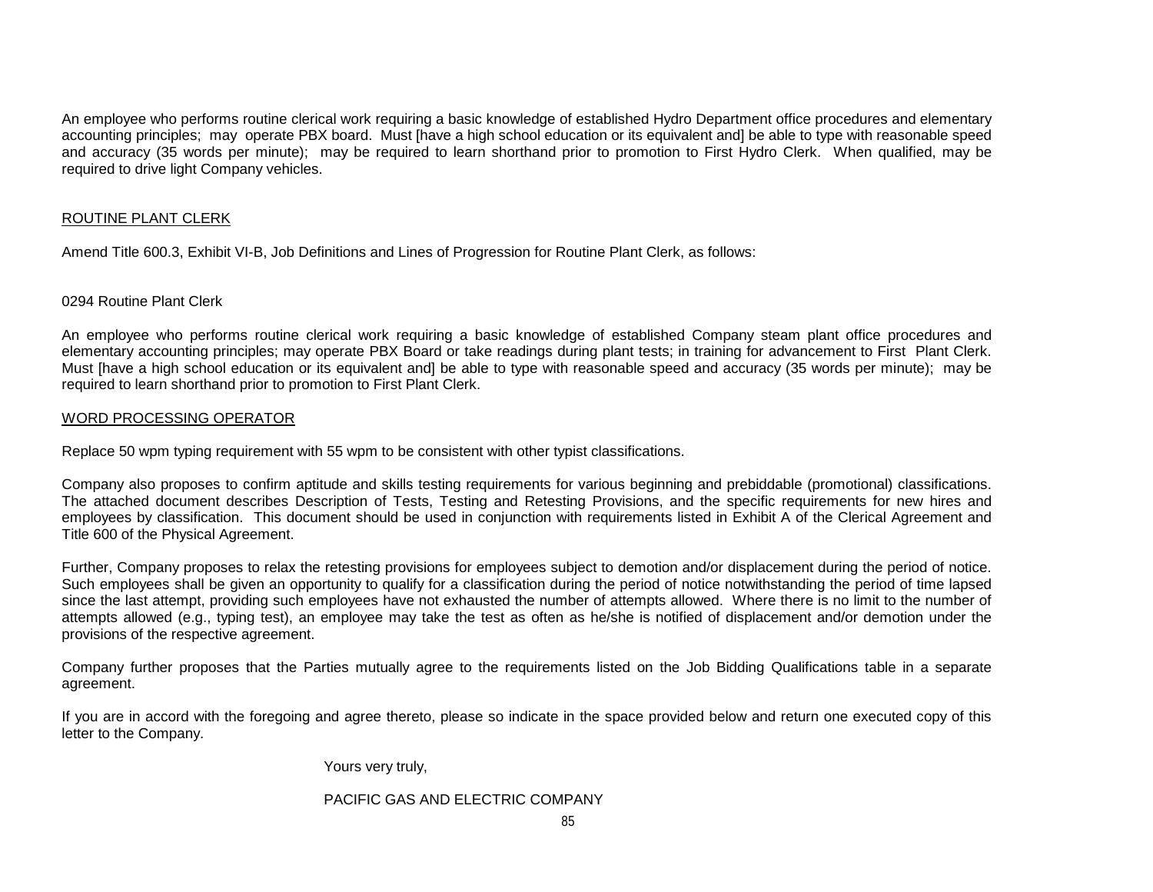An employee who performs routine clerical work requiring a basic knowledge of established Hydro Department office procedures and elementary accounting principles; may operate PBX board. Must [have a high school education or its equivalent and] be able to type with reasonable speed and accuracy (35 words per minute); may be required to learn shorthand prior to promotion to First Hydro Clerk. When qualified, may be required to drive light Company vehicles.

## ROUTINE PLANT CLERK

Amend Title 600.3, Exhibit VI-B, Job Definitions and Lines of Progression for Routine Plant Clerk, as follows:

## 0294 Routine Plant Clerk

An employee who performs routine clerical work requiring a basic knowledge of established Company steam plant office procedures and elementary accounting principles; may operate PBX Board or take readings during plant tests; in training for advancement to First Plant Clerk. Must [have a high school education or its equivalent and] be able to type with reasonable speed and accuracy (35 words per minute); may be required to learn shorthand prior to promotion to First Plant Clerk.

## WORD PROCESSING OPERATOR

Replace 50 wpm typing requirement with 55 wpm to be consistent with other typist classifications.

Company also proposes to confirm aptitude and skills testing requirements for various beginning and prebiddable (promotional) classifications. The attached document describes Description of Tests, Testing and Retesting Provisions, and the specific requirements for new hires and employees by classification. This document should be used in conjunction with requirements listed in Exhibit A of the Clerical Agreement and Title 600 of the Physical Agreement.

Further, Company proposes to relax the retesting provisions for employees subject to demotion and/or displacement during the period of notice. Such employees shall be given an opportunity to qualify for a classification during the period of notice notwithstanding the period of time lapsed since the last attempt, providing such employees have not exhausted the number of attempts allowed. Where there is no limit to the number of attempts allowed (e.g., typing test), an employee may take the test as often as he/she is notified of displacement and/or demotion under the provisions of the respective agreement.

Company further proposes that the Parties mutually agree to the requirements listed on the Job Bidding Qualifications table in a separate agreement.

If you are in accord with the foregoing and agree thereto, please so indicate in the space provided below and return one executed copy of this letter to the Company.

Yours very truly,

## PACIFIC GAS AND ELECTRIC COMPANY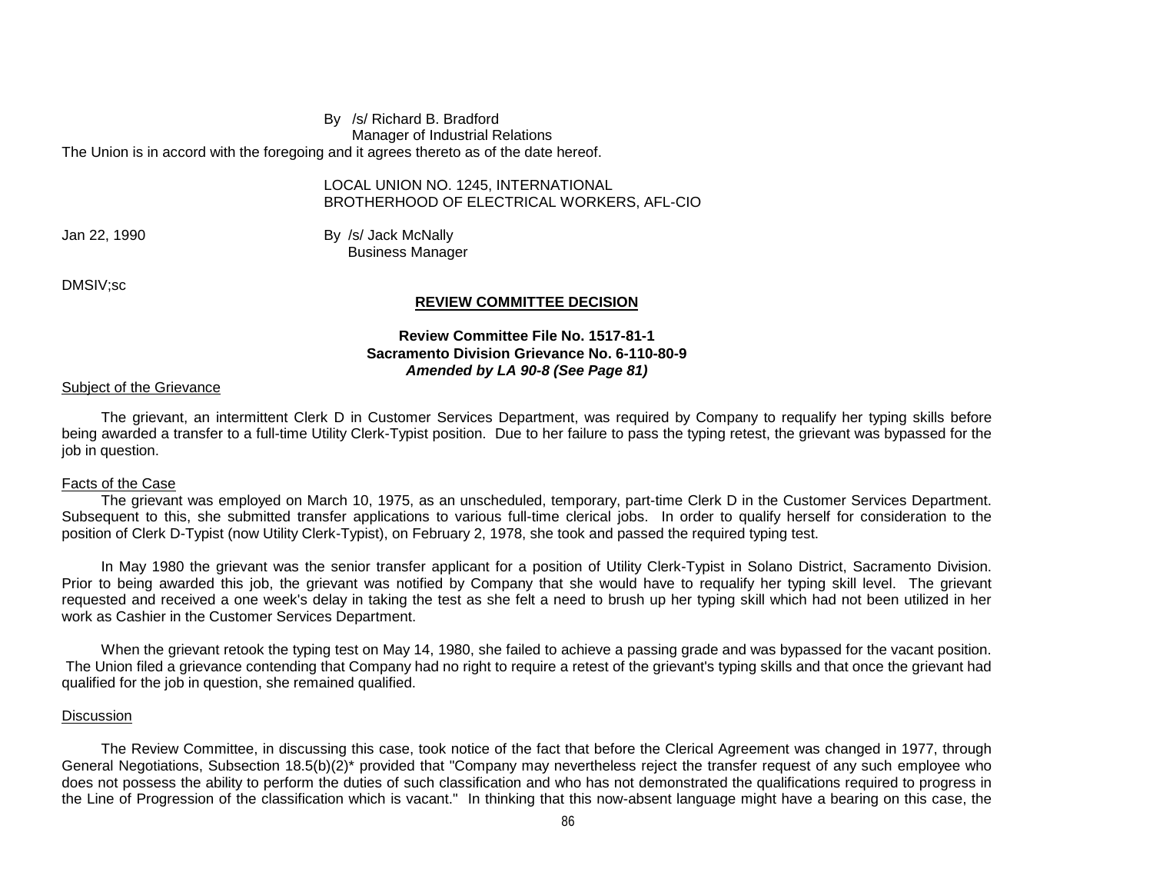#### By /s/ Richard B. Bradford Manager of Industrial Relations The Union is in accord with the foregoing and it agrees thereto as of the date hereof.

## LOCAL UNION NO. 1245, INTERNATIONAL BROTHERHOOD OF ELECTRICAL WORKERS, AFL-CIO

Jan 22, 1990 **By /s/ Jack McNally** Business Manager

DMSIV;sc

## **REVIEW COMMITTEE DECISION**

## **Review Committee File No. 1517-81-1 Sacramento Division Grievance No. 6-110-80-9** *Amended by LA 90-8 (See Page 81)*

## Subject of the Grievance

The grievant, an intermittent Clerk D in Customer Services Department, was required by Company to requalify her typing skills before being awarded a transfer to a full-time Utility Clerk-Typist position. Due to her failure to pass the typing retest, the grievant was bypassed for the job in question.

## Facts of the Case

The grievant was employed on March 10, 1975, as an unscheduled, temporary, part-time Clerk D in the Customer Services Department. Subsequent to this, she submitted transfer applications to various full-time clerical jobs. In order to qualify herself for consideration to the position of Clerk D-Typist (now Utility Clerk-Typist), on February 2, 1978, she took and passed the required typing test.

In May 1980 the grievant was the senior transfer applicant for a position of Utility Clerk-Typist in Solano District, Sacramento Division. Prior to being awarded this job, the grievant was notified by Company that she would have to requalify her typing skill level. The grievant requested and received a one week's delay in taking the test as she felt a need to brush up her typing skill which had not been utilized in her work as Cashier in the Customer Services Department.

When the grievant retook the typing test on May 14, 1980, she failed to achieve a passing grade and was bypassed for the vacant position. The Union filed a grievance contending that Company had no right to require a retest of the grievant's typing skills and that once the grievant had qualified for the job in question, she remained qualified.

## **Discussion**

The Review Committee, in discussing this case, took notice of the fact that before the Clerical Agreement was changed in 1977, through General Negotiations, Subsection 18.5(b)(2)\* provided that "Company may nevertheless reject the transfer request of any such employee who does not possess the ability to perform the duties of such classification and who has not demonstrated the qualifications required to progress in the Line of Progression of the classification which is vacant." In thinking that this now-absent language might have a bearing on this case, the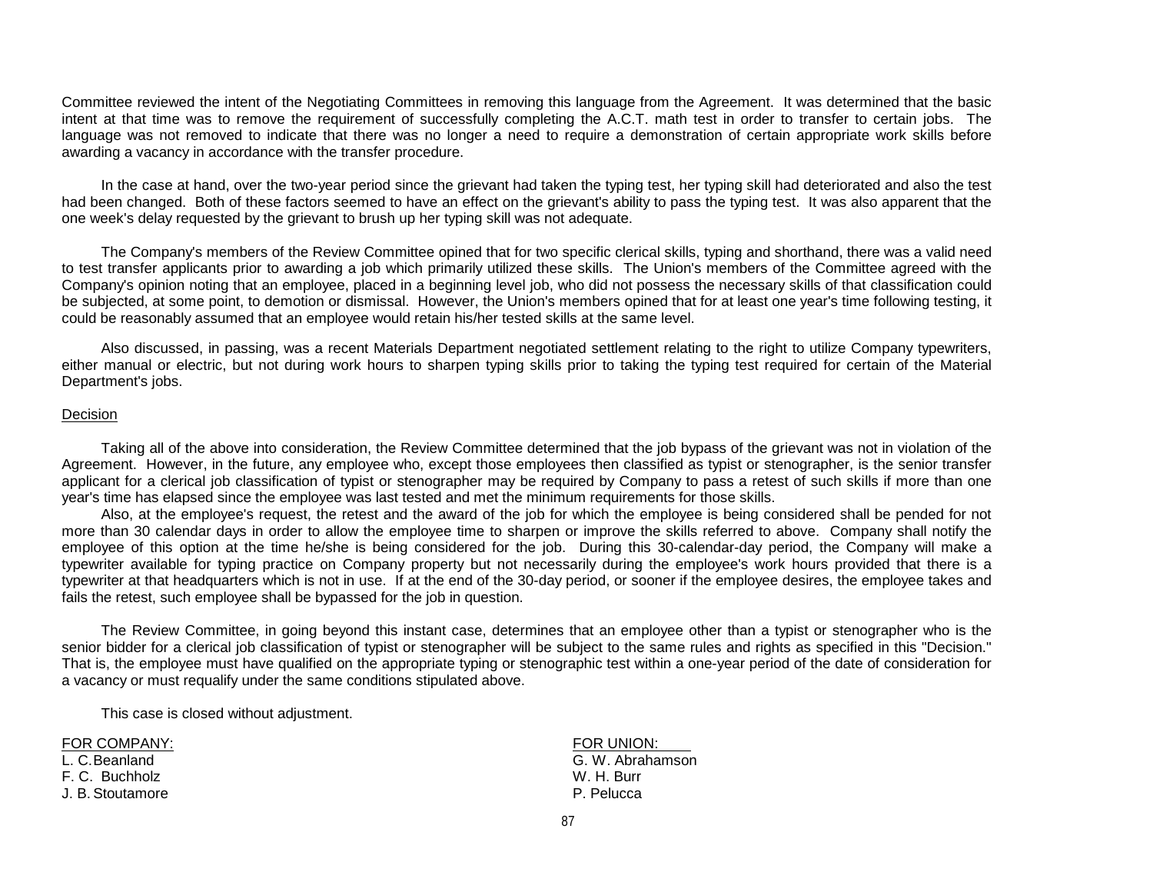Committee reviewed the intent of the Negotiating Committees in removing this language from the Agreement. It was determined that the basic intent at that time was to remove the requirement of successfully completing the A.C.T. math test in order to transfer to certain jobs. The language was not removed to indicate that there was no longer a need to require a demonstration of certain appropriate work skills before awarding a vacancy in accordance with the transfer procedure.

In the case at hand, over the two-year period since the grievant had taken the typing test, her typing skill had deteriorated and also the test had been changed. Both of these factors seemed to have an effect on the grievant's ability to pass the typing test. It was also apparent that the one week's delay requested by the grievant to brush up her typing skill was not adequate.

The Company's members of the Review Committee opined that for two specific clerical skills, typing and shorthand, there was a valid need to test transfer applicants prior to awarding a job which primarily utilized these skills. The Union's members of the Committee agreed with the Company's opinion noting that an employee, placed in a beginning level job, who did not possess the necessary skills of that classification could be subjected, at some point, to demotion or dismissal. However, the Union's members opined that for at least one year's time following testing, it could be reasonably assumed that an employee would retain his/her tested skills at the same level.

Also discussed, in passing, was a recent Materials Department negotiated settlement relating to the right to utilize Company typewriters, either manual or electric, but not during work hours to sharpen typing skills prior to taking the typing test required for certain of the Material Department's jobs.

#### Decision

Taking all of the above into consideration, the Review Committee determined that the job bypass of the grievant was not in violation of the Agreement. However, in the future, any employee who, except those employees then classified as typist or stenographer, is the senior transfer applicant for a clerical job classification of typist or stenographer may be required by Company to pass a retest of such skills if more than one year's time has elapsed since the employee was last tested and met the minimum requirements for those skills.

Also, at the employee's request, the retest and the award of the job for which the employee is being considered shall be pended for not more than 30 calendar days in order to allow the employee time to sharpen or improve the skills referred to above. Company shall notify the employee of this option at the time he/she is being considered for the job. During this 30-calendar-day period, the Company will make a typewriter available for typing practice on Company property but not necessarily during the employee's work hours provided that there is a typewriter at that headquarters which is not in use. If at the end of the 30-day period, or sooner if the employee desires, the employee takes and fails the retest, such employee shall be bypassed for the job in question.

The Review Committee, in going beyond this instant case, determines that an employee other than a typist or stenographer who is the senior bidder for a clerical job classification of typist or stenographer will be subject to the same rules and rights as specified in this "Decision." That is, the employee must have qualified on the appropriate typing or stenographic test within a one-year period of the date of consideration for a vacancy or must requalify under the same conditions stipulated above.

This case is closed without adjustment.

F. C. Buchholz W. H. Burr J. B. Stoutamore

FOR COMPANY: THE SERVICE OF THE SERVICE OF THE SERVICE OF THE SERVICE OF THE SERVICE OF THE SERVICE OF THE SERVICE OF THE SERVICE OF THE SERVICE OF THE SERVICE OF THE SERVICE OF THE SERVICE OF THE SERVICE OF THE SERVICE OF L. C.Beanland G. W. Abrahamson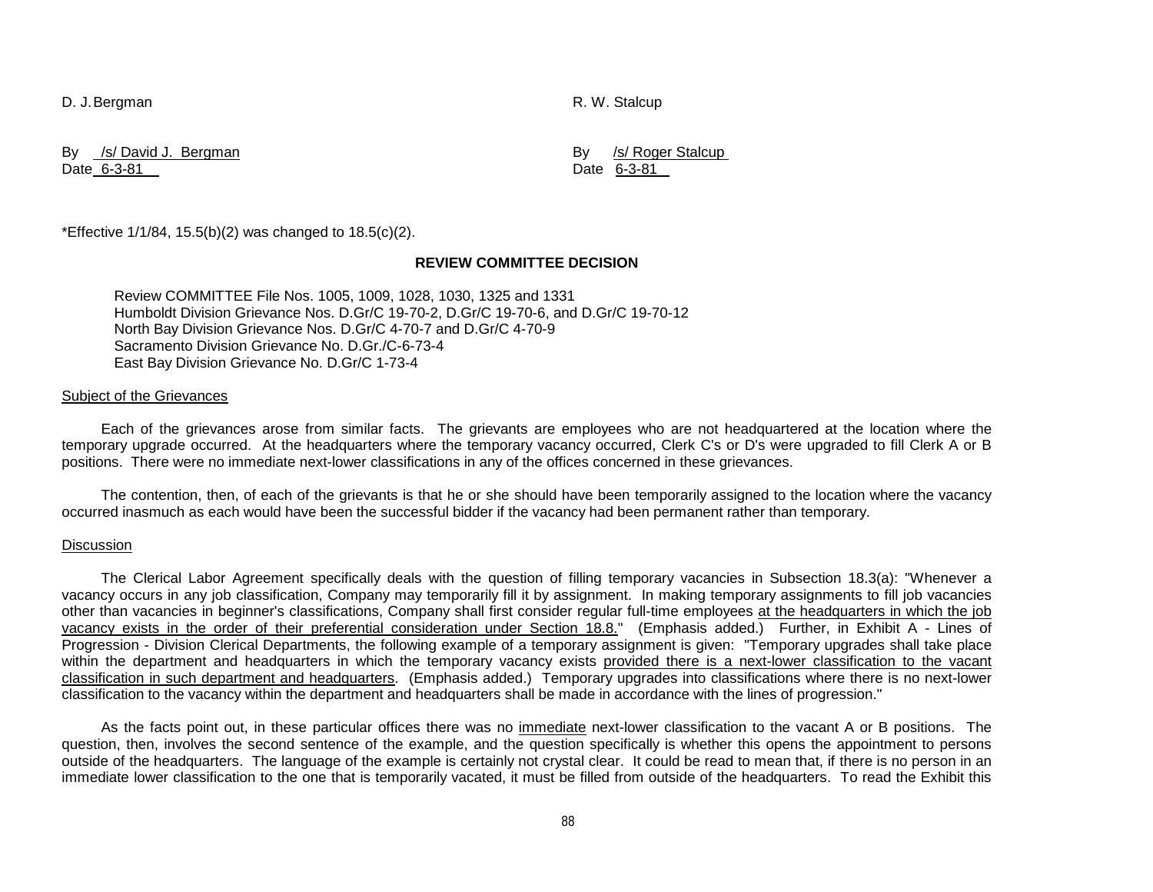D. J. Bergman R. W. Stalcup

By <u>/s/ David J. Bergman</u> and the second term of the second by *SI* Roger Stalcup By *SI* Roger Stalcup Bate 6-3-81 Date 6-3-81

\*Effective  $1/1/84$ ,  $15.5(b)(2)$  was changed to  $18.5(c)(2)$ .

#### **REVIEW COMMITTEE DECISION**

Review COMMITTEE File Nos. 1005, 1009, 1028, 1030, 1325 and 1331 Humboldt Division Grievance Nos. D.Gr/C 19-70-2, D.Gr/C 19-70-6, and D.Gr/C 19-70-12 North Bay Division Grievance Nos. D.Gr/C 4-70-7 and D.Gr/C 4-70-9 Sacramento Division Grievance No. D.Gr./C-6-73-4 East Bay Division Grievance No. D.Gr/C 1-73-4

#### Subject of the Grievances

Each of the grievances arose from similar facts. The grievants are employees who are not headquartered at the location where the temporary upgrade occurred. At the headquarters where the temporary vacancy occurred, Clerk C's or D's were upgraded to fill Clerk A or B positions. There were no immediate next-lower classifications in any of the offices concerned in these grievances.

The contention, then, of each of the grievants is that he or she should have been temporarily assigned to the location where the vacancy occurred inasmuch as each would have been the successful bidder if the vacancy had been permanent rather than temporary.

#### **Discussion**

The Clerical Labor Agreement specifically deals with the question of filling temporary vacancies in Subsection 18.3(a): "Whenever a vacancy occurs in any job classification, Company may temporarily fill it by assignment. In making temporary assignments to fill job vacancies other than vacancies in beginner's classifications, Company shall first consider regular full-time employees at the headquarters in which the job vacancy exists in the order of their preferential consideration under Section 18.8." (Emphasis added.) Further, in Exhibit A - Lines of Progression - Division Clerical Departments, the following example of a temporary assignment is given: "Temporary upgrades shall take place within the department and headquarters in which the temporary vacancy exists provided there is a next-lower classification to the vacant classification in such department and headquarters. (Emphasis added.) Temporary upgrades into classifications where there is no next-lower classification to the vacancy within the department and headquarters shall be made in accordance with the lines of progression."

As the facts point out, in these particular offices there was no immediate next-lower classification to the vacant A or B positions. The question, then, involves the second sentence of the example, and the question specifically is whether this opens the appointment to persons outside of the headquarters. The language of the example is certainly not crystal clear. It could be read to mean that, if there is no person in an immediate lower classification to the one that is temporarily vacated, it must be filled from outside of the headquarters. To read the Exhibit this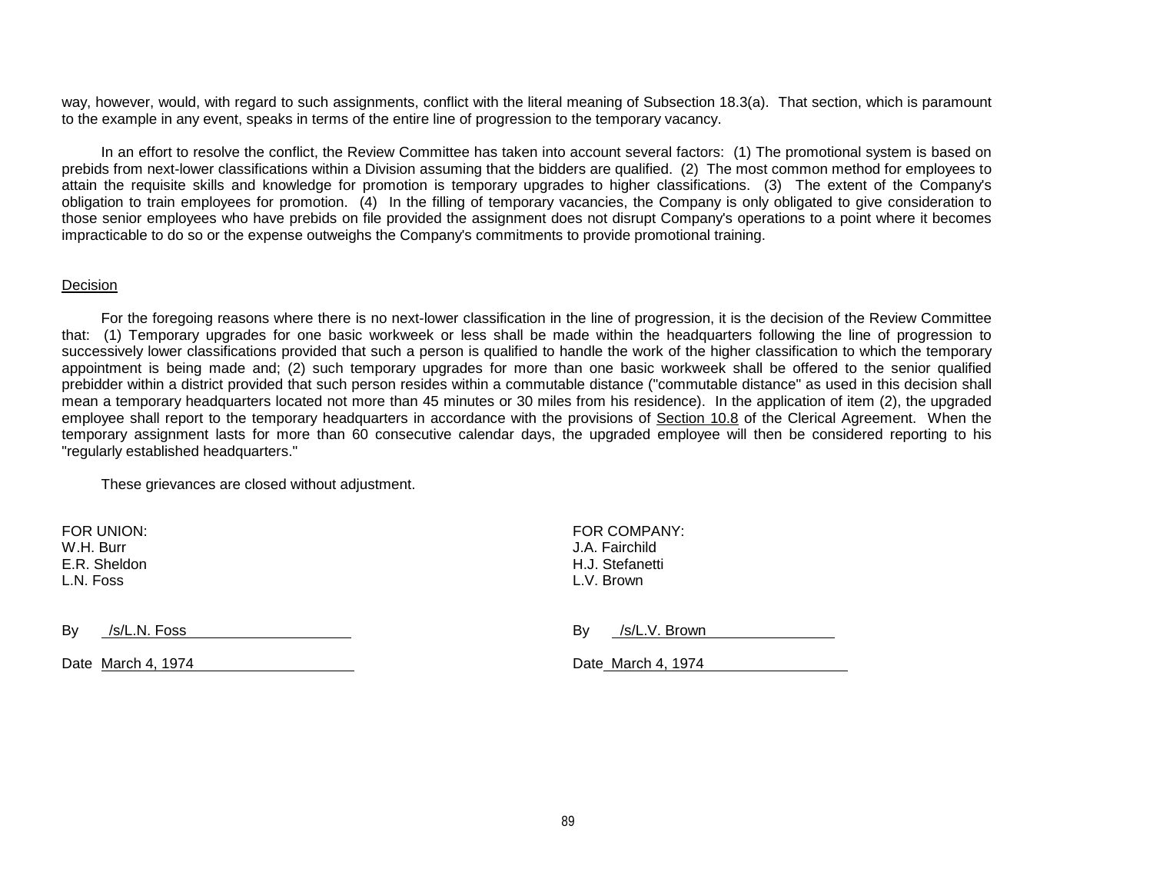way, however, would, with regard to such assignments, conflict with the literal meaning of Subsection 18.3(a). That section, which is paramount to the example in any event, speaks in terms of the entire line of progression to the temporary vacancy.

In an effort to resolve the conflict, the Review Committee has taken into account several factors: (1) The promotional system is based on prebids from next-lower classifications within a Division assuming that the bidders are qualified. (2) The most common method for employees to attain the requisite skills and knowledge for promotion is temporary upgrades to higher classifications. (3) The extent of the Company's obligation to train employees for promotion. (4) In the filling of temporary vacancies, the Company is only obligated to give consideration to those senior employees who have prebids on file provided the assignment does not disrupt Company's operations to a point where it becomes impracticable to do so or the expense outweighs the Company's commitments to provide promotional training.

#### Decision

For the foregoing reasons where there is no next-lower classification in the line of progression, it is the decision of the Review Committee that: (1) Temporary upgrades for one basic workweek or less shall be made within the headquarters following the line of progression to successively lower classifications provided that such a person is qualified to handle the work of the higher classification to which the temporary appointment is being made and; (2) such temporary upgrades for more than one basic workweek shall be offered to the senior qualified prebidder within a district provided that such person resides within a commutable distance ("commutable distance" as used in this decision shall mean a temporary headquarters located not more than 45 minutes or 30 miles from his residence). In the application of item (2), the upgraded employee shall report to the temporary headquarters in accordance with the provisions of Section 10.8 of the Clerical Agreement. When the temporary assignment lasts for more than 60 consecutive calendar days, the upgraded employee will then be considered reporting to his "regularly established headquarters."

These grievances are closed without adjustment.

W.H. Burr J.A. Fairchild E.R. Sheldon H.J. Stefanetti L.N. Foss L.V. Brown

FOR UNION: FOR COMPANY:

 $Bv$  /s/L.N. Foss

| -<br>B٧ | /s/L.V. Brown |  |
|---------|---------------|--|
|         |               |  |

Date March 4, 1974 Date March 4, 1974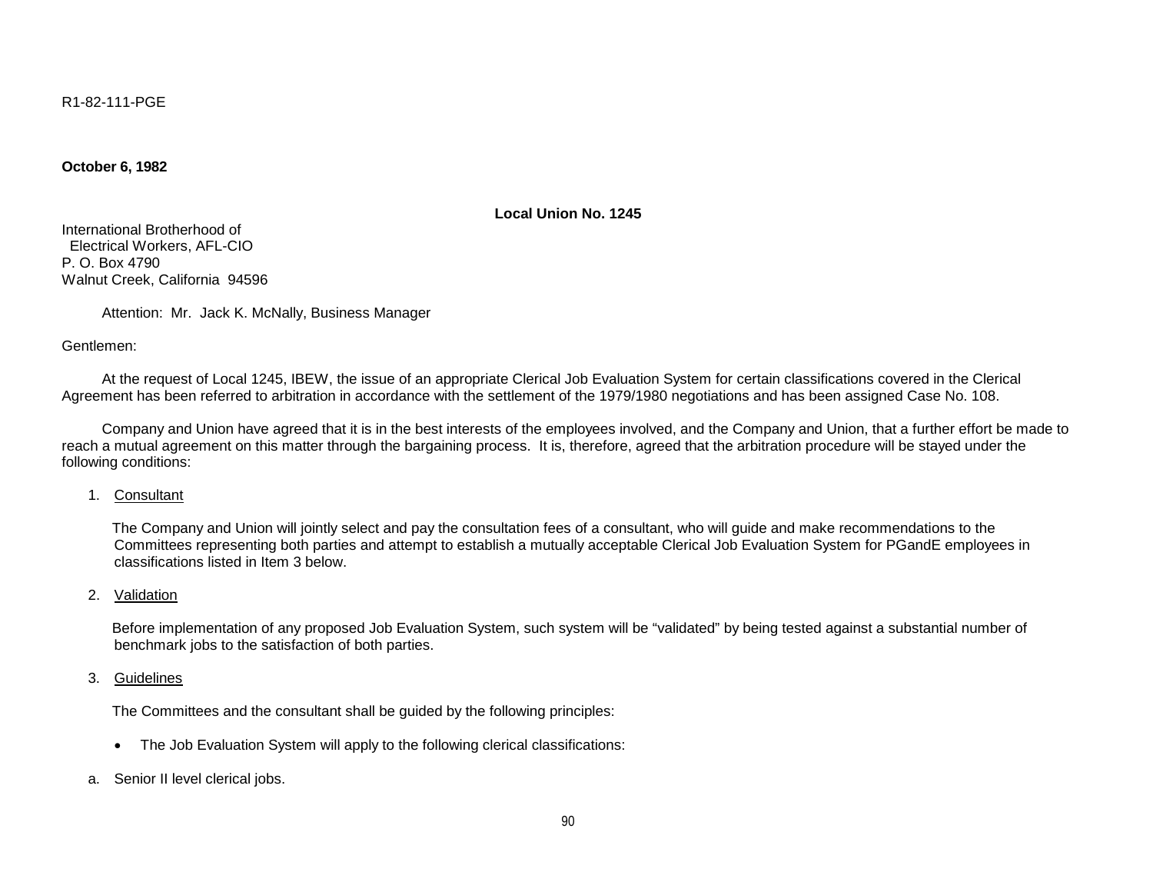R1-82-111-PGE

**October 6, 1982**

**Local Union No. 1245**

International Brotherhood of Electrical Workers, AFL-CIO P. O. Box 4790 Walnut Creek, California 94596

Attention: Mr. Jack K. McNally, Business Manager

Gentlemen:

 At the request of Local 1245, IBEW, the issue of an appropriate Clerical Job Evaluation System for certain classifications covered in the Clerical Agreement has been referred to arbitration in accordance with the settlement of the 1979/1980 negotiations and has been assigned Case No. 108.

 Company and Union have agreed that it is in the best interests of the employees involved, and the Company and Union, that a further effort be made to reach a mutual agreement on this matter through the bargaining process. It is, therefore, agreed that the arbitration procedure will be stayed under the following conditions:

1. Consultant

 The Company and Union will jointly select and pay the consultation fees of a consultant, who will guide and make recommendations to the Committees representing both parties and attempt to establish a mutually acceptable Clerical Job Evaluation System for PGandE employees in classifications listed in Item 3 below.

2. Validation

 Before implementation of any proposed Job Evaluation System, such system will be "validated" by being tested against a substantial number of benchmark jobs to the satisfaction of both parties.

3. Guidelines

The Committees and the consultant shall be guided by the following principles:

- The Job Evaluation System will apply to the following clerical classifications:
- a. Senior II level clerical jobs.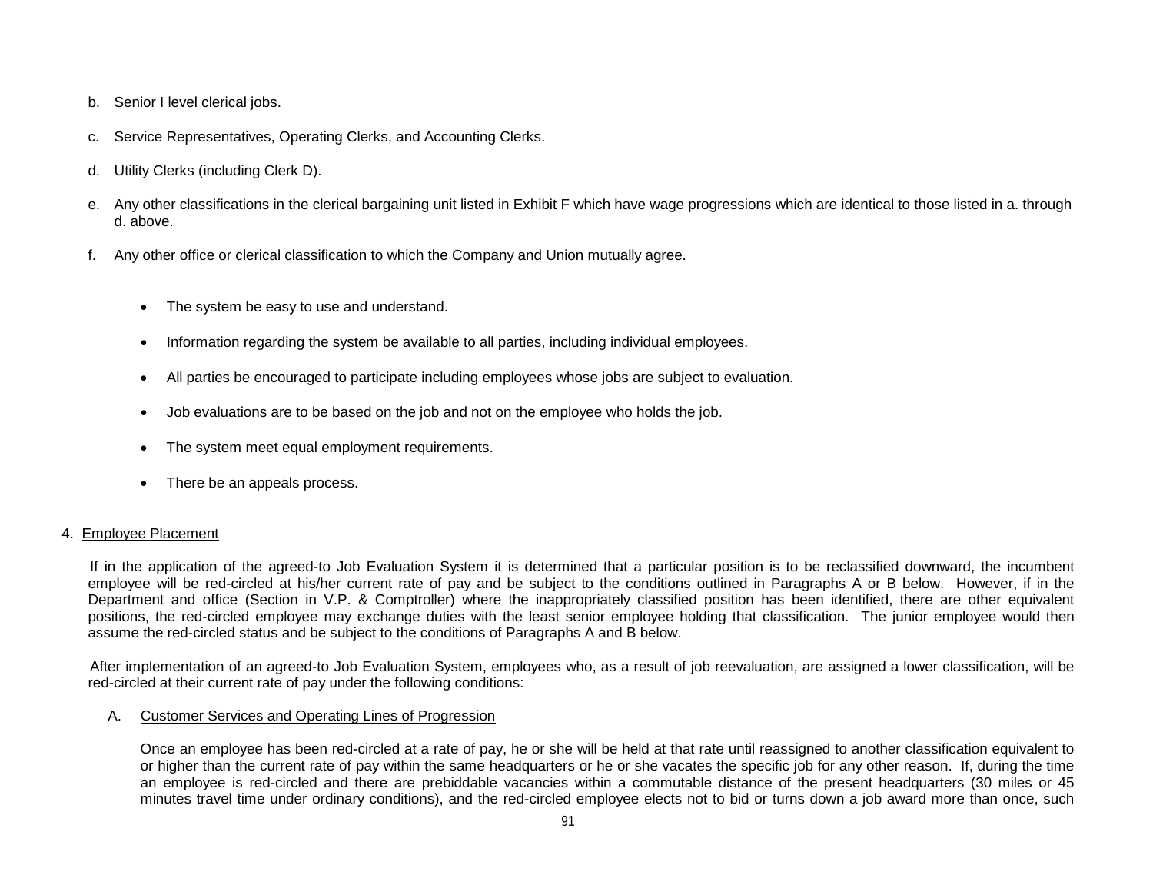- b. Senior I level clerical jobs.
- c. Service Representatives, Operating Clerks, and Accounting Clerks.
- d. Utility Clerks (including Clerk D).
- e. Any other classifications in the clerical bargaining unit listed in Exhibit F which have wage progressions which are identical to those listed in a. through d. above.
- f. Any other office or clerical classification to which the Company and Union mutually agree.
	- The system be easy to use and understand.
	- Information regarding the system be available to all parties, including individual employees.
	- All parties be encouraged to participate including employees whose jobs are subject to evaluation.
	- Job evaluations are to be based on the job and not on the employee who holds the job.
	- The system meet equal employment requirements.
	- There be an appeals process.

## 4. Employee Placement

 If in the application of the agreed-to Job Evaluation System it is determined that a particular position is to be reclassified downward, the incumbent employee will be red-circled at his/her current rate of pay and be subject to the conditions outlined in Paragraphs A or B below. However, if in the Department and office (Section in V.P. & Comptroller) where the inappropriately classified position has been identified, there are other equivalent positions, the red-circled employee may exchange duties with the least senior employee holding that classification. The junior employee would then assume the red-circled status and be subject to the conditions of Paragraphs A and B below.

 After implementation of an agreed-to Job Evaluation System, employees who, as a result of job reevaluation, are assigned a lower classification, will be red-circled at their current rate of pay under the following conditions:

## A. Customer Services and Operating Lines of Progression

Once an employee has been red-circled at a rate of pay, he or she will be held at that rate until reassigned to another classification equivalent to or higher than the current rate of pay within the same headquarters or he or she vacates the specific job for any other reason. If, during the time an employee is red-circled and there are prebiddable vacancies within a commutable distance of the present headquarters (30 miles or 45 minutes travel time under ordinary conditions), and the red-circled employee elects not to bid or turns down a job award more than once, such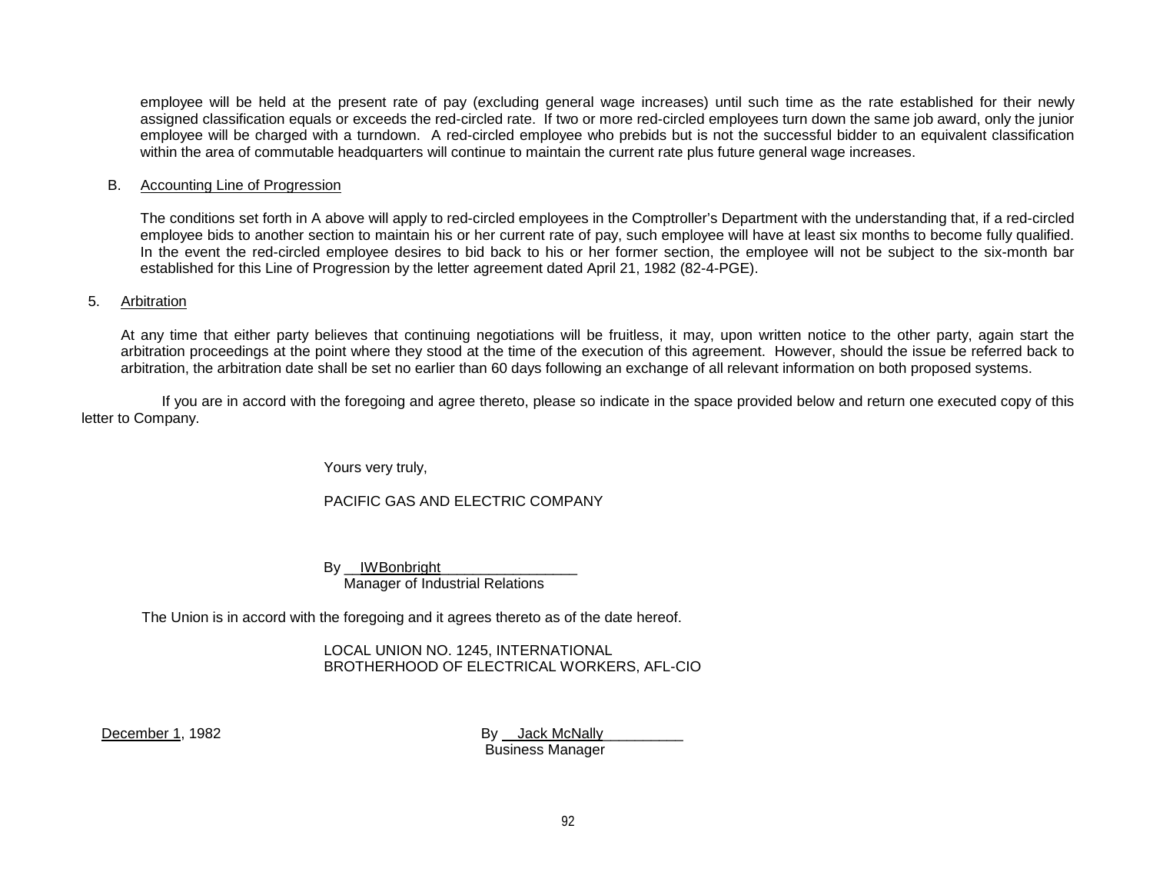employee will be held at the present rate of pay (excluding general wage increases) until such time as the rate established for their newly assigned classification equals or exceeds the red-circled rate. If two or more red-circled employees turn down the same job award, only the junior employee will be charged with a turndown. A red-circled employee who prebids but is not the successful bidder to an equivalent classification within the area of commutable headquarters will continue to maintain the current rate plus future general wage increases.

## B. Accounting Line of Progression

The conditions set forth in A above will apply to red-circled employees in the Comptroller's Department with the understanding that, if a red-circled employee bids to another section to maintain his or her current rate of pay, such employee will have at least six months to become fully qualified. In the event the red-circled employee desires to bid back to his or her former section, the employee will not be subject to the six-month bar established for this Line of Progression by the letter agreement dated April 21, 1982 (82-4-PGE).

## 5. Arbitration

At any time that either party believes that continuing negotiations will be fruitless, it may, upon written notice to the other party, again start the arbitration proceedings at the point where they stood at the time of the execution of this agreement. However, should the issue be referred back to arbitration, the arbitration date shall be set no earlier than 60 days following an exchange of all relevant information on both proposed systems.

 If you are in accord with the foregoing and agree thereto, please so indicate in the space provided below and return one executed copy of this letter to Company.

Yours very truly,

PACIFIC GAS AND ELECTRIC COMPANY

By IWBonbright Manager of Industrial Relations

The Union is in accord with the foregoing and it agrees thereto as of the date hereof.

LOCAL UNION NO. 1245, INTERNATIONAL BROTHERHOOD OF ELECTRICAL WORKERS, AFL-CIO

December 1, 1982 **By Jack McNally** 

Business Manager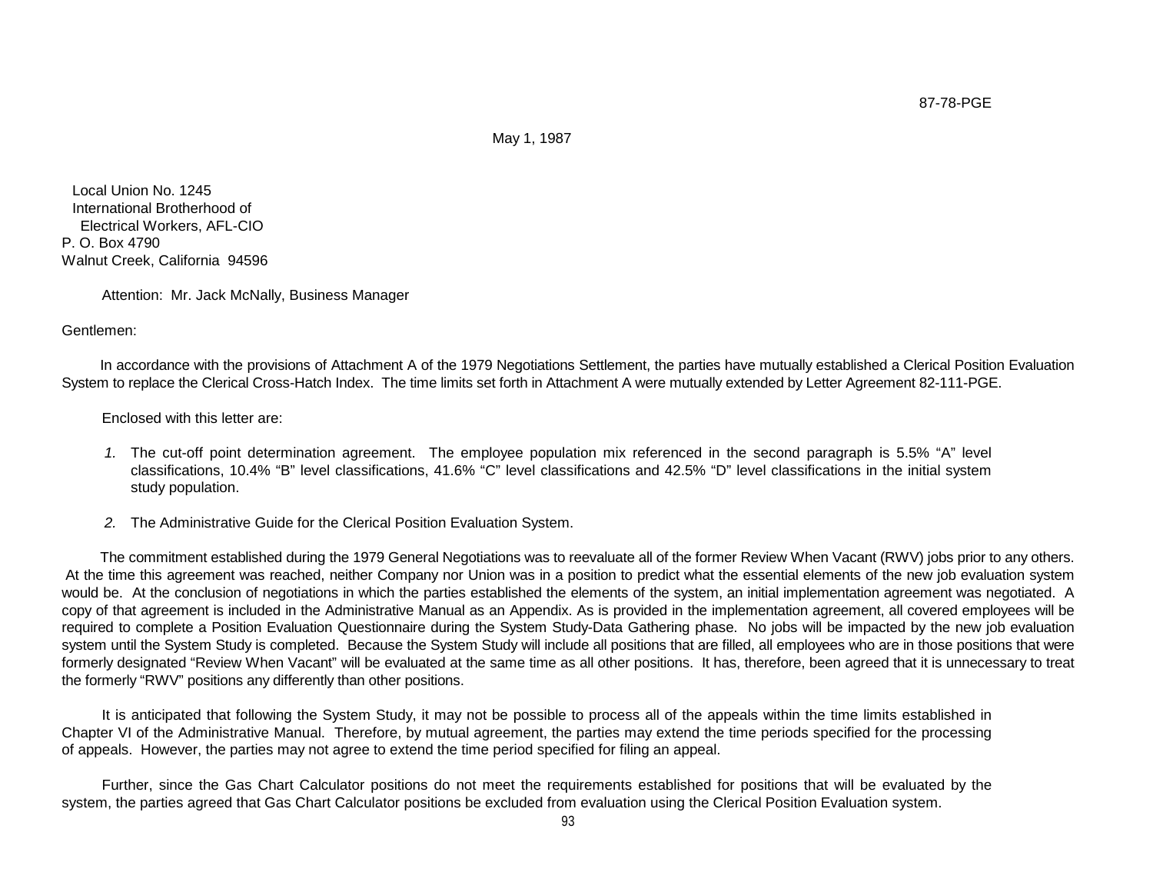87-78-PGE

May 1, 1987

Local Union No. 1245 International Brotherhood of Electrical Workers, AFL-CIO P. O. Box 4790 Walnut Creek, California 94596

Attention: Mr. Jack McNally, Business Manager

Gentlemen:

 In accordance with the provisions of Attachment A of the 1979 Negotiations Settlement, the parties have mutually established a Clerical Position Evaluation System to replace the Clerical Cross-Hatch Index. The time limits set forth in Attachment A were mutually extended by Letter Agreement 82-111-PGE.

Enclosed with this letter are:

- *1.* The cut-off point determination agreement. The employee population mix referenced in the second paragraph is 5.5% "A" level classifications, 10.4% "B" level classifications, 41.6% "C" level classifications and 42.5% "D" level classifications in the initial system study population.
- *2.* The Administrative Guide for the Clerical Position Evaluation System.

 The commitment established during the 1979 General Negotiations was to reevaluate all of the former Review When Vacant (RWV) jobs prior to any others. At the time this agreement was reached, neither Company nor Union was in a position to predict what the essential elements of the new job evaluation system would be. At the conclusion of negotiations in which the parties established the elements of the system, an initial implementation agreement was negotiated. A copy of that agreement is included in the Administrative Manual as an Appendix. As is provided in the implementation agreement, all covered employees will be required to complete a Position Evaluation Questionnaire during the System Study-Data Gathering phase. No jobs will be impacted by the new job evaluation system until the System Study is completed. Because the System Study will include all positions that are filled, all employees who are in those positions that were formerly designated "Review When Vacant" will be evaluated at the same time as all other positions. It has, therefore, been agreed that it is unnecessary to treat the formerly "RWV" positions any differently than other positions.

 It is anticipated that following the System Study, it may not be possible to process all of the appeals within the time limits established in Chapter VI of the Administrative Manual. Therefore, by mutual agreement, the parties may extend the time periods specified for the processing of appeals. However, the parties may not agree to extend the time period specified for filing an appeal.

 Further, since the Gas Chart Calculator positions do not meet the requirements established for positions that will be evaluated by the system, the parties agreed that Gas Chart Calculator positions be excluded from evaluation using the Clerical Position Evaluation system.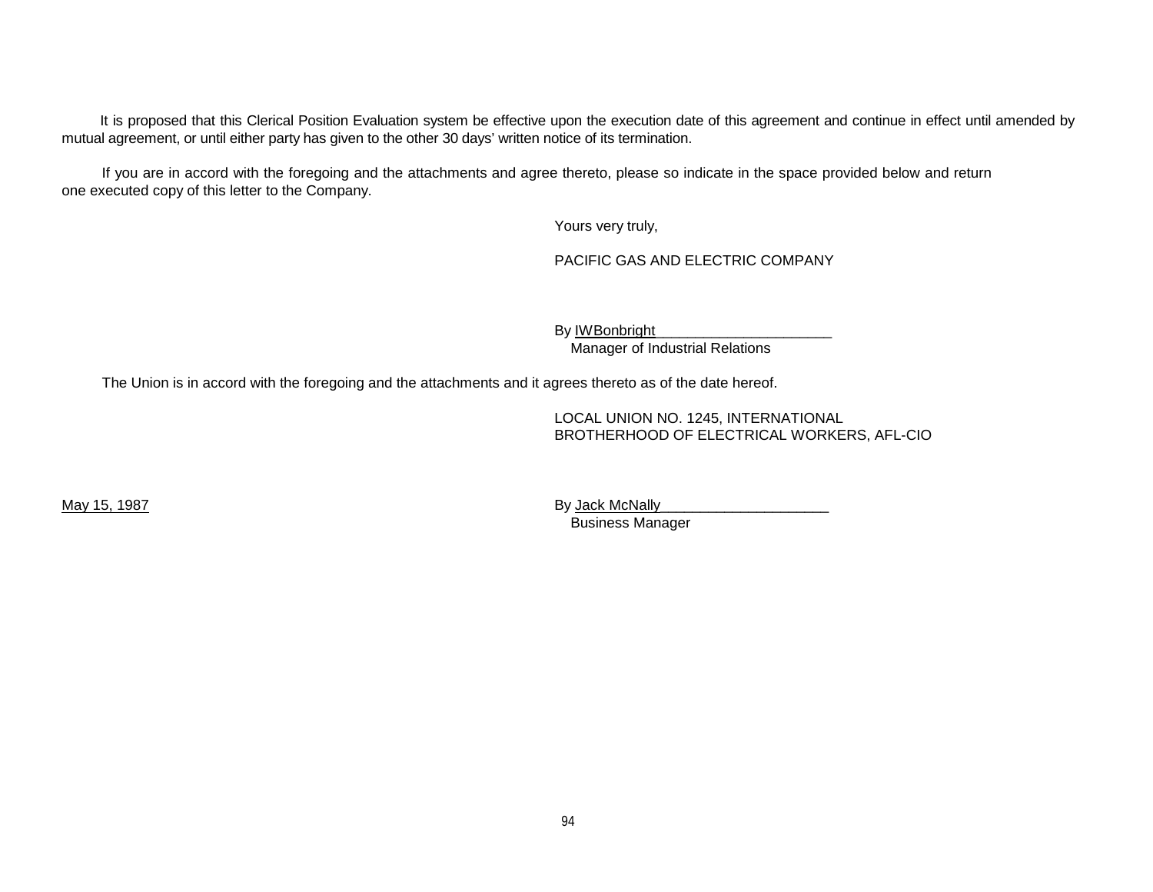It is proposed that this Clerical Position Evaluation system be effective upon the execution date of this agreement and continue in effect until amended by mutual agreement, or until either party has given to the other 30 days' written notice of its termination.

 If you are in accord with the foregoing and the attachments and agree thereto, please so indicate in the space provided below and return one executed copy of this letter to the Company.

Yours very truly,

PACIFIC GAS AND ELECTRIC COMPANY

By **IWBonbright** 

Manager of Industrial Relations

The Union is in accord with the foregoing and the attachments and it agrees thereto as of the date hereof.

LOCAL UNION NO. 1245, INTERNATIONAL BROTHERHOOD OF ELECTRICAL WORKERS, AFL-CIO

May 15, 1987 By Jack McNally\_\_\_\_\_\_\_\_\_\_\_\_\_\_\_\_\_\_\_\_\_ Business Manager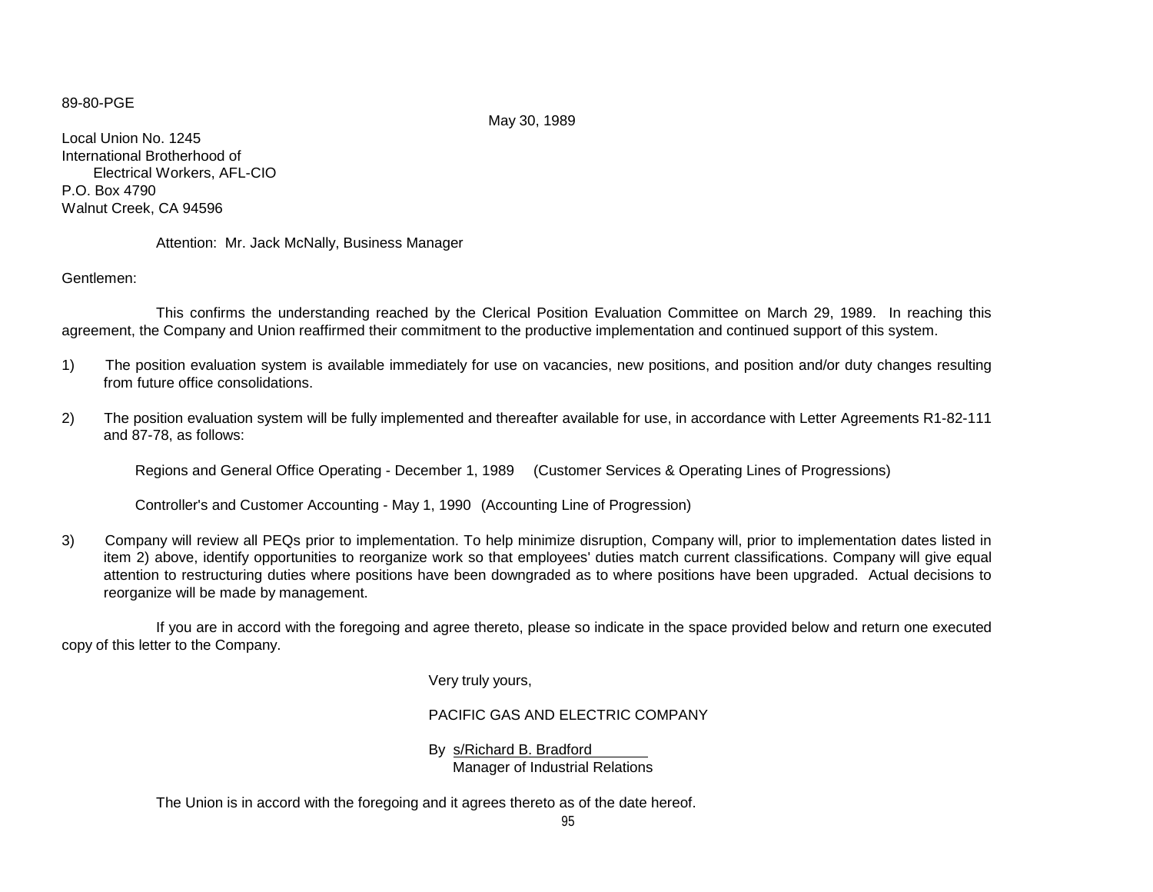#### 89-80-PGE

May 30, 1989

Local Union No. 1245 International Brotherhood of Electrical Workers, AFL-CIO P.O. Box 4790 Walnut Creek, CA 94596

Attention: Mr. Jack McNally, Business Manager

Gentlemen:

This confirms the understanding reached by the Clerical Position Evaluation Committee on March 29, 1989. In reaching this agreement, the Company and Union reaffirmed their commitment to the productive implementation and continued support of this system.

- 1) The position evaluation system is available immediately for use on vacancies, new positions, and position and/or duty changes resulting from future office consolidations.
- 2) The position evaluation system will be fully implemented and thereafter available for use, in accordance with Letter Agreements R1-82-111 and 87-78, as follows:

Regions and General Office Operating - December 1, 1989 (Customer Services & Operating Lines of Progressions)

Controller's and Customer Accounting - May 1, 1990 (Accounting Line of Progression)

3) Company will review all PEQs prior to implementation. To help minimize disruption, Company will, prior to implementation dates listed in item 2) above, identify opportunities to reorganize work so that employees' duties match current classifications. Company will give equal attention to restructuring duties where positions have been downgraded as to where positions have been upgraded. Actual decisions to reorganize will be made by management.

If you are in accord with the foregoing and agree thereto, please so indicate in the space provided below and return one executed copy of this letter to the Company.

Very truly yours,

PACIFIC GAS AND ELECTRIC COMPANY

By s/Richard B. Bradford

Manager of Industrial Relations

The Union is in accord with the foregoing and it agrees thereto as of the date hereof.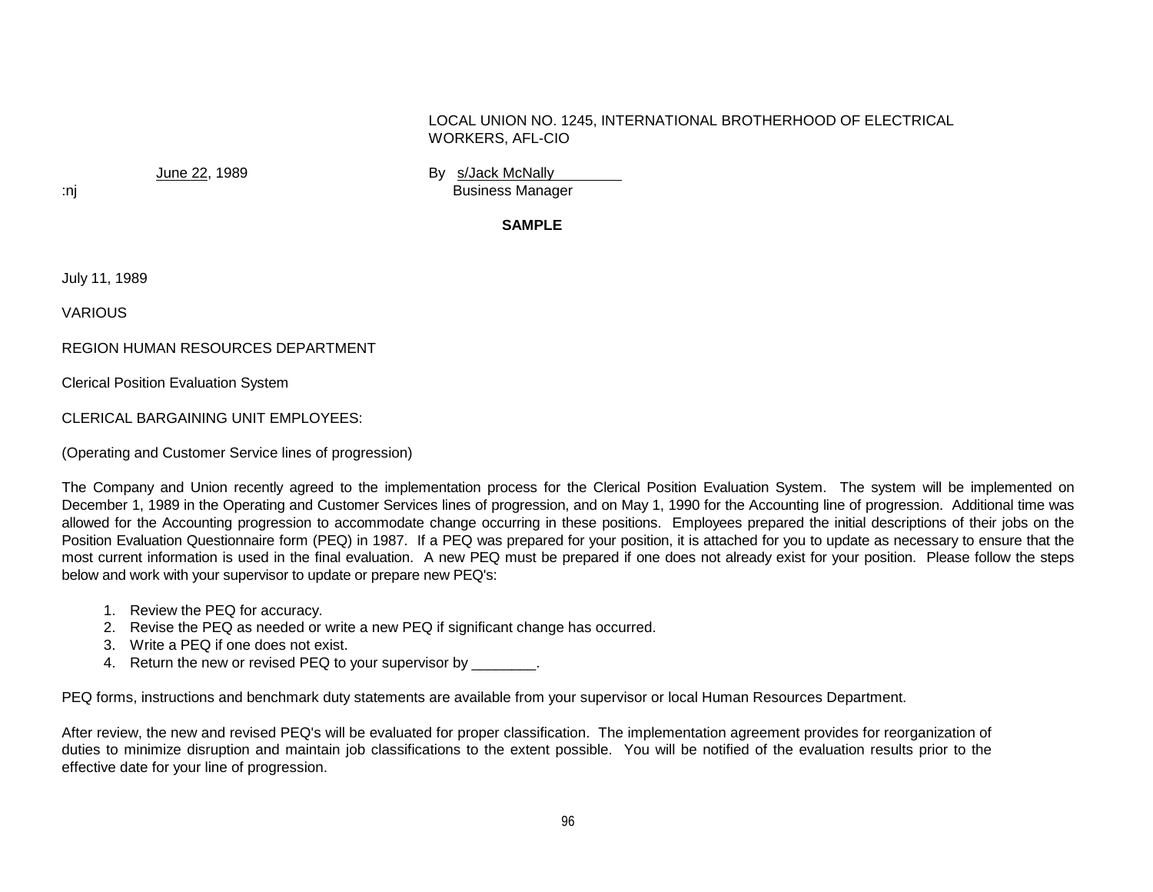## LOCAL UNION NO. 1245, INTERNATIONAL BROTHERHOOD OF ELECTRICAL WORKERS, AFL-CIO

June 22, 1989 **By s/Jack McNally** :nj Business Manager

**SAMPLE** 

July 11, 1989

VARIOUS

REGION HUMAN RESOURCES DEPARTMENT

Clerical Position Evaluation System

CLERICAL BARGAINING UNIT EMPLOYEES:

(Operating and Customer Service lines of progression)

The Company and Union recently agreed to the implementation process for the Clerical Position Evaluation System. The system will be implemented on December 1, 1989 in the Operating and Customer Services lines of progression, and on May 1, 1990 for the Accounting line of progression. Additional time was allowed for the Accounting progression to accommodate change occurring in these positions. Employees prepared the initial descriptions of their jobs on the Position Evaluation Questionnaire form (PEQ) in 1987. If a PEQ was prepared for your position, it is attached for you to update as necessary to ensure that the most current information is used in the final evaluation. A new PEQ must be prepared if one does not already exist for your position. Please follow the steps below and work with your supervisor to update or prepare new PEQ's:

- 1. Review the PEQ for accuracy.
- 2. Revise the PEQ as needed or write a new PEQ if significant change has occurred.
- 3. Write a PEQ if one does not exist.
- 4. Return the new or revised PEQ to your supervisor by  $\qquad \qquad$ .

PEQ forms, instructions and benchmark duty statements are available from your supervisor or local Human Resources Department.

After review, the new and revised PEQ's will be evaluated for proper classification. The implementation agreement provides for reorganization of duties to minimize disruption and maintain job classifications to the extent possible. You will be notified of the evaluation results prior to the effective date for your line of progression.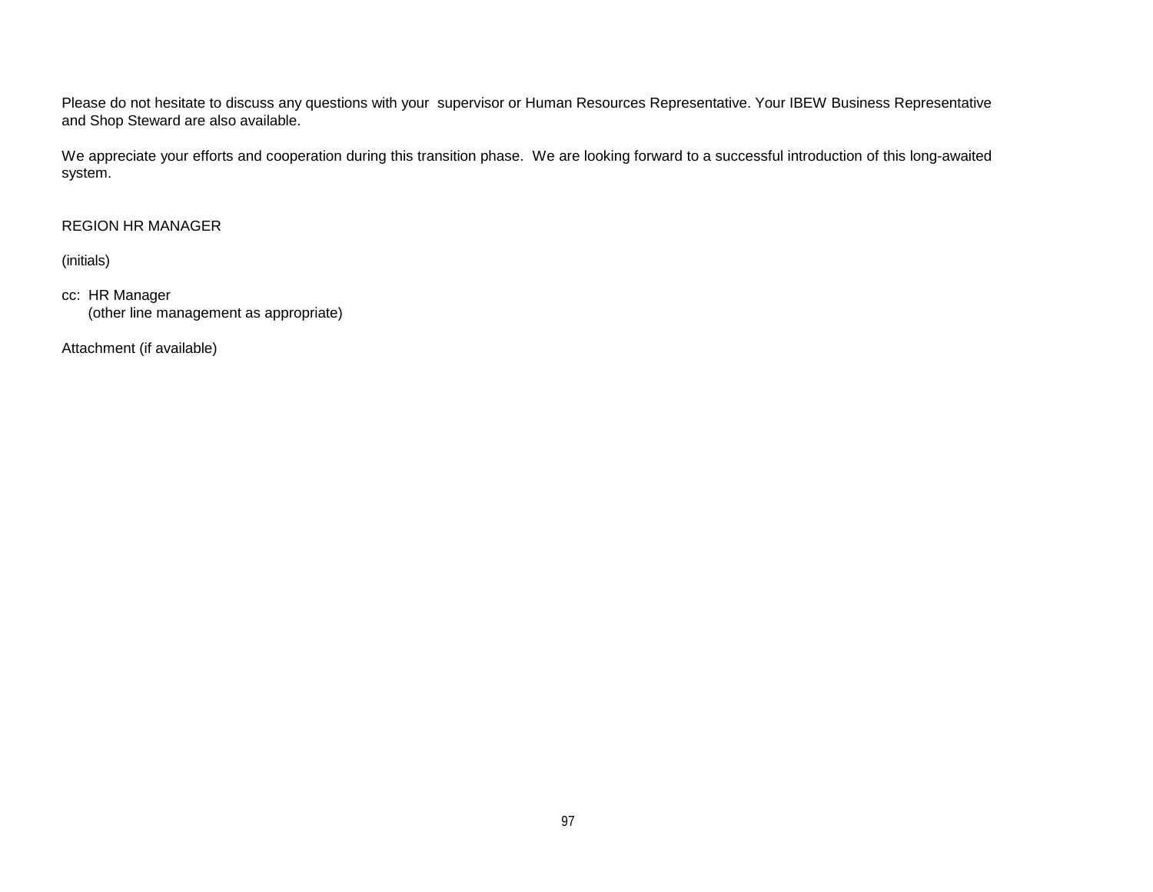Please do not hesitate to discuss any questions with your supervisor or Human Resources Representative. Your IBEW Business Representative and Shop Steward are also available.

We appreciate your efforts and cooperation during this transition phase. We are looking forward to a successful introduction of this long-awaited system.

# REGION HR MANAGER

(initials)

cc: HR Manager (other line management as appropriate)

Attachment (if available)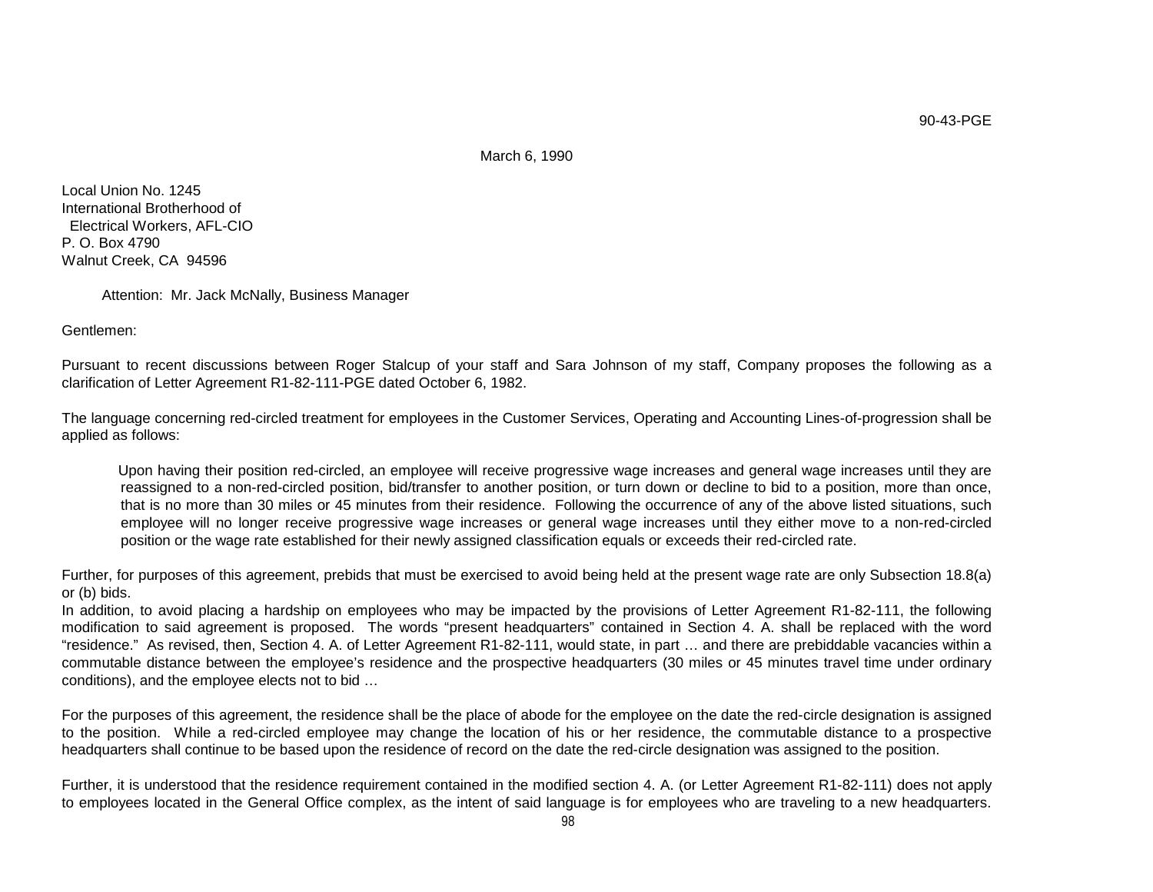March 6, 1990

Local Union No. 1245 International Brotherhood of Electrical Workers, AFL-CIO P. O. Box 4790 Walnut Creek, CA 94596

Attention: Mr. Jack McNally, Business Manager

Gentlemen:

Pursuant to recent discussions between Roger Stalcup of your staff and Sara Johnson of my staff, Company proposes the following as a clarification of Letter Agreement R1-82-111-PGE dated October 6, 1982.

The language concerning red-circled treatment for employees in the Customer Services, Operating and Accounting Lines-of-progression shall be applied as follows:

Upon having their position red-circled, an employee will receive progressive wage increases and general wage increases until they are reassigned to a non-red-circled position, bid/transfer to another position, or turn down or decline to bid to a position, more than once, that is no more than 30 miles or 45 minutes from their residence. Following the occurrence of any of the above listed situations, such employee will no longer receive progressive wage increases or general wage increases until they either move to a non-red-circled position or the wage rate established for their newly assigned classification equals or exceeds their red-circled rate.

Further, for purposes of this agreement, prebids that must be exercised to avoid being held at the present wage rate are only Subsection 18.8(a) or (b) bids.

In addition, to avoid placing a hardship on employees who may be impacted by the provisions of Letter Agreement R1-82-111, the following modification to said agreement is proposed. The words "present headquarters" contained in Section 4. A. shall be replaced with the word "residence." As revised, then, Section 4. A. of Letter Agreement R1-82-111, would state, in part … and there are prebiddable vacancies within a commutable distance between the employee's residence and the prospective headquarters (30 miles or 45 minutes travel time under ordinary conditions), and the employee elects not to bid …

For the purposes of this agreement, the residence shall be the place of abode for the employee on the date the red-circle designation is assigned to the position. While a red-circled employee may change the location of his or her residence, the commutable distance to a prospective headquarters shall continue to be based upon the residence of record on the date the red-circle designation was assigned to the position.

Further, it is understood that the residence requirement contained in the modified section 4. A. (or Letter Agreement R1-82-111) does not apply to employees located in the General Office complex, as the intent of said language is for employees who are traveling to a new headquarters.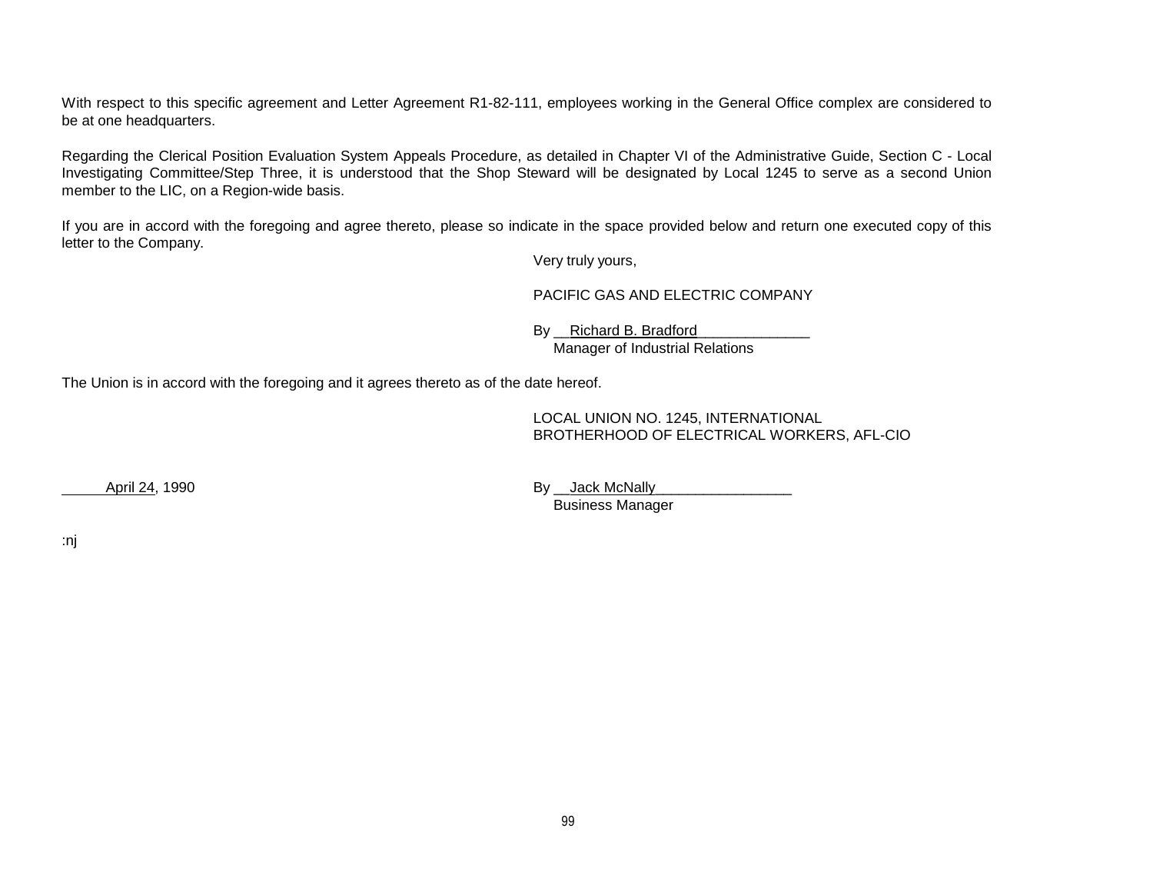With respect to this specific agreement and Letter Agreement R1-82-111, employees working in the General Office complex are considered to be at one headquarters.

Regarding the Clerical Position Evaluation System Appeals Procedure, as detailed in Chapter VI of the Administrative Guide, Section C - Local Investigating Committee/Step Three, it is understood that the Shop Steward will be designated by Local 1245 to serve as a second Union member to the LIC, on a Region-wide basis.

If you are in accord with the foregoing and agree thereto, please so indicate in the space provided below and return one executed copy of this letter to the Company.

Very truly yours,

PACIFIC GAS AND ELECTRIC COMPANY

By \_\_Richard B. Bradford Manager of Industrial Relations

The Union is in accord with the foregoing and it agrees thereto as of the date hereof.

LOCAL UNION NO. 1245, INTERNATIONAL BROTHERHOOD OF ELECTRICAL WORKERS, AFL-CIO

April 24, 1990 **By Lack McNally** Business Manager

:nj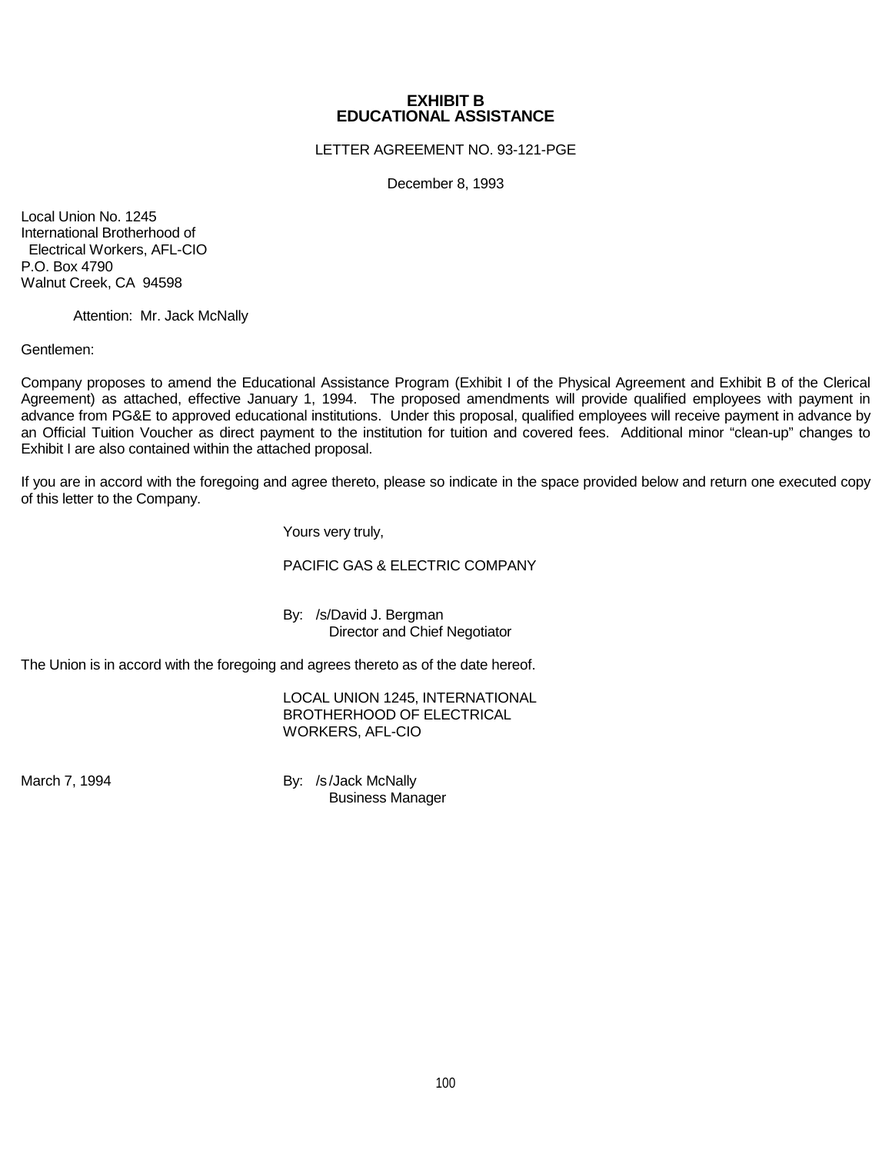## **EXHIBIT B EDUCATIONAL ASSISTANCE**

LETTER AGREEMENT NO. 93-121-PGE

December 8, 1993

Local Union No. 1245 International Brotherhood of Electrical Workers, AFL-CIO P.O. Box 4790 Walnut Creek, CA 94598

Attention: Mr. Jack McNally

Gentlemen:

Company proposes to amend the Educational Assistance Program (Exhibit I of the Physical Agreement and Exhibit B of the Clerical Agreement) as attached, effective January 1, 1994. The proposed amendments will provide qualified employees with payment in advance from PG&E to approved educational institutions. Under this proposal, qualified employees will receive payment in advance by an Official Tuition Voucher as direct payment to the institution for tuition and covered fees. Additional minor "clean-up" changes to Exhibit I are also contained within the attached proposal.

If you are in accord with the foregoing and agree thereto, please so indicate in the space provided below and return one executed copy of this letter to the Company.

Yours very truly,

## PACIFIC GAS & ELECTRIC COMPANY

By: /s/David J. Bergman Director and Chief Negotiator

The Union is in accord with the foregoing and agrees thereto as of the date hereof.

LOCAL UNION 1245, INTERNATIONAL BROTHERHOOD OF ELECTRICAL WORKERS, AFL-CIO

March 7, 1994 **By:** /s/Jack McNally Business Manager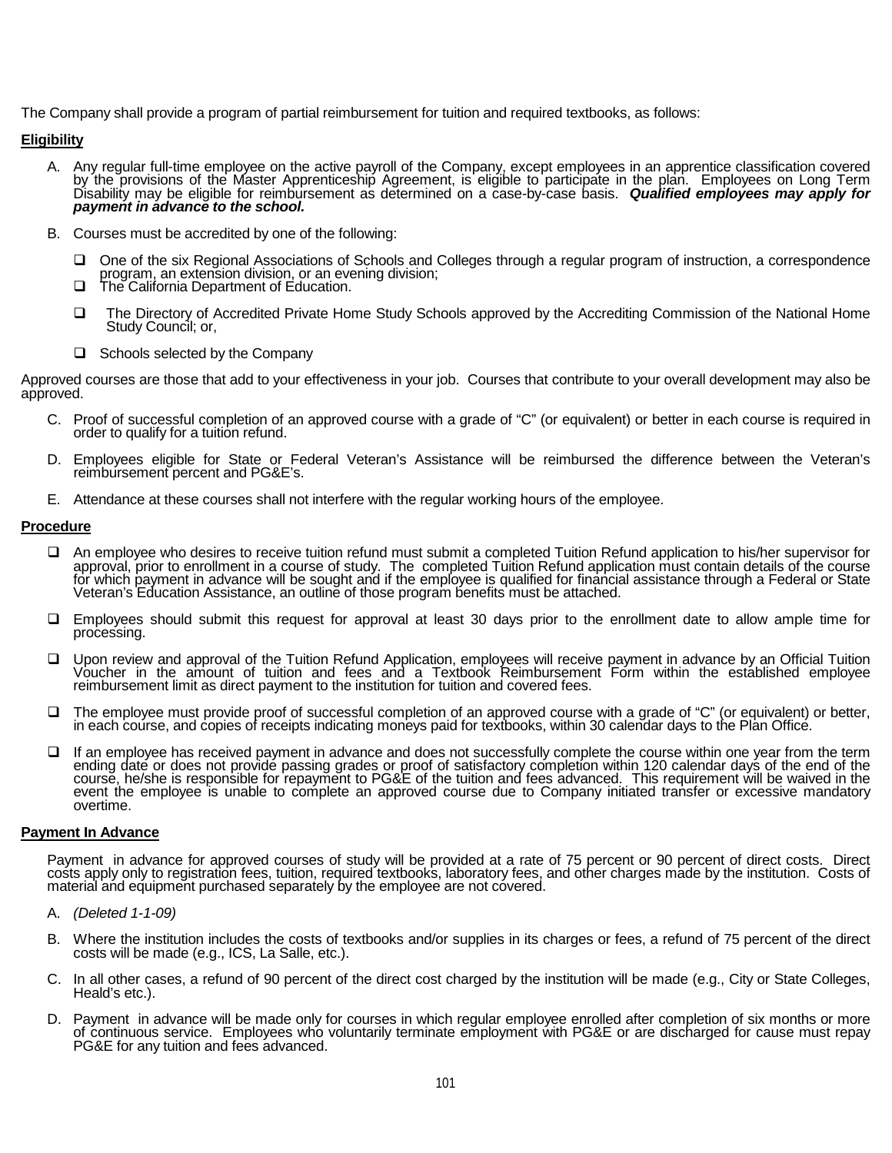The Company shall provide a program of partial reimbursement for tuition and required textbooks, as follows:

## **Eligibility**

- A. Any regular full-time employee on the active payroll of the Company, except employees in an apprentice classification covered<br>by the provisions of the Master Apprenticeship Agreement, is eligible to participate in the p Disability may be eligible for reimbursement as determined on a case*-*by-case basis. *Qualified employees may apply for payment in advance to the school.*
- B. Courses must be accredited by one of the following:
	- One of the six Regional Associations of Schools and Colleges through a regular program of instruction, a correspondence program, an extension division, or an evening division; The California Department of Education.
	-
	- The Directory of Accredited Private Home Study Schools approved by the Accrediting Commission of the National Home Study Council; or,
	- $\Box$  Schools selected by the Company

Approved courses are those that add to your effectiveness in your job. Courses that contribute to your overall development may also be<br>approved.

- C. Proof of successful completion of an approved course with a grade of "C" (or equivalent) or better in each course is required in order to qualify for a tuition refund.
- D. Employees eligible for State or Federal Veteran's Assistance will be reimbursed the difference between the Veteran's reimbursement percent and PG&E's.
- E. Attendance at these courses shall not interfere with the regular working hours of the employee.

#### **Procedure**

- An employee who desires to receive tuition refund must submit a completed Tuition Refund application to his/her supervisor for approval, prior to enrollment in a course of study. The completed Tuition Refund application must contain details of the course<br>for which payment in advance will be sought and if the employee is qualified for financial ass Veteran's Education Assistance, an outline of those program benefits must be attached.
- Employees should submit this request for approval at least 30 days prior to the enrollment date to allow ample time for processing.
- □ Upon review and approval of the Tuition Refund Application, employees will receive payment in advance by an Official Tuition<br>Voucher in the amount of tuition and fees and a Textbook Reimbursement Form within the establi reimbursement limit as direct payment to the institution for tuition and covered fees.
- □ The employee must provide proof of successful completion of an approved course with a grade of "C" (or equivalent) or better, in each course, and copies of receipts indicating moneys paid for textbooks, within 30 calend
- □ If an employee has received payment in advance and does not successfully complete the course within one year from the term<br>ending date or does not provide passing grades or proof of satisfactory completion within 120 ca event the employee is unable to complete an approved course due to Company initiated transfer or excessive mandatory overtime.

#### **Payment In Advance**

Payment in advance for approved courses of study will be provided at a rate of 75 percent or 90 percent of direct costs. Direct<br>costs apply only to registration fees, tuition, required textbooks, laboratory fees, and other material and equipment purchased separately by the employee are not covered.

- A. *(Deleted 1-1-09)*
- B. Where the institution includes the costs of textbooks and/or supplies in its charges or fees, a refund of 75 percent of the direct costs will be made (e.g., ICS, La Salle, etc.).
- C. In all other cases, a refund of 90 percent of the direct cost charged by the institution will be made (e.g., City or State Colleges, Heald's etc.).
- D. Payment in advance will be made only for courses in which regular employee enrolled after completion of six months or more<br>of continuous service. Employees who voluntarily terminate employment with PG&E or are discharge PG&E for any tuition and fees advanced.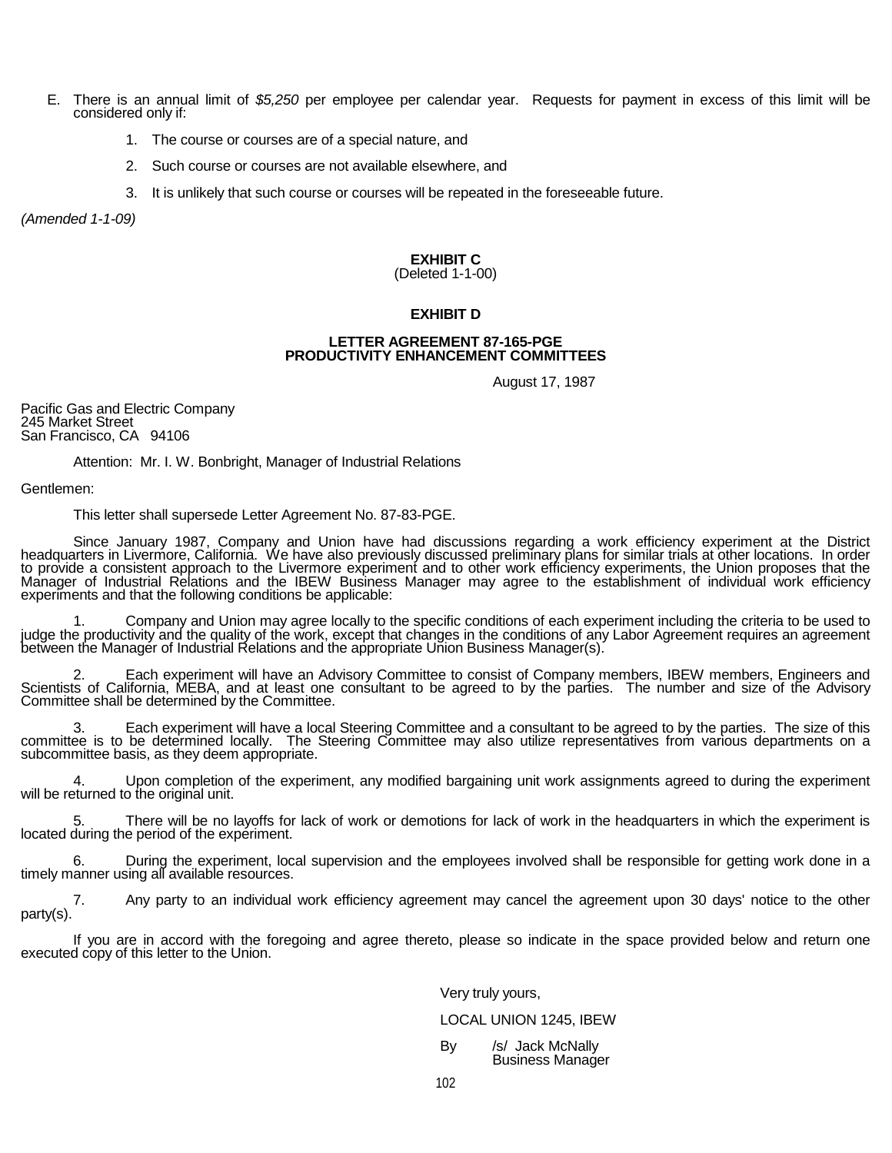- E. There is an annual limit of *\$5,250* per employee per calendar year. Requests for payment in excess of this limit will be considered only if:
	- 1. The course or courses are of a special nature, and
	- 2. Such course or courses are not available elsewhere, and
	- 3. It is unlikely that such course or courses will be repeated in the foreseeable future.

*(Amended 1-1-09)*

## **EXHIBIT C**

## (Deleted 1-1-00)

#### **EXHIBIT D**

#### **LETTER AGREEMENT 87-165-PGE PRODUCTIVITY ENHANCEMENT COMMITTEES**

August 17, 1987

Pacific Gas and Electric Company 245 Market Street San Francisco, CA 94106

Attention: Mr. I. W. Bonbright, Manager of Industrial Relations

Gentlemen:

This letter shall supersede Letter Agreement No. 87-83-PGE.

Since January 1987, Company and Union have had discussions regarding a work efficiency experiment at the District<br>headquarters in Livermore, California. We have also previously discussed preliminary plans for similar trial to provide a consistent approach to the Livermore experiment and to other work efficiency experiments, the Union proposes that the Manager of Industrial Relations and the IBEW Business Manager may agree to the establishment of individual work efficiency experiments and that the following conditions be applicable:

1. Company and Union may agree locally to the specific conditions of each experiment including the criteria to be used to judge the productivity and the quality of the work, except that changes in the conditions of any Lab

2. Each experiment will have an Advisory Committee to consist of Company members, IBEW members, Engineers and<br>Scientists of California, MEBA, and at least one consultant to be agreed to by the parties. The number and size

3. Each experiment will have a local Steering Committee and a consultant to be agreed to by the parties. The size of this committee is to be determined locally. The Steering Committee may also utilize representatives from

4. Upon completion of the experiment, any modified bargaining unit work assignments agreed to during the experiment will be returned to the original unit.

5. There will be no layoffs for lack of work or demotions for lack of work in the headquarters in which the experiment is located during the period of the experiment.

6. During the experiment, local supervision and the employees involved shall be responsible for getting work done in a timely manner using all available resources.

7. Any party to an individual work efficiency agreement may cancel the agreement upon 30 days' notice to the other party(s).

If you are in accord with the foregoing and agree thereto, please so indicate in the space provided below and return one executed copy of this letter to the Union.

## Very truly yours,

#### LOCAL UNION 1245, IBEW

By /s/ Jack McNally Business Manager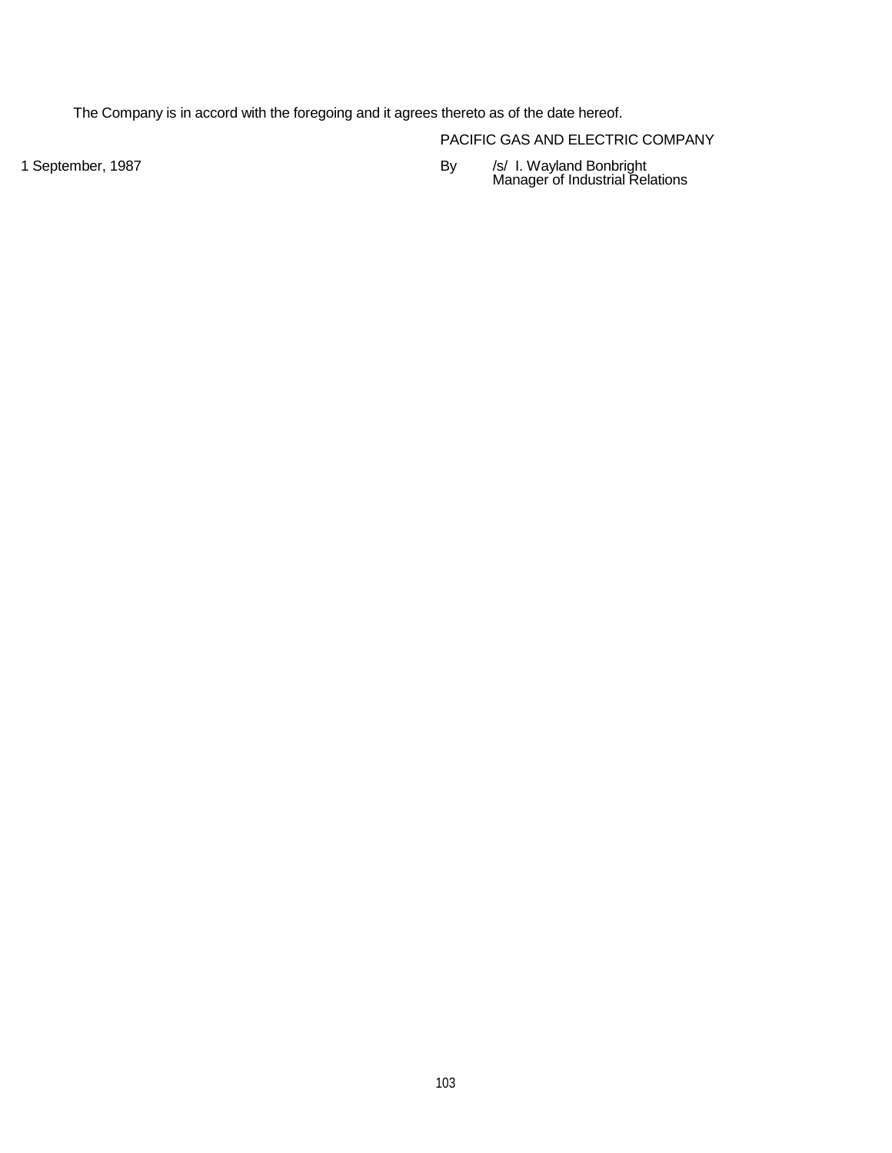The Company is in accord with the foregoing and it agrees thereto as of the date hereof.

PACIFIC GAS AND ELECTRIC COMPANY

1 September, 1987 By /s/ I. Wayland Bonbright Manager of Industrial Relations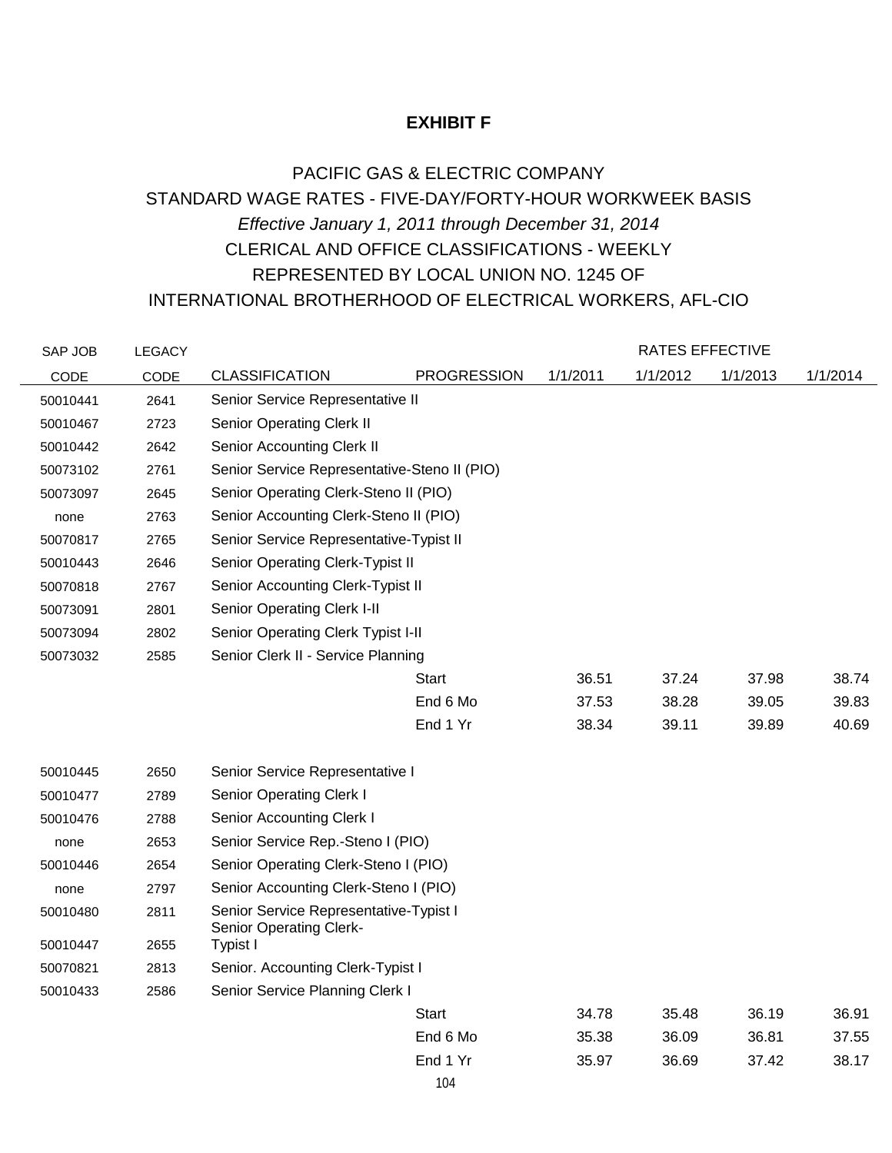# **EXHIBIT F**

# PACIFIC GAS & ELECTRIC COMPANY STANDARD WAGE RATES - FIVE-DAY/FORTY-HOUR WORKWEEK BASIS *Effective January 1, 2011 through December 31, 2014* CLERICAL AND OFFICE CLASSIFICATIONS - WEEKLY REPRESENTED BY LOCAL UNION NO. 1245 OF INTERNATIONAL BROTHERHOOD OF ELECTRICAL WORKERS, AFL-CIO

| SAP JOB  | <b>LEGACY</b> |                                                                          |                    |          | <b>RATES EFFECTIVE</b> |          |          |
|----------|---------------|--------------------------------------------------------------------------|--------------------|----------|------------------------|----------|----------|
| CODE     | CODE          | <b>CLASSIFICATION</b>                                                    | <b>PROGRESSION</b> | 1/1/2011 | 1/1/2012               | 1/1/2013 | 1/1/2014 |
| 50010441 | 2641          | Senior Service Representative II                                         |                    |          |                        |          |          |
| 50010467 | 2723          | <b>Senior Operating Clerk II</b>                                         |                    |          |                        |          |          |
| 50010442 | 2642          | Senior Accounting Clerk II                                               |                    |          |                        |          |          |
| 50073102 | 2761          | Senior Service Representative-Steno II (PIO)                             |                    |          |                        |          |          |
| 50073097 | 2645          | Senior Operating Clerk-Steno II (PIO)                                    |                    |          |                        |          |          |
| none     | 2763          | Senior Accounting Clerk-Steno II (PIO)                                   |                    |          |                        |          |          |
| 50070817 | 2765          | Senior Service Representative-Typist II                                  |                    |          |                        |          |          |
| 50010443 | 2646          | Senior Operating Clerk-Typist II                                         |                    |          |                        |          |          |
| 50070818 | 2767          | Senior Accounting Clerk-Typist II                                        |                    |          |                        |          |          |
| 50073091 | 2801          | <b>Senior Operating Clerk I-II</b>                                       |                    |          |                        |          |          |
| 50073094 | 2802          | Senior Operating Clerk Typist I-II                                       |                    |          |                        |          |          |
| 50073032 | 2585          | Senior Clerk II - Service Planning                                       |                    |          |                        |          |          |
|          |               |                                                                          | Start              | 36.51    | 37.24                  | 37.98    | 38.74    |
|          |               |                                                                          | End 6 Mo           | 37.53    | 38.28                  | 39.05    | 39.83    |
|          |               |                                                                          | End 1 Yr           | 38.34    | 39.11                  | 39.89    | 40.69    |
| 50010445 | 2650          | Senior Service Representative I                                          |                    |          |                        |          |          |
| 50010477 | 2789          | <b>Senior Operating Clerk I</b>                                          |                    |          |                        |          |          |
| 50010476 | 2788          | Senior Accounting Clerk I                                                |                    |          |                        |          |          |
| none     | 2653          | Senior Service Rep.-Steno I (PIO)                                        |                    |          |                        |          |          |
| 50010446 | 2654          | Senior Operating Clerk-Steno I (PIO)                                     |                    |          |                        |          |          |
| none     | 2797          | Senior Accounting Clerk-Steno I (PIO)                                    |                    |          |                        |          |          |
| 50010480 | 2811          | Senior Service Representative-Typist I<br><b>Senior Operating Clerk-</b> |                    |          |                        |          |          |
| 50010447 | 2655          | Typist I                                                                 |                    |          |                        |          |          |
| 50070821 | 2813          | Senior. Accounting Clerk-Typist I                                        |                    |          |                        |          |          |
| 50010433 | 2586          | Senior Service Planning Clerk I                                          |                    |          |                        |          |          |
|          |               |                                                                          | Start              | 34.78    | 35.48                  | 36.19    | 36.91    |
|          |               |                                                                          | End 6 Mo           | 35.38    | 36.09                  | 36.81    | 37.55    |
|          |               |                                                                          | End 1 Yr           | 35.97    | 36.69                  | 37.42    | 38.17    |
|          |               |                                                                          | 104                |          |                        |          |          |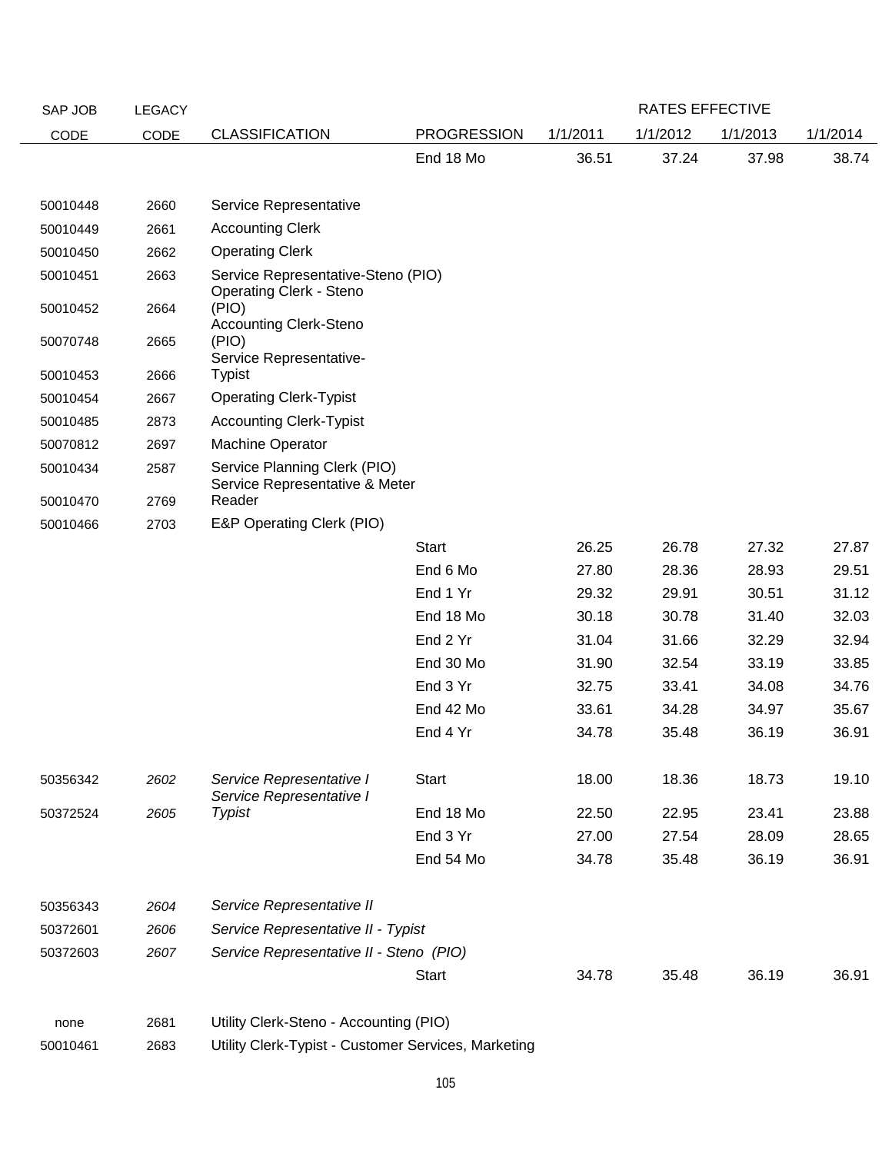| SAP JOB  | <b>LEGACY</b> |                                                                      |                    |          | RATES EFFECTIVE |          |          |
|----------|---------------|----------------------------------------------------------------------|--------------------|----------|-----------------|----------|----------|
| CODE     | CODE          | <b>CLASSIFICATION</b>                                                | <b>PROGRESSION</b> | 1/1/2011 | 1/1/2012        | 1/1/2013 | 1/1/2014 |
|          |               |                                                                      | End 18 Mo          | 36.51    | 37.24           | 37.98    | 38.74    |
|          |               |                                                                      |                    |          |                 |          |          |
| 50010448 | 2660          | Service Representative                                               |                    |          |                 |          |          |
| 50010449 | 2661          | <b>Accounting Clerk</b>                                              |                    |          |                 |          |          |
| 50010450 | 2662          | <b>Operating Clerk</b>                                               |                    |          |                 |          |          |
| 50010451 | 2663          | Service Representative-Steno (PIO)<br><b>Operating Clerk - Steno</b> |                    |          |                 |          |          |
| 50010452 | 2664          | (PIO)<br><b>Accounting Clerk-Steno</b>                               |                    |          |                 |          |          |
| 50070748 | 2665          | (PIO)<br>Service Representative-                                     |                    |          |                 |          |          |
| 50010453 | 2666          | <b>Typist</b>                                                        |                    |          |                 |          |          |
| 50010454 | 2667          | <b>Operating Clerk-Typist</b>                                        |                    |          |                 |          |          |
| 50010485 | 2873          | <b>Accounting Clerk-Typist</b>                                       |                    |          |                 |          |          |
| 50070812 | 2697          | Machine Operator                                                     |                    |          |                 |          |          |
| 50010434 | 2587          | Service Planning Clerk (PIO)<br>Service Representative & Meter       |                    |          |                 |          |          |
| 50010470 | 2769          | Reader                                                               |                    |          |                 |          |          |
| 50010466 | 2703          | E&P Operating Clerk (PIO)                                            |                    |          |                 |          |          |
|          |               |                                                                      | <b>Start</b>       | 26.25    | 26.78           | 27.32    | 27.87    |
|          |               |                                                                      | End 6 Mo           | 27.80    | 28.36           | 28.93    | 29.51    |
|          |               |                                                                      | End 1 Yr           | 29.32    | 29.91           | 30.51    | 31.12    |
|          |               |                                                                      | End 18 Mo          | 30.18    | 30.78           | 31.40    | 32.03    |
|          |               |                                                                      | End 2 Yr           | 31.04    | 31.66           | 32.29    | 32.94    |
|          |               |                                                                      | End 30 Mo          | 31.90    | 32.54           | 33.19    | 33.85    |
|          |               |                                                                      | End 3 Yr           | 32.75    | 33.41           | 34.08    | 34.76    |
|          |               |                                                                      | End 42 Mo          | 33.61    | 34.28           | 34.97    | 35.67    |
|          |               |                                                                      | End 4 Yr           | 34.78    | 35.48           | 36.19    | 36.91    |
| 50356342 | 2602          | Service Representative I<br>Service Representative I                 | <b>Start</b>       | 18.00    | 18.36           | 18.73    | 19.10    |
| 50372524 | 2605          | <b>Typist</b>                                                        | End 18 Mo          | 22.50    | 22.95           | 23.41    | 23.88    |
|          |               |                                                                      | End 3 Yr           | 27.00    | 27.54           | 28.09    | 28.65    |
|          |               |                                                                      | End 54 Mo          | 34.78    | 35.48           | 36.19    | 36.91    |
| 50356343 | 2604          | Service Representative II                                            |                    |          |                 |          |          |
| 50372601 | 2606          | Service Representative II - Typist                                   |                    |          |                 |          |          |
| 50372603 | 2607          | Service Representative II - Steno (PIO)                              |                    |          |                 |          |          |
|          |               |                                                                      | <b>Start</b>       | 34.78    | 35.48           | 36.19    | 36.91    |
| none     | 2681          | Utility Clerk-Steno - Accounting (PIO)                               |                    |          |                 |          |          |
| 50010461 | 2683          | Utility Clerk-Typist - Customer Services, Marketing                  |                    |          |                 |          |          |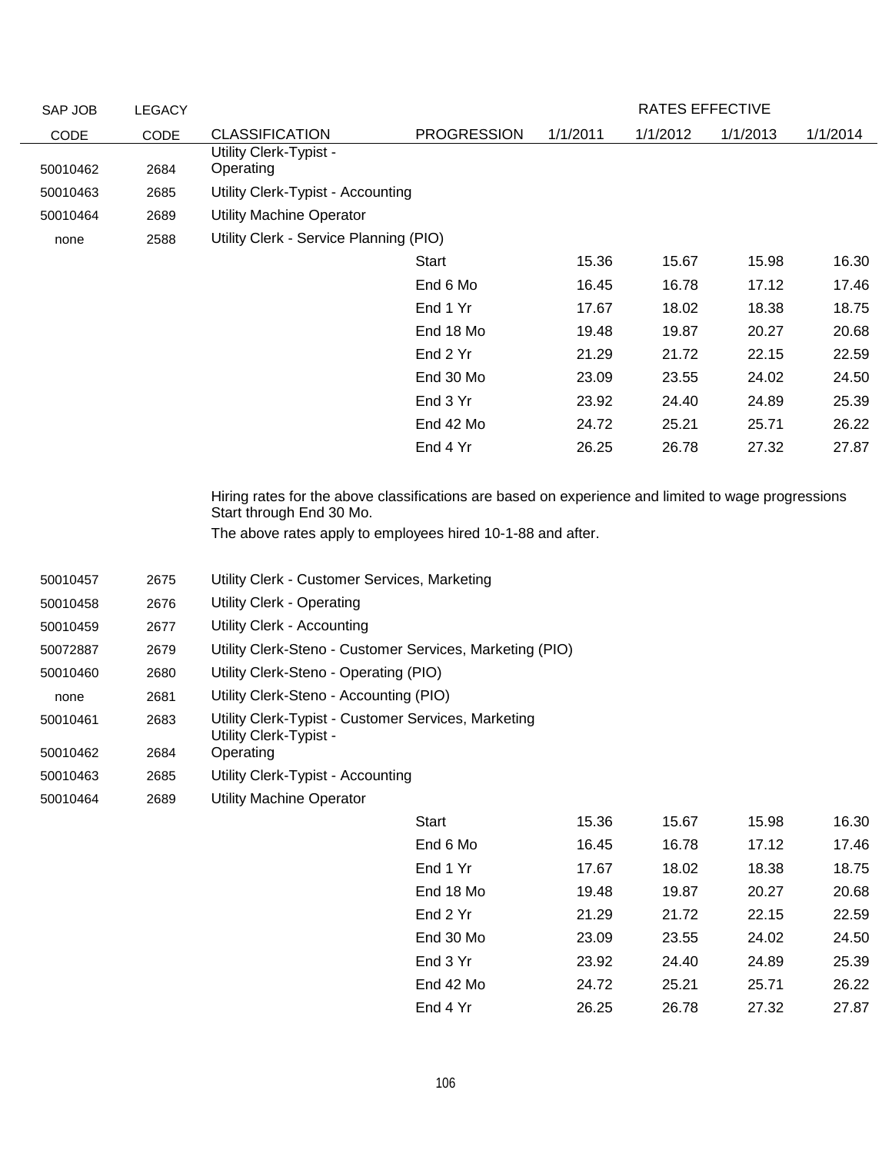| SAP JOB                                                          | <b>LEGACY</b>                                |                                                                                                                                                                                                                                                                      |                    |          | RATES EFFECTIVE |          |          |
|------------------------------------------------------------------|----------------------------------------------|----------------------------------------------------------------------------------------------------------------------------------------------------------------------------------------------------------------------------------------------------------------------|--------------------|----------|-----------------|----------|----------|
| CODE                                                             | CODE                                         | <b>CLASSIFICATION</b>                                                                                                                                                                                                                                                | <b>PROGRESSION</b> | 1/1/2011 | 1/1/2012        | 1/1/2013 | 1/1/2014 |
| 50010462                                                         | 2684                                         | Utility Clerk-Typist -<br>Operating                                                                                                                                                                                                                                  |                    |          |                 |          |          |
| 50010463                                                         | 2685                                         | Utility Clerk-Typist - Accounting                                                                                                                                                                                                                                    |                    |          |                 |          |          |
| 50010464                                                         | 2689                                         | <b>Utility Machine Operator</b>                                                                                                                                                                                                                                      |                    |          |                 |          |          |
| none                                                             | 2588                                         | Utility Clerk - Service Planning (PIO)                                                                                                                                                                                                                               |                    |          |                 |          |          |
|                                                                  |                                              |                                                                                                                                                                                                                                                                      | Start              | 15.36    | 15.67           | 15.98    | 16.30    |
|                                                                  |                                              |                                                                                                                                                                                                                                                                      | End 6 Mo           | 16.45    | 16.78           | 17.12    | 17.46    |
|                                                                  |                                              |                                                                                                                                                                                                                                                                      | End 1 Yr           | 17.67    | 18.02           | 18.38    | 18.75    |
|                                                                  |                                              |                                                                                                                                                                                                                                                                      | End 18 Mo          | 19.48    | 19.87           | 20.27    | 20.68    |
|                                                                  |                                              |                                                                                                                                                                                                                                                                      | End 2 Yr           | 21.29    | 21.72           | 22.15    | 22.59    |
|                                                                  |                                              |                                                                                                                                                                                                                                                                      | End 30 Mo          | 23.09    | 23.55           | 24.02    | 24.50    |
|                                                                  |                                              |                                                                                                                                                                                                                                                                      | End 3 Yr           | 23.92    | 24.40           | 24.89    | 25.39    |
|                                                                  |                                              |                                                                                                                                                                                                                                                                      | End 42 Mo          | 24.72    | 25.21           | 25.71    | 26.22    |
|                                                                  |                                              |                                                                                                                                                                                                                                                                      | End 4 Yr           | 26.25    | 26.78           | 27.32    | 27.87    |
| 50010458<br>50010459<br>50072887<br>50010460<br>none<br>50010461 | 2676<br>2677<br>2679<br>2680<br>2681<br>2683 | <b>Utility Clerk - Operating</b><br>Utility Clerk - Accounting<br>Utility Clerk-Steno - Customer Services, Marketing (PIO)<br>Utility Clerk-Steno - Operating (PIO)<br>Utility Clerk-Steno - Accounting (PIO)<br>Utility Clerk-Typist - Customer Services, Marketing |                    |          |                 |          |          |
| 50010462                                                         | 2684                                         | Utility Clerk-Typist -<br>Operating                                                                                                                                                                                                                                  |                    |          |                 |          |          |
| 50010463                                                         | 2685                                         | Utility Clerk-Typist - Accounting                                                                                                                                                                                                                                    |                    |          |                 |          |          |
| 50010464                                                         | 2689                                         | <b>Utility Machine Operator</b>                                                                                                                                                                                                                                      |                    |          |                 |          |          |
|                                                                  |                                              |                                                                                                                                                                                                                                                                      | Start              | 15.36    | 15.67           | 15.98    | 16.30    |
|                                                                  |                                              |                                                                                                                                                                                                                                                                      | End 6 Mo           | 16.45    | 16.78           | 17.12    | 17.46    |
|                                                                  |                                              |                                                                                                                                                                                                                                                                      | End 1 Yr           | 17.67    | 18.02           | 18.38    | 18.75    |
|                                                                  |                                              |                                                                                                                                                                                                                                                                      | End 18 Mo          | 19.48    | 19.87           | 20.27    | 20.68    |
|                                                                  |                                              |                                                                                                                                                                                                                                                                      | End 2 Yr           | 21.29    | 21.72           | 22.15    | 22.59    |
|                                                                  |                                              |                                                                                                                                                                                                                                                                      | End 30 Mo          | 23.09    | 23.55           | 24.02    | 24.50    |
|                                                                  |                                              |                                                                                                                                                                                                                                                                      | End 3 Yr           | 23.92    | 24.40           | 24.89    | 25.39    |
|                                                                  |                                              |                                                                                                                                                                                                                                                                      | End 42 Mo          | 24.72    | 25.21           | 25.71    | 26.22    |
|                                                                  |                                              |                                                                                                                                                                                                                                                                      | End 4 Yr           | 26.25    | 26.78           | 27.32    | 27.87    |
|                                                                  |                                              |                                                                                                                                                                                                                                                                      |                    |          |                 |          |          |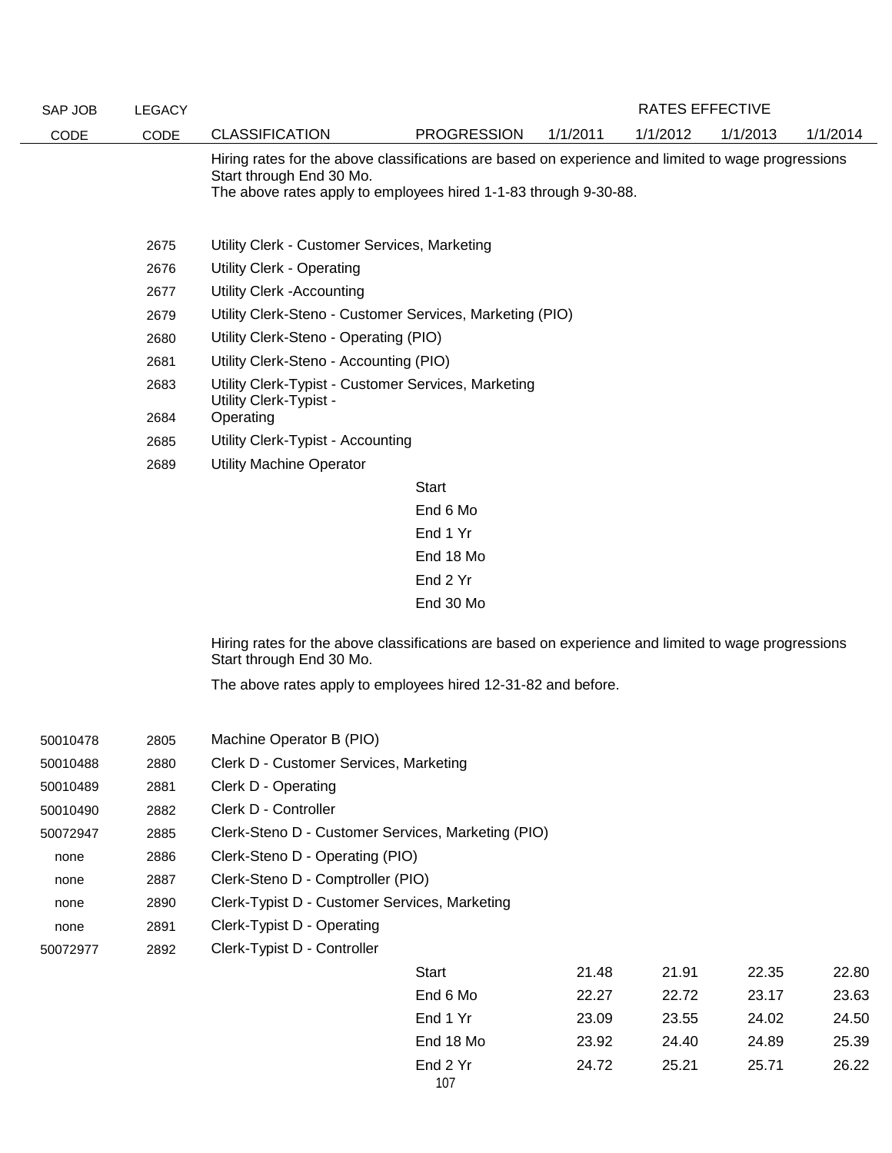| SAP JOB  | <b>LEGACY</b> |                                                                                                                                                                                                     |                    |          | <b>RATES EFFECTIVE</b> |          |          |
|----------|---------------|-----------------------------------------------------------------------------------------------------------------------------------------------------------------------------------------------------|--------------------|----------|------------------------|----------|----------|
| CODE     | CODE          | <b>CLASSIFICATION</b>                                                                                                                                                                               | <b>PROGRESSION</b> | 1/1/2011 | 1/1/2012               | 1/1/2013 | 1/1/2014 |
|          |               | Hiring rates for the above classifications are based on experience and limited to wage progressions<br>Start through End 30 Mo.<br>The above rates apply to employees hired 1-1-83 through 9-30-88. |                    |          |                        |          |          |
|          | 2675          | Utility Clerk - Customer Services, Marketing                                                                                                                                                        |                    |          |                        |          |          |
|          | 2676          | <b>Utility Clerk - Operating</b>                                                                                                                                                                    |                    |          |                        |          |          |
|          | 2677          | <b>Utility Clerk -Accounting</b>                                                                                                                                                                    |                    |          |                        |          |          |
|          | 2679          | Utility Clerk-Steno - Customer Services, Marketing (PIO)                                                                                                                                            |                    |          |                        |          |          |
|          | 2680          | Utility Clerk-Steno - Operating (PIO)                                                                                                                                                               |                    |          |                        |          |          |
|          | 2681          | Utility Clerk-Steno - Accounting (PIO)                                                                                                                                                              |                    |          |                        |          |          |
|          | 2683          | Utility Clerk-Typist - Customer Services, Marketing<br>Utility Clerk-Typist -                                                                                                                       |                    |          |                        |          |          |
|          | 2684          | Operating                                                                                                                                                                                           |                    |          |                        |          |          |
|          | 2685          | Utility Clerk-Typist - Accounting                                                                                                                                                                   |                    |          |                        |          |          |
|          | 2689          | <b>Utility Machine Operator</b>                                                                                                                                                                     |                    |          |                        |          |          |
|          |               |                                                                                                                                                                                                     | <b>Start</b>       |          |                        |          |          |
|          |               |                                                                                                                                                                                                     | End 6 Mo           |          |                        |          |          |
|          |               |                                                                                                                                                                                                     | End 1 Yr           |          |                        |          |          |
|          |               |                                                                                                                                                                                                     | End 18 Mo          |          |                        |          |          |
|          |               |                                                                                                                                                                                                     | End 2 Yr           |          |                        |          |          |
|          |               |                                                                                                                                                                                                     | End 30 Mo          |          |                        |          |          |
|          |               | Hiring rates for the above classifications are based on experience and limited to wage progressions<br>Start through End 30 Mo.                                                                     |                    |          |                        |          |          |
|          |               | The above rates apply to employees hired 12-31-82 and before.                                                                                                                                       |                    |          |                        |          |          |
|          |               |                                                                                                                                                                                                     |                    |          |                        |          |          |
| 50010478 | 2805          | Machine Operator B (PIO)                                                                                                                                                                            |                    |          |                        |          |          |
| 50010488 | 2880          | Clerk D - Customer Services, Marketing                                                                                                                                                              |                    |          |                        |          |          |
| 50010489 | 2881          | Clerk D - Operating                                                                                                                                                                                 |                    |          |                        |          |          |
| 50010490 | 2882          | Clerk D - Controller                                                                                                                                                                                |                    |          |                        |          |          |
| 50072947 | 2885          | Clerk-Steno D - Customer Services, Marketing (PIO)                                                                                                                                                  |                    |          |                        |          |          |
| none     | 2886          | Clerk-Steno D - Operating (PIO)                                                                                                                                                                     |                    |          |                        |          |          |
| none     | 2887          | Clerk-Steno D - Comptroller (PIO)                                                                                                                                                                   |                    |          |                        |          |          |
| none     | 2890          | Clerk-Typist D - Customer Services, Marketing                                                                                                                                                       |                    |          |                        |          |          |
| none     | 2891          | Clerk-Typist D - Operating                                                                                                                                                                          |                    |          |                        |          |          |
| 50072977 | 2892          | Clerk-Typist D - Controller                                                                                                                                                                         |                    |          |                        |          |          |
|          |               |                                                                                                                                                                                                     | Start              | 21 48    | 21 91                  | 22.35    | 22.80    |

| Start     | 21.48 | 21.91 | 22.35 | 22.80 |
|-----------|-------|-------|-------|-------|
| End 6 Mo  | 22.27 | 22.72 | 23.17 | 23.63 |
| End 1 Yr  | 23.09 | 23.55 | 24.02 | 24.50 |
| End 18 Mo | 23.92 | 24.40 | 24.89 | 25.39 |
| End 2 Yr  | 24.72 | 25.21 | 25.71 | 26.22 |
| 107       |       |       |       |       |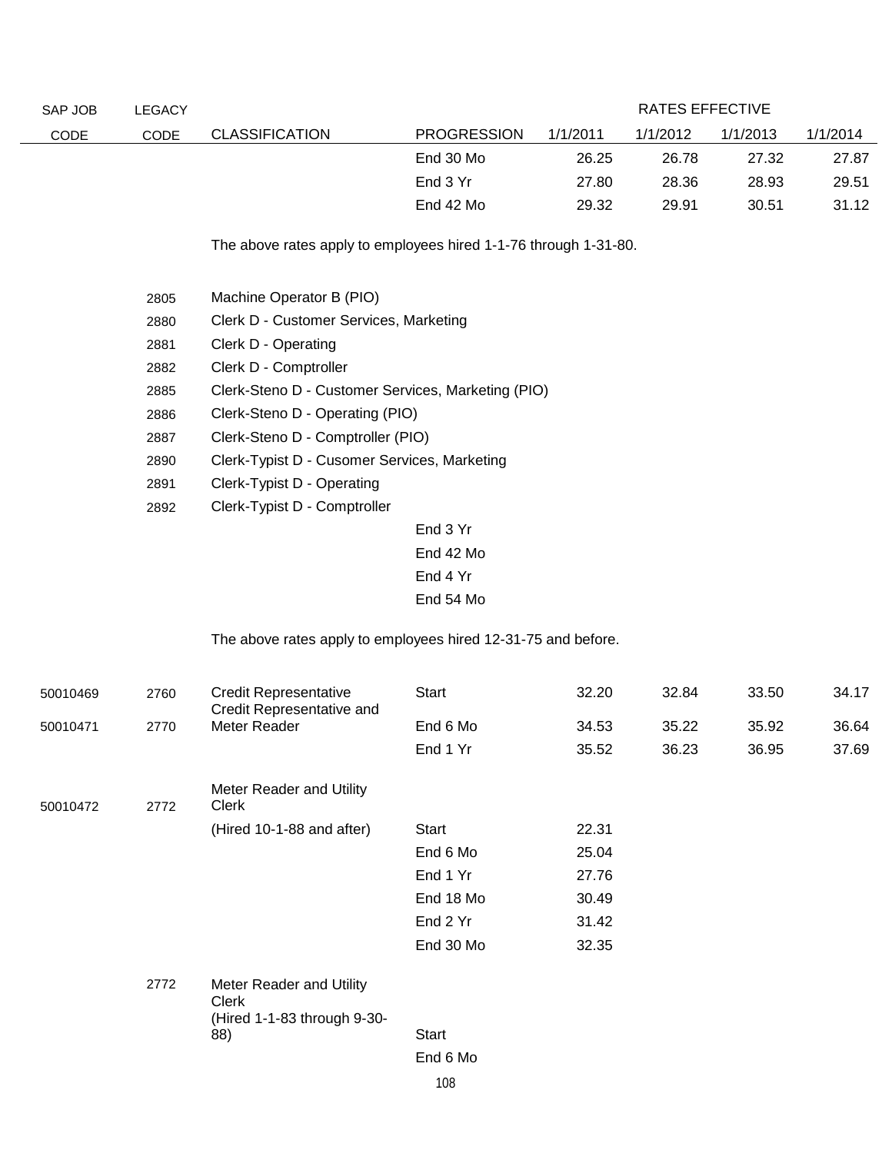| SAP JOB     | <b>LEGACY</b>                                |                                                                                                                                                                                                                                                                                 |                    |          | RATES EFFECTIVE |          |          |
|-------------|----------------------------------------------|---------------------------------------------------------------------------------------------------------------------------------------------------------------------------------------------------------------------------------------------------------------------------------|--------------------|----------|-----------------|----------|----------|
| <b>CODE</b> | <b>CODE</b>                                  | <b>CLASSIFICATION</b>                                                                                                                                                                                                                                                           | <b>PROGRESSION</b> | 1/1/2011 | 1/1/2012        | 1/1/2013 | 1/1/2014 |
|             |                                              |                                                                                                                                                                                                                                                                                 | End 30 Mo          | 26.25    | 26.78           | 27.32    | 27.87    |
|             |                                              |                                                                                                                                                                                                                                                                                 | End 3 Yr           | 27.80    | 28.36           | 28.93    | 29.51    |
|             |                                              |                                                                                                                                                                                                                                                                                 | End 42 Mo          | 29.32    | 29.91           | 30.51    | 31.12    |
|             | 2805<br>2880<br>2881<br>2882<br>2885<br>2886 | The above rates apply to employees hired 1-1-76 through 1-31-80.<br>Machine Operator B (PIO)<br>Clerk D - Customer Services, Marketing<br>Clerk D - Operating<br>Clerk D - Comptroller<br>Clerk-Steno D - Customer Services, Marketing (PIO)<br>Clerk-Steno D - Operating (PIO) |                    |          |                 |          |          |

- 2887 Clerk-Steno D Comptroller (PIO)
- 2890 Clerk-Typist D Cusomer Services, Marketing
- 2891 Clerk-Typist D Operating
- 2892 Clerk-Typist D Comptroller

End 3 Yr End 42 Mo End 4 Yr End 54 Mo

The above rates apply to employees hired 12-31-75 and before.

| 50010469 | 2760 | <b>Credit Representative</b><br>Credit Representative and        | Start     | 32.20 | 32.84 | 33.50 | 34.17 |
|----------|------|------------------------------------------------------------------|-----------|-------|-------|-------|-------|
| 50010471 | 2770 | Meter Reader                                                     | End 6 Mo  | 34.53 | 35.22 | 35.92 | 36.64 |
|          |      |                                                                  | End 1 Yr  | 35.52 | 36.23 | 36.95 | 37.69 |
| 50010472 | 2772 | Meter Reader and Utility<br>Clerk                                |           |       |       |       |       |
|          |      | (Hired 10-1-88 and after)                                        | Start     | 22.31 |       |       |       |
|          |      |                                                                  | End 6 Mo  | 25.04 |       |       |       |
|          |      |                                                                  | End 1 Yr  | 27.76 |       |       |       |
|          |      |                                                                  | End 18 Mo | 30.49 |       |       |       |
|          |      |                                                                  | End 2 Yr  | 31.42 |       |       |       |
|          |      |                                                                  | End 30 Mo | 32.35 |       |       |       |
|          | 2772 | Meter Reader and Utility<br>Clerk<br>(Hired 1-1-83 through 9-30- |           |       |       |       |       |
|          |      | 88)                                                              | Start     |       |       |       |       |
|          |      |                                                                  | End 6 Mo  |       |       |       |       |
|          |      |                                                                  | 100       |       |       |       |       |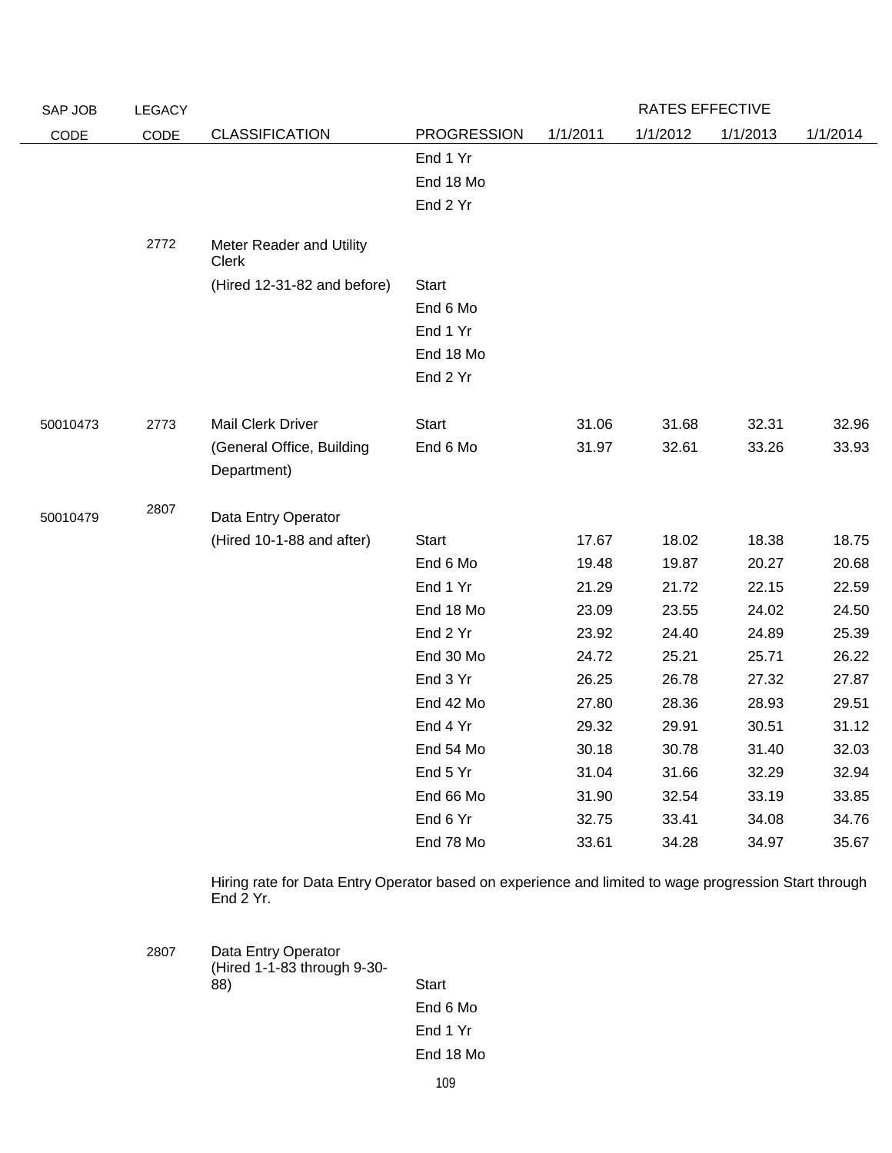| SAP JOB  | LEGACY |                                          |                    |          | RATES EFFECTIVE |          |          |
|----------|--------|------------------------------------------|--------------------|----------|-----------------|----------|----------|
| CODE     | CODE   | <b>CLASSIFICATION</b>                    | <b>PROGRESSION</b> | 1/1/2011 | 1/1/2012        | 1/1/2013 | 1/1/2014 |
|          |        |                                          | End 1 Yr           |          |                 |          |          |
|          |        |                                          | End 18 Mo          |          |                 |          |          |
|          |        |                                          | End 2 Yr           |          |                 |          |          |
|          |        |                                          |                    |          |                 |          |          |
|          | 2772   | Meter Reader and Utility<br><b>Clerk</b> |                    |          |                 |          |          |
|          |        | (Hired 12-31-82 and before)              | <b>Start</b>       |          |                 |          |          |
|          |        |                                          | End 6 Mo           |          |                 |          |          |
|          |        |                                          | End 1 Yr           |          |                 |          |          |
|          |        |                                          | End 18 Mo          |          |                 |          |          |
|          |        |                                          | End 2 Yr           |          |                 |          |          |
|          |        |                                          |                    |          |                 |          |          |
| 50010473 | 2773   | Mail Clerk Driver                        | <b>Start</b>       | 31.06    | 31.68           | 32.31    | 32.96    |
|          |        | (General Office, Building                | End 6 Mo           | 31.97    | 32.61           | 33.26    | 33.93    |
|          |        | Department)                              |                    |          |                 |          |          |
|          | 2807   |                                          |                    |          |                 |          |          |
| 50010479 |        | Data Entry Operator                      |                    |          |                 |          |          |
|          |        | (Hired 10-1-88 and after)                | <b>Start</b>       | 17.67    | 18.02           | 18.38    | 18.75    |
|          |        |                                          | End 6 Mo           | 19.48    | 19.87           | 20.27    | 20.68    |
|          |        |                                          | End 1 Yr           | 21.29    | 21.72           | 22.15    | 22.59    |
|          |        |                                          | End 18 Mo          | 23.09    | 23.55           | 24.02    | 24.50    |
|          |        |                                          | End 2 Yr           | 23.92    | 24.40           | 24.89    | 25.39    |
|          |        |                                          | End 30 Mo          | 24.72    | 25.21           | 25.71    | 26.22    |
|          |        |                                          | End 3 Yr           | 26.25    | 26.78           | 27.32    | 27.87    |
|          |        |                                          | End 42 Mo          | 27.80    | 28.36           | 28.93    | 29.51    |
|          |        |                                          | End 4 Yr           | 29.32    | 29.91           | 30.51    | 31.12    |
|          |        |                                          | End 54 Mo          | 30.18    | 30.78           | 31.40    | 32.03    |
|          |        |                                          | End 5 Yr           | 31.04    | 31.66           | 32.29    | 32.94    |
|          |        |                                          | End 66 Mo          | 31.90    | 32.54           | 33.19    | 33.85    |
|          |        |                                          | End 6 Yr           | 32.75    | 33.41           | 34.08    | 34.76    |
|          |        |                                          | End 78 Mo          | 33.61    | 34.28           | 34.97    | 35.67    |

Hiring rate for Data Entry Operator based on experience and limited to wage progression Start through End 2 Yr.

2807 Data Entry Operator (Hired 1-1-83 through 9-30- 88) Start End 6 Mo End 1 Yr End 18 Mo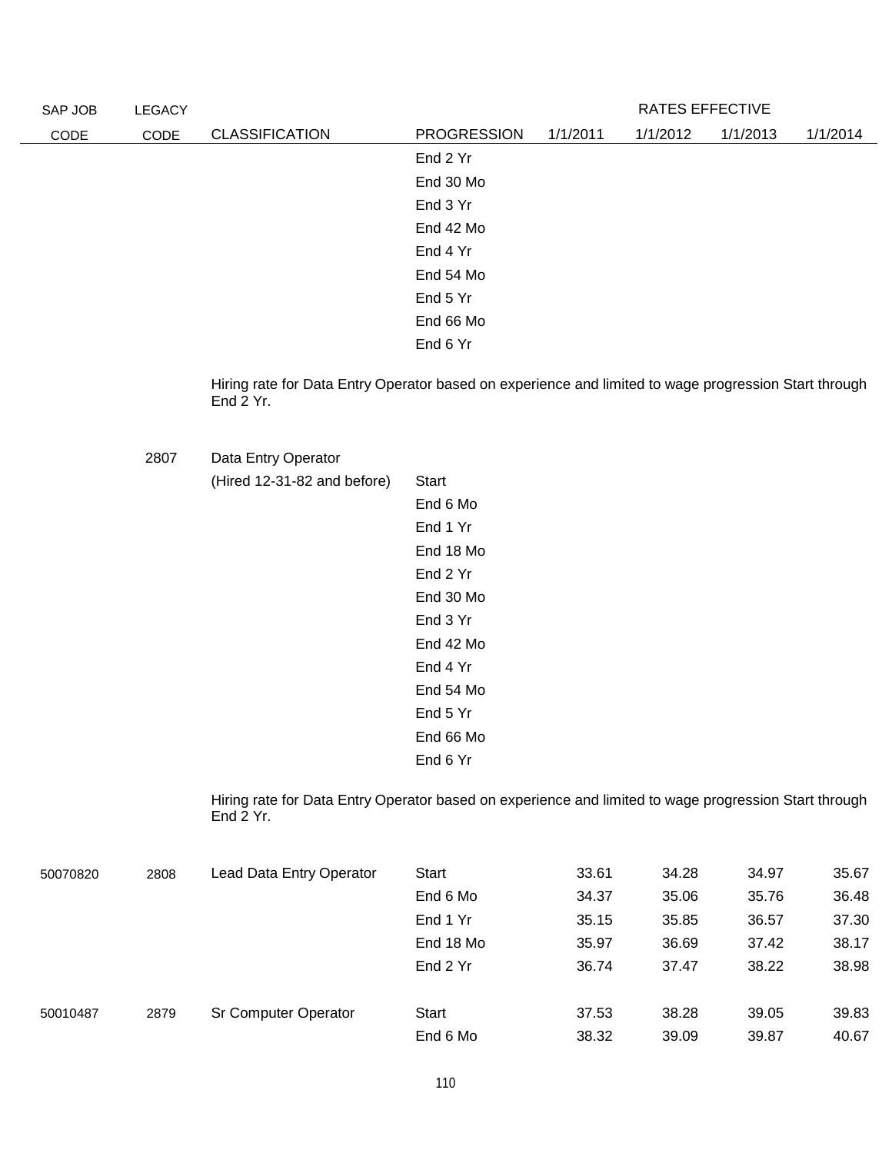| SAP JOB | <b>LEGACY</b> |                       |                    |          | RATES EFFECTIVE |          |          |
|---------|---------------|-----------------------|--------------------|----------|-----------------|----------|----------|
| CODE    | CODE          | <b>CLASSIFICATION</b> | <b>PROGRESSION</b> | 1/1/2011 | 1/1/2012        | 1/1/2013 | 1/1/2014 |
|         |               |                       | End 2 Yr           |          |                 |          |          |
|         |               |                       | End 30 Mo          |          |                 |          |          |
|         |               |                       | End 3 Yr           |          |                 |          |          |
|         |               |                       | End 42 Mo          |          |                 |          |          |
|         |               |                       | End 4 Yr           |          |                 |          |          |
|         |               |                       | End 54 Mo          |          |                 |          |          |
|         |               |                       | End 5 Yr           |          |                 |          |          |
|         |               |                       | End 66 Mo          |          |                 |          |          |
|         |               |                       | End 6 Yr           |          |                 |          |          |

Hiring rate for Data Entry Operator based on experience and limited to wage progression Start through End 2 Yr.

2807 Data Entry Operator

 $(Hired 12-31-82 and before)$ 

| Start     |
|-----------|
| End 6 Mo  |
| End 1 Yr  |
| End 18 Mo |
| End 2 Yr  |
| End 30 Mo |
| End 3 Yr  |
| End 42 Mo |
| End 4 Yr  |
| End 54 Mo |
| End 5 Yr  |
| End 66 Mo |
| End 6 Yr  |
|           |

Hiring rate for Data Entry Operator based on experience and limited to wage progression Start through End 2 Yr.

| 50070820 | 2808 | Lead Data Entry Operator | Start     | 33.61 | 34.28 | 34.97 | 35.67 |
|----------|------|--------------------------|-----------|-------|-------|-------|-------|
|          |      |                          | End 6 Mo  | 34.37 | 35.06 | 35.76 | 36.48 |
|          |      |                          | End 1 Yr  | 35.15 | 35.85 | 36.57 | 37.30 |
|          |      |                          | End 18 Mo | 35.97 | 36.69 | 37.42 | 38.17 |
|          |      |                          | End 2 Yr  | 36.74 | 37.47 | 38.22 | 38.98 |
|          |      |                          |           |       |       |       |       |
| 50010487 | 2879 | Sr Computer Operator     | Start     | 37.53 | 38.28 | 39.05 | 39.83 |
|          |      |                          | End 6 Mo  | 38.32 | 39.09 | 39.87 | 40.67 |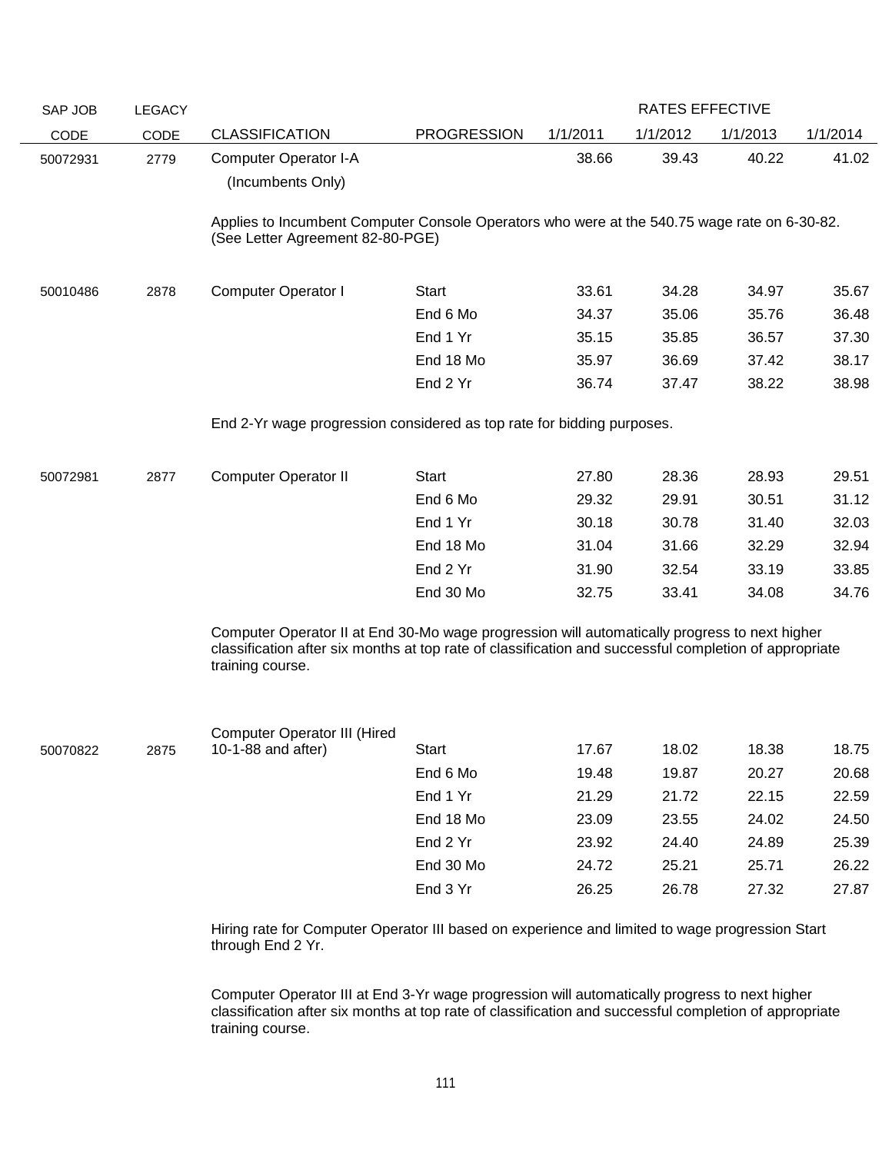| SAP JOB  | <b>LEGACY</b> |                                                                                                                                  |                    |          | <b>RATES EFFECTIVE</b> |          |          |
|----------|---------------|----------------------------------------------------------------------------------------------------------------------------------|--------------------|----------|------------------------|----------|----------|
| CODE     | CODE          | <b>CLASSIFICATION</b>                                                                                                            | <b>PROGRESSION</b> | 1/1/2011 | 1/1/2012               | 1/1/2013 | 1/1/2014 |
| 50072931 | 2779          | <b>Computer Operator I-A</b>                                                                                                     |                    | 38.66    | 39.43                  | 40.22    | 41.02    |
|          |               | (Incumbents Only)                                                                                                                |                    |          |                        |          |          |
|          |               |                                                                                                                                  |                    |          |                        |          |          |
|          |               | Applies to Incumbent Computer Console Operators who were at the 540.75 wage rate on 6-30-82.<br>(See Letter Agreement 82-80-PGE) |                    |          |                        |          |          |
|          |               |                                                                                                                                  |                    |          |                        |          |          |
| 50010486 | 2878          | <b>Computer Operator I</b>                                                                                                       | Start              | 33.61    | 34.28                  | 34.97    | 35.67    |
|          |               |                                                                                                                                  | End 6 Mo           | 34.37    | 35.06                  | 35.76    | 36.48    |
|          |               |                                                                                                                                  | End 1 Yr           | 35.15    | 35.85                  | 36.57    | 37.30    |
|          |               |                                                                                                                                  | End 18 Mo          | 35.97    | 36.69                  | 37.42    | 38.17    |
|          |               |                                                                                                                                  | End 2 Yr           | 36.74    | 37.47                  | 38.22    | 38.98    |
|          |               |                                                                                                                                  |                    |          |                        |          |          |
|          |               | End 2-Yr wage progression considered as top rate for bidding purposes.                                                           |                    |          |                        |          |          |
| 50072981 | 2877          | <b>Computer Operator II</b>                                                                                                      | <b>Start</b>       | 27.80    | 28.36                  | 28.93    | 29.51    |
|          |               |                                                                                                                                  | End 6 Mo           | 29.32    | 29.91                  | 30.51    | 31.12    |
|          |               |                                                                                                                                  | End 1 Yr           | 30.18    | 30.78                  | 31.40    | 32.03    |
|          |               |                                                                                                                                  | End 18 Mo          | 31.04    | 31.66                  | 32.29    | 32.94    |
|          |               |                                                                                                                                  | End 2 Yr           | 31.90    | 32.54                  | 33.19    | 33.85    |
|          |               |                                                                                                                                  | End 30 Mo          | 32.75    | 33.41                  | 34.08    | 34.76    |
|          |               | Computer Operator II at End 30-Mo wage progression will automatically progress to next higher                                    |                    |          |                        |          |          |
|          |               | classification after six months at top rate of classification and successful completion of appropriate                           |                    |          |                        |          |          |
|          |               | training course.                                                                                                                 |                    |          |                        |          |          |
|          |               |                                                                                                                                  |                    |          |                        |          |          |
|          |               | <b>Computer Operator III (Hired</b>                                                                                              |                    |          |                        |          |          |
| 50070822 | 2875          | 10-1-88 and after)                                                                                                               | Start              | 17.67    | 18.02                  | 18.38    | 18.75    |
|          |               |                                                                                                                                  | End 6 Mo           | 19.48    | 19.87                  | 20.27    | 20.68    |
|          |               |                                                                                                                                  | End 1 Yr           | 21.29    | 21.72                  | 22.15    | 22.59    |
|          |               |                                                                                                                                  | End 18 Mo          | 23.09    | 23.55                  | 24.02    | 24.50    |
|          |               |                                                                                                                                  | End 2 Yr           | 23.92    | 24.40                  | 24.89    | 25.39    |
|          |               |                                                                                                                                  | End 30 Mo          | 24.72    | 25.21                  | 25.71    | 26.22    |
|          |               |                                                                                                                                  | End 3 Yr           | 26.25    | 26.78                  | 27.32    | 27.87    |
|          |               |                                                                                                                                  |                    |          |                        |          |          |

Hiring rate for Computer Operator III based on experience and limited to wage progression Start through End 2 Yr.

Computer Operator III at End 3-Yr wage progression will automatically progress to next higher classification after six months at top rate of classification and successful completion of appropriate training course.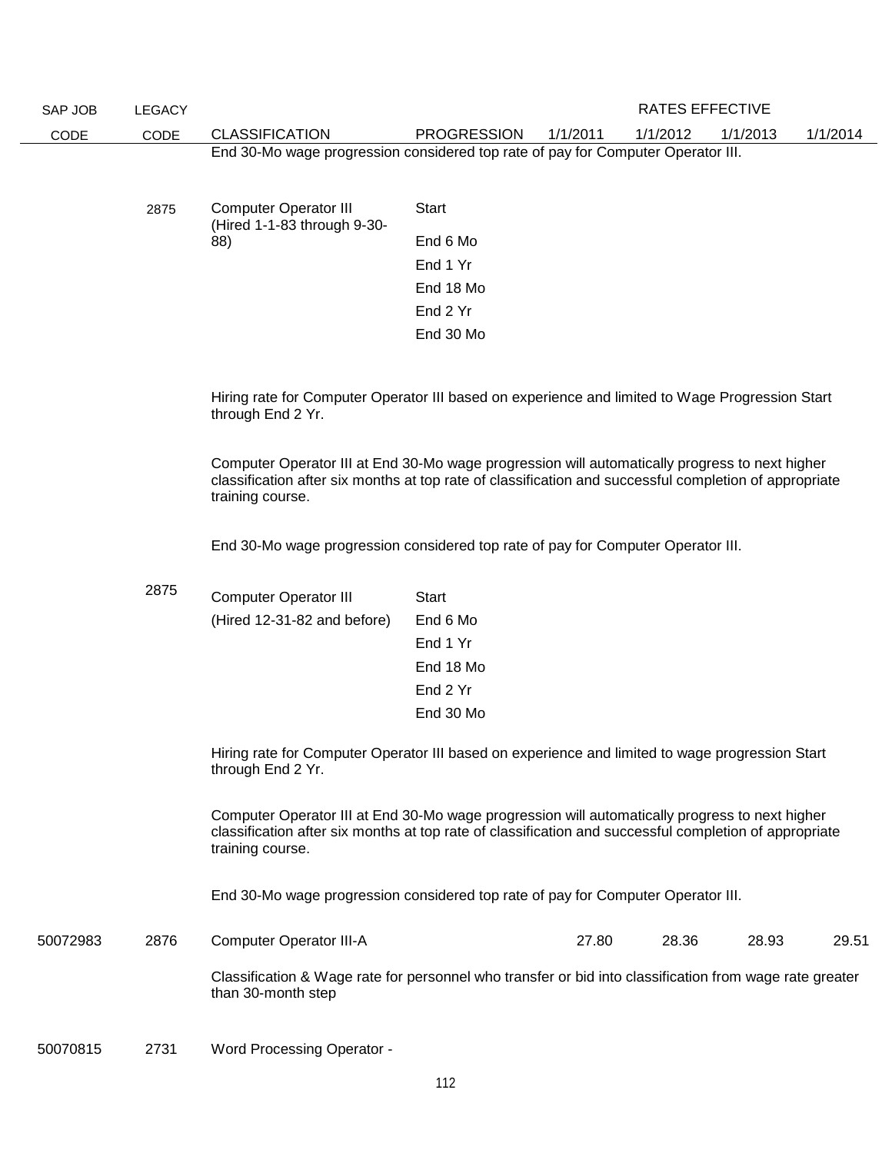| SAP JOB                                                                                                              | <b>LEGACY</b> |                                                                                                                                                                                                                              |                    |          | <b>RATES EFFECTIVE</b> |          |          |
|----------------------------------------------------------------------------------------------------------------------|---------------|------------------------------------------------------------------------------------------------------------------------------------------------------------------------------------------------------------------------------|--------------------|----------|------------------------|----------|----------|
| CODE                                                                                                                 | CODE          | <b>CLASSIFICATION</b>                                                                                                                                                                                                        | <b>PROGRESSION</b> | 1/1/2011 | 1/1/2012               | 1/1/2013 | 1/1/2014 |
|                                                                                                                      |               | End 30-Mo wage progression considered top rate of pay for Computer Operator III.                                                                                                                                             |                    |          |                        |          |          |
|                                                                                                                      |               |                                                                                                                                                                                                                              |                    |          |                        |          |          |
|                                                                                                                      | 2875          | <b>Computer Operator III</b>                                                                                                                                                                                                 | <b>Start</b>       |          |                        |          |          |
|                                                                                                                      |               | (Hired 1-1-83 through 9-30-<br>88)                                                                                                                                                                                           | End 6 Mo           |          |                        |          |          |
|                                                                                                                      |               |                                                                                                                                                                                                                              | End 1 Yr           |          |                        |          |          |
|                                                                                                                      |               |                                                                                                                                                                                                                              | End 18 Mo          |          |                        |          |          |
|                                                                                                                      |               |                                                                                                                                                                                                                              | End 2 Yr           |          |                        |          |          |
|                                                                                                                      |               |                                                                                                                                                                                                                              | End 30 Mo          |          |                        |          |          |
|                                                                                                                      |               |                                                                                                                                                                                                                              |                    |          |                        |          |          |
| Hiring rate for Computer Operator III based on experience and limited to Wage Progression Start<br>through End 2 Yr. |               |                                                                                                                                                                                                                              |                    |          |                        |          |          |
|                                                                                                                      |               | Computer Operator III at End 30-Mo wage progression will automatically progress to next higher<br>classification after six months at top rate of classification and successful completion of appropriate<br>training course. |                    |          |                        |          |          |
| End 30-Mo wage progression considered top rate of pay for Computer Operator III.                                     |               |                                                                                                                                                                                                                              |                    |          |                        |          |          |
|                                                                                                                      | 2875          | <b>Computer Operator III</b>                                                                                                                                                                                                 | <b>Start</b>       |          |                        |          |          |
|                                                                                                                      |               | (Hired 12-31-82 and before)                                                                                                                                                                                                  | End 6 Mo           |          |                        |          |          |
|                                                                                                                      |               |                                                                                                                                                                                                                              | End 1 Yr           |          |                        |          |          |
|                                                                                                                      |               |                                                                                                                                                                                                                              | End 18 Mo          |          |                        |          |          |
|                                                                                                                      |               |                                                                                                                                                                                                                              | End 2 Yr           |          |                        |          |          |
|                                                                                                                      |               |                                                                                                                                                                                                                              | End 30 Mo          |          |                        |          |          |
|                                                                                                                      |               | Hiring rate for Computer Operator III based on experience and limited to wage progression Start<br>through End 2 Yr.                                                                                                         |                    |          |                        |          |          |
|                                                                                                                      |               | Computer Operator III at End 30-Mo wage progression will automatically progress to next higher<br>classification after six months at top rate of classification and successful completion of appropriate<br>training course. |                    |          |                        |          |          |
|                                                                                                                      |               | End 30-Mo wage progression considered top rate of pay for Computer Operator III.                                                                                                                                             |                    |          |                        |          |          |
| 50072983                                                                                                             | 2876          | <b>Computer Operator III-A</b>                                                                                                                                                                                               |                    | 27.80    | 28.36                  | 28.93    | 29.51    |
|                                                                                                                      |               | Classification & Wage rate for personnel who transfer or bid into classification from wage rate greater<br>than 30-month step                                                                                                |                    |          |                        |          |          |
| 50070815                                                                                                             | 2731          | <b>Word Processing Operator -</b>                                                                                                                                                                                            |                    |          |                        |          |          |
|                                                                                                                      |               |                                                                                                                                                                                                                              | 112                |          |                        |          |          |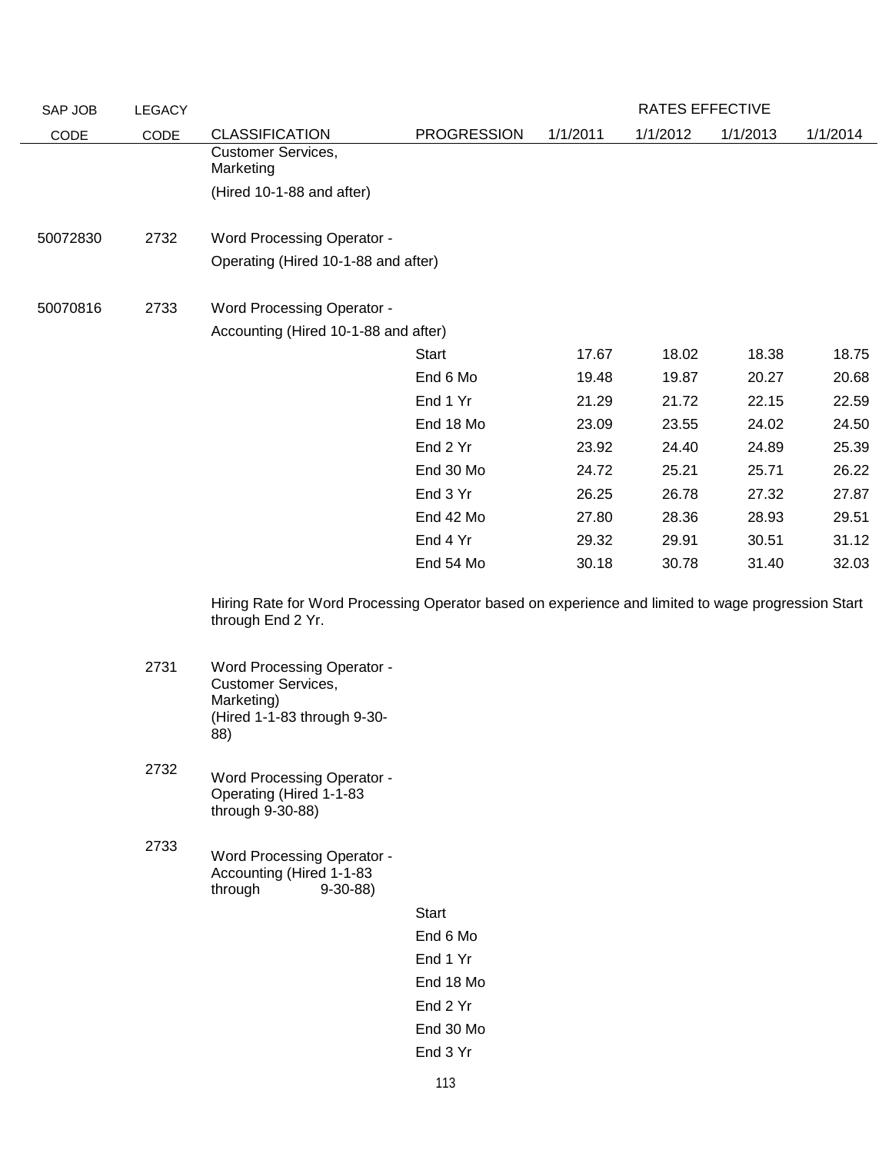| SAP JOB  | <b>LEGACY</b> |                                                                                                                         |                    |          | RATES EFFECTIVE |          |          |
|----------|---------------|-------------------------------------------------------------------------------------------------------------------------|--------------------|----------|-----------------|----------|----------|
| CODE     | CODE          | <b>CLASSIFICATION</b>                                                                                                   | <b>PROGRESSION</b> | 1/1/2011 | 1/1/2012        | 1/1/2013 | 1/1/2014 |
|          |               | <b>Customer Services,</b><br>Marketing                                                                                  |                    |          |                 |          |          |
|          |               | (Hired 10-1-88 and after)                                                                                               |                    |          |                 |          |          |
| 50072830 | 2732          | <b>Word Processing Operator -</b>                                                                                       |                    |          |                 |          |          |
|          |               | Operating (Hired 10-1-88 and after)                                                                                     |                    |          |                 |          |          |
| 50070816 | 2733          | <b>Word Processing Operator -</b>                                                                                       |                    |          |                 |          |          |
|          |               | Accounting (Hired 10-1-88 and after)                                                                                    |                    |          |                 |          |          |
|          |               |                                                                                                                         | Start              | 17.67    | 18.02           | 18.38    | 18.75    |
|          |               |                                                                                                                         | End 6 Mo           | 19.48    | 19.87           | 20.27    | 20.68    |
|          |               |                                                                                                                         | End 1 Yr           | 21.29    | 21.72           | 22.15    | 22.59    |
|          |               |                                                                                                                         | End 18 Mo          | 23.09    | 23.55           | 24.02    | 24.50    |
|          |               |                                                                                                                         | End 2 Yr           | 23.92    | 24.40           | 24.89    | 25.39    |
|          |               |                                                                                                                         | End 30 Mo          | 24.72    | 25.21           | 25.71    | 26.22    |
|          |               |                                                                                                                         | End 3 Yr           | 26.25    | 26.78           | 27.32    | 27.87    |
|          |               |                                                                                                                         | End 42 Mo          | 27.80    | 28.36           | 28.93    | 29.51    |
|          |               |                                                                                                                         | End 4 Yr           | 29.32    | 29.91           | 30.51    | 31.12    |
|          |               |                                                                                                                         | End 54 Mo          | 30.18    | 30.78           | 31.40    | 32.03    |
|          |               | Hiring Rate for Word Processing Operator based on experience and limited to wage progression Start<br>through End 2 Yr. |                    |          |                 |          |          |
|          | 2731          | <b>Word Processing Operator -</b><br><b>Customer Services,</b><br>Marketing)<br>(Hired 1-1-83 through 9-30-<br>88)      |                    |          |                 |          |          |
|          | 2732          | <b>Word Processing Operator -</b><br>Operating (Hired 1-1-83<br>through 9-30-88)                                        |                    |          |                 |          |          |
|          | 2733          | <b>Word Processing Operator -</b><br>Accounting (Hired 1-1-83<br>through<br>$9-30-88$                                   |                    |          |                 |          |          |
|          |               |                                                                                                                         | <b>Start</b>       |          |                 |          |          |
|          |               |                                                                                                                         | End 6 Mo           |          |                 |          |          |
|          |               |                                                                                                                         | End 1 Yr           |          |                 |          |          |
|          |               |                                                                                                                         | End 18 Mo          |          |                 |          |          |
|          |               |                                                                                                                         | End 2 Yr           |          |                 |          |          |
|          |               |                                                                                                                         | End 30 Mo          |          |                 |          |          |
|          |               |                                                                                                                         | End 3 Yr           |          |                 |          |          |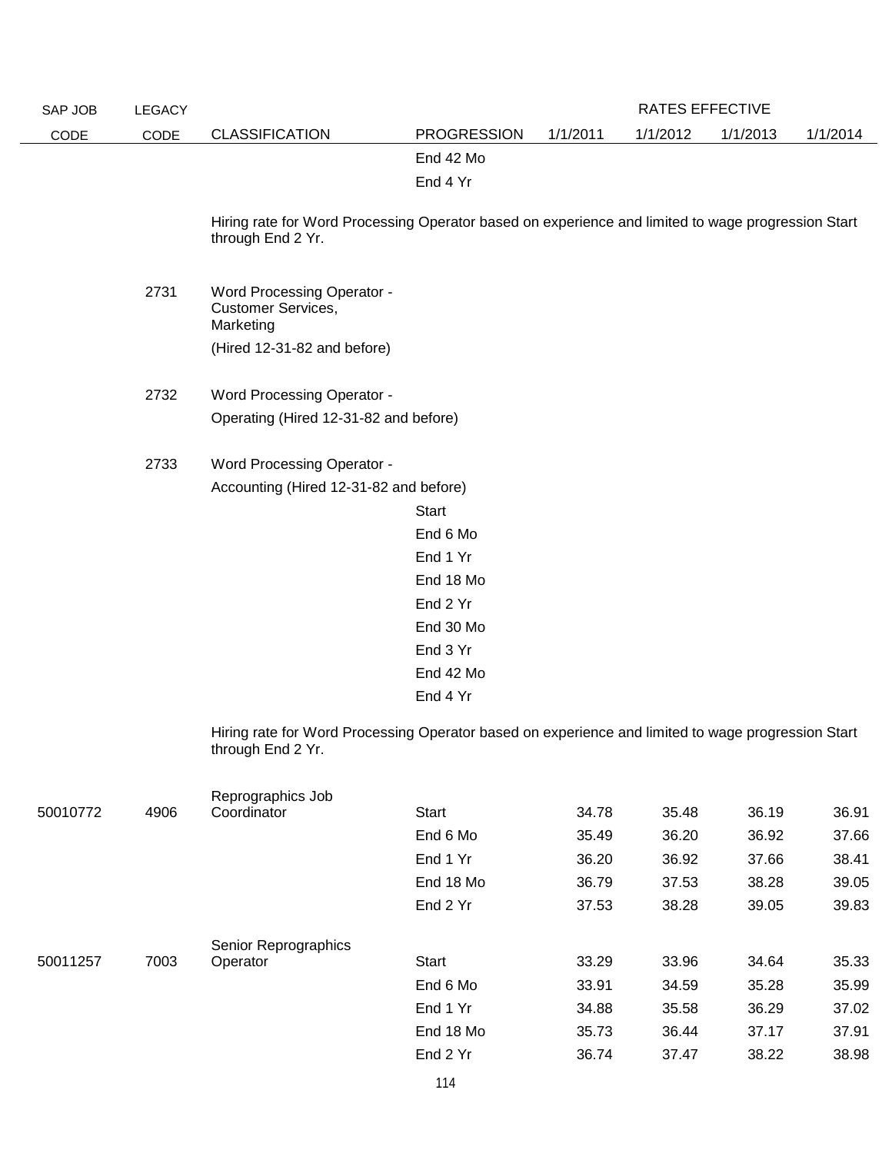| SAP JOB  | <b>LEGACY</b> |                                                                                                                         |                    |          | <b>RATES EFFECTIVE</b> |          |          |
|----------|---------------|-------------------------------------------------------------------------------------------------------------------------|--------------------|----------|------------------------|----------|----------|
| CODE     | CODE          | <b>CLASSIFICATION</b>                                                                                                   | <b>PROGRESSION</b> | 1/1/2011 | 1/1/2012               | 1/1/2013 | 1/1/2014 |
|          |               |                                                                                                                         | End 42 Mo          |          |                        |          |          |
|          |               |                                                                                                                         | End 4 Yr           |          |                        |          |          |
|          |               |                                                                                                                         |                    |          |                        |          |          |
|          |               | Hiring rate for Word Processing Operator based on experience and limited to wage progression Start                      |                    |          |                        |          |          |
|          |               | through End 2 Yr.                                                                                                       |                    |          |                        |          |          |
|          |               |                                                                                                                         |                    |          |                        |          |          |
|          | 2731          | <b>Word Processing Operator -</b>                                                                                       |                    |          |                        |          |          |
|          |               | Customer Services,<br>Marketing                                                                                         |                    |          |                        |          |          |
|          |               | (Hired 12-31-82 and before)                                                                                             |                    |          |                        |          |          |
|          |               |                                                                                                                         |                    |          |                        |          |          |
|          | 2732          | <b>Word Processing Operator -</b>                                                                                       |                    |          |                        |          |          |
|          |               | Operating (Hired 12-31-82 and before)                                                                                   |                    |          |                        |          |          |
|          |               |                                                                                                                         |                    |          |                        |          |          |
|          | 2733          | <b>Word Processing Operator -</b>                                                                                       |                    |          |                        |          |          |
|          |               | Accounting (Hired 12-31-82 and before)                                                                                  |                    |          |                        |          |          |
|          |               |                                                                                                                         | <b>Start</b>       |          |                        |          |          |
|          |               |                                                                                                                         | End 6 Mo           |          |                        |          |          |
|          |               |                                                                                                                         | End 1 Yr           |          |                        |          |          |
|          |               |                                                                                                                         | End 18 Mo          |          |                        |          |          |
|          |               |                                                                                                                         | End 2 Yr           |          |                        |          |          |
|          |               |                                                                                                                         | End 30 Mo          |          |                        |          |          |
|          |               |                                                                                                                         | End 3 Yr           |          |                        |          |          |
|          |               |                                                                                                                         | End 42 Mo          |          |                        |          |          |
|          |               |                                                                                                                         | End 4 Yr           |          |                        |          |          |
|          |               |                                                                                                                         |                    |          |                        |          |          |
|          |               | Hiring rate for Word Processing Operator based on experience and limited to wage progression Start<br>through End 2 Yr. |                    |          |                        |          |          |
|          |               |                                                                                                                         |                    |          |                        |          |          |
|          |               | Reprographics Job                                                                                                       |                    |          |                        |          |          |
| 50010772 | 4906          | Coordinator                                                                                                             | <b>Start</b>       | 34.78    | 35.48                  | 36.19    | 36.91    |
|          |               |                                                                                                                         | End 6 Mo           | 35.49    | 36.20                  | 36.92    | 37.66    |
|          |               |                                                                                                                         | End 1 Yr           | 36.20    | 36.92                  | 37.66    | 38.41    |
|          |               |                                                                                                                         | End 18 Mo          | 36.79    | 37.53                  | 38.28    | 39.05    |
|          |               |                                                                                                                         | End 2 Yr           | 37.53    | 38.28                  | 39.05    | 39.83    |
|          |               |                                                                                                                         |                    |          |                        |          |          |
| 50011257 | 7003          | Senior Reprographics<br>Operator                                                                                        | <b>Start</b>       | 33.29    | 33.96                  | 34.64    | 35.33    |
|          |               |                                                                                                                         | End 6 Mo           | 33.91    | 34.59                  | 35.28    | 35.99    |
|          |               |                                                                                                                         | End 1 Yr           | 34.88    | 35.58                  | 36.29    | 37.02    |
|          |               |                                                                                                                         | End 18 Mo          | 35.73    | 36.44                  | 37.17    | 37.91    |
|          |               |                                                                                                                         | End 2 Yr           | 36.74    | 37.47                  | 38.22    | 38.98    |
|          |               |                                                                                                                         |                    |          |                        |          |          |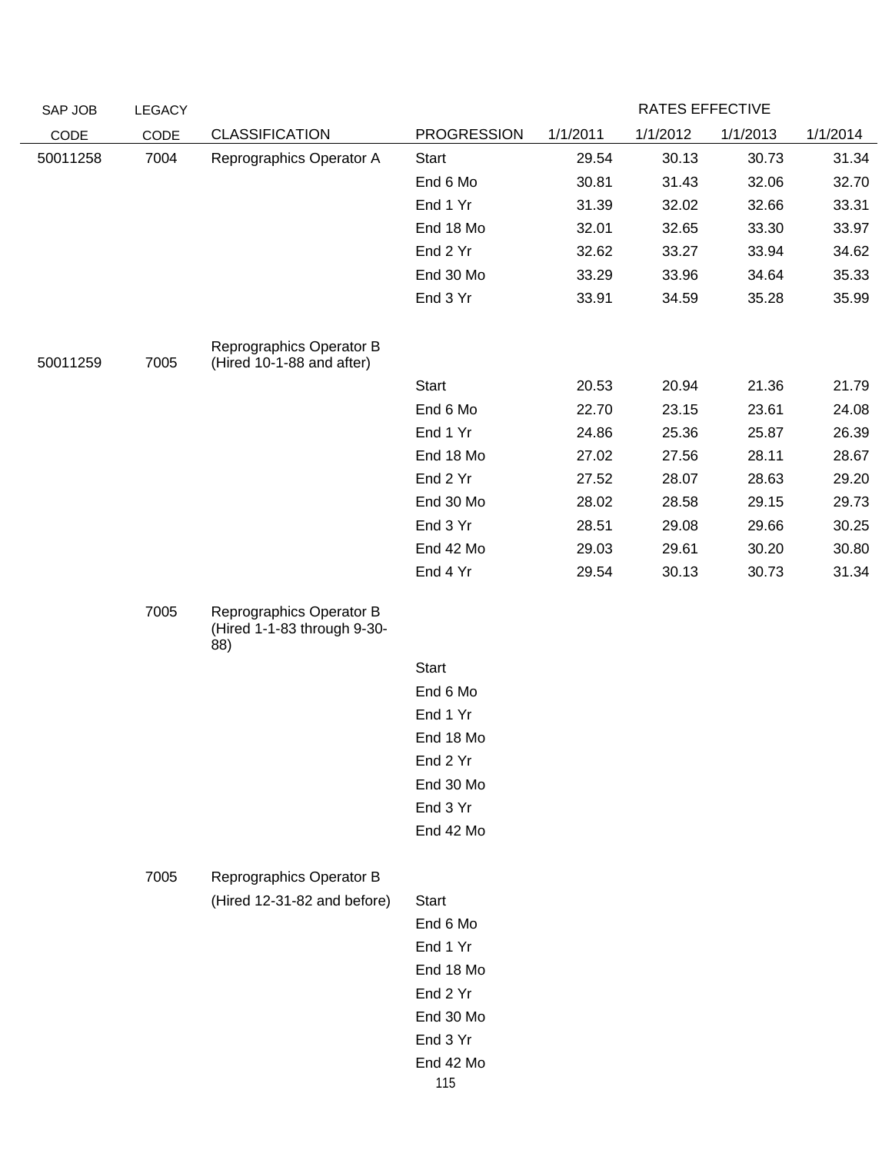| SAP JOB  | <b>LEGACY</b> |                                                                |                    |          | RATES EFFECTIVE |          |          |
|----------|---------------|----------------------------------------------------------------|--------------------|----------|-----------------|----------|----------|
| CODE     | CODE          | <b>CLASSIFICATION</b>                                          | <b>PROGRESSION</b> | 1/1/2011 | 1/1/2012        | 1/1/2013 | 1/1/2014 |
| 50011258 | 7004          | Reprographics Operator A                                       | Start              | 29.54    | 30.13           | 30.73    | 31.34    |
|          |               |                                                                | End 6 Mo           | 30.81    | 31.43           | 32.06    | 32.70    |
|          |               |                                                                | End 1 Yr           | 31.39    | 32.02           | 32.66    | 33.31    |
|          |               |                                                                | End 18 Mo          | 32.01    | 32.65           | 33.30    | 33.97    |
|          |               |                                                                | End 2 Yr           | 32.62    | 33.27           | 33.94    | 34.62    |
|          |               |                                                                | End 30 Mo          | 33.29    | 33.96           | 34.64    | 35.33    |
|          |               |                                                                | End 3 Yr           | 33.91    | 34.59           | 35.28    | 35.99    |
| 50011259 | 7005          | Reprographics Operator B<br>(Hired 10-1-88 and after)          |                    |          |                 |          |          |
|          |               |                                                                | Start              | 20.53    | 20.94           | 21.36    | 21.79    |
|          |               |                                                                | End 6 Mo           | 22.70    | 23.15           | 23.61    | 24.08    |
|          |               |                                                                | End 1 Yr           | 24.86    | 25.36           | 25.87    | 26.39    |
|          |               |                                                                | End 18 Mo          | 27.02    | 27.56           | 28.11    | 28.67    |
|          |               |                                                                | End 2 Yr           | 27.52    | 28.07           | 28.63    | 29.20    |
|          |               |                                                                | End 30 Mo          | 28.02    | 28.58           | 29.15    | 29.73    |
|          |               |                                                                | End 3 Yr           | 28.51    | 29.08           | 29.66    | 30.25    |
|          |               |                                                                | End 42 Mo          | 29.03    | 29.61           | 30.20    | 30.80    |
|          |               |                                                                | End 4 Yr           | 29.54    | 30.13           | 30.73    | 31.34    |
|          | 7005          | Reprographics Operator B<br>(Hired 1-1-83 through 9-30-<br>88) |                    |          |                 |          |          |
|          |               |                                                                | Start              |          |                 |          |          |
|          |               |                                                                | End 6 Mo           |          |                 |          |          |
|          |               |                                                                | End 1 Yr           |          |                 |          |          |
|          |               |                                                                | End 18 Mo          |          |                 |          |          |
|          |               |                                                                | End 2 Yr           |          |                 |          |          |
|          |               |                                                                | End 30 Mo          |          |                 |          |          |
|          |               |                                                                | End 3 Yr           |          |                 |          |          |
|          |               |                                                                | End 42 Mo          |          |                 |          |          |
|          | 7005          | Reprographics Operator B                                       |                    |          |                 |          |          |
|          |               | (Hired 12-31-82 and before)                                    | <b>Start</b>       |          |                 |          |          |
|          |               |                                                                | End 6 Mo           |          |                 |          |          |
|          |               |                                                                | End 1 Yr           |          |                 |          |          |
|          |               |                                                                | End 18 Mo          |          |                 |          |          |
|          |               |                                                                | End 2 Yr           |          |                 |          |          |
|          |               |                                                                | End 30 Mo          |          |                 |          |          |
|          |               |                                                                | End 3 Yr           |          |                 |          |          |
|          |               |                                                                | End 42 Mo          |          |                 |          |          |
|          |               |                                                                | 115                |          |                 |          |          |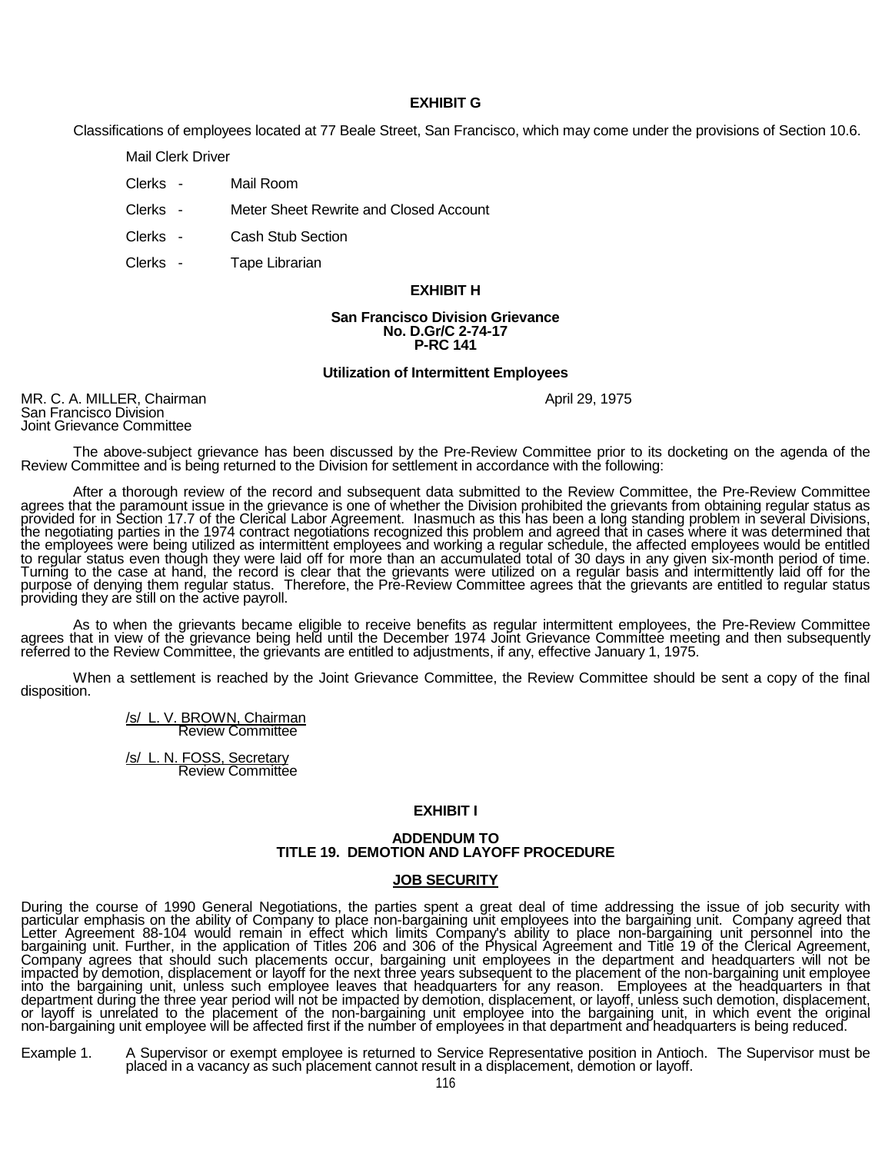#### **EXHIBIT G**

Classifications of employees located at 77 Beale Street, San Francisco, which may come under the provisions of Section 10.6.

Mail Clerk Driver

- Clerks Mail Room
- Clerks Meter Sheet Rewrite and Closed Account
- Clerks Cash Stub Section
- Clerks Tape Librarian

# **EXHIBIT H**

#### **San Francisco Division Grievance No. D.Gr/C 2-74-17 P-RC 141**

#### **Utilization of Intermittent Employees**

MR. C. A. MILLER, Chairman April 29, 1975 San Francisco Division April 29, 1975<br>San Francisco Division Joint Grievance Committee

The above-subject grievance has been discussed by the Pre-Review Committee prior to its docketing on the agenda of the Review Committee and is being returned to the Division for settlement in accordance with the following:

After a thorough review of the record and subsequent data submitted to the Review Committee, the Pre-Review Committee agrees that the paramount issue in the grievance is one of whether the Division prohibited the grievants agrees that the paramount issue in the grievance is one of whether the Division prohibited the grievants from obtaining regular status as<br>provided for in Section 17.7 of the Clerical Labor Agreement. Inasmuch as this has the negotiating parties in the 1974 contract negotiations recognized this problem and agreed that in cases where it was determined that<br>the employees were being utilized as intermittent employees and working a regular sche to regular status even though they were laid off for more than an accumulated total of 30 days in any given six-month period of time.<br>Turning to the case at hand, the record is clear that the grievants were utilized on a r purpose of denying them regular status. Therefore, the Prĕ-Review Committee agrees thăt the grievants are entitled to regular status<br>providing they are still on the active payroll.

As to when the grievants became eligible to receive benefits as regular intermittent employees, the Pre-Review Committee agrees that in view of the grievance being held until the December 1974 Joint Grievance Committee meeting and then subsequently referred to the Review Committee, the grievants are entitled to adjustments, if any, effective

When a settlement is reached by the Joint Grievance Committee, the Review Committee should be sent a copy of the final disposition.

/s/ L. V. BROWN, Chairman Review Committee

/s/ L. N. FOSS, Secretary Review Committee

#### **EXHIBIT I**

#### **ADDENDUM TO TITLE 19. DEMOTION AND LAYOFF PROCEDURE**

#### **JOB SECURITY**

During the course of 1990 General Negotiations, the parties spent a great deal of time addressing the issue of job security with particular emphasis on the ability of Company to place non-bargaining unit employees into the bargaining unit. Company agreed that<br>Letter Agreement 88-104 would remain in effect which limits Company's ability to place nonimpacted by demotion, displacement or layoff for the next three years subsequent to the placement of the non-bargaining unit employee<br>into the bargaining unit, unless such employee leaves that headquarters for any reason. department during the three year period will not be impacted by demotion, displacement, or layoff, unless such demotion, displacement,<br>or layoff is unrelated to the placement of the non-bargaining unit employee into the ba non-bargaining unit employee will be affected first if the number of employees in that department and headquarters is being reduced.

Example 1. A Supervisor or exempt employee is returned to Service Representative position in Antioch. The Supervisor must be placed in a vacancy as such placement cannot result in a displacement, demotion or layoff.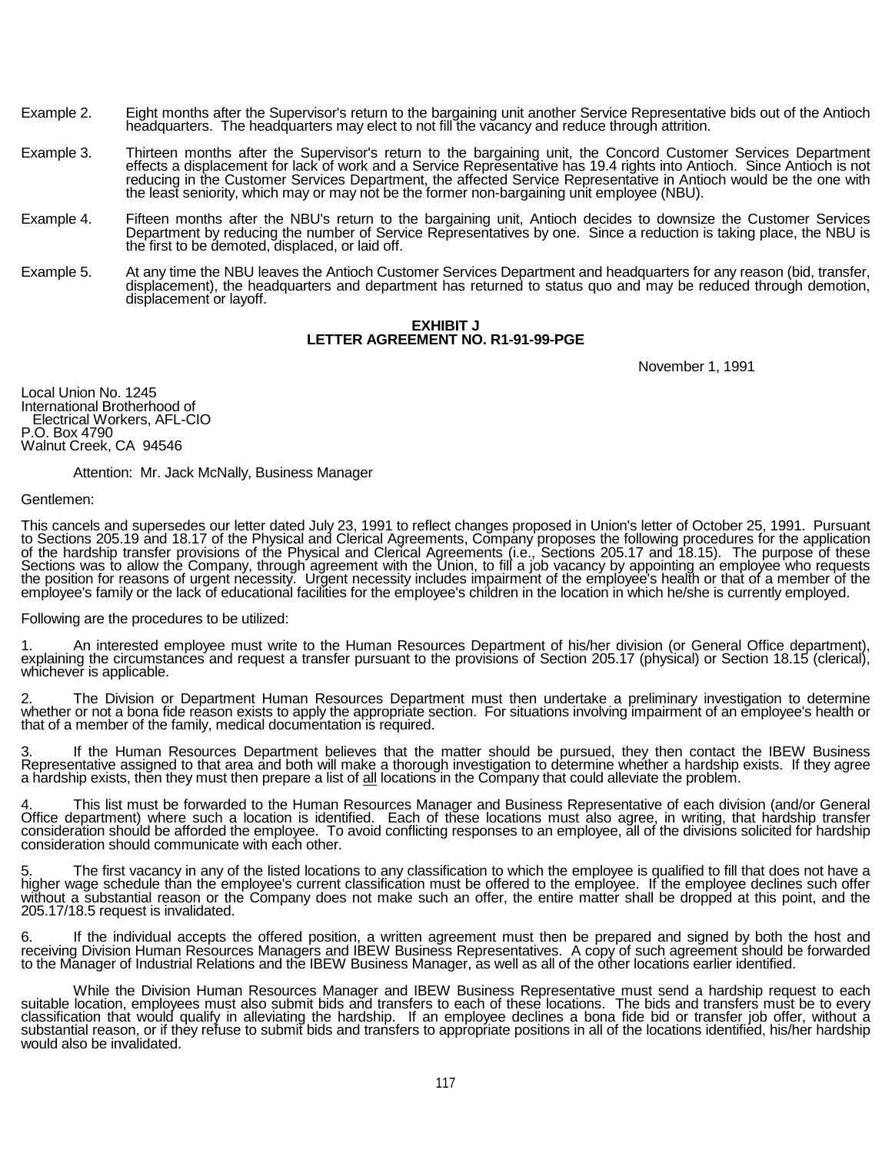- Example 2. Eight months after the Supervisor's return to the bargaining unit another Service Representative bids out of the Antioch headquarters. The headquarters may elect to not fill the vacancy and reduce through attrition.
- Example 3. Thirteen months after the Supervisor's return to the bargaining unit, the Concord Customer Services Department effects a displacement for lack of work and a Service Representative has 19.4 rights into Antioch. Since Antioch is not reducing in the Customer Services Department, the affected Service Representătive in Antioch would be the one with<br>the least seniority, which may or may not be the former non-bargaining unit employee (NBU).
- Example 4. Fifteen months after the NBU's return to the bargaining unit, Antioch decides to downsize the Customer Services<br>Department by reducing the number of Service Representatives by one. Since a reduction is taking pl the first to be demoted, displaced, or laid off.
- Example 5. At any time the NBU leaves the Antioch Customer Services Department and headquarters for any reason (bid, transfer,<br>displacement), the headquarters and department has returned to status quo and may be reduced th displacement or layoff.

### **EXHIBIT J LETTER AGREEMENT NO. R1-91-99-PGE**

November 1, 1991

Local Union No. 1245 International Brotherhood of Electrical Workers, AFL-CIO P.O. Box 4790 Walnut Creek, CA 94546

Attention: Mr. Jack McNally, Business Manager

#### Gentlemen:

This cancels and supersedes our letter dated July 23, 1991 to reflect changes proposed in Union's letter of October 25, 1991. Pursuant<br>to Sections 205.19 and 18.17 of the Physical and Clerical Agreements, Company proposes of the hardship transfer provisions of the Physical and Clerical Agreements (i.e., Sections 205.17 and 18.15). The purpose of these<br>Sections was to allow the Company, through agreement with the Union, to fill a job vacanc the position for reasons of urgent necessity. Urgent necessity includes impairment of the employee's health or that of a member of the employee's family or the lack of educational facilities for the employee's children in the location in which he/she is currently employed.

Following are the procedures to be utilized:

1. An interested employee must write to the Human Resources Department of his/her division (or General Office department), explaining the circumstances and request a transfer pursuant to the provisions of Section 205.17 (p

2. The Division or Department Human Resources Department must then undertake a preliminary investigation to determine<br>whether or not a bona fide reason exists to apply the appropriate section. For situations involving impa

3. If the Human Resources Department believes that the matter should be pursued, they then contact the IBEW Business<br>Representative assigned to that area and both will make a thorough investigation to determine whether a h a hardship exists, then they must then prepare a list of all locations in the Company that could alleviate the problem.

4. This list must be forwarded to the Human Resources Manager and Business Representative of each division (and/or General<br>Office department) where such a location is identified. Each of these locations must also agree, in

5. The first vacancy in any of the listed locations to any classification to which the employee is qualified to fill that does not have a<br>higher wage schedule than the employee's current classification must be offered to t without a substantial reason or the Company does not make such an offer, the entire matter shall be dropped at this point, and the<br>205.17/18.5 request is invalidated.

6. If the individual accepts the offered position, a written agreement must then be prepared and signed by both the host and receiving Division Human Resources Managers and IBEW Business Representatives. A copy of such agreement should be forwarded to the Manager of Industrial Relations and the IBEW Business Manager, as well as all of the other locations earlier identified.

While the Division Human Resources Manager and IBEW Business Representative must send a hardship request to each<br>suitable location, employees must also submit bids and transfers to each of these locations. The bids and tra substantial reason, or if they refuse to submit bids and transfers to appropriate positions in all of the locations identified, his/her hardship<br>would also be invalidated.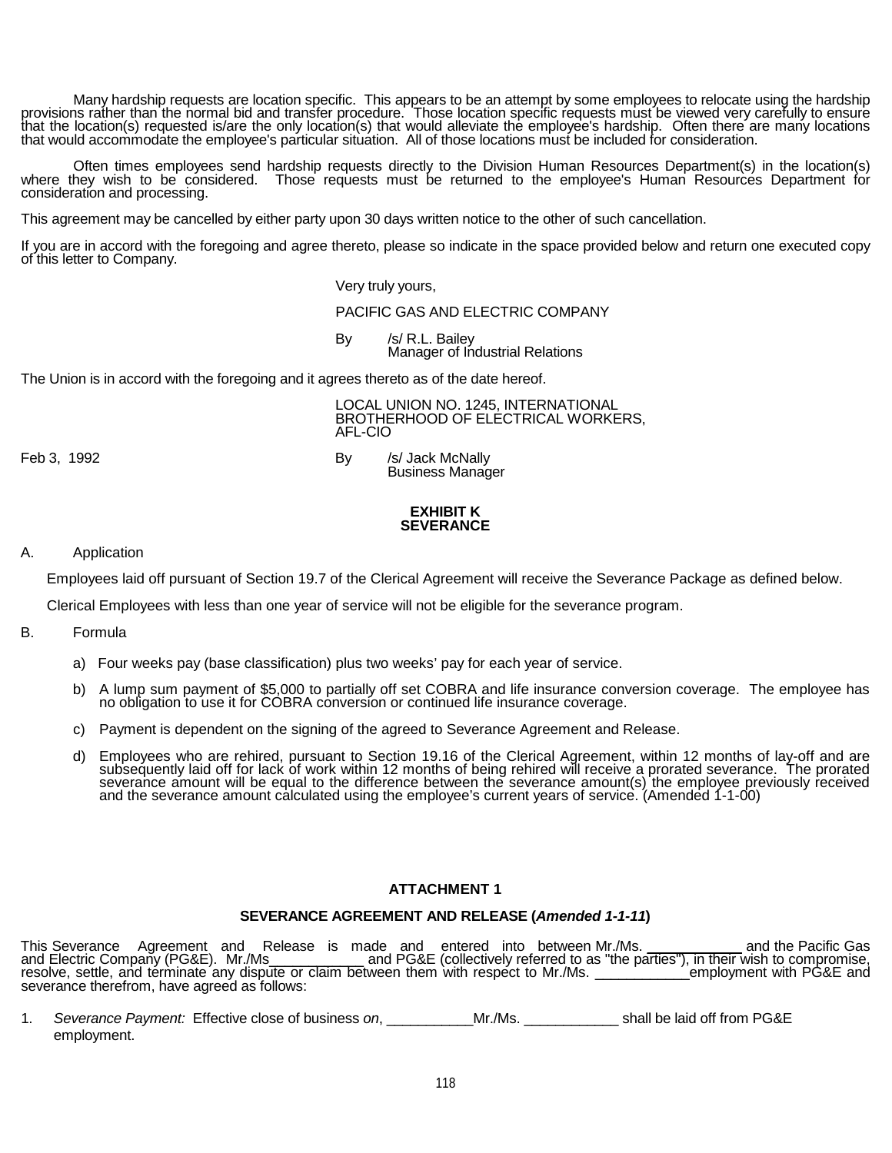Many hardship requests are location specific. This appears to be an attempt by some employees to relocate using the hardship<br>provisions rather than the normal bid and transfer procedure. Those location specific requests mu

Often times employees send hardship requests directly to the Division Human Resources Department(s) in the location(s)<br>where they wish to be considered. Those requests must be returned to the employee's Human Resources Dep

This agreement may be cancelled by either party upon 30 days written notice to the other of such cancellation.

If you are in accord with the foregoing and agree thereto, please so indicate in the space provided below and return one executed copy of this letter to Company.

Very truly yours,

PACIFIC GAS AND ELECTRIC COMPANY

By /s/ R.L. Bailey Manager of Industrial Relations

The Union is in accord with the foregoing and it agrees thereto as of the date hereof.

LOCAL UNION NO. 1245, INTERNATIONAL BROTHERHOOD OF ELECTRICAL WORKERS, AFL-CIO

Feb 3, 1992 **By Archael Accord By Archael Street Archael By Archael Street Archael Street Archael Street Archael Street Archael Street Archael Street Archael Street Archael Street Archael Street Archael Street Archael Stre** Business Manager

### **EXHIBIT K SEVERANCE**

### A. Application

Employees laid off pursuant of Section 19.7 of the Clerical Agreement will receive the Severance Package as defined below.

Clerical Employees with less than one year of service will not be eligible for the severance program.

- B. Formula
	- a) Four weeks pay (base classification) plus two weeks' pay for each year of service.
	- b) A lump sum payment of \$5,000 to partially off set COBRA and life insurance conversion coverage. The employee has no obligation to use it for COBRA conversion or continued life insurance coverage.
	- c) Payment is dependent on the signing of the agreed to Severance Agreement and Release.
	- d) Employees who are rehired, pursuant to Section 19.16 of the Clerical Agreement, within 12 months of lay-off and are subsequently laid off for lack of work within 12 months of being rehired will receive a prorated severance. The prorated<br>severance amount will be equal to the difference between the severance amount(s) the employee previo and the severance amount calculated using the employee's current years of service. (Amended 1-1-00)

# **ATTACHMENT 1**

### **SEVERANCE AGREEMENT AND RELEASE (***Amended 1-1-11***)**

This Severance Agreement and Release is made and entered into between Mr./Ms. \_\_\_\_\_\_\_\_\_\_ and the Pacific Gas and Electric Compañy (PG&E). Mr./Ms\_\_\_\_\_\_\_\_\_\_\_\_\_ and PG&E (collectively referred to as "the parties"), in their wish to compromise,<br>resolve, settle, and terminate any dispute or claim between them with respect to Mr./Ms.

1. *Severance Payment:* Effective close of business *on*, \_\_\_\_\_\_\_\_\_\_\_Mr./Ms. \_\_\_\_\_\_\_\_\_\_\_\_ shall be laid off from PG&E employment.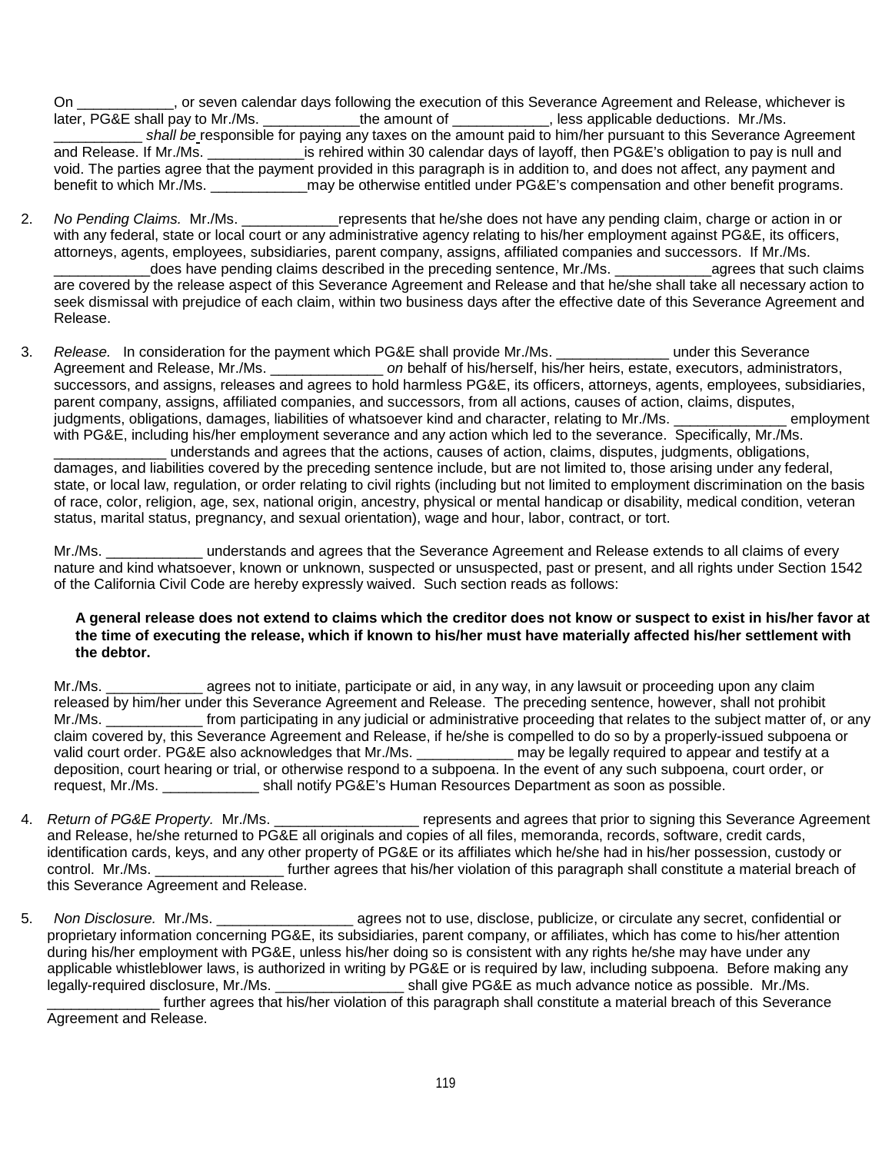On \_\_\_\_\_\_\_\_\_\_\_\_, or seven calendar days following the execution of this Severance Agreement and Release, whichever is later, PG&E shall pay to Mr./Ms. \_\_\_\_\_\_\_\_\_\_\_\_\_the amount of \_\_\_\_\_\_\_\_\_\_, less applicable deductions. Mr./ **Later shall pay to Mr. All pay to Mr. /Ms.**  $\overline{a}$ shall be responsible for paying any taxes on the amount paid to him/her pursuant to this Severance Agreement and Release. If Mr./Ms. \_\_\_\_\_\_\_\_\_\_\_\_is rehired within 30 calendar days of layoff, then PG&E's obligation to pay is null and void. The parties agree that the payment provided in this paragraph is in addition to, and does not affect, any payment and benefit to which Mr./Ms. \_\_\_\_\_\_\_\_\_\_\_\_\_\_\_may be otherwise entitled under PG&E's compensation and other benefit programs.

- 2. *No Pending Claims.* Mr./Ms. \_\_\_\_\_\_\_\_\_\_\_\_represents that he/she does not have any pending claim, charge or action in or with any federal, state or local court or any administrative agency relating to his/her employment against PG&E, its officers, attorneys, agents, employees, subsidiaries, parent company, assigns, affiliated companies and successors. If Mr./Ms. \_\_\_\_\_\_\_\_\_\_\_\_does have pending claims described in the preceding sentence, Mr./Ms. \_\_\_\_\_\_\_\_\_\_\_\_agrees that such claims are covered by the release aspect of this Severance Agreement and Release and that he/she shall take all necessary action to seek dismissal with prejudice of each claim, within two business days after the effective date of this Severance Agreement and Release.
- 3. *Release.* In consideration for the payment which PG&E shall provide Mr./Ms. **Example 20** under this Severance Agreement and Release, Mr./Ms. \_\_\_\_\_\_\_\_\_\_\_\_\_\_ *on* behalf of his/herself, his/her heirs, estate, executors, administrators, successors, and assigns, releases and agrees to hold harmless PG&E, its officers, attorneys, agents, employees, subsidiaries, parent company, assigns, affiliated companies, and successors, from all actions, causes of action, claims, disputes,<br>iudoments, obligations, damages, liabilities of whatsoever kind and character, relating to Mr./Ms. \_\_\_\_\_\_ judgments, obligations, damages, liabilities of whatsoever kind and character, relating to Mr./Ms. with PG&E, including his/her employment severance and any action which led to the severance. Specifically, Mr./Ms. \_\_\_\_\_\_\_\_\_\_\_\_\_\_ understands and agrees that the actions, causes of action, claims, disputes, judgments, obligations, damages, and liabilities covered by the preceding sentence include, but are not limited to, those arising under any federal, state, or local law, regulation, or order relating to civil rights (including but not limited to employment discrimination on the basis

of race, color, religion, age, sex, national origin, ancestry, physical or mental handicap or disability, medical condition, veteran status, marital status, pregnancy, and sexual orientation), wage and hour, labor, contract, or tort.

Mr./Ms. \_\_\_\_\_\_\_\_\_\_\_\_ understands and agrees that the Severance Agreement and Release extends to all claims of every nature and kind whatsoever, known or unknown, suspected or unsuspected, past or present, and all rights under Section 1542 of the California Civil Code are hereby expressly waived. Such section reads as follows:

# **A general release does not extend to claims which the creditor does not know or suspect to exist in his/her favor at the time of executing the release, which if known to his/her must have materially affected his/her settlement with the debtor.**

Mr./Ms. \_\_\_\_\_\_\_\_\_\_\_\_ agrees not to initiate, participate or aid, in any way, in any lawsuit or proceeding upon any claim released by him/her under this Severance Agreement and Release. The preceding sentence, however, shall not prohibit Mr./Ms. \_\_\_\_\_\_\_\_\_\_\_\_\_\_ from participating in any judicial or administrative proceeding that relates to the subject matter of, or any claim covered by, this Severance Agreement and Release, if he/she is compelled to do so by a properly-issued subpoena or valid court order. PG&E also acknowledges that Mr./Ms. \_\_\_\_\_\_\_\_\_\_\_\_ may be legally required to appear and testify at a deposition, court hearing or trial, or otherwise respond to a subpoena. In the event of any such subpoena, court order, or request, Mr./Ms. \_\_\_\_\_\_\_\_\_\_\_\_ shall notify PG&E's Human Resources Department as soon as possible.

- 4. *Return of PG&E Property.* Mr./Ms. *Property. Mr./Ms.* represents and agrees that prior to signing this Severance Agreement and Release, he/she returned to PG&E all originals and copies of all files, memoranda, records, software, credit cards, identification cards, keys, and any other property of PG&E or its affiliates which he/she had in his/her possession, custody or control. Mr./Ms. \_\_\_\_\_\_\_\_\_\_\_\_\_\_\_\_ further agrees that his/her violation of this paragraph shall constitute a material breach of this Severance Agreement and Release.
- 5. *Non Disclosure.* Mr./Ms. \_\_\_\_\_\_\_\_\_\_\_\_\_\_\_\_\_ agrees not to use, disclose, publicize, or circulate any secret, confidential or proprietary information concerning PG&E, its subsidiaries, parent company, or affiliates, which has come to his/her attention during his/her employment with PG&E, unless his/her doing so is consistent with any rights he/she may have under any applicable whistleblower laws, is authorized in writing by PG&E or is required by law, including subpoena. Before making any legally-required disclosure, Mr./Ms. \_\_\_\_\_\_\_\_\_\_\_\_\_\_\_\_\_\_\_\_\_\_ shall give PG&E as much advance notice as possible. Mr./Ms. further agrees that his/her violation of this paragraph shall constitute a material breach of this Severance Agreement and Release.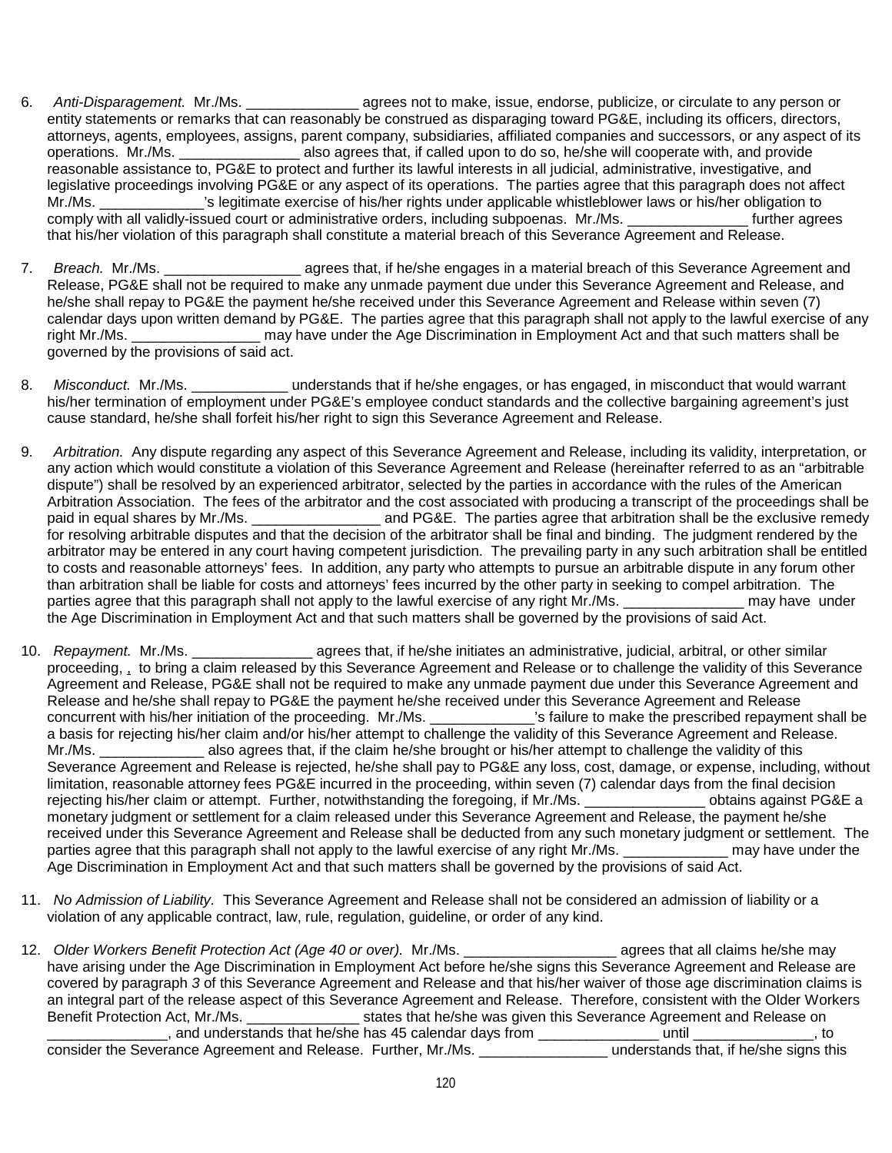- 6. *Anti-Disparagement.* Mr./Ms. \_\_\_\_\_\_\_\_\_\_\_\_\_\_ agrees not to make, issue, endorse, publicize, or circulate to any person or entity statements or remarks that can reasonably be construed as disparaging toward PG&E, including its officers, directors, attorneys, agents, employees, assigns, parent company, subsidiaries, affiliated companies and successors, or any aspect of its operations. Mr./Ms. \_\_\_\_\_\_\_\_\_\_\_\_\_\_\_ also agrees that, if called upon to do so, he/she will cooperate with, and provide reasonable assistance to, PG&E to protect and further its lawful interests in all judicial, administrative, investigative, and legislative proceedings involving PG&E or any aspect of its operations. The parties agree that this paragraph does not affect Mr./Ms. \_\_\_\_\_\_\_\_\_\_\_\_\_'s legitimate exercise of his/her rights under applicable whistleblower laws or his/her obligation to comply with all validly-issued court or administrative orders, including subpoenas. Mr./Ms. \_\_\_\_\_\_\_\_\_\_\_\_\_\_\_ further agrees that his/her violation of this paragraph shall constitute a material breach of this Severance Agreement and Release.
- 7. *Breach.* Mr./Ms. \_\_\_\_\_\_\_\_\_\_\_\_\_\_\_\_\_ agrees that, if he/she engages in a material breach of this Severance Agreement and Release, PG&E shall not be required to make any unmade payment due under this Severance Agreement and Release, and he/she shall repay to PG&E the payment he/she received under this Severance Agreement and Release within seven (7) calendar days upon written demand by PG&E. The parties agree that this paragraph shall not apply to the lawful exercise of any right Mr./Ms. \_\_\_\_\_\_\_\_\_\_\_\_\_\_\_\_ may have under the Age Discrimination in Employment Act and that such matters shall be governed by the provisions of said act.
- 8. *Misconduct.* Mr./Ms. \_\_\_\_\_\_\_\_\_\_\_\_ understands that if he/she engages, or has engaged, in misconduct that would warrant his/her termination of employment under PG&E's employee conduct standards and the collective bargaining agreement's just cause standard, he/she shall forfeit his/her right to sign this Severance Agreement and Release.
- 9. *Arbitration.* Any dispute regarding any aspect of this Severance Agreement and Release, including its validity, interpretation, or any action which would constitute a violation of this Severance Agreement and Release (hereinafter referred to as an "arbitrable dispute") shall be resolved by an experienced arbitrator, selected by the parties in accordance with the rules of the American Arbitration Association. The fees of the arbitrator and the cost associated with producing a transcript of the proceedings shall be paid in equal shares by Mr./Ms. \_\_\_\_\_\_\_\_\_\_\_\_\_\_\_\_\_\_\_\_ and PG&E. The parties agree that arbitration shall be the exclusive remedy for resolving arbitrable disputes and that the decision of the arbitrator shall be final and binding. The judgment rendered by the arbitrator may be entered in any court having competent jurisdiction. The prevailing party in any such arbitration shall be entitled to costs and reasonable attorneys' fees. In addition, any party who attempts to pursue an arbitrable dispute in any forum other than arbitration shall be liable for costs and attorneys' fees incurred by the other party in seeking to compel arbitration. The parties agree that this paragraph shall not apply to the lawful exercise of any right Mr./Ms. \_\_\_\_\_\_\_\_\_\_\_\_\_\_\_\_\_\_\_ may have under the Age Discrimination in Employment Act and that such matters shall be governed by the provisions of said Act.
- 10. *Repayment.* Mr./Ms. \_\_\_\_\_\_\_\_\_\_\_\_\_\_\_ agrees that, if he/she initiates an administrative, judicial, arbitral, or other similar proceeding, <sub>1</sub> to bring a claim released by this Severance Agreement and Release or to challenge the validity of this Severance Agreement and Release, PG&E shall not be required to make any unmade payment due under this Severance Agreement and Release and he/she shall repay to PG&E the payment he/she received under this Severance Agreement and Release concurrent with his/her initiation of the proceeding. Mr./Ms. \_\_\_\_\_\_\_\_\_\_\_\_\_'s failure to make the prescribed repayment shall be a basis for rejecting his/her claim and/or his/her attempt to challenge the validity of this Severance Agreement and Release. Mr./Ms. \_\_\_\_\_\_\_\_\_\_\_\_\_ also agrees that, if the claim he/she brought or his/her attempt to challenge the validity of this Severance Agreement and Release is rejected, he/she shall pay to PG&E any loss, cost, damage, or expense, including, without limitation, reasonable attorney fees PG&E incurred in the proceeding, within seven (7) calendar days from the final decision rejecting his/her claim or attempt. Further, notwithstanding the foregoing, if Mr./Ms. \_\_\_\_\_\_\_\_\_\_\_\_\_\_\_ obtains against PG&E a monetary judgment or settlement for a claim released under this Severance Agreement and Release, the payment he/she received under this Severance Agreement and Release shall be deducted from any such monetary judgment or settlement. The<br>parties agree that this paragraph shall not apply to the lawful exercise of any right Mr./Ms. may hav parties agree that this paragraph shall not apply to the lawful exercise of any right Mr./Ms. Age Discrimination in Employment Act and that such matters shall be governed by the provisions of said Act.
- 11. *No Admission of Liability.* This Severance Agreement and Release shall not be considered an admission of liability or a violation of any applicable contract, law, rule, regulation, guideline, or order of any kind.
- 12. *Older Workers Benefit Protection Act (Age 40 or over).* Mr./Ms. \_\_\_\_\_\_\_\_\_\_\_\_\_\_\_\_\_\_\_ agrees that all claims he/she may have arising under the Age Discrimination in Employment Act before he/she signs this Severance Agreement and Release are covered by paragraph *3* of this Severance Agreement and Release and that his/her waiver of those age discrimination claims is an integral part of the release aspect of this Severance Agreement and Release. Therefore, consistent with the Older Workers<br>Benefit Protection Act, Mr./Ms. \_\_\_\_\_\_\_\_\_\_\_\_\_\_\_\_\_\_\_\_states that he/she was given this Severance A states that he/she was given this Severance Agreement and Release on \_\_\_\_\_\_\_\_\_\_\_\_\_\_\_, and understands that he/she has 45 calendar days from \_\_\_\_\_\_\_\_\_\_\_\_\_\_\_ until \_\_\_\_\_\_\_\_\_\_\_\_\_\_\_, to consider the Severance Agreement and Release. Further, Mr./Ms. \_\_\_\_\_\_\_\_\_\_\_\_\_\_\_\_ understands that, if he/she signs this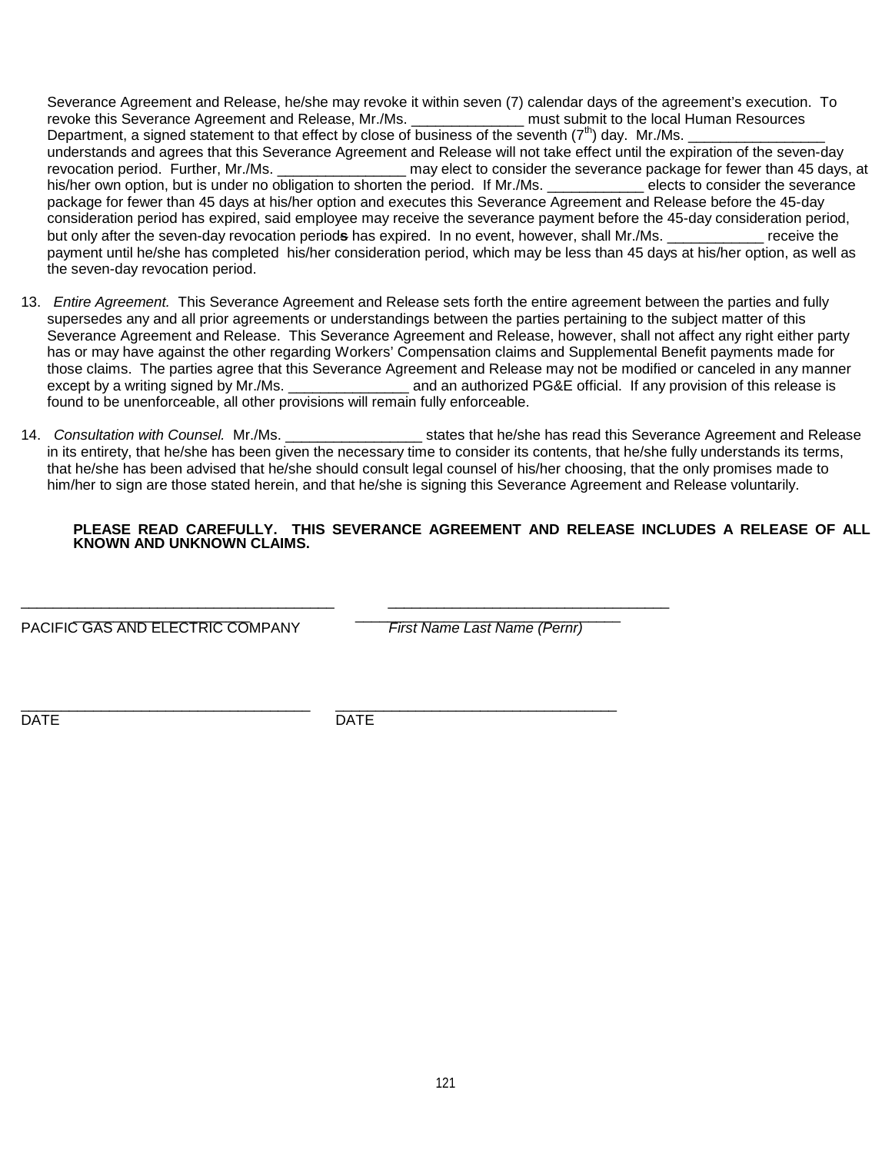Severance Agreement and Release, he/she may revoke it within seven (7) calendar days of the agreement's execution. To<br>revoke this Severance Agreement and Release, Mr./Ms.<br>must submit to the local Human Resources revoke this Severance Agreement and Release, Mr./Ms. Department, a signed statement to that effect by close of business of the seventh  $(7<sup>th</sup>)$  day. Mr./Ms. understands and agrees that this Severance Agreement and Release will not take effect until the expiration of the seven-day revocation period. Further, Mr./Ms. \_\_\_\_\_\_\_\_\_\_\_\_\_\_\_\_\_\_\_\_ may elect to consider the severance package for fewer than 45 days, at his/her own option, but is under no obligation to shorten the period. If Mr./Ms. elects to con his/her own option, but is under no obligation to shorten the period. If Mr./Ms. package for fewer than 45 days at his/her option and executes this Severance Agreement and Release before the 45-day consideration period has expired, said employee may receive the severance payment before the 45-day consideration period, but only after the seven-day revocation period**s** has expired. In no event, however, shall Mr./Ms. \_\_\_\_\_\_\_\_\_\_\_\_ receive the payment until he/she has completed his/her consideration period, which may be less than 45 days at his/her option, as well as the seven-day revocation period.

- 13. *Entire Agreement.* This Severance Agreement and Release sets forth the entire agreement between the parties and fully supersedes any and all prior agreements or understandings between the parties pertaining to the subject matter of this Severance Agreement and Release. This Severance Agreement and Release, however, shall not affect any right either party has or may have against the other regarding Workers' Compensation claims and Supplemental Benefit payments made for those claims. The parties agree that this Severance Agreement and Release may not be modified or canceled in any manner except by a writing signed by Mr./Ms. \_\_\_\_\_\_\_\_\_\_\_\_\_\_\_\_\_\_\_\_ and an authorized PG&E official. If any provision of this release is found to be unenforceable, all other provisions will remain fully enforceable.
- 14. *Consultation with Counsel.* Mr./Ms. *Limity and the states that he/she has read this Severance Agreement and Release* **is a set of the states that he/she has read this Severance Agreement and Release** in its entirety, that he/she has been given the necessary time to consider its contents, that he/she fully understands its terms, that he/she has been advised that he/she should consult legal counsel of his/her choosing, that the only promises made to him/her to sign are those stated herein, and that he/she is signing this Severance Agreement and Release voluntarily.

# **PLEASE READ CAREFULLY. THIS SEVERANCE AGREEMENT AND RELEASE INCLUDES A RELEASE OF ALL KNOWN AND UNKNOWN CLAIMS.**

PACIFIC GAS AND ELECTRIC COMPANY *First Name Last Name (Pernr)* 

DATE DATE

\_\_\_\_\_\_\_\_\_\_\_\_\_\_\_\_\_\_\_\_\_\_\_\_\_\_\_\_\_\_\_\_\_\_\_\_ \_\_\_\_\_\_\_\_\_\_\_\_\_\_\_\_\_\_\_\_\_\_\_\_\_\_\_\_\_\_\_\_\_\_\_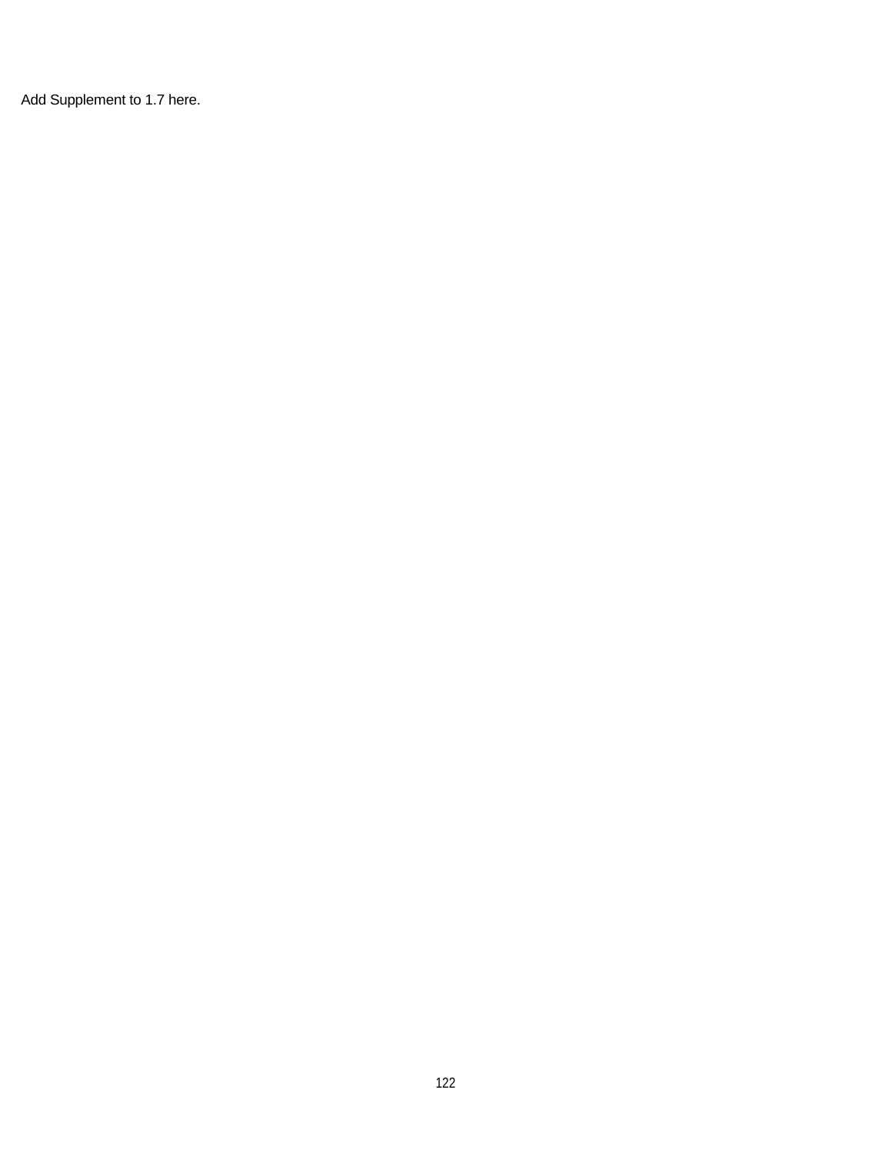Add Supplement to 1.7 here.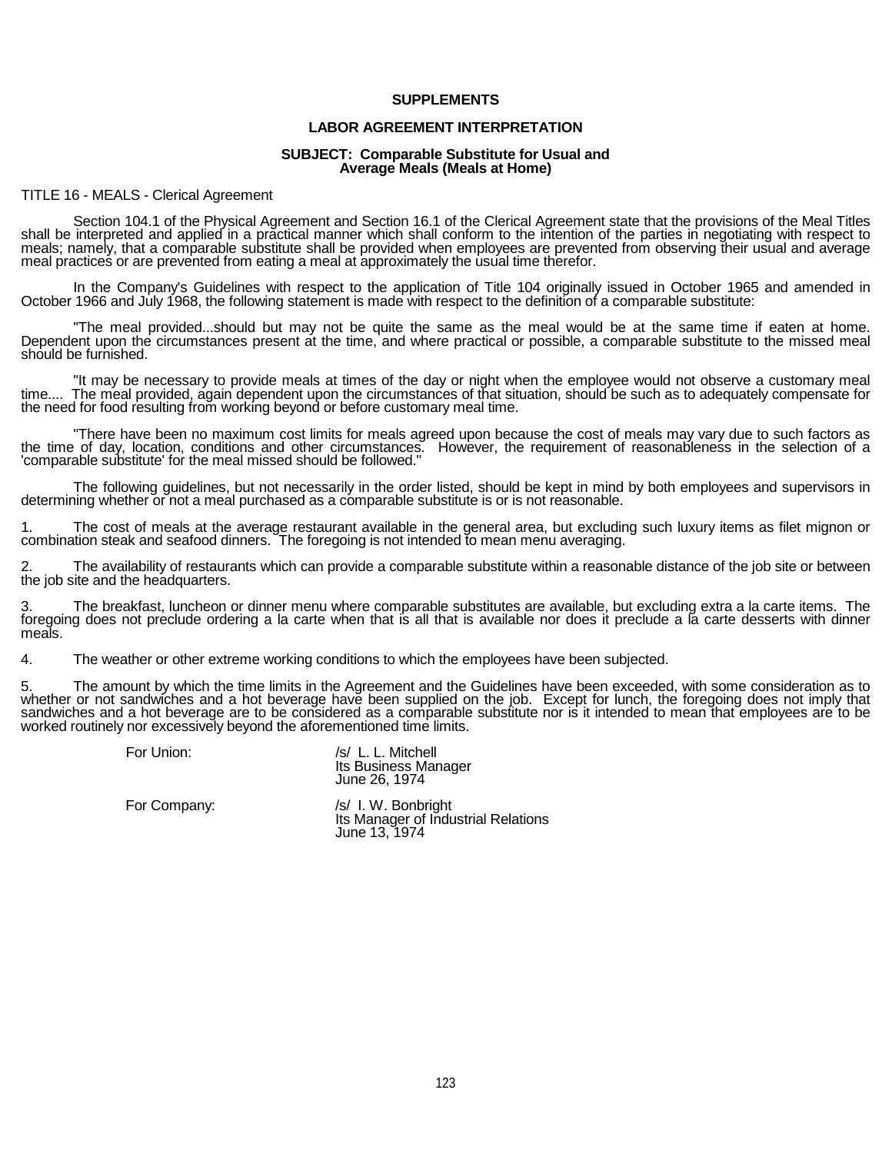### **SUPPLEMENTS**

### **LABOR AGREEMENT INTERPRETATION**

#### **SUBJECT: Comparable Substitute for Usual and Average Meals (Meals at Home)**

#### TITLE 16 - MEALS - Clerical Agreement

Section 104.1 of the Physical Agreement and Section 16.1 of the Clerical Agreement state that the provisions of the Meal Titles shall be interpreted and applied in a practical manner which shall conform to the intention of the parties in negotiating with respect to meals; namely, that a comparable substitute shall be provided when employees are pre

In the Company's Guidelines with respect to the application of Title 104 originally issued in October 1965 and amended in<br>October 1966 and July 1968, the following statement is made with respect to the definition of a comp

"The meal provided...should but may not be quite the same as the meal would be at the same time if eaten at home.<br>Dependent upon the circumstances present at the time, and where practical or possible, a comparable substitu should be furnished.

"It may be necessary to provide meals at times of the day or night when the employee would not observe a customary meal<br>time.... The meal provided, again dependent upon the circumstances of that situation, should be such a the need for food resulting from working beyond or before customary meal time.

"There have been no maximum cost limits for meals agreed upon because the cost of meals may vary due to such factors as<br>the time of day, location, conditions and other circumstances. However, the requirement of reasonablen

The following guidelines, but not necessarily in the order listed, should be kept in mind by both employees and supervisors in determining whether or not a meal purchased as a comparable substitute is or is not reasonable.

1. The cost of meals at the average restaurant available in the general area, but excluding such luxury items as filet mignon or combination steak and seafood dinners. The foregoing is not intended to mean menu averaging.

The availability of restaurants which can provide a comparable substitute within a reasonable distance of the job site or between the job site and the headquarters.

3. The breakfast, luncheon or dinner menu where comparable substitutes are available, but excluding extra a la carte items. The foregoing does not preclude ordering a la carte desserts with dinner meals.

4. The weather or other extreme working conditions to which the employees have been subjected.

5. The amount by which the time limits in the Agreement and the Guidelines have been exceeded, with some consideration as to whether or not sandwiches and a hot beverage have been supplied on the job. Except for lunch, the worked routinely nor excessively beyond the aforementioned time limits.

| For Union: |  |
|------------|--|
|            |  |

/s/ L. L. Mitchell Its Business Manager June 26, 1974

For Company:  $\sqrt{s}$  | W. Bonbright Its Manager of Industrial Relations June 13, 1974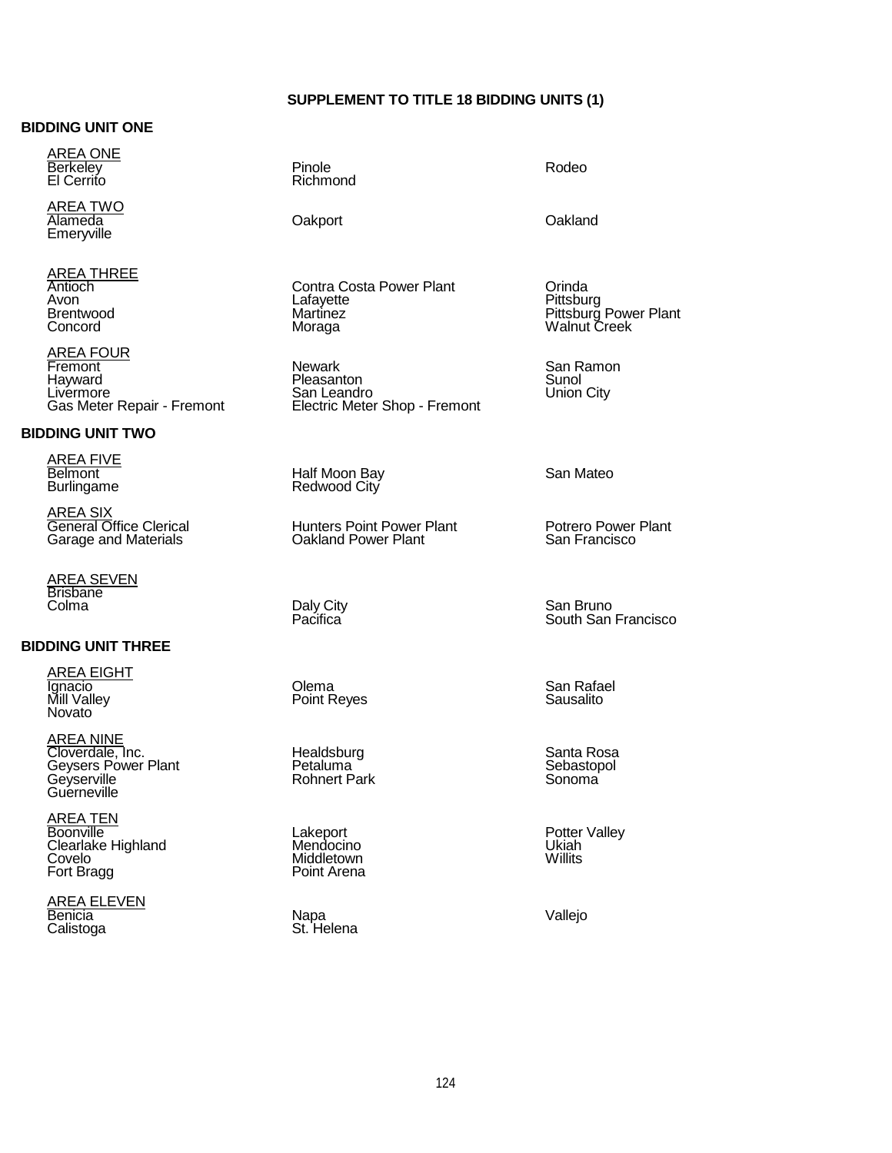# **SUPPLEMENT TO TITLE 18 BIDDING UNITS (1)**

### **BIDDING UNIT ONE**

<u>AREA ONE</u> Berkeley El Cerrito

<u>AREA TWO</u> Alameda Emeryville Oakport Oakland

<u>AREA THREE</u> Antioch Avon Brentwood Concord

<u>AREA FOUR</u> Fremont Hayward Livermore Gas Meter Repair - Fremont

# **BIDDING UNIT TWO**

<u>AREA FIVE</u> Belmont Burlingame

AREA SIX General Office Clerical Garage and Materials

<u>AREA SEVEN</u> Brisbane Colma Daly City

### **BIDDING UNIT THREE**

<u>AREA EIGHT</u> Ignacio Mill Valley Novato

<u>AREA NINE</u> Cloverdale, Inc. Geysers Power Plant Geyserville **Guerneville** 

<u>AREA TEN</u> Boonville Clearlake Highland Covelo Fort Bragg

<u>AREA ELEVEN</u> Benicia Calistoga Napa

Pinole Richmond

Orinda Pittsburg

Rodeo

Contra Costa Power Plant Lafayette Martinez Moraga

**Newark** Pleasanton San Leandro Electric Meter Shop - Fremont

Half Moon Bay Redwood City

Hunters Point Power Plant Oakland Power Plant

Pacifica<sup>®</sup>

Olema Point Reyes

**Healdsburg** Petaluma Rohnert Park

Lakeport Mendocino Middletown Point Arena

St. Helena Vallejo

San Mateo

San Ramon Sunol Union City

Potrero Power Plant San Francisco

Pittsburg Power Plant Walnut Creek

San Bruno South San Francisco

San Rafael Sausalito

Santa Rosa Sebastopol Sonoma

Potter Valley Ukiah **Willits**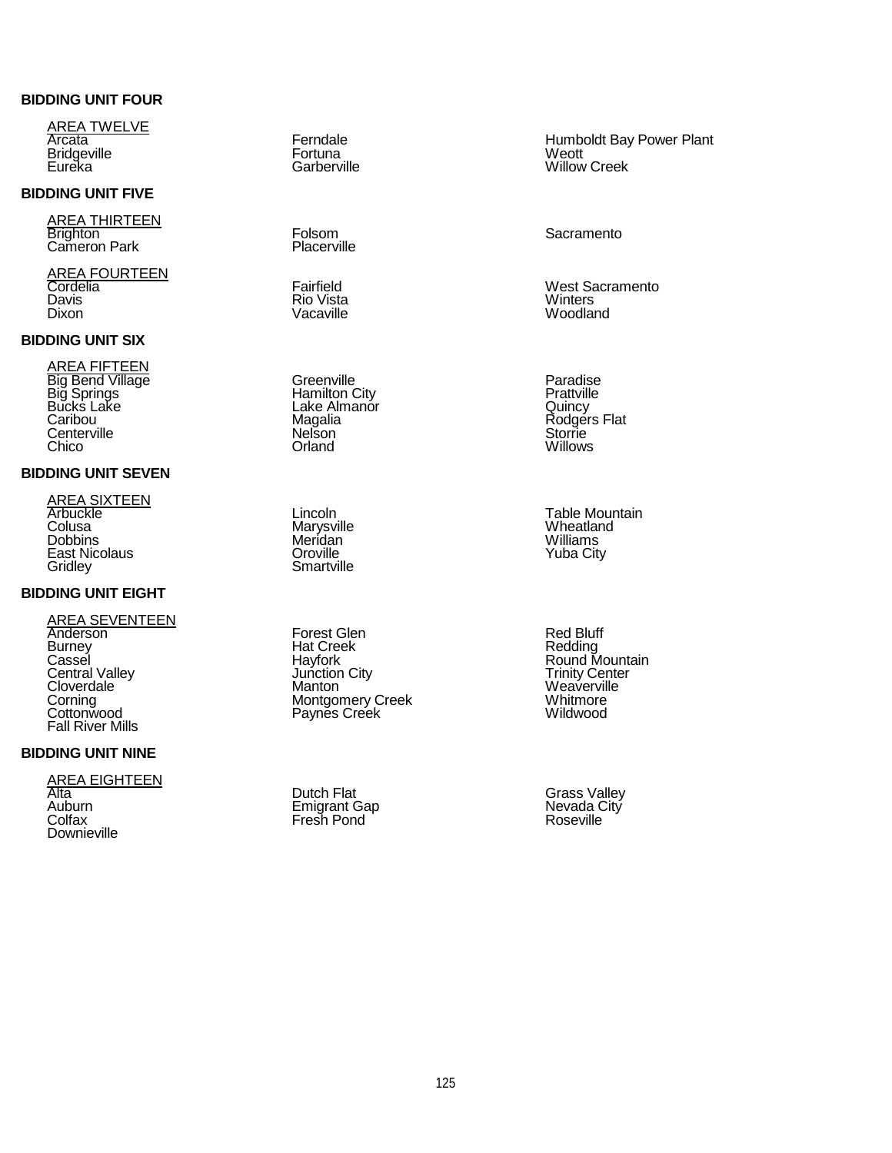# **BIDDING UNIT FOUR**

<u>AREA TWELVE</u> Arcata **Bridgeville** Eureka

### **BIDDING UNIT FIVE**

<u>AREA THIRTEEN</u> Brighton Cameron Park

<u>AREA FOURTEEN</u> Cordelia Davis Dixon

# **BIDDING UNIT SIX**

<u>AREA FIFTEEN</u> Big Bend Village Big Springs Bucks Lake Caribou **Centerville** Chico

# **BIDDING UNIT SEVEN**

<u>AREA SIXTEEN</u> Arbuckle **Colusa Dobbins** East Nicolaus **Gridley** 

# **BIDDING UNIT EIGHT**

AREA SEVENTEEN Anderson **Burney Cassel** Central Valley **Cloverdale** Corning **Cottonwood** Fall River Mills

# **BIDDING UNIT NINE**

<u>AREA EIGHTEEN</u> Alta Auburn **Colfax** Downieville

Ferndale Fortuna **Garberville** 

Folsom **Placerville** 

Fairfield Rio Vista Vacaville

**Greenville** Hamilton City Lake Almanor Magalia **Nelson Orland** 

Lincoln Marysville Meridan **Oroville Smartville** 

Forest Glen Hat Creek Hayfork Junction City Manton Montgomery Creek Paynes Creek

Dutch Flat Emigrant Gap Fresh Pond

Humboldt Bay Power Plant Weott Willow Creek

#### **Sacramento**

West Sacramento **Winters** Woodland

Paradise **Prattville Quincy** Rodgers Flat Storrie Willows

Table Mountain **Wheatland** Williams Yuba City

Red Bluff Redding Round Mountain Trinity Center Weaverville Whitmore Wildwood

Grass Valley Nevada City Roseville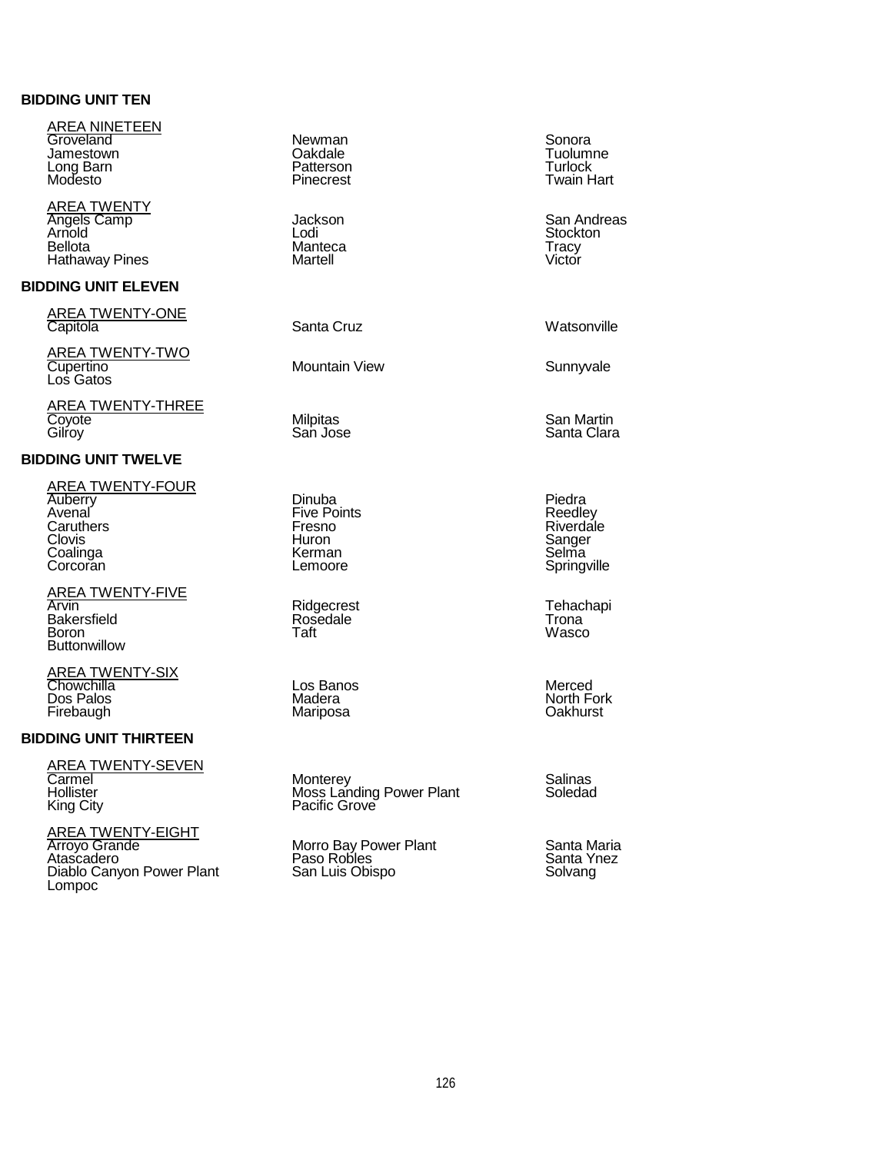# **BIDDING UNIT TEN**

| <u>AREA NINETEEN</u><br>Groveland<br>Jamestown<br>Long Barn<br>Modesto                                | Newman<br>Oakdale<br>Patterson<br>Pinecrest                          |
|-------------------------------------------------------------------------------------------------------|----------------------------------------------------------------------|
| <b>AREA TWENTY</b><br>Angels Camp<br>Arnold<br><b>Bellota</b><br><b>Hathaway Pines</b>                | Jackson<br>Lodi<br>Manteca<br>Martell                                |
| <b>BIDDING UNIT ELEVEN</b>                                                                            |                                                                      |
| <b>AREA TWENTY-ONE</b><br>Capitola                                                                    | Santa Cruz                                                           |
| <u>AREA TWENTY-TWO</u><br>Cupertino<br>Los Gatos                                                      | Mountain View                                                        |
| AREA TWENTY-THREE<br>Coyote<br>Gilroy                                                                 | Milpitas<br>San Jose                                                 |
| <b>BIDDING UNIT TWELVE</b>                                                                            |                                                                      |
| <b>AREA TWENTY-FOUR</b><br><b>Auberry</b><br>Avenal<br>Caruthers<br>Clovis<br>Coalinga<br>Corcoran    | Dinuba<br><b>Five Points</b><br>Fresno<br>Huron<br>Kerman<br>Lemoore |
| <b>AREA TWENTY-FIVE</b><br>Arvin<br><b>Bakersfield</b><br>Boron<br><b>Buttonwillow</b>                | Ridgecrest<br>Rosedale<br>Taft                                       |
| <u>AREA TWENTY-SIX</u><br>Chowchilla<br>Dos Palos<br>Firebaugh                                        | Los Banos<br>Madera<br>Mariposa                                      |
| <b>BIDDING UNIT THIRTEEN</b>                                                                          |                                                                      |
| <b>AREA TWENTY-SEVEN</b><br>Carmel<br>Hollister<br>King City                                          | Monterey<br>Moss Landing Power Plant<br>Pacific Grove                |
| <u>AREA TWENTY-EIGHT</u><br><b>Arroyo Grande</b><br>Atascadero<br>Diablo Canyon Power Plant<br>Lompoc | Morro Bay Power Plant<br>Paso Robles<br>San Luis Obispo              |
|                                                                                                       |                                                                      |

Sonora Tuolumne Turlock Twain Hart

San Andreas Stockton Tracy Victor

Watsonville

Sunnyvale

San Martin Santa Clara

Piedra Reedley Riverdale Sanger Selma Springville

Tehachapi Trona Wasco

Merced North Fork Oakhurst

Salinas Soledad

Santa Maria Santa Ynez Solvang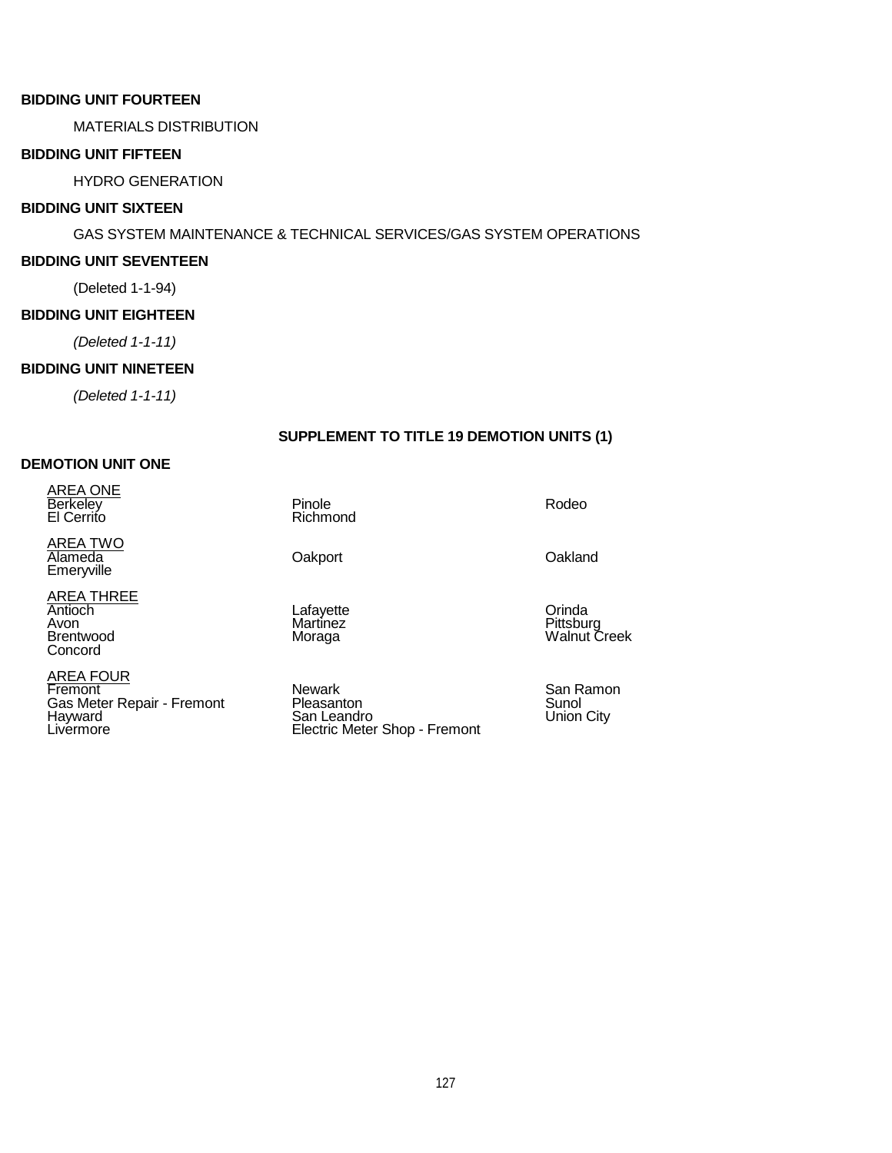# **BIDDING UNIT FOURTEEN**

MATERIALS DISTRIBUTION

# **BIDDING UNIT FIFTEEN**

HYDRO GENERATION

# **BIDDING UNIT SIXTEEN**

# GAS SYSTEM MAINTENANCE & TECHNICAL SERVICES/GAS SYSTEM OPERATIONS

### **BIDDING UNIT SEVENTEEN**

(Deleted 1-1-94)

# **BIDDING UNIT EIGHTEEN**

*(Deleted 1-1-11)*

# **BIDDING UNIT NINETEEN**

*(Deleted 1-1-11)*

# **SUPPLEMENT TO TITLE 19 DEMOTION UNITS (1)**

# **DEMOTION UNIT ONE**

<u>AREA ONE</u> Berkeley El Cerrito

AREA TWO Alameda<br>Emeryville Emeryville Oakport Oakland

<u>AREA THREE</u> Antioch Avon Brentwood Concord

<u>AREA FOUR</u> Fremont Gas Meter Repair - Fremont Hayward **Livermore** 

Pinole Richmond

Lafayette Martinez Moraga

Newark Pleasanton San Leandro Electric Meter Shop - Fremont **Orinda** Pittsburg Walnut Creek

Rodeo

San Ramon Sunol Union City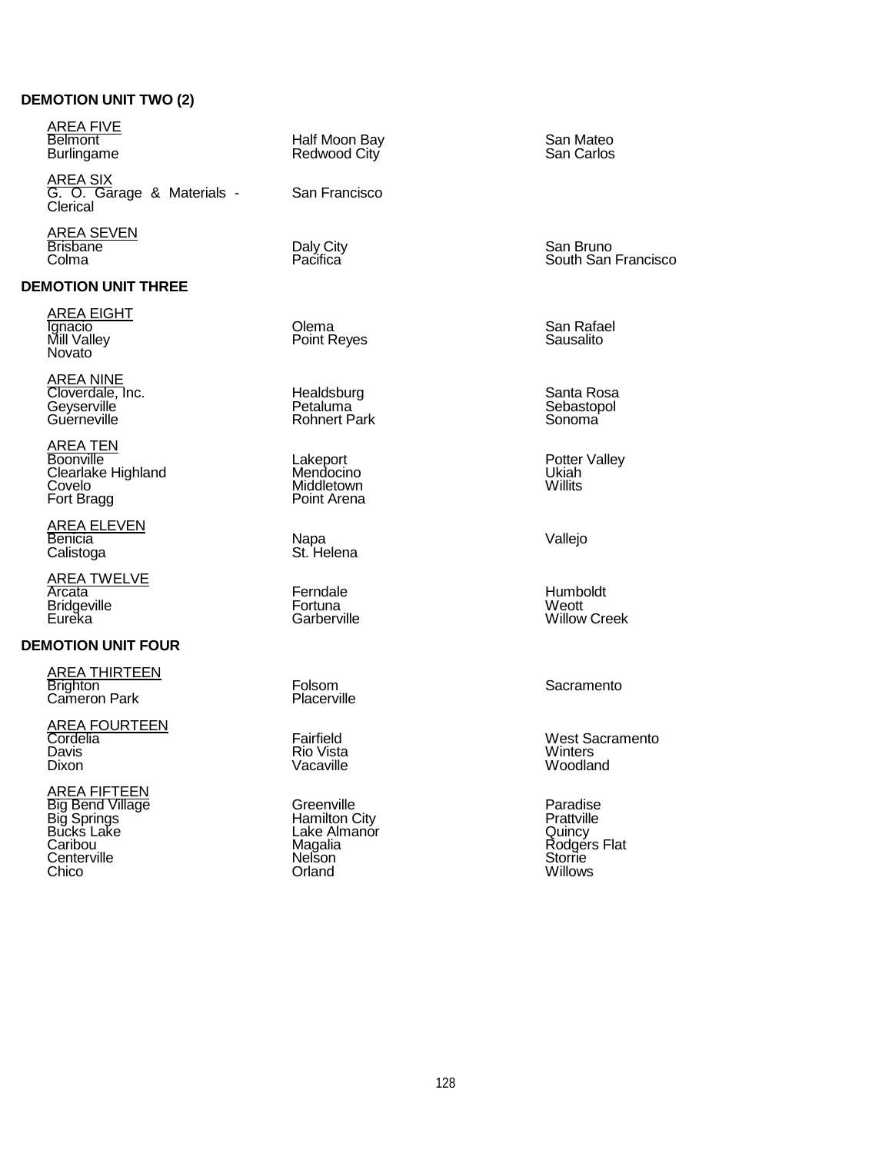# **DEMOTION UNIT TWO (2)**

<u>AREA FIVE</u> Belmont

AREA SIX G. O. Garage & Materials - Clerical

<u>AREA SEVEN</u> Brisbane Colma Daly City Pacifica

### **DEMOTION UNIT THREE**

<u>AREA EIGHT</u> Ignacio Mill Valley Novato

AREA NINE Cloverdale, Inc. **Geyserville** Guerneville

<u>AREA TEN</u> Boonville Clearlake Highland Covelo Fort Bragg

<u>AREA ELEVEN</u> Benicia Calistoga Napa

AREA TWELVE **Arcata Bridgeville** Eureka

# **DEMOTION UNIT FOUR**

AREA THIRTEEN **Brighton** Cameron Park

<u>AREA FOURTEEN</u> Cordelia Davis **Dixon** 

<u>AREA FIFTEEN</u> Big Bend Village Big Springs Bucks Lake Caribou **Centerville** Chico

Burlingame Half Moon Bay Redwood City

San Francisco

Olema Point Reyes

**Healdsburg** Petaluma Rohnert Park

Lakeport Mendocino Middletown Point Arena

St. Helena Vallejo

Ferndale **Fortuna Garberville** 

Folsom **Placerville** 

Fairfield Rio Vista Vacaville

**Greenville** Hamilton City Lake Almanor Magalia **Nelson** Orland

San Mateo San Carlos

San Bruno South San Francisco

San Rafael Sausalito

Santa Rosa Sebastopol Sonoma

Potter Valley Ukiah **Willits** 

Humboldt Weott Willow Creek

Sacramento

West Sacramento **Winters** Woodland

Paradise Prattville Quincy Rodgers Flat **Storrie** Willows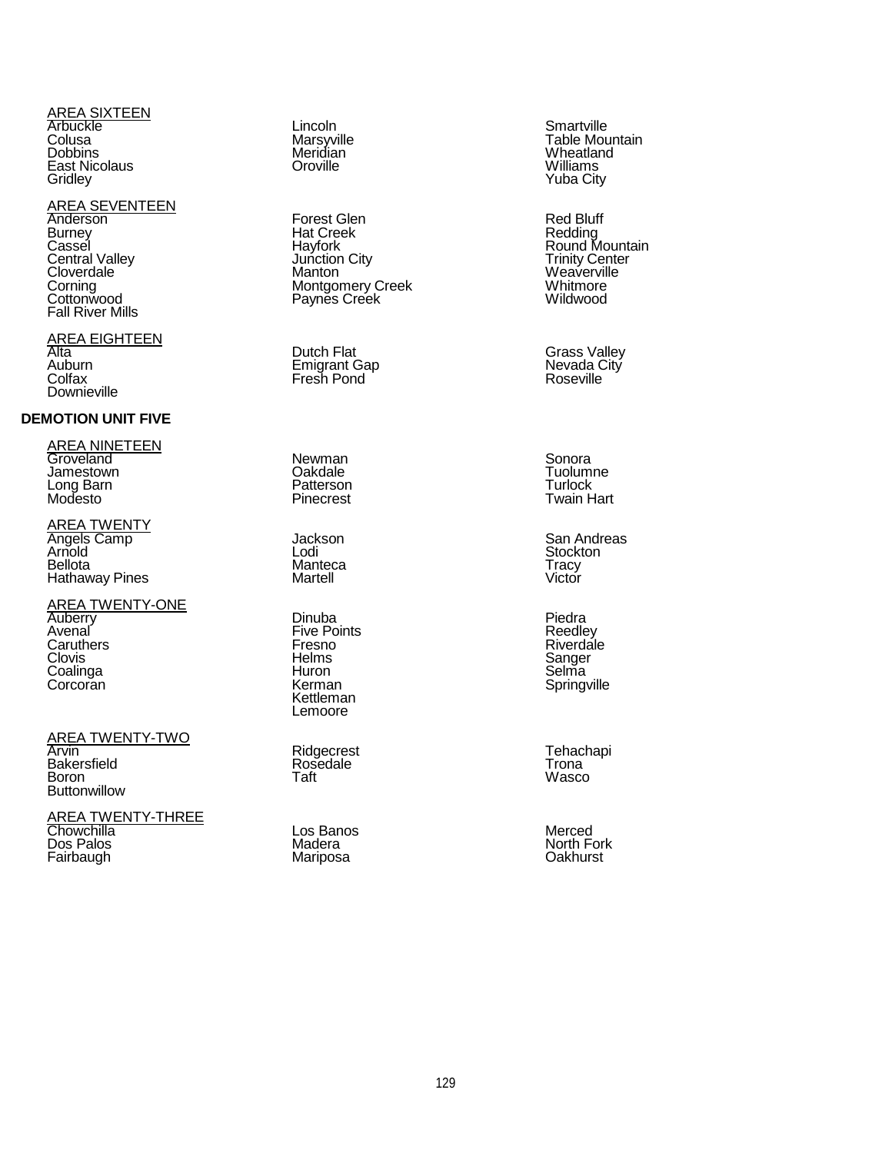#### AREA SIXTEEN **Arbuckle** Colusa Dobbins East Nicolaus **Gridley**

#### AREA SEVENTEEN Anderson **Burney** Cassel Central Valley Cloverdale Corning **Cottonwood** Fall River Mills

<u>AREA EIGHTEEN</u> Alta Auburn **Colfax Downieville** 

# **DEMOTION UNIT FIVE**

<u>AREA NINETEEN</u> Groveland Jamestown Long Barn Modesto

AREA TWENTY Angels Camp Arnold Bellota Hathaway Pines

AREA TWENTY-ONE **Auberry** Avenal Caruthers **Clovis** Coalinga **Corcoran** 

<u>AREA TWENTY-TWO</u>

Arvin **Bakersfield** Boron **Buttonwillow** 

AREA TWENTY-THREE Chowchilla Dos Palos Fairbaugh

Lincoln Marsyville Meridian **Oroville** 

Forest Glen Hat Creek **Havfork** Junction City Manton Montgomery Creek Paynes Creek

Dutch Flat Emigrant Gap Fresh Pond

Newman **Oakdale** Patterson **Pinecrest** 

Jackson Lodi Manteca **Martell** 

Dinuba Five Points Fresno **Helms** Huron Kerman Kettleman Lemoore

Ridgecrest **Rosedale** Taft

Los Banos **Madera** Mariposa

**Smartville** Table Mountain Wheatland Williams Yuba City

Red Bluff Redding Round Mountain Trinity Center **Weaverville Whitmore** Wildwood

Grass Valley Nevada City **Roseville** 

Sonora **Tuolumne** Turlock Twain Hart

San Andreas **Stockton Tracy** Victor

Piedra Reedley Riverdale Sanger **Selma Springville** 

**Tehachapi** Trona Wasco

Merced North Fork **Oakhurst**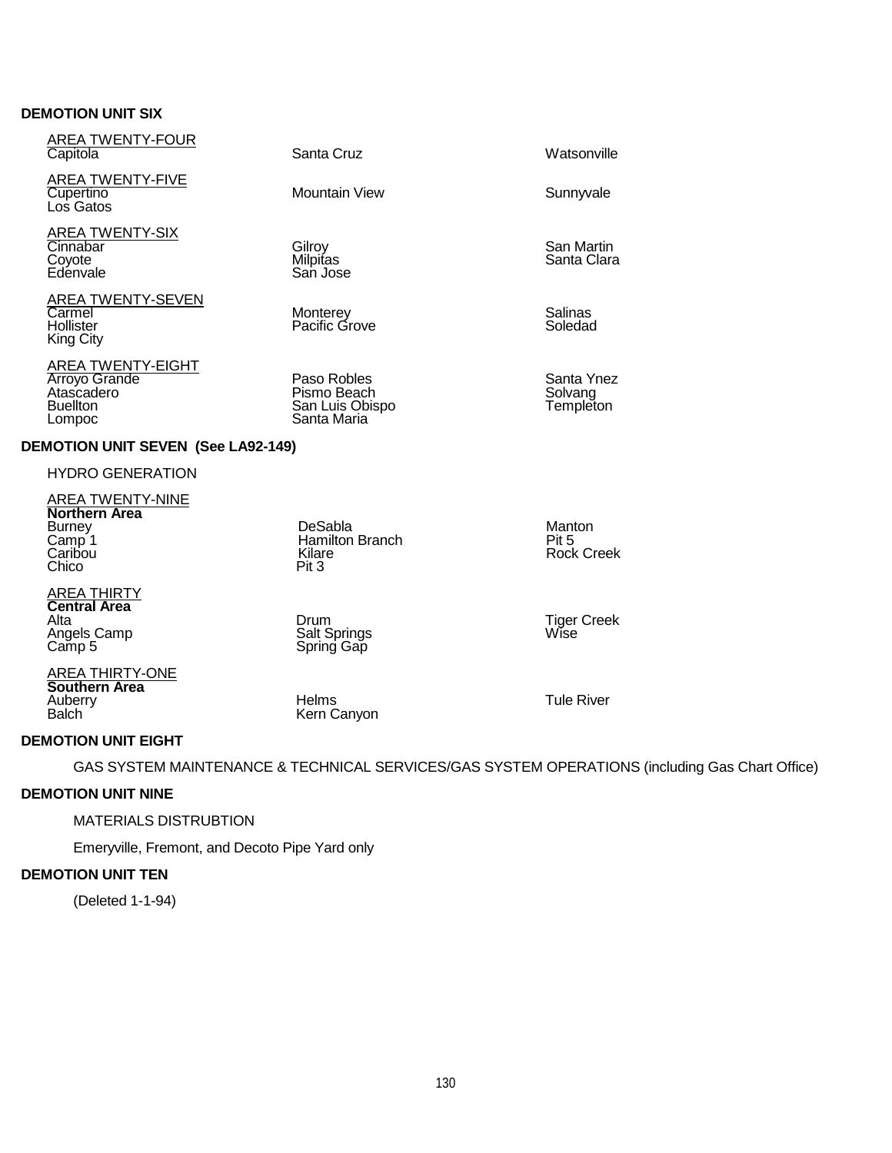# **DEMOTION UNIT SIX**

| <b>AREA TWENTY-FOUR</b><br>Capitola                                                                | Santa Cruz                                                   | Watsonville                          |
|----------------------------------------------------------------------------------------------------|--------------------------------------------------------------|--------------------------------------|
| <b>AREA TWENTY-FIVE</b><br>Cupertino<br>Los Gatos                                                  | Mountain View                                                | Sunnyvale                            |
| AREA TWENTY-SIX<br>Cinnabar<br>Coyote<br>Edénvale                                                  | Gilroy<br>Milpitas<br>San Jose                               | San Martin<br>Santa Clara            |
| <b>AREA TWENTY-SEVEN</b><br>Carmel<br>Hollister<br>King City                                       | Monterey<br>Pacific Grove                                    | Salinas<br>Soledad                   |
| AREA TWENTY-EIGHT<br><b>Arroyo Grande</b><br>Atascadero<br><b>Buellton</b><br>Lompoc               | Paso Robles<br>Pismo Beach<br>San Luis Obispo<br>Santa Maria | Santa Ynez<br>Solvang<br>Templeton   |
| <b>DEMOTION UNIT SEVEN (See LA92-149)</b>                                                          |                                                              |                                      |
| <b>HYDRO GENERATION</b>                                                                            |                                                              |                                      |
| <b>AREA TWENTY-NINE</b><br>Northern Area<br><b>Burney</b><br>Camp <sup>1</sup><br>Caribou<br>Chico | DeSabla<br><b>Hamilton Branch</b><br>Kilare<br>Pit 3         | Manton<br>Pit 5<br><b>Rock Creek</b> |

<u>AREA THIRTY</u> **Central Area Central Area**<br>Alta Magels Camp **Salt Springs** Camp Salt Springs Mise<br>Camp 5 Camp Spring Gap **Angels Camp**<br>Camp 5

<u>AREA THIRTY-ONE</u> **Southern Area**

Auberry Helms Tule River

Balch **Kern Canyon DEMOTION UNIT EIGHT**

GAS SYSTEM MAINTENANCE & TECHNICAL SERVICES/GAS SYSTEM OPERATIONS (including Gas Chart Office)

# **DEMOTION UNIT NINE**

# MATERIALS DISTRUBTION

Emeryville, Fremont, and Decoto Pipe Yard only

# **DEMOTION UNIT TEN**

(Deleted 1-1-94)

San Martin a